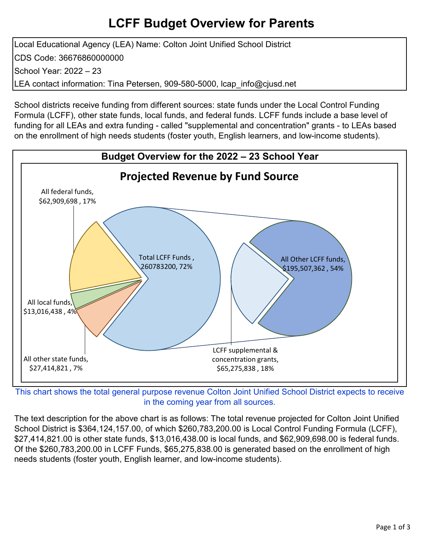# **LCFF Budget Overview for Parents**

Local Educational Agency (LEA) Name: Colton Joint Unified School District CDS Code: 36676860000000 School Year: 2022 – 23 LEA contact information: Tina Petersen, 909-580-5000, Icap info@cjusd.net

School districts receive funding from different sources: state funds under the Local Control Funding Formula (LCFF), other state funds, local funds, and federal funds. LCFF funds include a base level of funding for all LEAs and extra funding - called "supplemental and concentration" grants - to LEAs based on the enrollment of high needs students (foster youth, English learners, and low-income students).



This chart shows the total general purpose revenue Colton Joint Unified School District expects to receive in the coming year from all sources.

The text description for the above chart is as follows: The total revenue projected for Colton Joint Unified School District is \$364,124,157.00, of which \$260,783,200.00 is Local Control Funding Formula (LCFF), \$27,414,821.00 is other state funds, \$13,016,438.00 is local funds, and \$62,909,698.00 is federal funds. Of the \$260,783,200.00 in LCFF Funds, \$65,275,838.00 is generated based on the enrollment of high needs students (foster youth, English learner, and low-income students).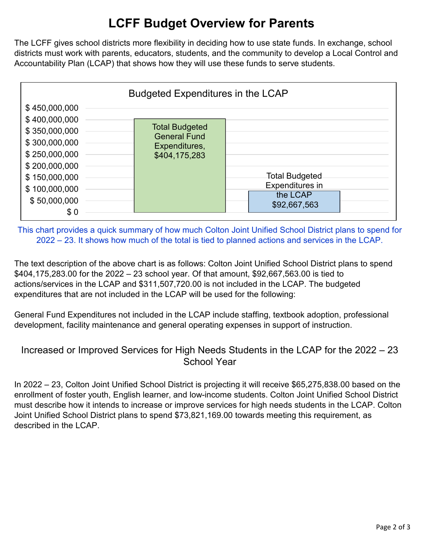# **LCFF Budget Overview for Parents**

The LCFF gives school districts more flexibility in deciding how to use state funds. In exchange, school districts must work with parents, educators, students, and the community to develop a Local Control and Accountability Plan (LCAP) that shows how they will use these funds to serve students.



This chart provides a quick summary of how much Colton Joint Unified School District plans to spend for 2022 – 23. It shows how much of the total is tied to planned actions and services in the LCAP.

The text description of the above chart is as follows: Colton Joint Unified School District plans to spend \$404,175,283.00 for the 2022 – 23 school year. Of that amount, \$92,667,563.00 is tied to actions/services in the LCAP and \$311,507,720.00 is not included in the LCAP. The budgeted expenditures that are not included in the LCAP will be used for the following:

General Fund Expenditures not included in the LCAP include staffing, textbook adoption, professional development, facility maintenance and general operating expenses in support of instruction.

## Increased or Improved Services for High Needs Students in the LCAP for the 2022 – 23 School Year

In 2022 – 23, Colton Joint Unified School District is projecting it will receive \$65,275,838.00 based on the enrollment of foster youth, English learner, and low-income students. Colton Joint Unified School District must describe how it intends to increase or improve services for high needs students in the LCAP. Colton Joint Unified School District plans to spend \$73,821,169.00 towards meeting this requirement, as described in the LCAP.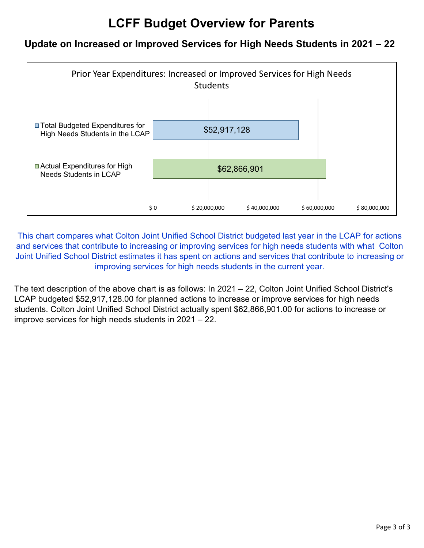# **LCFF Budget Overview for Parents**

## **Update on Increased or Improved Services for High Needs Students in 2021 – 22**



This chart compares what Colton Joint Unified School District budgeted last year in the LCAP for actions and services that contribute to increasing or improving services for high needs students with what Colton Joint Unified School District estimates it has spent on actions and services that contribute to increasing or improving services for high needs students in the current year.

The text description of the above chart is as follows: In 2021 – 22, Colton Joint Unified School District's LCAP budgeted \$52,917,128.00 for planned actions to increase or improve services for high needs students. Colton Joint Unified School District actually spent \$62,866,901.00 for actions to increase or improve services for high needs students in 2021 – 22.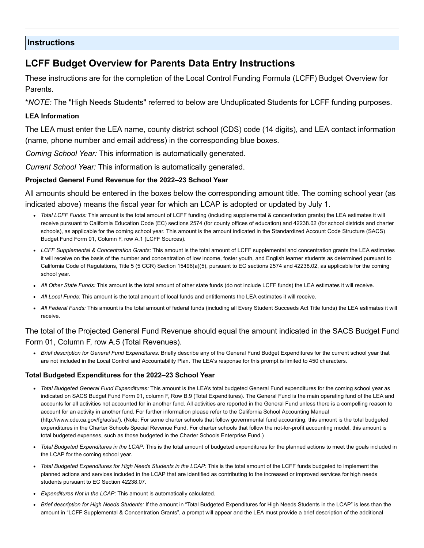### **Instructions**

## **LCFF Budget Overview for Parents Data Entry Instructions**

These instructions are for the completion of the Local Control Funding Formula (LCFF) Budget Overview for Parents.

\**NOTE:* The "High Needs Students" referred to below are Unduplicated Students for LCFF funding purposes.

### **LEA Information**

The LEA must enter the LEA name, county district school (CDS) code (14 digits), and LEA contact information (name, phone number and email address) in the corresponding blue boxes.

*Coming School Year:* This information is automatically generated.

*Current School Year:* This information is automatically generated.

### **Projected General Fund Revenue for the 2022–23 School Year**

All amounts should be entered in the boxes below the corresponding amount title. The coming school year (as indicated above) means the fiscal year for which an LCAP is adopted or updated by July 1.

- *Total LCFF Funds:* This amount is the total amount of LCFF funding (including supplemental & concentration grants) the LEA estimates it will receive pursuant to California Education Code (EC) sections 2574 (for county offices of education) and 42238.02 (for school districts and charter schools), as applicable for the coming school year. This amount is the amount indicated in the Standardized Account Code Structure (SACS) Budget Fund Form 01, Column F, row A.1 (LCFF Sources).
- *LCFF Supplemental & Concentration Grants:* This amount is the total amount of LCFF supplemental and concentration grants the LEA estimates it will receive on the basis of the number and concentration of low income, foster youth, and English learner students as determined pursuant to California Code of Regulations, Title 5 (5 CCR) Section 15496(a)(5), pursuant to EC sections 2574 and 42238.02, as applicable for the coming school year.
- *All Other State Funds:* This amount is the total amount of other state funds (do not include LCFF funds) the LEA estimates it will receive.
- *All Local Funds:* This amount is the total amount of local funds and entitlements the LEA estimates it will receive.
- *All Federal Funds:* This amount is the total amount of federal funds (including all Every Student Succeeds Act Title funds) the LEA estimates it will receive.

### The total of the Projected General Fund Revenue should equal the amount indicated in the SACS Budget Fund Form 01, Column F, row A.5 (Total Revenues).

*Brief description for General Fund Expenditures:* Briefly describe any of the General Fund Budget Expenditures for the current school year that are not included in the Local Control and Accountability Plan. The LEA's response for this prompt is limited to 450 characters.

### **Total Budgeted Expenditures for the 2022–23 School Year**

- *Total Budgeted General Fund Expenditures:* This amount is the LEA's total budgeted General Fund expenditures for the coming school year as indicated on SACS Budget Fund Form 01, column F, Row B.9 (Total Expenditures). The General Fund is the main operating fund of the LEA and accounts for all activities not accounted for in another fund. All activities are reported in the General Fund unless there is a compelling reason to account for an activity in another fund. For further information please refer to the California School Accounting Manual (http://www.cde.ca.gov/fg/ac/sa/). (Note: For some charter schools that follow governmental fund accounting, this amount is the total budgeted expenditures in the Charter Schools Special Revenue Fund. For charter schools that follow the not-for-profit accounting model, this amount is total budgeted expenses, such as those budgeted in the Charter Schools Enterprise Fund.)
- *Total Budgeted Expenditures in the LCAP:* This is the total amount of budgeted expenditures for the planned actions to meet the goals included in the LCAP for the coming school year.
- *Total Budgeted Expenditures for High Needs Students in the LCAP:* This is the total amount of the LCFF funds budgeted to implement the planned actions and services included in the LCAP that are identified as contributing to the increased or improved services for high needs students pursuant to EC Section 42238.07.
- *Expenditures Not in the LCAP:* This amount is automatically calculated.
- *Brief description for High Needs Students:* If the amount in "Total Budgeted Expenditures for High Needs Students in the LCAP" is less than the amount in "LCFF Supplemental & Concentration Grants", a prompt will appear and the LEA must provide a brief description of the additional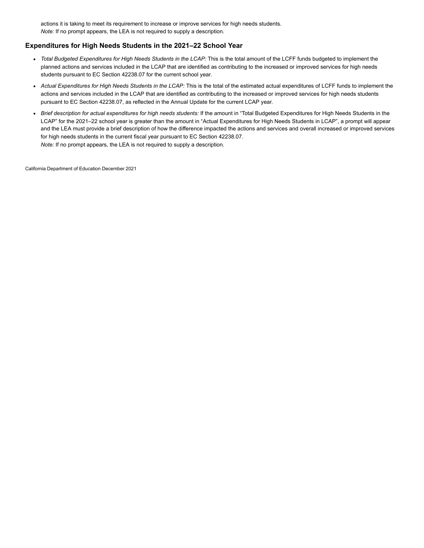actions it is taking to meet its requirement to increase or improve services for high needs students. *Note:* If no prompt appears, the LEA is not required to supply a description.

#### **Expenditures for High Needs Students in the 2021–22 School Year**

- *Total Budgeted Expenditures for High Needs Students in the LCAP:* This is the total amount of the LCFF funds budgeted to implement the planned actions and services included in the LCAP that are identified as contributing to the increased or improved services for high needs students pursuant to EC Section 42238.07 for the current school year.
- *Actual Expenditures for High Needs Students in the LCAP:* This is the total of the estimated actual expenditures of LCFF funds to implement the actions and services included in the LCAP that are identified as contributing to the increased or improved services for high needs students pursuant to EC Section 42238.07, as reflected in the Annual Update for the current LCAP year.
- *Brief description for actual expenditures for high needs students:* If the amount in "Total Budgeted Expenditures for High Needs Students in the LCAP" for the 2021–22 school year is greater than the amount in "Actual Expenditures for High Needs Students in LCAP", a prompt will appear and the LEA must provide a brief description of how the difference impacted the actions and services and overall increased or improved services for high needs students in the current fiscal year pursuant to EC Section 42238.07. *Note:* If no prompt appears, the LEA is not required to supply a description.

California Department of Education December 2021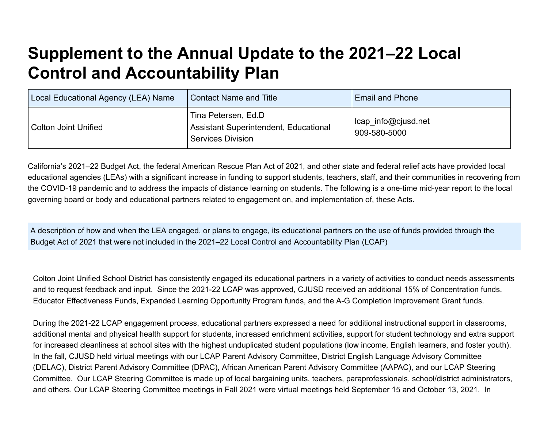# **Supplement to the Annual Update to the 2021–22 Local Control and Accountability Plan**

| Local Educational Agency (LEA) Name | <b>Contact Name and Title</b>                                                            | <b>Email and Phone</b>              |
|-------------------------------------|------------------------------------------------------------------------------------------|-------------------------------------|
| <b>Colton Joint Unified</b>         | Tina Petersen, Ed.D<br>Assistant Superintendent, Educational<br><b>Services Division</b> | lcap_info@cjusd.net<br>909-580-5000 |

California's 2021–22 Budget Act, the federal American Rescue Plan Act of 2021, and other state and federal relief acts have provided local educational agencies (LEAs) with a significant increase in funding to support students, teachers, staff, and their communities in recovering from the COVID-19 pandemic and to address the impacts of distance learning on students. The following is a one-time mid-year report to the local governing board or body and educational partners related to engagement on, and implementation of, these Acts.

A description of how and when the LEA engaged, or plans to engage, its educational partners on the use of funds provided through the Budget Act of 2021 that were not included in the 2021–22 Local Control and Accountability Plan (LCAP)

Colton Joint Unified School District has consistently engaged its educational partners in a variety of activities to conduct needs assessments and to request feedback and input. Since the 2021-22 LCAP was approved, CJUSD received an additional 15% of Concentration funds. Educator Effectiveness Funds, Expanded Learning Opportunity Program funds, and the A-G Completion Improvement Grant funds.

During the 2021-22 LCAP engagement process, educational partners expressed a need for additional instructional support in classrooms, additional mental and physical health support for students, increased enrichment activities, support for student technology and extra support for increased cleanliness at school sites with the highest unduplicated student populations (low income, English learners, and foster youth). In the fall, CJUSD held virtual meetings with our LCAP Parent Advisory Committee, District English Language Advisory Committee (DELAC), District Parent Advisory Committee (DPAC), African American Parent Advisory Committee (AAPAC), and our LCAP Steering Committee. Our LCAP Steering Committee is made up of local bargaining units, teachers, paraprofessionals, school/district administrators, and others. Our LCAP Steering Committee meetings in Fall 2021 were virtual meetings held September 15 and October 13, 2021. In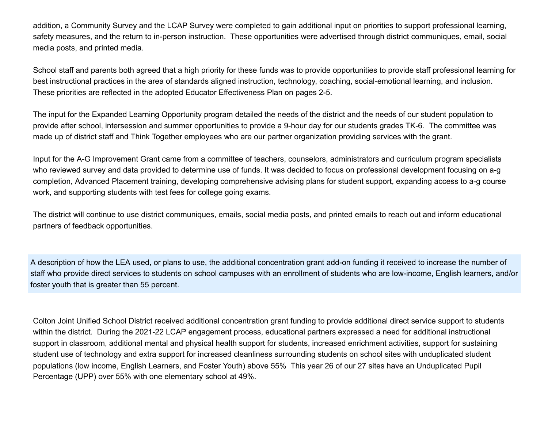addition, a Community Survey and the LCAP Survey were completed to gain additional input on priorities to support professional learning, safety measures, and the return to in-person instruction. These opportunities were advertised through district communiques, email, social media posts, and printed media.

School staff and parents both agreed that a high priority for these funds was to provide opportunities to provide staff professional learning for best instructional practices in the area of standards aligned instruction, technology, coaching, social-emotional learning, and inclusion. These priorities are reflected in the adopted Educator Effectiveness Plan on pages 2-5.

The input for the Expanded Learning Opportunity program detailed the needs of the district and the needs of our student population to provide after school, intersession and summer opportunities to provide a 9-hour day for our students grades TK-6. The committee was made up of district staff and Think Together employees who are our partner organization providing services with the grant.

Input for the A-G Improvement Grant came from a committee of teachers, counselors, administrators and curriculum program specialists who reviewed survey and data provided to determine use of funds. It was decided to focus on professional development focusing on a-g completion, Advanced Placement training, developing comprehensive advising plans for student support, expanding access to a-g course work, and supporting students with test fees for college going exams.

The district will continue to use district communiques, emails, social media posts, and printed emails to reach out and inform educational partners of feedback opportunities.

A description of how the LEA used, or plans to use, the additional concentration grant add-on funding it received to increase the number of staff who provide direct services to students on school campuses with an enrollment of students who are low-income, English learners, and/or foster youth that is greater than 55 percent.

Colton Joint Unified School District received additional concentration grant funding to provide additional direct service support to students within the district. During the 2021-22 LCAP engagement process, educational partners expressed a need for additional instructional support in classroom, additional mental and physical health support for students, increased enrichment activities, support for sustaining student use of technology and extra support for increased cleanliness surrounding students on school sites with unduplicated student populations (low income, English Learners, and Foster Youth) above 55% This year 26 of our 27 sites have an Unduplicated Pupil Percentage (UPP) over 55% with one elementary school at 49%.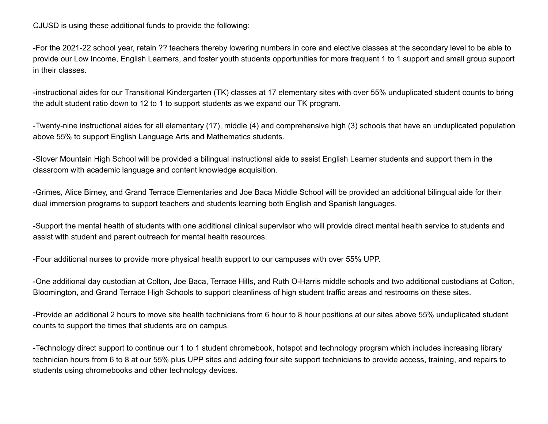CJUSD is using these additional funds to provide the following:

-For the 2021-22 school year, retain ?? teachers thereby lowering numbers in core and elective classes at the secondary level to be able to provide our Low Income, English Learners, and foster youth students opportunities for more frequent 1 to 1 support and small group support in their classes.

-instructional aides for our Transitional Kindergarten (TK) classes at 17 elementary sites with over 55% unduplicated student counts to bring the adult student ratio down to 12 to 1 to support students as we expand our TK program.

-Twenty-nine instructional aides for all elementary (17), middle (4) and comprehensive high (3) schools that have an unduplicated population above 55% to support English Language Arts and Mathematics students.

-Slover Mountain High School will be provided a bilingual instructional aide to assist English Learner students and support them in the classroom with academic language and content knowledge acquisition.

-Grimes, Alice Birney, and Grand Terrace Elementaries and Joe Baca Middle School will be provided an additional bilingual aide for their dual immersion programs to support teachers and students learning both English and Spanish languages.

-Support the mental health of students with one additional clinical supervisor who will provide direct mental health service to students and assist with student and parent outreach for mental health resources.

-Four additional nurses to provide more physical health support to our campuses with over 55% UPP.

-One additional day custodian at Colton, Joe Baca, Terrace Hills, and Ruth O-Harris middle schools and two additional custodians at Colton, Bloomington, and Grand Terrace High Schools to support cleanliness of high student traffic areas and restrooms on these sites.

-Provide an additional 2 hours to move site health technicians from 6 hour to 8 hour positions at our sites above 55% unduplicated student counts to support the times that students are on campus.

-Technology direct support to continue our 1 to 1 student chromebook, hotspot and technology program which includes increasing library technician hours from 6 to 8 at our 55% plus UPP sites and adding four site support technicians to provide access, training, and repairs to students using chromebooks and other technology devices.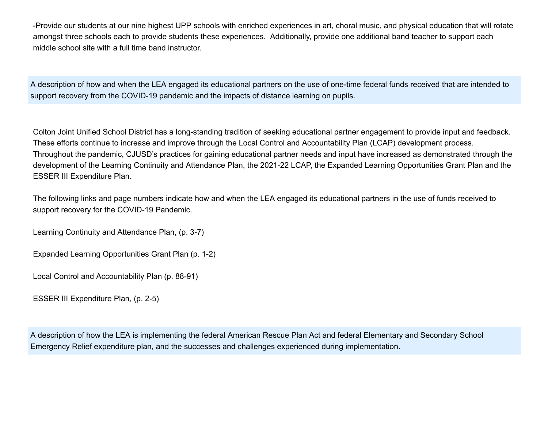-Provide our students at our nine highest UPP schools with enriched experiences in art, choral music, and physical education that will rotate amongst three schools each to provide students these experiences. Additionally, provide one additional band teacher to support each middle school site with a full time band instructor.

A description of how and when the LEA engaged its educational partners on the use of one-time federal funds received that are intended to support recovery from the COVID-19 pandemic and the impacts of distance learning on pupils.

Colton Joint Unified School District has a long-standing tradition of seeking educational partner engagement to provide input and feedback. These efforts continue to increase and improve through the Local Control and Accountability Plan (LCAP) development process. Throughout the pandemic, CJUSD's practices for gaining educational partner needs and input have increased as demonstrated through the development of the Learning Continuity and Attendance Plan, the 2021-22 LCAP, the Expanded Learning Opportunities Grant Plan and the ESSER III Expenditure Plan.

The following links and page numbers indicate how and when the LEA engaged its educational partners in the use of funds received to support recovery for the COVID-19 Pandemic.

Learning Continuity and Attendance Plan, (p. 3-7)

Expanded Learning Opportunities Grant Plan (p. 1-2)

Local Control and Accountability Plan (p. 88-91)

ESSER III Expenditure Plan, (p. 2-5)

A description of how the LEA is implementing the federal American Rescue Plan Act and federal Elementary and Secondary School Emergency Relief expenditure plan, and the successes and challenges experienced during implementation.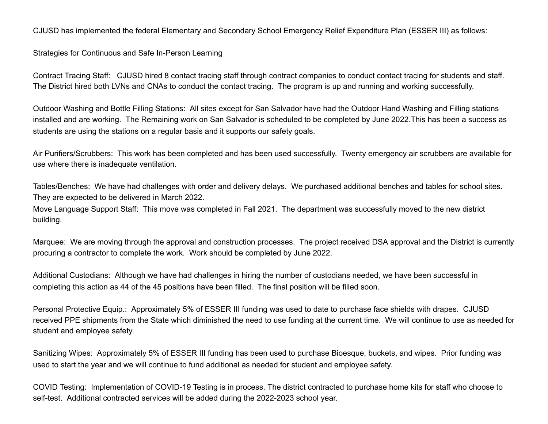CJUSD has implemented the federal Elementary and Secondary School Emergency Relief Expenditure Plan (ESSER III) as follows:

Strategies for Continuous and Safe In-Person Learning

Contract Tracing Staff: CJUSD hired 8 contact tracing staff through contract companies to conduct contact tracing for students and staff. The District hired both LVNs and CNAs to conduct the contact tracing. The program is up and running and working successfully.

Outdoor Washing and Bottle Filling Stations: All sites except for San Salvador have had the Outdoor Hand Washing and Filling stations installed and are working. The Remaining work on San Salvador is scheduled to be completed by June 2022.This has been a success as students are using the stations on a regular basis and it supports our safety goals.

Air Purifiers/Scrubbers: This work has been completed and has been used successfully. Twenty emergency air scrubbers are available for use where there is inadequate ventilation.

Tables/Benches: We have had challenges with order and delivery delays. We purchased additional benches and tables for school sites. They are expected to be delivered in March 2022.

Move Language Support Staff: This move was completed in Fall 2021. The department was successfully moved to the new district building.

Marquee: We are moving through the approval and construction processes. The project received DSA approval and the District is currently procuring a contractor to complete the work. Work should be completed by June 2022.

Additional Custodians: Although we have had challenges in hiring the number of custodians needed, we have been successful in completing this action as 44 of the 45 positions have been filled. The final position will be filled soon.

Personal Protective Equip.: Approximately 5% of ESSER III funding was used to date to purchase face shields with drapes. CJUSD received PPE shipments from the State which diminished the need to use funding at the current time. We will continue to use as needed for student and employee safety.

Sanitizing Wipes: Approximately 5% of ESSER III funding has been used to purchase Bioesque, buckets, and wipes. Prior funding was used to start the year and we will continue to fund additional as needed for student and employee safety.

COVID Testing: Implementation of COVID-19 Testing is in process. The district contracted to purchase home kits for staff who choose to self-test. Additional contracted services will be added during the 2022-2023 school year.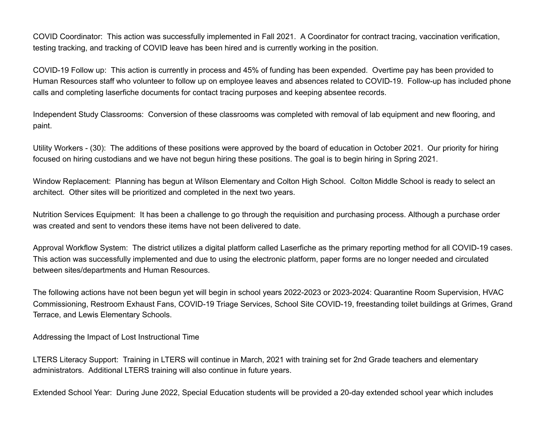COVID Coordinator: This action was successfully implemented in Fall 2021. A Coordinator for contract tracing, vaccination verification, testing tracking, and tracking of COVID leave has been hired and is currently working in the position.

COVID-19 Follow up: This action is currently in process and 45% of funding has been expended. Overtime pay has been provided to Human Resources staff who volunteer to follow up on employee leaves and absences related to COVID-19. Follow-up has included phone calls and completing laserfiche documents for contact tracing purposes and keeping absentee records.

Independent Study Classrooms: Conversion of these classrooms was completed with removal of lab equipment and new flooring, and paint.

Utility Workers - (30): The additions of these positions were approved by the board of education in October 2021. Our priority for hiring focused on hiring custodians and we have not begun hiring these positions. The goal is to begin hiring in Spring 2021.

Window Replacement: Planning has begun at Wilson Elementary and Colton High School. Colton Middle School is ready to select an architect. Other sites will be prioritized and completed in the next two years.

Nutrition Services Equipment: It has been a challenge to go through the requisition and purchasing process. Although a purchase order was created and sent to vendors these items have not been delivered to date.

Approval Workflow System: The district utilizes a digital platform called Laserfiche as the primary reporting method for all COVID-19 cases. This action was successfully implemented and due to using the electronic platform, paper forms are no longer needed and circulated between sites/departments and Human Resources.

The following actions have not been begun yet will begin in school years 2022-2023 or 2023-2024: Quarantine Room Supervision, HVAC Commissioning, Restroom Exhaust Fans, COVID-19 Triage Services, School Site COVID-19, freestanding toilet buildings at Grimes, Grand Terrace, and Lewis Elementary Schools.

Addressing the Impact of Lost Instructional Time

LTERS Literacy Support: Training in LTERS will continue in March, 2021 with training set for 2nd Grade teachers and elementary administrators. Additional LTERS training will also continue in future years.

Extended School Year: During June 2022, Special Education students will be provided a 20-day extended school year which includes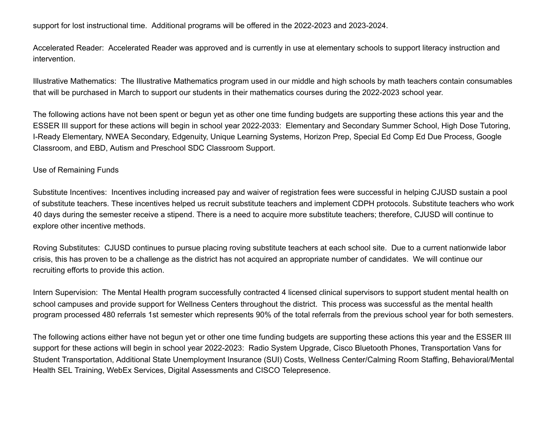support for lost instructional time. Additional programs will be offered in the 2022-2023 and 2023-2024.

Accelerated Reader: Accelerated Reader was approved and is currently in use at elementary schools to support literacy instruction and intervention.

Illustrative Mathematics: The Illustrative Mathematics program used in our middle and high schools by math teachers contain consumables that will be purchased in March to support our students in their mathematics courses during the 2022-2023 school year.

The following actions have not been spent or begun yet as other one time funding budgets are supporting these actions this year and the ESSER III support for these actions will begin in school year 2022-2033: Elementary and Secondary Summer School, High Dose Tutoring, I-Ready Elementary, NWEA Secondary, Edgenuity, Unique Learning Systems, Horizon Prep, Special Ed Comp Ed Due Process, Google Classroom, and EBD, Autism and Preschool SDC Classroom Support.

#### Use of Remaining Funds

Substitute Incentives: Incentives including increased pay and waiver of registration fees were successful in helping CJUSD sustain a pool of substitute teachers. These incentives helped us recruit substitute teachers and implement CDPH protocols. Substitute teachers who work 40 days during the semester receive a stipend. There is a need to acquire more substitute teachers; therefore, CJUSD will continue to explore other incentive methods.

Roving Substitutes: CJUSD continues to pursue placing roving substitute teachers at each school site. Due to a current nationwide labor crisis, this has proven to be a challenge as the district has not acquired an appropriate number of candidates. We will continue our recruiting efforts to provide this action.

Intern Supervision: The Mental Health program successfully contracted 4 licensed clinical supervisors to support student mental health on school campuses and provide support for Wellness Centers throughout the district. This process was successful as the mental health program processed 480 referrals 1st semester which represents 90% of the total referrals from the previous school year for both semesters.

The following actions either have not begun yet or other one time funding budgets are supporting these actions this year and the ESSER III support for these actions will begin in school year 2022-2023: Radio System Upgrade, Cisco Bluetooth Phones, Transportation Vans for Student Transportation, Additional State Unemployment Insurance (SUI) Costs, Wellness Center/Calming Room Staffing, Behavioral/Mental Health SEL Training, WebEx Services, Digital Assessments and CISCO Telepresence.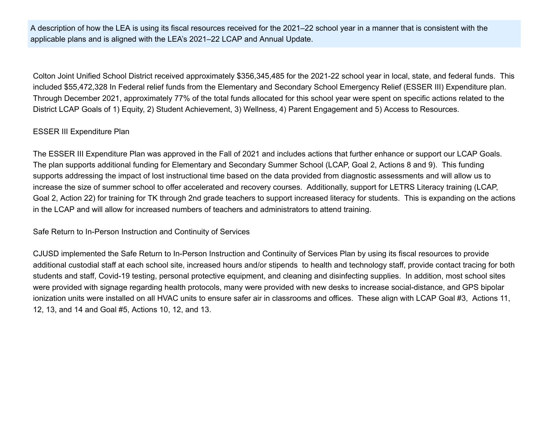A description of how the LEA is using its fiscal resources received for the 2021–22 school year in a manner that is consistent with the applicable plans and is aligned with the LEA's 2021–22 LCAP and Annual Update.

Colton Joint Unified School District received approximately \$356,345,485 for the 2021-22 school year in local, state, and federal funds. This included \$55,472,328 In Federal relief funds from the Elementary and Secondary School Emergency Relief (ESSER III) Expenditure plan. Through December 2021, approximately 77% of the total funds allocated for this school year were spent on specific actions related to the District LCAP Goals of 1) Equity, 2) Student Achievement, 3) Wellness, 4) Parent Engagement and 5) Access to Resources.

### ESSER III Expenditure Plan

The ESSER III Expenditure Plan was approved in the Fall of 2021 and includes actions that further enhance or support our LCAP Goals. The plan supports additional funding for Elementary and Secondary Summer School (LCAP, Goal 2, Actions 8 and 9). This funding supports addressing the impact of lost instructional time based on the data provided from diagnostic assessments and will allow us to increase the size of summer school to offer accelerated and recovery courses. Additionally, support for LETRS Literacy training (LCAP, Goal 2, Action 22) for training for TK through 2nd grade teachers to support increased literacy for students. This is expanding on the actions in the LCAP and will allow for increased numbers of teachers and administrators to attend training.

Safe Return to In-Person Instruction and Continuity of Services

CJUSD implemented the Safe Return to In-Person Instruction and Continuity of Services Plan by using its fiscal resources to provide additional custodial staff at each school site, increased hours and/or stipends to health and technology staff, provide contact tracing for both students and staff, Covid-19 testing, personal protective equipment, and cleaning and disinfecting supplies. In addition, most school sites were provided with signage regarding health protocols, many were provided with new desks to increase social-distance, and GPS bipolar ionization units were installed on all HVAC units to ensure safer air in classrooms and offices. These align with LCAP Goal #3, Actions 11, 12, 13, and 14 and Goal #5, Actions 10, 12, and 13.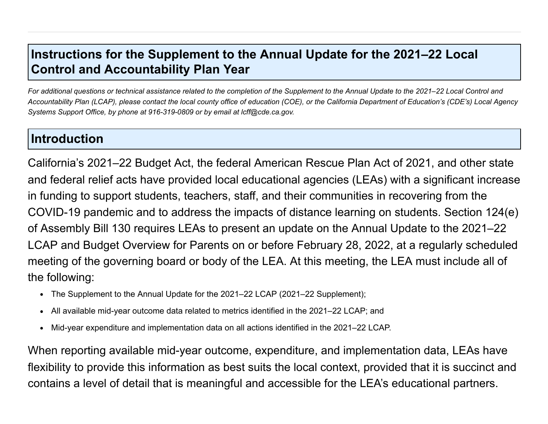## **Instructions for the Supplement to the Annual Update for the 2021–22 Local Control and Accountability Plan Year**

*For additional questions or technical assistance related to the completion of the Supplement to the Annual Update to the 2021–22 Local Control and Accountability Plan (LCAP), please contact the local county office of education (COE), or the California Department of Education's (CDE's) Local Agency Systems Support Office, by phone at 916-319-0809 or by email at lcff@cde.ca.gov.*

## **Introduction**

California's 2021–22 Budget Act, the federal American Rescue Plan Act of 2021, and other state and federal relief acts have provided local educational agencies (LEAs) with a significant increase in funding to support students, teachers, staff, and their communities in recovering from the COVID-19 pandemic and to address the impacts of distance learning on students. Section 124(e) of Assembly Bill 130 requires LEAs to present an update on the Annual Update to the 2021–22 LCAP and Budget Overview for Parents on or before February 28, 2022, at a regularly scheduled meeting of the governing board or body of the LEA. At this meeting, the LEA must include all of the following:

- The Supplement to the Annual Update for the 2021–22 LCAP (2021–22 Supplement);
- All available mid-year outcome data related to metrics identified in the 2021–22 LCAP; and  $\bullet$
- Mid-year expenditure and implementation data on all actions identified in the 2021–22 LCAP.  $\bullet$

When reporting available mid-year outcome, expenditure, and implementation data, LEAs have flexibility to provide this information as best suits the local context, provided that it is succinct and contains a level of detail that is meaningful and accessible for the LEA's educational partners.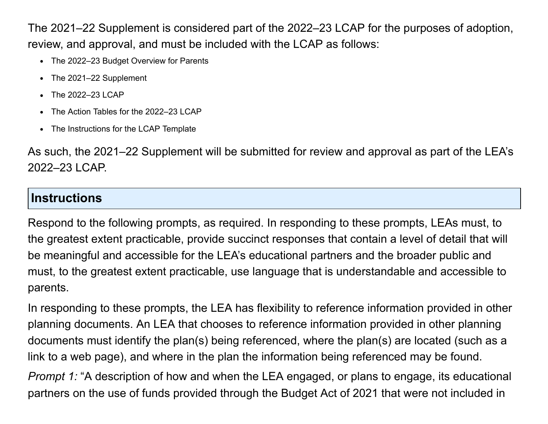The 2021–22 Supplement is considered part of the 2022–23 LCAP for the purposes of adoption, review, and approval, and must be included with the LCAP as follows:

- The 2022-23 Budget Overview for Parents
- The 2021-22 Supplement
- The 2022–23 LCAP  $\bullet$
- The Action Tables for the 2022–23 LCAP  $\bullet$
- The Instructions for the LCAP Template

As such, the 2021–22 Supplement will be submitted for review and approval as part of the LEA's 2022–23 LCAP.

## **Instructions**

Respond to the following prompts, as required. In responding to these prompts, LEAs must, to the greatest extent practicable, provide succinct responses that contain a level of detail that will be meaningful and accessible for the LEA's educational partners and the broader public and must, to the greatest extent practicable, use language that is understandable and accessible to parents.

In responding to these prompts, the LEA has flexibility to reference information provided in other planning documents. An LEA that chooses to reference information provided in other planning documents must identify the plan(s) being referenced, where the plan(s) are located (such as a link to a web page), and where in the plan the information being referenced may be found.

*Prompt 1:* "A description of how and when the LEA engaged, or plans to engage, its educational partners on the use of funds provided through the Budget Act of 2021 that were not included in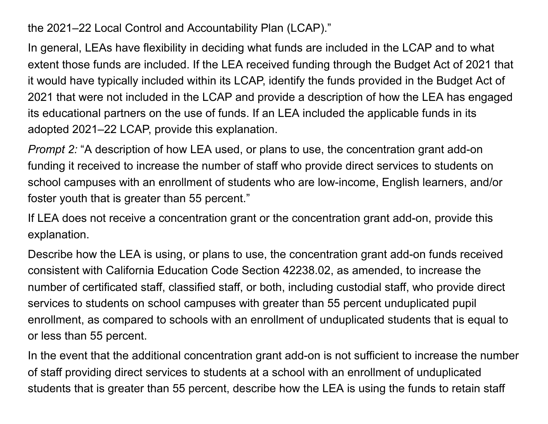the 2021–22 Local Control and Accountability Plan (LCAP)."

In general, LEAs have flexibility in deciding what funds are included in the LCAP and to what extent those funds are included. If the LEA received funding through the Budget Act of 2021 that it would have typically included within its LCAP, identify the funds provided in the Budget Act of 2021 that were not included in the LCAP and provide a description of how the LEA has engaged its educational partners on the use of funds. If an LEA included the applicable funds in its adopted 2021–22 LCAP, provide this explanation.

*Prompt 2:* "A description of how LEA used, or plans to use, the concentration grant add-on funding it received to increase the number of staff who provide direct services to students on school campuses with an enrollment of students who are low-income, English learners, and/or foster youth that is greater than 55 percent."

If LEA does not receive a concentration grant or the concentration grant add-on, provide this explanation.

Describe how the LEA is using, or plans to use, the concentration grant add-on funds received consistent with California Education Code Section 42238.02, as amended, to increase the number of certificated staff, classified staff, or both, including custodial staff, who provide direct services to students on school campuses with greater than 55 percent unduplicated pupil enrollment, as compared to schools with an enrollment of unduplicated students that is equal to or less than 55 percent.

In the event that the additional concentration grant add-on is not sufficient to increase the number of staff providing direct services to students at a school with an enrollment of unduplicated students that is greater than 55 percent, describe how the LEA is using the funds to retain staff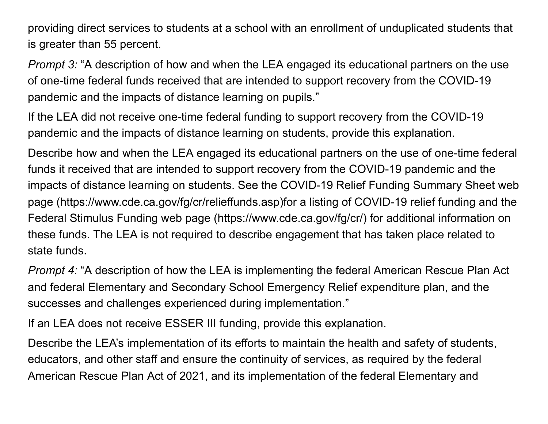providing direct services to students at a school with an enrollment of unduplicated students that is greater than 55 percent.

*Prompt 3:* "A description of how and when the LEA engaged its educational partners on the use of one-time federal funds received that are intended to support recovery from the COVID-19 pandemic and the impacts of distance learning on pupils."

If the LEA did not receive one-time federal funding to support recovery from the COVID-19 pandemic and the impacts of distance learning on students, provide this explanation.

Describe how and when the LEA engaged its educational partners on the use of one-time federal funds it received that are intended to support recovery from the COVID-19 pandemic and the impacts of distance learning on students. See the COVID-19 Relief Funding Summary Sheet web page (https://www.cde.ca.gov/fg/cr/relieffunds.asp)for a listing of COVID-19 relief funding and the Federal Stimulus Funding web page (https://www.cde.ca.gov/fg/cr/) for additional information on these funds. The LEA is not required to describe engagement that has taken place related to state funds.

*Prompt 4:* "A description of how the LEA is implementing the federal American Rescue Plan Act and federal Elementary and Secondary School Emergency Relief expenditure plan, and the successes and challenges experienced during implementation."

If an LEA does not receive ESSER III funding, provide this explanation.

Describe the LEA's implementation of its efforts to maintain the health and safety of students, educators, and other staff and ensure the continuity of services, as required by the federal American Rescue Plan Act of 2021, and its implementation of the federal Elementary and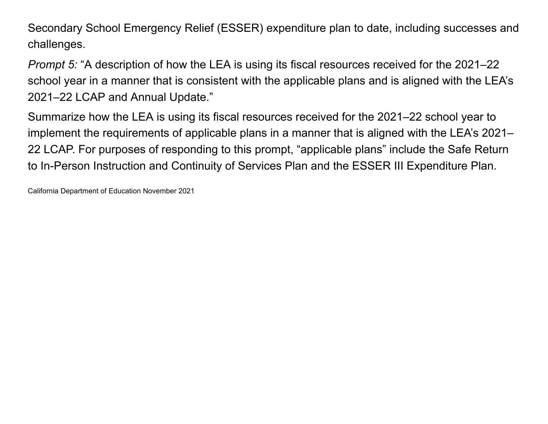Secondary School Emergency Relief (ESSER) expenditure plan to date, including successes and challenges.

*Prompt 5:* "A description of how the LEA is using its fiscal resources received for the 2021–22 school year in a manner that is consistent with the applicable plans and is aligned with the LEA's 2021–22 LCAP and Annual Update."

Summarize how the LEA is using its fiscal resources received for the 2021–22 school year to implement the requirements of applicable plans in a manner that is aligned with the LEA's 2021– 22 LCAP. For purposes of responding to this prompt, "applicable plans" include the Safe Return to In-Person Instruction and Continuity of Services Plan and the ESSER III Expenditure Plan.

California Department of Education November 2021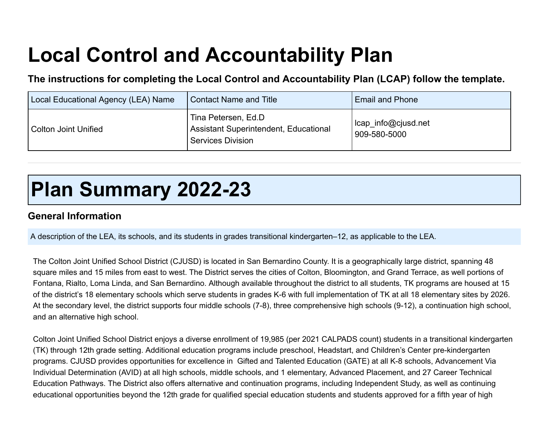# **Local Control and Accountability Plan**

**The instructions for completing the Local Control and Accountability Plan (LCAP) follow the template.**

| Local Educational Agency (LEA) Name | <b>Contact Name and Title</b>                                                            | <b>Email and Phone</b>              |
|-------------------------------------|------------------------------------------------------------------------------------------|-------------------------------------|
| <b>Colton Joint Unified</b>         | Tina Petersen, Ed.D<br>Assistant Superintendent, Educational<br><b>Services Division</b> | lcap info@cjusd.net<br>909-580-5000 |

# **Plan Summary 2022-23**

## **General Information**

A description of the LEA, its schools, and its students in grades transitional kindergarten–12, as applicable to the LEA.

The Colton Joint Unified School District (CJUSD) is located in San Bernardino County. It is a geographically large district, spanning 48 square miles and 15 miles from east to west. The District serves the cities of Colton, Bloomington, and Grand Terrace, as well portions of Fontana, Rialto, Loma Linda, and San Bernardino. Although available throughout the district to all students, TK programs are housed at 15 of the district's 18 elementary schools which serve students in grades K-6 with full implementation of TK at all 18 elementary sites by 2026. At the secondary level, the district supports four middle schools (7-8), three comprehensive high schools (9-12), a continuation high school, and an alternative high school.

Colton Joint Unified School District enjoys a diverse enrollment of 19,985 (per 2021 CALPADS count) students in a transitional kindergarten (TK) through 12th grade setting. Additional education programs include preschool, Headstart, and Children's Center pre-kindergarten programs. CJUSD provides opportunities for excellence in Gifted and Talented Education (GATE) at all K-8 schools, Advancement Via Individual Determination (AVID) at all high schools, middle schools, and 1 elementary, Advanced Placement, and 27 Career Technical Education Pathways. The District also offers alternative and continuation programs, including Independent Study, as well as continuing educational opportunities beyond the 12th grade for qualified special education students and students approved for a fifth year of high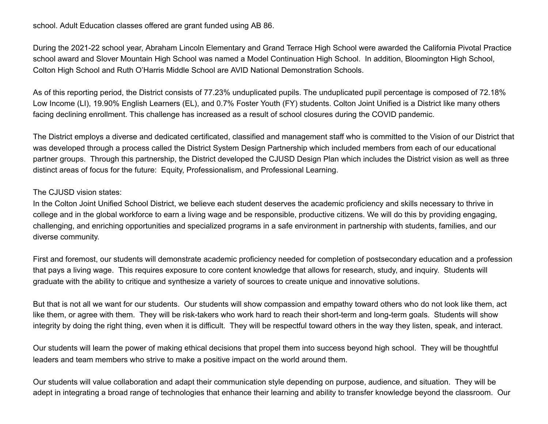school. Adult Education classes offered are grant funded using AB 86.

During the 2021-22 school year, Abraham Lincoln Elementary and Grand Terrace High School were awarded the California Pivotal Practice school award and Slover Mountain High School was named a Model Continuation High School. In addition, Bloomington High School, Colton High School and Ruth O'Harris Middle School are AVID National Demonstration Schools.

As of this reporting period, the District consists of 77.23% unduplicated pupils. The unduplicated pupil percentage is composed of 72.18% Low Income (LI), 19.90% English Learners (EL), and 0.7% Foster Youth (FY) students. Colton Joint Unified is a District like many others facing declining enrollment. This challenge has increased as a result of school closures during the COVID pandemic.

The District employs a diverse and dedicated certificated, classified and management staff who is committed to the Vision of our District that was developed through a process called the District System Design Partnership which included members from each of our educational partner groups. Through this partnership, the District developed the CJUSD Design Plan which includes the District vision as well as three distinct areas of focus for the future: Equity, Professionalism, and Professional Learning.

### The CJUSD vision states:

In the Colton Joint Unified School District, we believe each student deserves the academic proficiency and skills necessary to thrive in college and in the global workforce to earn a living wage and be responsible, productive citizens. We will do this by providing engaging, challenging, and enriching opportunities and specialized programs in a safe environment in partnership with students, families, and our diverse community.

First and foremost, our students will demonstrate academic proficiency needed for completion of postsecondary education and a profession that pays a living wage. This requires exposure to core content knowledge that allows for research, study, and inquiry. Students will graduate with the ability to critique and synthesize a variety of sources to create unique and innovative solutions.

But that is not all we want for our students. Our students will show compassion and empathy toward others who do not look like them, act like them, or agree with them. They will be risk-takers who work hard to reach their short-term and long-term goals. Students will show integrity by doing the right thing, even when it is difficult. They will be respectful toward others in the way they listen, speak, and interact.

Our students will learn the power of making ethical decisions that propel them into success beyond high school. They will be thoughtful leaders and team members who strive to make a positive impact on the world around them.

Our students will value collaboration and adapt their communication style depending on purpose, audience, and situation. They will be adept in integrating a broad range of technologies that enhance their learning and ability to transfer knowledge beyond the classroom. Our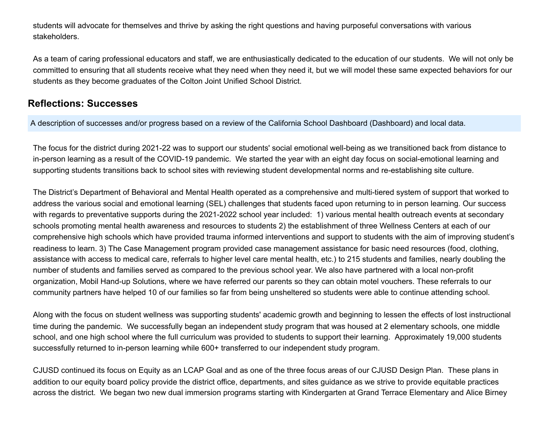students will advocate for themselves and thrive by asking the right questions and having purposeful conversations with various stakeholders.

As a team of caring professional educators and staff, we are enthusiastically dedicated to the education of our students. We will not only be committed to ensuring that all students receive what they need when they need it, but we will model these same expected behaviors for our students as they become graduates of the Colton Joint Unified School District.

## **Reflections: Successes**

A description of successes and/or progress based on a review of the California School Dashboard (Dashboard) and local data.

The focus for the district during 2021-22 was to support our students' social emotional well-being as we transitioned back from distance to in-person learning as a result of the COVID-19 pandemic. We started the year with an eight day focus on social-emotional learning and supporting students transitions back to school sites with reviewing student developmental norms and re-establishing site culture.

The District's Department of Behavioral and Mental Health operated as a comprehensive and multi-tiered system of support that worked to address the various social and emotional learning (SEL) challenges that students faced upon returning to in person learning. Our success with regards to preventative supports during the 2021-2022 school year included: 1) various mental health outreach events at secondary schools promoting mental health awareness and resources to students 2) the establishment of three Wellness Centers at each of our comprehensive high schools which have provided trauma informed interventions and support to students with the aim of improving student's readiness to learn. 3) The Case Management program provided case management assistance for basic need resources (food, clothing, assistance with access to medical care, referrals to higher level care mental health, etc.) to 215 students and families, nearly doubling the number of students and families served as compared to the previous school year. We also have partnered with a local non-profit organization, Mobil Hand-up Solutions, where we have referred our parents so they can obtain motel vouchers. These referrals to our community partners have helped 10 of our families so far from being unsheltered so students were able to continue attending school.

Along with the focus on student wellness was supporting students' academic growth and beginning to lessen the effects of lost instructional time during the pandemic. We successfully began an independent study program that was housed at 2 elementary schools, one middle school, and one high school where the full curriculum was provided to students to support their learning. Approximately 19,000 students successfully returned to in-person learning while 600+ transferred to our independent study program.

CJUSD continued its focus on Equity as an LCAP Goal and as one of the three focus areas of our CJUSD Design Plan. These plans in addition to our equity board policy provide the district office, departments, and sites guidance as we strive to provide equitable practices across the district. We began two new dual immersion programs starting with Kindergarten at Grand Terrace Elementary and Alice Birney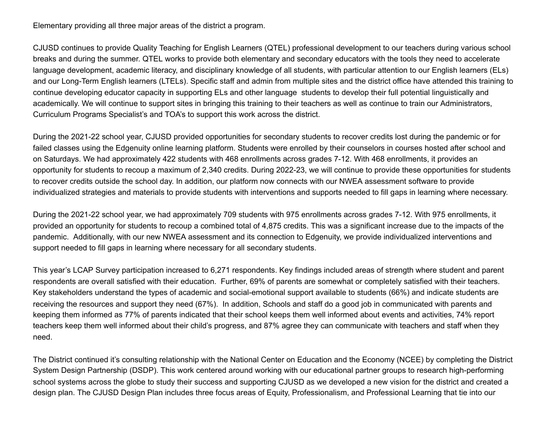Elementary providing all three major areas of the district a program.

CJUSD continues to provide Quality Teaching for English Learners (QTEL) professional development to our teachers during various school breaks and during the summer. QTEL works to provide both elementary and secondary educators with the tools they need to accelerate language development, academic literacy, and disciplinary knowledge of all students, with particular attention to our English learners (ELs) and our Long-Term English learners (LTELs). Specific staff and admin from multiple sites and the district office have attended this training to continue developing educator capacity in supporting ELs and other language students to develop their full potential linguistically and academically. We will continue to support sites in bringing this training to their teachers as well as continue to train our Administrators, Curriculum Programs Specialist's and TOA's to support this work across the district.

During the 2021-22 school year, CJUSD provided opportunities for secondary students to recover credits lost during the pandemic or for failed classes using the Edgenuity online learning platform. Students were enrolled by their counselors in courses hosted after school and on Saturdays. We had approximately 422 students with 468 enrollments across grades 7-12. With 468 enrollments, it provides an opportunity for students to recoup a maximum of 2,340 credits. During 2022-23, we will continue to provide these opportunities for students to recover credits outside the school day. In addition, our platform now connects with our NWEA assessment software to provide individualized strategies and materials to provide students with interventions and supports needed to fill gaps in learning where necessary.

During the 2021-22 school year, we had approximately 709 students with 975 enrollments across grades 7-12. With 975 enrollments, it provided an opportunity for students to recoup a combined total of 4,875 credits. This was a significant increase due to the impacts of the pandemic. Additionally, with our new NWEA assessment and its connection to Edgenuity, we provide individualized interventions and support needed to fill gaps in learning where necessary for all secondary students.

This year's LCAP Survey participation increased to 6,271 respondents. Key findings included areas of strength where student and parent respondents are overall satisfied with their education. Further, 69% of parents are somewhat or completely satisfied with their teachers. Key stakeholders understand the types of academic and social-emotional support available to students (66%) and indicate students are receiving the resources and support they need (67%). In addition, Schools and staff do a good job in communicated with parents and keeping them informed as 77% of parents indicated that their school keeps them well informed about events and activities, 74% report teachers keep them well informed about their child's progress, and 87% agree they can communicate with teachers and staff when they need.

The District continued it's consulting relationship with the National Center on Education and the Economy (NCEE) by completing the District System Design Partnership (DSDP). This work centered around working with our educational partner groups to research high-performing school systems across the globe to study their success and supporting CJUSD as we developed a new vision for the district and created a design plan. The CJUSD Design Plan includes three focus areas of Equity, Professionalism, and Professional Learning that tie into our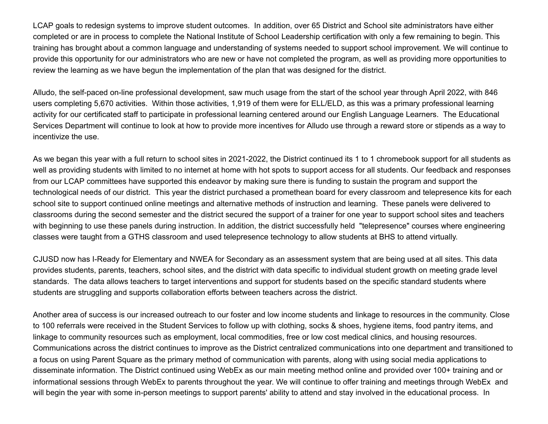LCAP goals to redesign systems to improve student outcomes. In addition, over 65 District and School site administrators have either completed or are in process to complete the National Institute of School Leadership certification with only a few remaining to begin. This training has brought about a common language and understanding of systems needed to support school improvement. We will continue to provide this opportunity for our administrators who are new or have not completed the program, as well as providing more opportunities to review the learning as we have begun the implementation of the plan that was designed for the district.

Alludo, the self-paced on-line professional development, saw much usage from the start of the school year through April 2022, with 846 users completing 5,670 activities. Within those activities, 1,919 of them were for ELL/ELD, as this was a primary professional learning activity for our certificated staff to participate in professional learning centered around our English Language Learners. The Educational Services Department will continue to look at how to provide more incentives for Alludo use through a reward store or stipends as a way to incentivize the use.

As we began this year with a full return to school sites in 2021-2022, the District continued its 1 to 1 chromebook support for all students as well as providing students with limited to no internet at home with hot spots to support access for all students. Our feedback and responses from our LCAP committees have supported this endeavor by making sure there is funding to sustain the program and support the technological needs of our district. This year the district purchased a promethean board for every classroom and telepresence kits for each school site to support continued online meetings and alternative methods of instruction and learning. These panels were delivered to classrooms during the second semester and the district secured the support of a trainer for one year to support school sites and teachers with beginning to use these panels during instruction. In addition, the district successfully held "telepresence" courses where engineering classes were taught from a GTHS classroom and used telepresence technology to allow students at BHS to attend virtually.

CJUSD now has I-Ready for Elementary and NWEA for Secondary as an assessment system that are being used at all sites. This data provides students, parents, teachers, school sites, and the district with data specific to individual student growth on meeting grade level standards. The data allows teachers to target interventions and support for students based on the specific standard students where students are struggling and supports collaboration efforts between teachers across the district.

Another area of success is our increased outreach to our foster and low income students and linkage to resources in the community. Close to 100 referrals were received in the Student Services to follow up with clothing, socks & shoes, hygiene items, food pantry items, and linkage to community resources such as employment, local commodities, free or low cost medical clinics, and housing resources. Communications across the district continues to improve as the District centralized communications into one department and transitioned to a focus on using Parent Square as the primary method of communication with parents, along with using social media applications to disseminate information. The District continued using WebEx as our main meeting method online and provided over 100+ training and or informational sessions through WebEx to parents throughout the year. We will continue to offer training and meetings through WebEx and will begin the year with some in-person meetings to support parents' ability to attend and stay involved in the educational process. In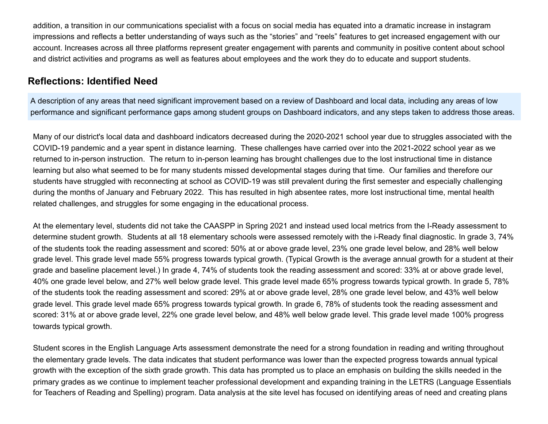addition, a transition in our communications specialist with a focus on social media has equated into a dramatic increase in instagram impressions and reflects a better understanding of ways such as the "stories" and "reels" features to get increased engagement with our account. Increases across all three platforms represent greater engagement with parents and community in positive content about school and district activities and programs as well as features about employees and the work they do to educate and support students.

## **Reflections: Identified Need**

A description of any areas that need significant improvement based on a review of Dashboard and local data, including any areas of low performance and significant performance gaps among student groups on Dashboard indicators, and any steps taken to address those areas.

Many of our district's local data and dashboard indicators decreased during the 2020-2021 school year due to struggles associated with the COVID-19 pandemic and a year spent in distance learning. These challenges have carried over into the 2021-2022 school year as we returned to in-person instruction. The return to in-person learning has brought challenges due to the lost instructional time in distance learning but also what seemed to be for many students missed developmental stages during that time. Our families and therefore our students have struggled with reconnecting at school as COVID-19 was still prevalent during the first semester and especially challenging during the months of January and February 2022. This has resulted in high absentee rates, more lost instructional time, mental health related challenges, and struggles for some engaging in the educational process.

At the elementary level, students did not take the CAASPP in Spring 2021 and instead used local metrics from the I-Ready assessment to determine student growth. Students at all 18 elementary schools were assessed remotely with the i-Ready final diagnostic. In grade 3, 74% of the students took the reading assessment and scored: 50% at or above grade level, 23% one grade level below, and 28% well below grade level. This grade level made 55% progress towards typical growth. (Typical Growth is the average annual growth for a student at their grade and baseline placement level.) In grade 4, 74% of students took the reading assessment and scored: 33% at or above grade level, 40% one grade level below, and 27% well below grade level. This grade level made 65% progress towards typical growth. In grade 5, 78% of the students took the reading assessment and scored: 29% at or above grade level, 28% one grade level below, and 43% well below grade level. This grade level made 65% progress towards typical growth. In grade 6, 78% of students took the reading assessment and scored: 31% at or above grade level, 22% one grade level below, and 48% well below grade level. This grade level made 100% progress towards typical growth.

Student scores in the English Language Arts assessment demonstrate the need for a strong foundation in reading and writing throughout the elementary grade levels. The data indicates that student performance was lower than the expected progress towards annual typical growth with the exception of the sixth grade growth. This data has prompted us to place an emphasis on building the skills needed in the primary grades as we continue to implement teacher professional development and expanding training in the LETRS (Language Essentials for Teachers of Reading and Spelling) program. Data analysis at the site level has focused on identifying areas of need and creating plans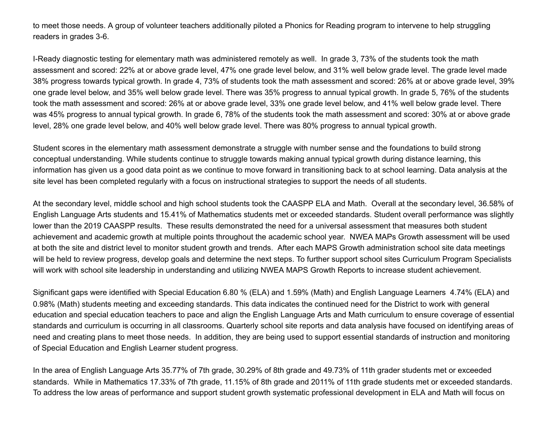to meet those needs. A group of volunteer teachers additionally piloted a Phonics for Reading program to intervene to help struggling readers in grades 3-6.

I-Ready diagnostic testing for elementary math was administered remotely as well. In grade 3, 73% of the students took the math assessment and scored: 22% at or above grade level, 47% one grade level below, and 31% well below grade level. The grade level made 38% progress towards typical growth. In grade 4, 73% of students took the math assessment and scored: 26% at or above grade level, 39% one grade level below, and 35% well below grade level. There was 35% progress to annual typical growth. In grade 5, 76% of the students took the math assessment and scored: 26% at or above grade level, 33% one grade level below, and 41% well below grade level. There was 45% progress to annual typical growth. In grade 6, 78% of the students took the math assessment and scored: 30% at or above grade level, 28% one grade level below, and 40% well below grade level. There was 80% progress to annual typical growth.

Student scores in the elementary math assessment demonstrate a struggle with number sense and the foundations to build strong conceptual understanding. While students continue to struggle towards making annual typical growth during distance learning, this information has given us a good data point as we continue to move forward in transitioning back to at school learning. Data analysis at the site level has been completed regularly with a focus on instructional strategies to support the needs of all students.

At the secondary level, middle school and high school students took the CAASPP ELA and Math. Overall at the secondary level, 36.58% of English Language Arts students and 15.41% of Mathematics students met or exceeded standards. Student overall performance was slightly lower than the 2019 CAASPP results. These results demonstrated the need for a universal assessment that measures both student achievement and academic growth at multiple points throughout the academic school year. NWEA MAPs Growth assessment will be used at both the site and district level to monitor student growth and trends. After each MAPS Growth administration school site data meetings will be held to review progress, develop goals and determine the next steps. To further support school sites Curriculum Program Specialists will work with school site leadership in understanding and utilizing NWEA MAPS Growth Reports to increase student achievement.

Significant gaps were identified with Special Education 6.80 % (ELA) and 1.59% (Math) and English Language Learners 4.74% (ELA) and 0.98% (Math) students meeting and exceeding standards. This data indicates the continued need for the District to work with general education and special education teachers to pace and align the English Language Arts and Math curriculum to ensure coverage of essential standards and curriculum is occurring in all classrooms. Quarterly school site reports and data analysis have focused on identifying areas of need and creating plans to meet those needs. In addition, they are being used to support essential standards of instruction and monitoring of Special Education and English Learner student progress.

In the area of English Language Arts 35.77% of 7th grade, 30.29% of 8th grade and 49.73% of 11th grader students met or exceeded standards. While in Mathematics 17.33% of 7th grade, 11.15% of 8th grade and 2011% of 11th grade students met or exceeded standards. To address the low areas of performance and support student growth systematic professional development in ELA and Math will focus on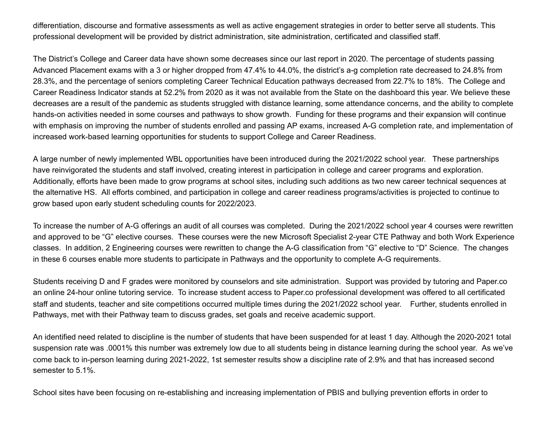differentiation, discourse and formative assessments as well as active engagement strategies in order to better serve all students. This professional development will be provided by district administration, site administration, certificated and classified staff.

The District's College and Career data have shown some decreases since our last report in 2020. The percentage of students passing Advanced Placement exams with a 3 or higher dropped from 47.4% to 44.0%, the district's a-g completion rate decreased to 24.8% from 28.3%, and the percentage of seniors completing Career Technical Education pathways decreased from 22.7% to 18%. The College and Career Readiness Indicator stands at 52.2% from 2020 as it was not available from the State on the dashboard this year. We believe these decreases are a result of the pandemic as students struggled with distance learning, some attendance concerns, and the ability to complete hands-on activities needed in some courses and pathways to show growth. Funding for these programs and their expansion will continue with emphasis on improving the number of students enrolled and passing AP exams, increased A-G completion rate, and implementation of increased work-based learning opportunities for students to support College and Career Readiness.

A large number of newly implemented WBL opportunities have been introduced during the 2021/2022 school year. These partnerships have reinvigorated the students and staff involved, creating interest in participation in college and career programs and exploration. Additionally, efforts have been made to grow programs at school sites, including such additions as two new career technical sequences at the alternative HS. All efforts combined, and participation in college and career readiness programs/activities is projected to continue to grow based upon early student scheduling counts for 2022/2023.

To increase the number of A-G offerings an audit of all courses was completed. During the 2021/2022 school year 4 courses were rewritten and approved to be "G" elective courses. These courses were the new Microsoft Specialist 2-year CTE Pathway and both Work Experience classes. In addition, 2 Engineering courses were rewritten to change the A-G classification from "G" elective to "D" Science. The changes in these 6 courses enable more students to participate in Pathways and the opportunity to complete A-G requirements.

Students receiving D and F grades were monitored by counselors and site administration. Support was provided by tutoring and Paper.co an online 24-hour online tutoring service. To increase student access to Paper.co professional development was offered to all certificated staff and students, teacher and site competitions occurred multiple times during the 2021/2022 school year. Further, students enrolled in Pathways, met with their Pathway team to discuss grades, set goals and receive academic support.

An identified need related to discipline is the number of students that have been suspended for at least 1 day. Although the 2020-2021 total suspension rate was .0001% this number was extremely low due to all students being in distance learning during the school year. As we've come back to in-person learning during 2021-2022, 1st semester results show a discipline rate of 2.9% and that has increased second semester to 5.1%.

School sites have been focusing on re-establishing and increasing implementation of PBIS and bullying prevention efforts in order to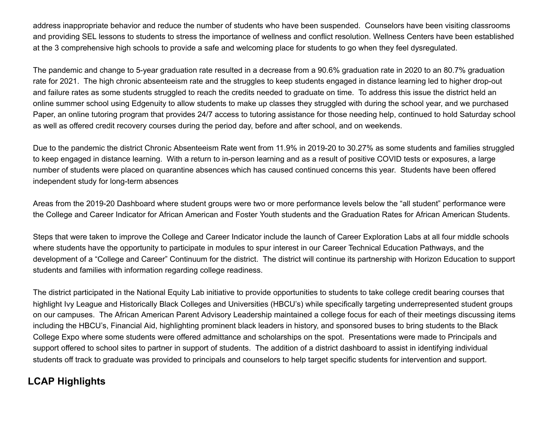address inappropriate behavior and reduce the number of students who have been suspended. Counselors have been visiting classrooms and providing SEL lessons to students to stress the importance of wellness and conflict resolution. Wellness Centers have been established at the 3 comprehensive high schools to provide a safe and welcoming place for students to go when they feel dysregulated.

The pandemic and change to 5-year graduation rate resulted in a decrease from a 90.6% graduation rate in 2020 to an 80.7% graduation rate for 2021. The high chronic absenteeism rate and the struggles to keep students engaged in distance learning led to higher drop-out and failure rates as some students struggled to reach the credits needed to graduate on time. To address this issue the district held an online summer school using Edgenuity to allow students to make up classes they struggled with during the school year, and we purchased Paper, an online tutoring program that provides 24/7 access to tutoring assistance for those needing help, continued to hold Saturday school as well as offered credit recovery courses during the period day, before and after school, and on weekends.

Due to the pandemic the district Chronic Absenteeism Rate went from 11.9% in 2019-20 to 30.27% as some students and families struggled to keep engaged in distance learning. With a return to in-person learning and as a result of positive COVID tests or exposures, a large number of students were placed on quarantine absences which has caused continued concerns this year. Students have been offered independent study for long-term absences

Areas from the 2019-20 Dashboard where student groups were two or more performance levels below the "all student" performance were the College and Career Indicator for African American and Foster Youth students and the Graduation Rates for African American Students.

Steps that were taken to improve the College and Career Indicator include the launch of Career Exploration Labs at all four middle schools where students have the opportunity to participate in modules to spur interest in our Career Technical Education Pathways, and the development of a "College and Career" Continuum for the district. The district will continue its partnership with Horizon Education to support students and families with information regarding college readiness.

The district participated in the National Equity Lab initiative to provide opportunities to students to take college credit bearing courses that highlight Ivy League and Historically Black Colleges and Universities (HBCU's) while specifically targeting underrepresented student groups on our campuses. The African American Parent Advisory Leadership maintained a college focus for each of their meetings discussing items including the HBCU's, Financial Aid, highlighting prominent black leaders in history, and sponsored buses to bring students to the Black College Expo where some students were offered admittance and scholarships on the spot. Presentations were made to Principals and support offered to school sites to partner in support of students. The addition of a district dashboard to assist in identifying individual students off track to graduate was provided to principals and counselors to help target specific students for intervention and support.

## **LCAP Highlights**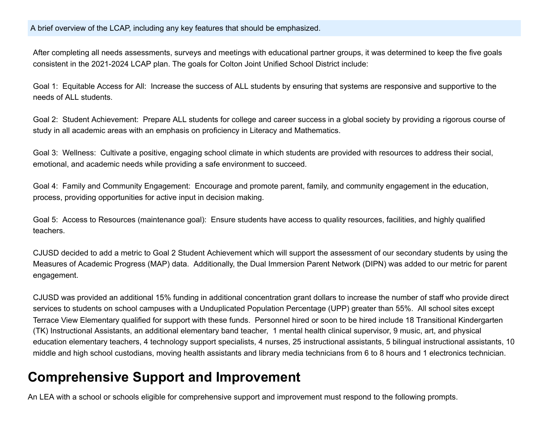### A brief overview of the LCAP, including any key features that should be emphasized.

After completing all needs assessments, surveys and meetings with educational partner groups, it was determined to keep the five goals consistent in the 2021-2024 LCAP plan. The goals for Colton Joint Unified School District include:

Goal 1: Equitable Access for All: Increase the success of ALL students by ensuring that systems are responsive and supportive to the needs of ALL students.

Goal 2: Student Achievement: Prepare ALL students for college and career success in a global society by providing a rigorous course of study in all academic areas with an emphasis on proficiency in Literacy and Mathematics.

Goal 3: Wellness: Cultivate a positive, engaging school climate in which students are provided with resources to address their social, emotional, and academic needs while providing a safe environment to succeed.

Goal 4: Family and Community Engagement: Encourage and promote parent, family, and community engagement in the education, process, providing opportunities for active input in decision making.

Goal 5: Access to Resources (maintenance goal): Ensure students have access to quality resources, facilities, and highly qualified teachers.

CJUSD decided to add a metric to Goal 2 Student Achievement which will support the assessment of our secondary students by using the Measures of Academic Progress (MAP) data. Additionally, the Dual Immersion Parent Network (DIPN) was added to our metric for parent engagement.

CJUSD was provided an additional 15% funding in additional concentration grant dollars to increase the number of staff who provide direct services to students on school campuses with a Unduplicated Population Percentage (UPP) greater than 55%. All school sites except Terrace View Elementary qualified for support with these funds. Personnel hired or soon to be hired include 18 Transitional Kindergarten (TK) Instructional Assistants, an additional elementary band teacher, 1 mental health clinical supervisor, 9 music, art, and physical education elementary teachers, 4 technology support specialists, 4 nurses, 25 instructional assistants, 5 bilingual instructional assistants, 10 middle and high school custodians, moving health assistants and library media technicians from 6 to 8 hours and 1 electronics technician.

# **Comprehensive Support and Improvement**

An LEA with a school or schools eligible for comprehensive support and improvement must respond to the following prompts.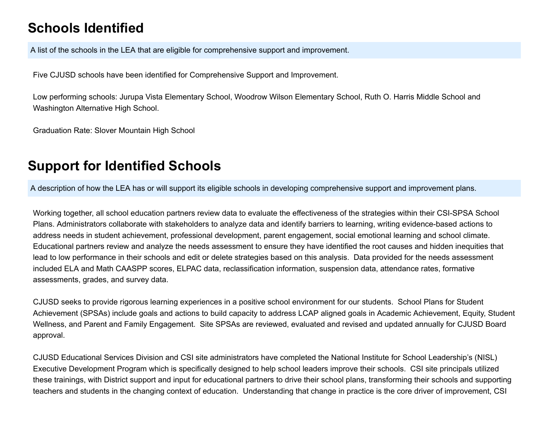# **Schools Identified**

A list of the schools in the LEA that are eligible for comprehensive support and improvement.

Five CJUSD schools have been identified for Comprehensive Support and Improvement.

Low performing schools: Jurupa Vista Elementary School, Woodrow Wilson Elementary School, Ruth O. Harris Middle School and Washington Alternative High School.

Graduation Rate: Slover Mountain High School

# **Support for Identified Schools**

A description of how the LEA has or will support its eligible schools in developing comprehensive support and improvement plans.

Working together, all school education partners review data to evaluate the effectiveness of the strategies within their CSI-SPSA School Plans. Administrators collaborate with stakeholders to analyze data and identify barriers to learning, writing evidence-based actions to address needs in student achievement, professional development, parent engagement, social emotional learning and school climate. Educational partners review and analyze the needs assessment to ensure they have identified the root causes and hidden inequities that lead to low performance in their schools and edit or delete strategies based on this analysis. Data provided for the needs assessment included ELA and Math CAASPP scores, ELPAC data, reclassification information, suspension data, attendance rates, formative assessments, grades, and survey data.

CJUSD seeks to provide rigorous learning experiences in a positive school environment for our students. School Plans for Student Achievement (SPSAs) include goals and actions to build capacity to address LCAP aligned goals in Academic Achievement, Equity, Student Wellness, and Parent and Family Engagement. Site SPSAs are reviewed, evaluated and revised and updated annually for CJUSD Board approval.

CJUSD Educational Services Division and CSI site administrators have completed the National Institute for School Leadership's (NISL) Executive Development Program which is specifically designed to help school leaders improve their schools. CSI site principals utilized these trainings, with District support and input for educational partners to drive their school plans, transforming their schools and supporting teachers and students in the changing context of education. Understanding that change in practice is the core driver of improvement, CSI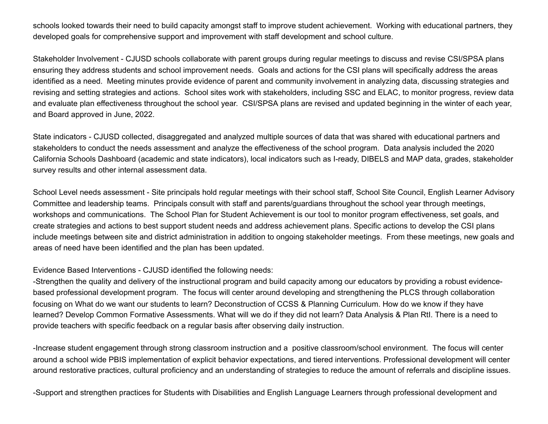schools looked towards their need to build capacity amongst staff to improve student achievement. Working with educational partners, they developed goals for comprehensive support and improvement with staff development and school culture.

Stakeholder Involvement - CJUSD schools collaborate with parent groups during regular meetings to discuss and revise CSI/SPSA plans ensuring they address students and school improvement needs. Goals and actions for the CSI plans will specifically address the areas identified as a need. Meeting minutes provide evidence of parent and community involvement in analyzing data, discussing strategies and revising and setting strategies and actions. School sites work with stakeholders, including SSC and ELAC, to monitor progress, review data and evaluate plan effectiveness throughout the school year. CSI/SPSA plans are revised and updated beginning in the winter of each year, and Board approved in June, 2022.

State indicators - CJUSD collected, disaggregated and analyzed multiple sources of data that was shared with educational partners and stakeholders to conduct the needs assessment and analyze the effectiveness of the school program. Data analysis included the 2020 California Schools Dashboard (academic and state indicators), local indicators such as I-ready, DIBELS and MAP data, grades, stakeholder survey results and other internal assessment data.

School Level needs assessment - Site principals hold regular meetings with their school staff, School Site Council, English Learner Advisory Committee and leadership teams. Principals consult with staff and parents/guardians throughout the school year through meetings, workshops and communications. The School Plan for Student Achievement is our tool to monitor program effectiveness, set goals, and create strategies and actions to best support student needs and address achievement plans. Specific actions to develop the CSI plans include meetings between site and district administration in addition to ongoing stakeholder meetings. From these meetings, new goals and areas of need have been identified and the plan has been updated.

#### Evidence Based Interventions - CJUSD identified the following needs:

-Strengthen the quality and delivery of the instructional program and build capacity among our educators by providing a robust evidencebased professional development program. The focus will center around developing and strengthening the PLCS through collaboration focusing on What do we want our students to learn? Deconstruction of CCSS & Planning Curriculum. How do we know if they have learned? Develop Common Formative Assessments. What will we do if they did not learn? Data Analysis & Plan RtI. There is a need to provide teachers with specific feedback on a regular basis after observing daily instruction.

-Increase student engagement through strong classroom instruction and a positive classroom/school environment. The focus will center around a school wide PBIS implementation of explicit behavior expectations, and tiered interventions. Professional development will center around restorative practices, cultural proficiency and an understanding of strategies to reduce the amount of referrals and discipline issues.

-Support and strengthen practices for Students with Disabilities and English Language Learners through professional development and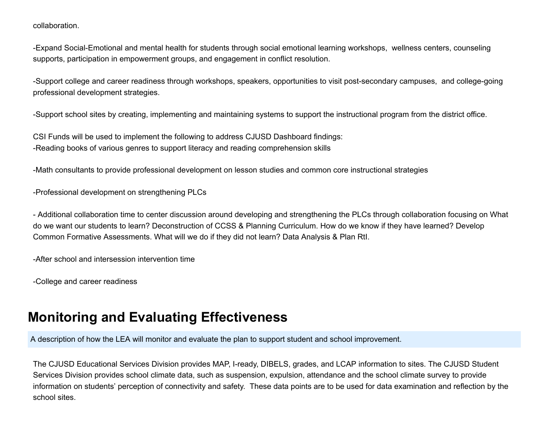collaboration.

-Expand Social-Emotional and mental health for students through social emotional learning workshops, wellness centers, counseling supports, participation in empowerment groups, and engagement in conflict resolution.

-Support college and career readiness through workshops, speakers, opportunities to visit post-secondary campuses, and college-going professional development strategies.

-Support school sites by creating, implementing and maintaining systems to support the instructional program from the district office.

CSI Funds will be used to implement the following to address CJUSD Dashboard findings: -Reading books of various genres to support literacy and reading comprehension skills

-Math consultants to provide professional development on lesson studies and common core instructional strategies

-Professional development on strengthening PLCs

- Additional collaboration time to center discussion around developing and strengthening the PLCs through collaboration focusing on What do we want our students to learn? Deconstruction of CCSS & Planning Curriculum. How do we know if they have learned? Develop Common Formative Assessments. What will we do if they did not learn? Data Analysis & Plan RtI.

-After school and intersession intervention time

-College and career readiness

# **Monitoring and Evaluating Effectiveness**

A description of how the LEA will monitor and evaluate the plan to support student and school improvement.

The CJUSD Educational Services Division provides MAP, I-ready, DIBELS, grades, and LCAP information to sites. The CJUSD Student Services Division provides school climate data, such as suspension, expulsion, attendance and the school climate survey to provide information on students' perception of connectivity and safety. These data points are to be used for data examination and reflection by the school sites.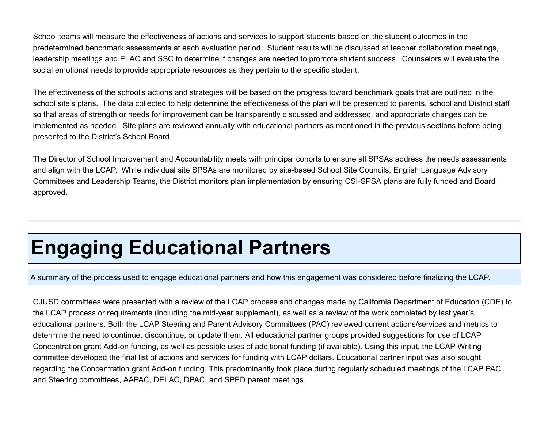School teams will measure the effectiveness of actions and services to support students based on the student outcomes in the predetermined benchmark assessments at each evaluation period. Student results will be discussed at teacher collaboration meetings, leadership meetings and ELAC and SSC to determine if changes are needed to promote student success. Counselors will evaluate the social emotional needs to provide appropriate resources as they pertain to the specific student.

The effectiveness of the school's actions and strategies will be based on the progress toward benchmark goals that are outlined in the school site's plans. The data collected to help determine the effectiveness of the plan will be presented to parents, school and District staff so that areas of strength or needs for improvement can be transparently discussed and addressed, and appropriate changes can be implemented as needed. Site plans are reviewed annually with educational partners as mentioned in the previous sections before being presented to the District's School Board.

The Director of School Improvement and Accountability meets with principal cohorts to ensure all SPSAs address the needs assessments and align with the LCAP. While individual site SPSAs are monitored by site-based School Site Councils, English Language Advisory Committees and Leadership Teams, the District monitors plan implementation by ensuring CSI-SPSA plans are fully funded and Board approved.

# **Engaging Educational Partners**

A summary of the process used to engage educational partners and how this engagement was considered before finalizing the LCAP.

CJUSD committees were presented with a review of the LCAP process and changes made by California Department of Education (CDE) to the LCAP process or requirements (including the mid-year supplement), as well as a review of the work completed by last year's educational partners. Both the LCAP Steering and Parent Advisory Committees (PAC) reviewed current actions/services and metrics to determine the need to continue, discontinue, or update them. All educational partner groups provided suggestions for use of LCAP Concentration grant Add-on funding, as well as possible uses of additional funding (if available). Using this input, the LCAP Writing committee developed the final list of actions and services for funding with LCAP dollars. Educational partner input was also sought regarding the Concentration grant Add-on funding. This predominantly took place during regularly scheduled meetings of the LCAP PAC and Steering committees, AAPAC, DELAC, DPAC, and SPED parent meetings.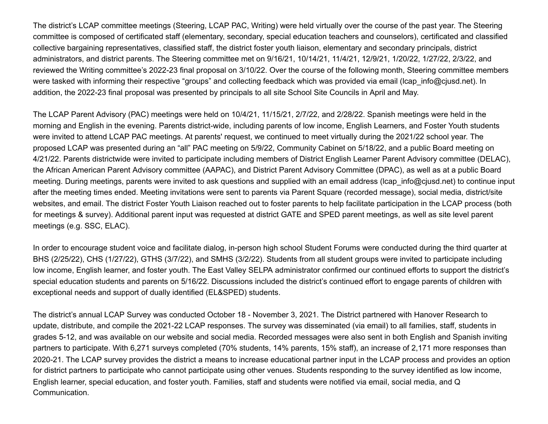The district's LCAP committee meetings (Steering, LCAP PAC, Writing) were held virtually over the course of the past year. The Steering committee is composed of certificated staff (elementary, secondary, special education teachers and counselors), certificated and classified collective bargaining representatives, classified staff, the district foster youth liaison, elementary and secondary principals, district administrators, and district parents. The Steering committee met on 9/16/21, 10/14/21, 11/4/21, 12/9/21, 1/20/22, 1/27/22, 2/3/22, and reviewed the Writing committee's 2022-23 final proposal on 3/10/22. Over the course of the following month, Steering committee members were tasked with informing their respective "groups" and collecting feedback which was provided via email (lcap\_info@cjusd.net). In addition, the 2022-23 final proposal was presented by principals to all site School Site Councils in April and May.

The LCAP Parent Advisory (PAC) meetings were held on 10/4/21, 11/15/21, 2/7/22, and 2/28/22. Spanish meetings were held in the morning and English in the evening. Parents district-wide, including parents of low income, English Learners, and Foster Youth students were invited to attend LCAP PAC meetings. At parents' request, we continued to meet virtually during the 2021/22 school year. The proposed LCAP was presented during an "all" PAC meeting on 5/9/22, Community Cabinet on 5/18/22, and a public Board meeting on 4/21/22. Parents districtwide were invited to participate including members of District English Learner Parent Advisory committee (DELAC), the African American Parent Advisory committee (AAPAC), and District Parent Advisory Committee (DPAC), as well as at a public Board meeting. During meetings, parents were invited to ask questions and supplied with an email address (Icap info@cjusd.net) to continue input after the meeting times ended. Meeting invitations were sent to parents via Parent Square (recorded message), social media, district/site websites, and email. The district Foster Youth Liaison reached out to foster parents to help facilitate participation in the LCAP process (both for meetings & survey). Additional parent input was requested at district GATE and SPED parent meetings, as well as site level parent meetings (e.g. SSC, ELAC).

In order to encourage student voice and facilitate dialog, in-person high school Student Forums were conducted during the third quarter at BHS (2/25/22), CHS (1/27/22), GTHS (3/7/22), and SMHS (3/2/22). Students from all student groups were invited to participate including low income, English learner, and foster youth. The East Valley SELPA administrator confirmed our continued efforts to support the district's special education students and parents on 5/16/22. Discussions included the district's continued effort to engage parents of children with exceptional needs and support of dually identified (EL&SPED) students.

The district's annual LCAP Survey was conducted October 18 - November 3, 2021. The District partnered with Hanover Research to update, distribute, and compile the 2021-22 LCAP responses. The survey was disseminated (via email) to all families, staff, students in grades 5-12, and was available on our website and social media. Recorded messages were also sent in both English and Spanish inviting partners to participate. With 6,271 surveys completed (70% students, 14% parents, 15% staff), an increase of 2,171 more responses than 2020-21. The LCAP survey provides the district a means to increase educational partner input in the LCAP process and provides an option for district partners to participate who cannot participate using other venues. Students responding to the survey identified as low income, English learner, special education, and foster youth. Families, staff and students were notified via email, social media, and Q Communication.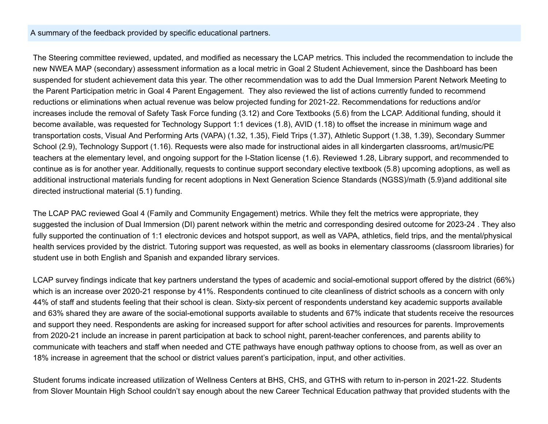#### A summary of the feedback provided by specific educational partners.

The Steering committee reviewed, updated, and modified as necessary the LCAP metrics. This included the recommendation to include the new NWEA MAP (secondary) assessment information as a local metric in Goal 2 Student Achievement, since the Dashboard has been suspended for student achievement data this year. The other recommendation was to add the Dual Immersion Parent Network Meeting to the Parent Participation metric in Goal 4 Parent Engagement. They also reviewed the list of actions currently funded to recommend reductions or eliminations when actual revenue was below projected funding for 2021-22. Recommendations for reductions and/or increases include the removal of Safety Task Force funding (3.12) and Core Textbooks (5.6) from the LCAP. Additional funding, should it become available, was requested for Technology Support 1:1 devices (1.8), AVID (1.18) to offset the increase in minimum wage and transportation costs, Visual And Performing Arts (VAPA) (1.32, 1.35), Field Trips (1.37), Athletic Support (1.38, 1.39), Secondary Summer School (2.9), Technology Support (1.16). Requests were also made for instructional aides in all kindergarten classrooms, art/music/PE teachers at the elementary level, and ongoing support for the I-Station license (1.6). Reviewed 1.28, Library support, and recommended to continue as is for another year. Additionally, requests to continue support secondary elective textbook (5.8) upcoming adoptions, as well as additional instructional materials funding for recent adoptions in Next Generation Science Standards (NGSS)/math (5.9)and additional site directed instructional material (5.1) funding.

The LCAP PAC reviewed Goal 4 (Family and Community Engagement) metrics. While they felt the metrics were appropriate, they suggested the inclusion of Dual Immersion (DI) parent network within the metric and corresponding desired outcome for 2023-24 . They also fully supported the continuation of 1:1 electronic devices and hotspot support, as well as VAPA, athletics, field trips, and the mental/physical health services provided by the district. Tutoring support was requested, as well as books in elementary classrooms (classroom libraries) for student use in both English and Spanish and expanded library services.

LCAP survey findings indicate that key partners understand the types of academic and social-emotional support offered by the district (66%) which is an increase over 2020-21 response by 41%. Respondents continued to cite cleanliness of district schools as a concern with only 44% of staff and students feeling that their school is clean. Sixty-six percent of respondents understand key academic supports available and 63% shared they are aware of the social-emotional supports available to students and 67% indicate that students receive the resources and support they need. Respondents are asking for increased support for after school activities and resources for parents. Improvements from 2020-21 include an increase in parent participation at back to school night, parent-teacher conferences, and parents ability to communicate with teachers and staff when needed and CTE pathways have enough pathway options to choose from, as well as over an 18% increase in agreement that the school or district values parent's participation, input, and other activities.

Student forums indicate increased utilization of Wellness Centers at BHS, CHS, and GTHS with return to in-person in 2021-22. Students from Slover Mountain High School couldn't say enough about the new Career Technical Education pathway that provided students with the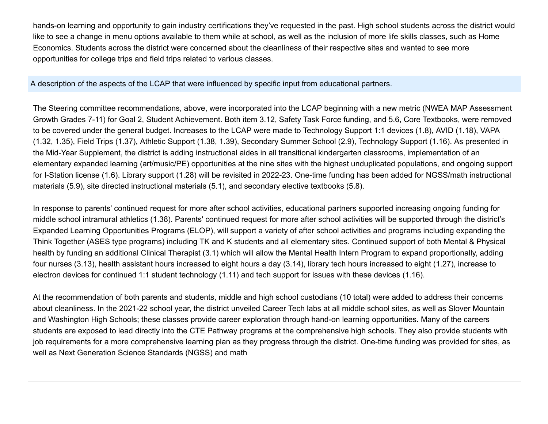hands-on learning and opportunity to gain industry certifications they've requested in the past. High school students across the district would like to see a change in menu options available to them while at school, as well as the inclusion of more life skills classes, such as Home Economics. Students across the district were concerned about the cleanliness of their respective sites and wanted to see more opportunities for college trips and field trips related to various classes.

A description of the aspects of the LCAP that were influenced by specific input from educational partners.

The Steering committee recommendations, above, were incorporated into the LCAP beginning with a new metric (NWEA MAP Assessment Growth Grades 7-11) for Goal 2, Student Achievement. Both item 3.12, Safety Task Force funding, and 5.6, Core Textbooks, were removed to be covered under the general budget. Increases to the LCAP were made to Technology Support 1:1 devices (1.8), AVID (1.18), VAPA (1.32, 1.35), Field Trips (1.37), Athletic Support (1.38, 1.39), Secondary Summer School (2.9), Technology Support (1.16). As presented in the Mid-Year Supplement, the district is adding instructional aides in all transitional kindergarten classrooms, implementation of an elementary expanded learning (art/music/PE) opportunities at the nine sites with the highest unduplicated populations, and ongoing support for I-Station license (1.6). Library support (1.28) will be revisited in 2022-23. One-time funding has been added for NGSS/math instructional materials (5.9), site directed instructional materials (5.1), and secondary elective textbooks (5.8).

In response to parents' continued request for more after school activities, educational partners supported increasing ongoing funding for middle school intramural athletics (1.38). Parents' continued request for more after school activities will be supported through the district's Expanded Learning Opportunities Programs (ELOP), will support a variety of after school activities and programs including expanding the Think Together (ASES type programs) including TK and K students and all elementary sites. Continued support of both Mental & Physical health by funding an additional Clinical Therapist (3.1) which will allow the Mental Health Intern Program to expand proportionally, adding four nurses (3.13), health assistant hours increased to eight hours a day (3.14), library tech hours increased to eight (1.27), increase to electron devices for continued 1:1 student technology (1.11) and tech support for issues with these devices (1.16).

At the recommendation of both parents and students, middle and high school custodians (10 total) were added to address their concerns about cleanliness. In the 2021-22 school year, the district unveiled Career Tech labs at all middle school sites, as well as Slover Mountain and Washington High Schools; these classes provide career exploration through hand-on learning opportunities. Many of the careers students are exposed to lead directly into the CTE Pathway programs at the comprehensive high schools. They also provide students with job requirements for a more comprehensive learning plan as they progress through the district. One-time funding was provided for sites, as well as Next Generation Science Standards (NGSS) and math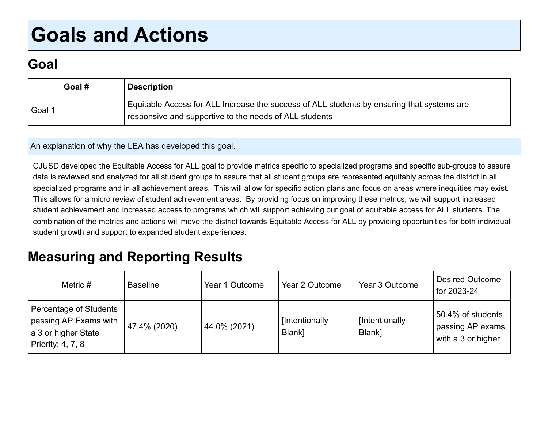# **Goals and Actions**

# **Goal**

| Goal # | <b>Description</b>                                                                                                                                   |
|--------|------------------------------------------------------------------------------------------------------------------------------------------------------|
| Goal 1 | Equitable Access for ALL Increase the success of ALL students by ensuring that systems are<br>responsive and supportive to the needs of ALL students |

An explanation of why the LEA has developed this goal.

CJUSD developed the Equitable Access for ALL goal to provide metrics specific to specialized programs and specific sub-groups to assure data is reviewed and analyzed for all student groups to assure that all student groups are represented equitably across the district in all specialized programs and in all achievement areas. This will allow for specific action plans and focus on areas where inequities may exist. This allows for a micro review of student achievement areas. By providing focus on improving these metrics, we will support increased student achievement and increased access to programs which will support achieving our goal of equitable access for ALL students. The combination of the metrics and actions will move the district towards Equitable Access for ALL by providing opportunities for both individual student growth and support to expanded student experiences.

# **Measuring and Reporting Results**

| Metric $#$                                                                                  | <b>Baseline</b> | Year 1 Outcome | Year 2 Outcome           | Year 3 Outcome           | <b>Desired Outcome</b><br>for 2023-24                       |
|---------------------------------------------------------------------------------------------|-----------------|----------------|--------------------------|--------------------------|-------------------------------------------------------------|
| Percentage of Students<br>passing AP Exams with<br>a 3 or higher State<br>Priority: 4, 7, 8 | 47.4% (2020)    | 44.0% (2021)   | [Intentionally<br>Blank] | [Intentionally<br>Blank] | 50.4% of students<br>passing AP exams<br>with a 3 or higher |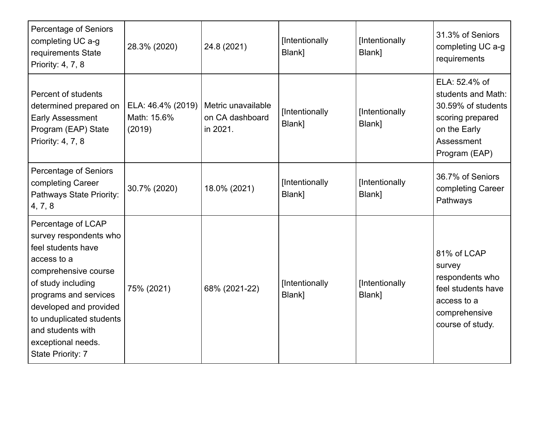| <b>Percentage of Seniors</b><br>completing UC a-g<br>requirements State<br>Priority: 4, 7, 8                                                                                                                                                                                   | 28.3% (2020)                               | 24.8 (2021)                                       | [Intentionally<br>Blank] | [Intentionally<br>Blank] | 31.3% of Seniors<br>completing UC a-g<br>requirements                                                                        |
|--------------------------------------------------------------------------------------------------------------------------------------------------------------------------------------------------------------------------------------------------------------------------------|--------------------------------------------|---------------------------------------------------|--------------------------|--------------------------|------------------------------------------------------------------------------------------------------------------------------|
| Percent of students<br>determined prepared on<br><b>Early Assessment</b><br>Program (EAP) State<br>Priority: 4, 7, 8                                                                                                                                                           | ELA: 46.4% (2019)<br>Math: 15.6%<br>(2019) | Metric unavailable<br>on CA dashboard<br>in 2021. | [Intentionally<br>Blank] | [Intentionally<br>Blank] | ELA: 52.4% of<br>students and Math:<br>30.59% of students<br>scoring prepared<br>on the Early<br>Assessment<br>Program (EAP) |
| <b>Percentage of Seniors</b><br>completing Career<br>Pathways State Priority:<br>4, 7, 8                                                                                                                                                                                       | 30.7% (2020)                               | 18.0% (2021)                                      | [Intentionally<br>Blank] | [Intentionally<br>Blank] | 36.7% of Seniors<br>completing Career<br>Pathways                                                                            |
| Percentage of LCAP<br>survey respondents who<br>feel students have<br>access to a<br>comprehensive course<br>of study including<br>programs and services<br>developed and provided<br>to unduplicated students<br>and students with<br>exceptional needs.<br>State Priority: 7 | 75% (2021)                                 | 68% (2021-22)                                     | [Intentionally<br>Blank] | [Intentionally<br>Blank] | 81% of LCAP<br>survey<br>respondents who<br>feel students have<br>access to a<br>comprehensive<br>course of study.           |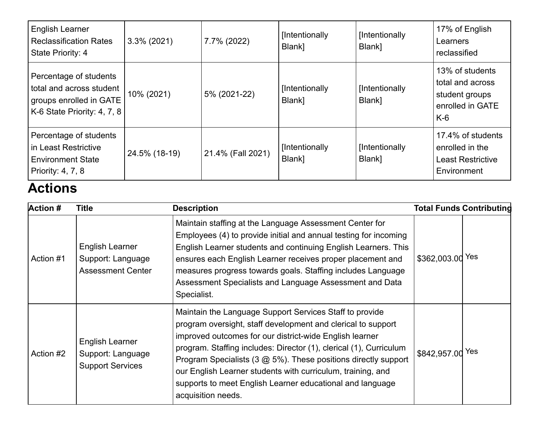| <b>English Learner</b><br><b>Reclassification Rates</b><br>State Priority: 4                                 | $3.3\%$ (2021) | 7.7% (2022)       | [Intentionally<br>Blank] | [Intentionally<br>Blank] | 17% of English<br>Learners<br>reclassified                                         |
|--------------------------------------------------------------------------------------------------------------|----------------|-------------------|--------------------------|--------------------------|------------------------------------------------------------------------------------|
| Percentage of students<br>total and across student<br>groups enrolled in GATE<br>K-6 State Priority: 4, 7, 8 | 10% (2021)     | 5% (2021-22)      | [Intentionally<br>Blank] | [Intentionally<br>Blank] | 13% of students<br>total and across<br>student groups<br>enrolled in GATE<br>$K-6$ |
| Percentage of students<br>in Least Restrictive<br><b>Environment State</b><br>Priority: 4, 7, 8              | 24.5% (18-19)  | 21.4% (Fall 2021) | [Intentionally<br>Blank] | [Intentionally<br>Blank] | 17.4% of students<br>enrolled in the<br><b>Least Restrictive</b><br>Environment    |

# **Actions**

| <b>Action #</b> | <b>Title</b>                                                     | <b>Description</b>                                                                                                                                                                                                                                                                                                                                                                                                                                                                        |                  | <b>Total Funds Contributing</b> |
|-----------------|------------------------------------------------------------------|-------------------------------------------------------------------------------------------------------------------------------------------------------------------------------------------------------------------------------------------------------------------------------------------------------------------------------------------------------------------------------------------------------------------------------------------------------------------------------------------|------------------|---------------------------------|
| Action #1       | English Learner<br>Support: Language<br><b>Assessment Center</b> | Maintain staffing at the Language Assessment Center for<br>Employees (4) to provide initial and annual testing for incoming<br>English Learner students and continuing English Learners. This<br>ensures each English Learner receives proper placement and<br>measures progress towards goals. Staffing includes Language<br>Assessment Specialists and Language Assessment and Data<br>Specialist.                                                                                      | \$362,003.00 Yes |                                 |
| Action #2       | English Learner<br>Support: Language<br><b>Support Services</b>  | Maintain the Language Support Services Staff to provide<br>program oversight, staff development and clerical to support<br>improved outcomes for our district-wide English learner<br>program. Staffing includes: Director (1), clerical (1), Curriculum<br>Program Specialists $(3 \text{ @ } 5\%)$ . These positions directly support<br>our English Learner students with curriculum, training, and<br>supports to meet English Learner educational and language<br>acquisition needs. | \$842,957.00 Yes |                                 |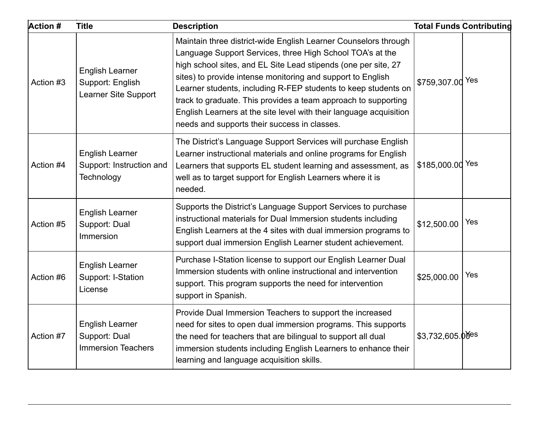| Action #  | <b>Title</b>                                                         | <b>Description</b>                                                                                                                                                                                                                                                                                                                                                                                                                                                                                                      |                  | <b>Total Funds Contributing</b> |
|-----------|----------------------------------------------------------------------|-------------------------------------------------------------------------------------------------------------------------------------------------------------------------------------------------------------------------------------------------------------------------------------------------------------------------------------------------------------------------------------------------------------------------------------------------------------------------------------------------------------------------|------------------|---------------------------------|
| Action #3 | English Learner<br>Support: English<br>Learner Site Support          | Maintain three district-wide English Learner Counselors through<br>Language Support Services, three High School TOA's at the<br>high school sites, and EL Site Lead stipends (one per site, 27<br>sites) to provide intense monitoring and support to English<br>Learner students, including R-FEP students to keep students on<br>track to graduate. This provides a team approach to supporting<br>English Learners at the site level with their language acquisition<br>needs and supports their success in classes. | \$759,307.00 Yes |                                 |
| Action #4 | <b>English Learner</b><br>Support: Instruction and<br>Technology     | The District's Language Support Services will purchase English<br>Learner instructional materials and online programs for English<br>Learners that supports EL student learning and assessment, as<br>well as to target support for English Learners where it is<br>needed.                                                                                                                                                                                                                                             | \$185,000.00 Yes |                                 |
| Action #5 | <b>English Learner</b><br>Support: Dual<br>Immersion                 | Supports the District's Language Support Services to purchase<br>instructional materials for Dual Immersion students including<br>English Learners at the 4 sites with dual immersion programs to<br>support dual immersion English Learner student achievement.                                                                                                                                                                                                                                                        | \$12,500.00      | Yes                             |
| Action #6 | <b>English Learner</b><br>Support: I-Station<br>License              | Purchase I-Station license to support our English Learner Dual<br>Immersion students with online instructional and intervention<br>support. This program supports the need for intervention<br>support in Spanish.                                                                                                                                                                                                                                                                                                      | \$25,000.00      | Yes                             |
| Action #7 | <b>English Learner</b><br>Support: Dual<br><b>Immersion Teachers</b> | Provide Dual Immersion Teachers to support the increased<br>need for sites to open dual immersion programs. This supports<br>the need for teachers that are bilingual to support all dual<br>immersion students including English Learners to enhance their<br>learning and language acquisition skills.                                                                                                                                                                                                                | \$3,732,605.00es |                                 |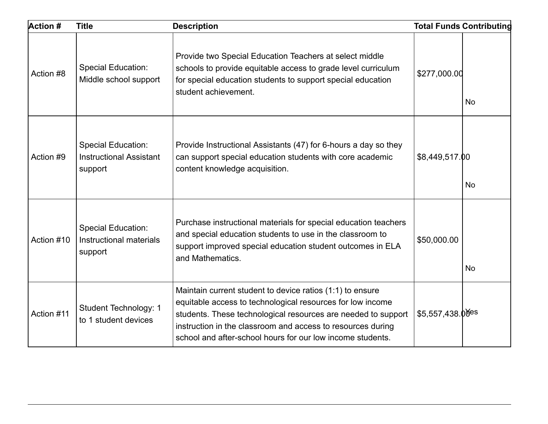| Action #   | <b>Title</b>                                                           | <b>Description</b>                                                                                                                                                                                                                                                                                                    |                    | <b>Total Funds Contributing</b> |
|------------|------------------------------------------------------------------------|-----------------------------------------------------------------------------------------------------------------------------------------------------------------------------------------------------------------------------------------------------------------------------------------------------------------------|--------------------|---------------------------------|
| Action #8  | <b>Special Education:</b><br>Middle school support                     | Provide two Special Education Teachers at select middle<br>schools to provide equitable access to grade level curriculum<br>for special education students to support special education<br>student achievement.                                                                                                       | \$277,000.00       | <b>No</b>                       |
| Action #9  | <b>Special Education:</b><br><b>Instructional Assistant</b><br>support | Provide Instructional Assistants (47) for 6-hours a day so they<br>can support special education students with core academic<br>content knowledge acquisition.                                                                                                                                                        | \$8,449,517.00     | <b>No</b>                       |
| Action #10 | <b>Special Education:</b><br>Instructional materials<br>support        | Purchase instructional materials for special education teachers<br>and special education students to use in the classroom to<br>support improved special education student outcomes in ELA<br>and Mathematics.                                                                                                        | \$50,000.00        | No                              |
| Action #11 | Student Technology: 1<br>to 1 student devices                          | Maintain current student to device ratios (1:1) to ensure<br>equitable access to technological resources for low income<br>students. These technological resources are needed to support<br>instruction in the classroom and access to resources during<br>school and after-school hours for our low income students. | $$5,557,438.00$ es |                                 |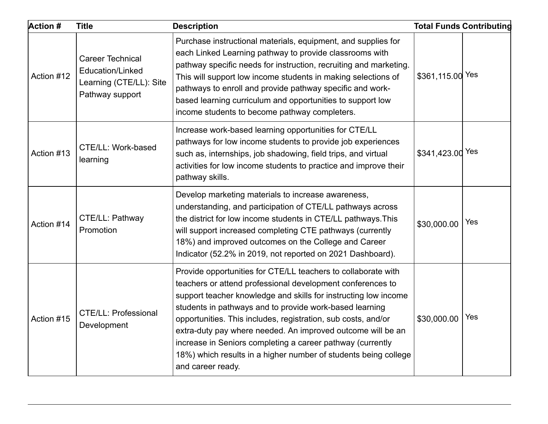| <b>Action #</b> | <b>Title</b>                                                                                     | <b>Description</b>                                                                                                                                                                                                                                                                                                                                                                                                                                                                                                                              |                  | <b>Total Funds Contributing</b> |
|-----------------|--------------------------------------------------------------------------------------------------|-------------------------------------------------------------------------------------------------------------------------------------------------------------------------------------------------------------------------------------------------------------------------------------------------------------------------------------------------------------------------------------------------------------------------------------------------------------------------------------------------------------------------------------------------|------------------|---------------------------------|
| Action #12      | <b>Career Technical</b><br><b>Education/Linked</b><br>Learning (CTE/LL): Site<br>Pathway support | Purchase instructional materials, equipment, and supplies for<br>each Linked Learning pathway to provide classrooms with<br>pathway specific needs for instruction, recruiting and marketing.<br>This will support low income students in making selections of<br>pathways to enroll and provide pathway specific and work-<br>based learning curriculum and opportunities to support low<br>income students to become pathway completers.                                                                                                      | \$361,115.00 Yes |                                 |
| Action #13      | CTE/LL: Work-based<br>learning                                                                   | Increase work-based learning opportunities for CTE/LL<br>pathways for low income students to provide job experiences<br>such as, internships, job shadowing, field trips, and virtual<br>activities for low income students to practice and improve their<br>pathway skills.                                                                                                                                                                                                                                                                    | \$341,423.00 Yes |                                 |
| Action #14      | CTE/LL: Pathway<br>Promotion                                                                     | Develop marketing materials to increase awareness,<br>understanding, and participation of CTE/LL pathways across<br>the district for low income students in CTE/LL pathways. This<br>will support increased completing CTE pathways (currently<br>18%) and improved outcomes on the College and Career<br>Indicator (52.2% in 2019, not reported on 2021 Dashboard).                                                                                                                                                                            | \$30,000.00      | Yes                             |
| Action #15      | <b>CTE/LL: Professional</b><br>Development                                                       | Provide opportunities for CTE/LL teachers to collaborate with<br>teachers or attend professional development conferences to<br>support teacher knowledge and skills for instructing low income<br>students in pathways and to provide work-based learning<br>opportunities. This includes, registration, sub costs, and/or<br>extra-duty pay where needed. An improved outcome will be an<br>increase in Seniors completing a career pathway (currently<br>18%) which results in a higher number of students being college<br>and career ready. | \$30,000.00      | Yes                             |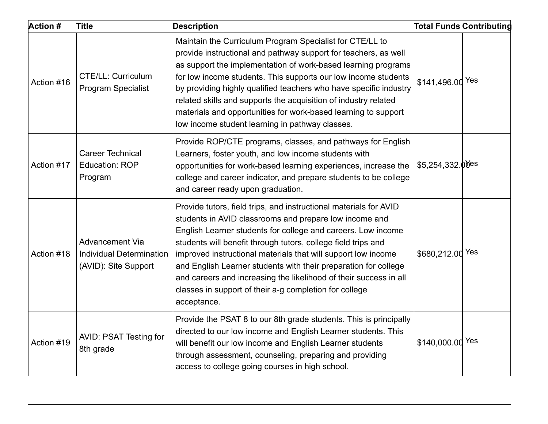| <b>Action #</b> | <b>Title</b>                                                               | <b>Description</b>                                                                                                                                                                                                                                                                                                                                                                                                                                                                                                                             |                    | <b>Total Funds Contributing</b> |
|-----------------|----------------------------------------------------------------------------|------------------------------------------------------------------------------------------------------------------------------------------------------------------------------------------------------------------------------------------------------------------------------------------------------------------------------------------------------------------------------------------------------------------------------------------------------------------------------------------------------------------------------------------------|--------------------|---------------------------------|
| Action #16      | <b>CTE/LL: Curriculum</b><br><b>Program Specialist</b>                     | Maintain the Curriculum Program Specialist for CTE/LL to<br>provide instructional and pathway support for teachers, as well<br>as support the implementation of work-based learning programs<br>for low income students. This supports our low income students<br>by providing highly qualified teachers who have specific industry<br>related skills and supports the acquisition of industry related<br>materials and opportunities for work-based learning to support<br>low income student learning in pathway classes.                    | \$141,496.00 Yes   |                                 |
| Action #17      | <b>Career Technical</b><br><b>Education: ROP</b><br>Program                | Provide ROP/CTE programs, classes, and pathways for English<br>Learners, foster youth, and low income students with<br>opportunities for work-based learning experiences, increase the<br>college and career indicator, and prepare students to be college<br>and career ready upon graduation.                                                                                                                                                                                                                                                | $$5,254,332.00$ es |                                 |
| Action #18      | Advancement Via<br><b>Individual Determination</b><br>(AVID): Site Support | Provide tutors, field trips, and instructional materials for AVID<br>students in AVID classrooms and prepare low income and<br>English Learner students for college and careers. Low income<br>students will benefit through tutors, college field trips and<br>improved instructional materials that will support low income<br>and English Learner students with their preparation for college<br>and careers and increasing the likelihood of their success in all<br>classes in support of their a-g completion for college<br>acceptance. | \$680,212.00 Yes   |                                 |
| Action #19      | <b>AVID: PSAT Testing for</b><br>8th grade                                 | Provide the PSAT 8 to our 8th grade students. This is principally<br>directed to our low income and English Learner students. This<br>will benefit our low income and English Learner students<br>through assessment, counseling, preparing and providing<br>access to college going courses in high school.                                                                                                                                                                                                                                   | \$140,000.00 Yes   |                                 |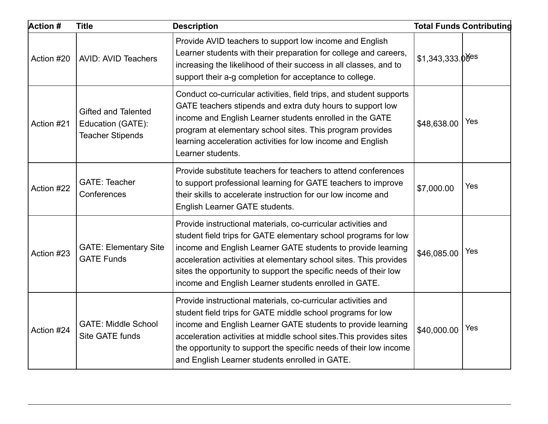| <b>Action #</b> | <b>Title</b>                                                               | <b>Description</b>                                                                                                                                                                                                                                                                                                                                                                                 |                               | <b>Total Funds Contributing</b> |
|-----------------|----------------------------------------------------------------------------|----------------------------------------------------------------------------------------------------------------------------------------------------------------------------------------------------------------------------------------------------------------------------------------------------------------------------------------------------------------------------------------------------|-------------------------------|---------------------------------|
| Action #20      | <b>AVID: AVID Teachers</b>                                                 | Provide AVID teachers to support low income and English<br>Learner students with their preparation for college and careers,<br>increasing the likelihood of their success in all classes, and to<br>support their a-g completion for acceptance to college.                                                                                                                                        | $$1,343,333.0$ <sup>yes</sup> |                                 |
| Action #21      | <b>Gifted and Talented</b><br>Education (GATE):<br><b>Teacher Stipends</b> | Conduct co-curricular activities, field trips, and student supports<br>GATE teachers stipends and extra duty hours to support low<br>income and English Learner students enrolled in the GATE<br>program at elementary school sites. This program provides<br>learning acceleration activities for low income and English<br>Learner students.                                                     | \$48,638.00                   | Yes                             |
| Action #22      | <b>GATE: Teacher</b><br>Conferences                                        | Provide substitute teachers for teachers to attend conferences<br>to support professional learning for GATE teachers to improve<br>their skills to accelerate instruction for our low income and<br>English Learner GATE students.                                                                                                                                                                 | \$7,000.00                    | Yes                             |
| Action #23      | <b>GATE: Elementary Site</b><br><b>GATE Funds</b>                          | Provide instructional materials, co-curricular activities and<br>student field trips for GATE elementary school programs for low<br>income and English Learner GATE students to provide learning<br>acceleration activities at elementary school sites. This provides<br>sites the opportunity to support the specific needs of their low<br>income and English Learner students enrolled in GATE. | \$46,085.00                   | Yes                             |
| Action #24      | <b>GATE: Middle School</b><br>Site GATE funds                              | Provide instructional materials, co-curricular activities and<br>student field trips for GATE middle school programs for low<br>income and English Learner GATE students to provide learning<br>acceleration activities at middle school sites. This provides sites<br>the opportunity to support the specific needs of their low income<br>and English Learner students enrolled in GATE.         | \$40,000.00                   | Yes                             |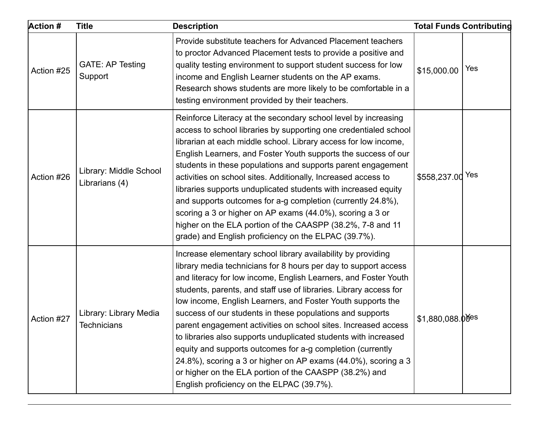| <b>Action #</b> | <b>Title</b>                             | <b>Description</b>                                                                                                                                                                                                                                                                                                                                                                                                                                                                                                                                                                                                                                                                                                                                                              |                    | <b>Total Funds Contributing</b> |
|-----------------|------------------------------------------|---------------------------------------------------------------------------------------------------------------------------------------------------------------------------------------------------------------------------------------------------------------------------------------------------------------------------------------------------------------------------------------------------------------------------------------------------------------------------------------------------------------------------------------------------------------------------------------------------------------------------------------------------------------------------------------------------------------------------------------------------------------------------------|--------------------|---------------------------------|
| Action #25      | <b>GATE: AP Testing</b><br>Support       | Provide substitute teachers for Advanced Placement teachers<br>to proctor Advanced Placement tests to provide a positive and<br>quality testing environment to support student success for low<br>income and English Learner students on the AP exams.<br>Research shows students are more likely to be comfortable in a<br>testing environment provided by their teachers.                                                                                                                                                                                                                                                                                                                                                                                                     | \$15,000.00        | Yes                             |
| Action #26      | Library: Middle School<br>Librarians (4) | Reinforce Literacy at the secondary school level by increasing<br>access to school libraries by supporting one credentialed school<br>librarian at each middle school. Library access for low income,<br>English Learners, and Foster Youth supports the success of our<br>students in these populations and supports parent engagement<br>activities on school sites. Additionally, Increased access to<br>libraries supports unduplicated students with increased equity<br>and supports outcomes for a-g completion (currently 24.8%),<br>scoring a 3 or higher on AP exams (44.0%), scoring a 3 or<br>higher on the ELA portion of the CAASPP (38.2%, 7-8 and 11<br>grade) and English proficiency on the ELPAC (39.7%).                                                    | \$558,237.00 Yes   |                                 |
| Action #27      | Library: Library Media<br>Technicians    | Increase elementary school library availability by providing<br>library media technicians for 8 hours per day to support access<br>and literacy for low income, English Learners, and Foster Youth<br>students, parents, and staff use of libraries. Library access for<br>low income, English Learners, and Foster Youth supports the<br>success of our students in these populations and supports<br>parent engagement activities on school sites. Increased access<br>to libraries also supports unduplicated students with increased<br>equity and supports outcomes for a-g completion (currently<br>24.8%), scoring a 3 or higher on AP exams (44.0%), scoring a 3<br>or higher on the ELA portion of the CAASPP (38.2%) and<br>English proficiency on the ELPAC (39.7%). | $$1,880,088.00$ es |                                 |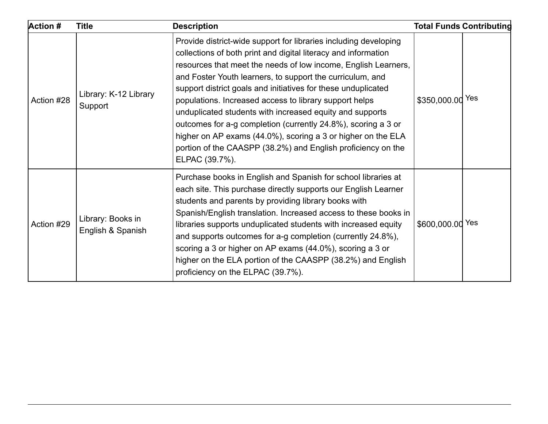| <b>Action #</b> | <b>Title</b>                           | <b>Description</b>                                                                                                                                                                                                                                                                                                                                                                                                                                                                                                                                                                                                                                                          |                  | <b>Total Funds Contributing</b> |
|-----------------|----------------------------------------|-----------------------------------------------------------------------------------------------------------------------------------------------------------------------------------------------------------------------------------------------------------------------------------------------------------------------------------------------------------------------------------------------------------------------------------------------------------------------------------------------------------------------------------------------------------------------------------------------------------------------------------------------------------------------------|------------------|---------------------------------|
| Action #28      | Library: K-12 Library<br>Support       | Provide district-wide support for libraries including developing<br>collections of both print and digital literacy and information<br>resources that meet the needs of low income, English Learners,<br>and Foster Youth learners, to support the curriculum, and<br>support district goals and initiatives for these unduplicated<br>populations. Increased access to library support helps<br>unduplicated students with increased equity and supports<br>outcomes for a-g completion (currently 24.8%), scoring a 3 or<br>higher on AP exams (44.0%), scoring a 3 or higher on the ELA<br>portion of the CAASPP (38.2%) and English proficiency on the<br>ELPAC (39.7%). | \$350,000.00 Yes |                                 |
| Action #29      | Library: Books in<br>English & Spanish | Purchase books in English and Spanish for school libraries at<br>each site. This purchase directly supports our English Learner<br>students and parents by providing library books with<br>Spanish/English translation. Increased access to these books in<br>libraries supports unduplicated students with increased equity<br>and supports outcomes for a-g completion (currently 24.8%),<br>scoring a 3 or higher on AP exams (44.0%), scoring a 3 or<br>higher on the ELA portion of the CAASPP (38.2%) and English<br>proficiency on the ELPAC (39.7%).                                                                                                                | \$600,000.00 Yes |                                 |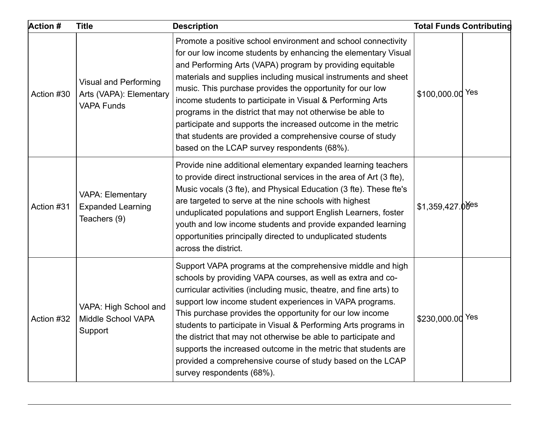| <b>Action #</b> | <b>Title</b>                                                                 | <b>Description</b>                                                                                                                                                                                                                                                                                                                                                                                                                                                                                                                                                                                                                   |                  | <b>Total Funds Contributing</b> |
|-----------------|------------------------------------------------------------------------------|--------------------------------------------------------------------------------------------------------------------------------------------------------------------------------------------------------------------------------------------------------------------------------------------------------------------------------------------------------------------------------------------------------------------------------------------------------------------------------------------------------------------------------------------------------------------------------------------------------------------------------------|------------------|---------------------------------|
| Action #30      | <b>Visual and Performing</b><br>Arts (VAPA): Elementary<br><b>VAPA Funds</b> | Promote a positive school environment and school connectivity<br>for our low income students by enhancing the elementary Visual<br>and Performing Arts (VAPA) program by providing equitable<br>materials and supplies including musical instruments and sheet<br>music. This purchase provides the opportunity for our low<br>income students to participate in Visual & Performing Arts<br>programs in the district that may not otherwise be able to<br>participate and supports the increased outcome in the metric<br>that students are provided a comprehensive course of study<br>based on the LCAP survey respondents (68%). | \$100,000.00 Yes |                                 |
| Action #31      | <b>VAPA: Elementary</b><br><b>Expanded Learning</b><br>Teachers (9)          | Provide nine additional elementary expanded learning teachers<br>to provide direct instructional services in the area of Art (3 fte),<br>Music vocals (3 fte), and Physical Education (3 fte). These fte's<br>are targeted to serve at the nine schools with highest<br>unduplicated populations and support English Learners, foster<br>youth and low income students and provide expanded learning<br>opportunities principally directed to unduplicated students<br>across the district.                                                                                                                                          | \$1,359,427.00es |                                 |
| Action #32      | VAPA: High School and<br>Middle School VAPA<br>Support                       | Support VAPA programs at the comprehensive middle and high<br>schools by providing VAPA courses, as well as extra and co-<br>curricular activities (including music, theatre, and fine arts) to<br>support low income student experiences in VAPA programs.<br>This purchase provides the opportunity for our low income<br>students to participate in Visual & Performing Arts programs in<br>the district that may not otherwise be able to participate and<br>supports the increased outcome in the metric that students are<br>provided a comprehensive course of study based on the LCAP<br>survey respondents (68%).           | \$230,000.00 Yes |                                 |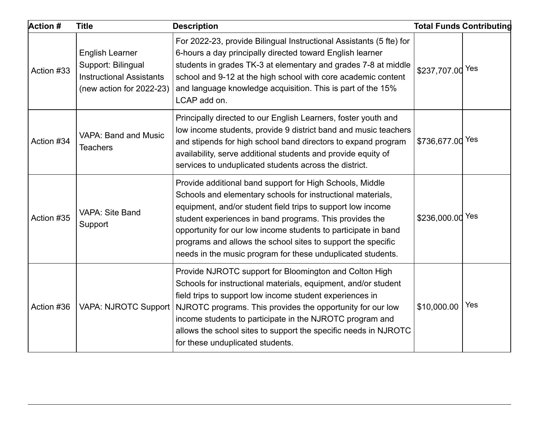| <b>Action #</b> | <b>Title</b>                                                                                                | <b>Description</b>                                                                                                                                                                                                                                                                                                                                                                                                                                 |                  | <b>Total Funds Contributing</b> |
|-----------------|-------------------------------------------------------------------------------------------------------------|----------------------------------------------------------------------------------------------------------------------------------------------------------------------------------------------------------------------------------------------------------------------------------------------------------------------------------------------------------------------------------------------------------------------------------------------------|------------------|---------------------------------|
| Action #33      | <b>English Learner</b><br>Support: Bilingual<br><b>Instructional Assistants</b><br>(new action for 2022-23) | For 2022-23, provide Bilingual Instructional Assistants (5 fte) for<br>6-hours a day principally directed toward English learner<br>students in grades TK-3 at elementary and grades 7-8 at middle<br>school and 9-12 at the high school with core academic content<br>and language knowledge acquisition. This is part of the 15%<br>LCAP add on.                                                                                                 | \$237,707.00 Yes |                                 |
| Action #34      | <b>VAPA: Band and Music</b><br><b>Teachers</b>                                                              | Principally directed to our English Learners, foster youth and<br>low income students, provide 9 district band and music teachers<br>and stipends for high school band directors to expand program<br>availability, serve additional students and provide equity of<br>services to unduplicated students across the district.                                                                                                                      | \$736,677.00 Yes |                                 |
| Action #35      | VAPA: Site Band<br>Support                                                                                  | Provide additional band support for High Schools, Middle<br>Schools and elementary schools for instructional materials,<br>equipment, and/or student field trips to support low income<br>student experiences in band programs. This provides the<br>opportunity for our low income students to participate in band<br>programs and allows the school sites to support the specific<br>needs in the music program for these unduplicated students. | \$236,000.00 Yes |                                 |
| Action #36      | <b>VAPA: NJROTC Support</b>                                                                                 | Provide NJROTC support for Bloomington and Colton High<br>Schools for instructional materials, equipment, and/or student<br>field trips to support low income student experiences in<br>NJROTC programs. This provides the opportunity for our low<br>income students to participate in the NJROTC program and<br>allows the school sites to support the specific needs in NJROTC<br>for these unduplicated students.                              | \$10,000.00      | Yes                             |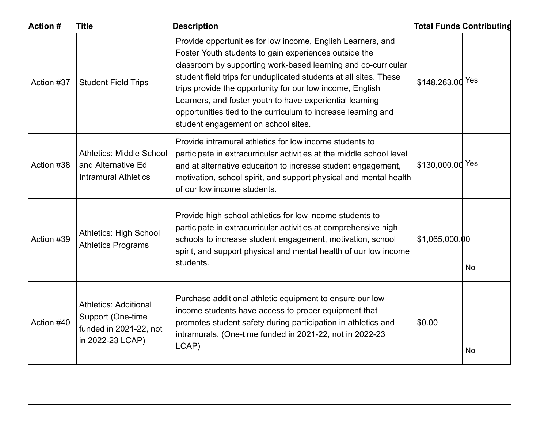| <b>Action #</b> | <b>Title</b>                                                                                    | <b>Description</b>                                                                                                                                                                                                                                                                                                                                                                                                                                                                          |                  | <b>Total Funds Contributing</b> |
|-----------------|-------------------------------------------------------------------------------------------------|---------------------------------------------------------------------------------------------------------------------------------------------------------------------------------------------------------------------------------------------------------------------------------------------------------------------------------------------------------------------------------------------------------------------------------------------------------------------------------------------|------------------|---------------------------------|
| Action #37      | <b>Student Field Trips</b>                                                                      | Provide opportunities for low income, English Learners, and<br>Foster Youth students to gain experiences outside the<br>classroom by supporting work-based learning and co-curricular<br>student field trips for unduplicated students at all sites. These<br>trips provide the opportunity for our low income, English<br>Learners, and foster youth to have experiential learning<br>opportunities tied to the curriculum to increase learning and<br>student engagement on school sites. | \$148,263.00 Yes |                                 |
| Action #38      | <b>Athletics: Middle School</b><br>and Alternative Ed<br><b>Intramural Athletics</b>            | Provide intramural athletics for low income students to<br>participate in extracurricular activities at the middle school level<br>and at alternative educaiton to increase student engagement,<br>motivation, school spirit, and support physical and mental health<br>of our low income students.                                                                                                                                                                                         | \$130,000.00 Yes |                                 |
| Action #39      | <b>Athletics: High School</b><br><b>Athletics Programs</b>                                      | Provide high school athletics for low income students to<br>participate in extracurricular activities at comprehensive high<br>schools to increase student engagement, motivation, school<br>spirit, and support physical and mental health of our low income<br>students.                                                                                                                                                                                                                  | \$1,065,000.00   | <b>No</b>                       |
| Action #40      | <b>Athletics: Additional</b><br>Support (One-time<br>funded in 2021-22, not<br>in 2022-23 LCAP) | Purchase additional athletic equipment to ensure our low<br>income students have access to proper equipment that<br>promotes student safety during participation in athletics and<br>intramurals. (One-time funded in 2021-22, not in 2022-23<br>LCAP)                                                                                                                                                                                                                                      | \$0.00           | No                              |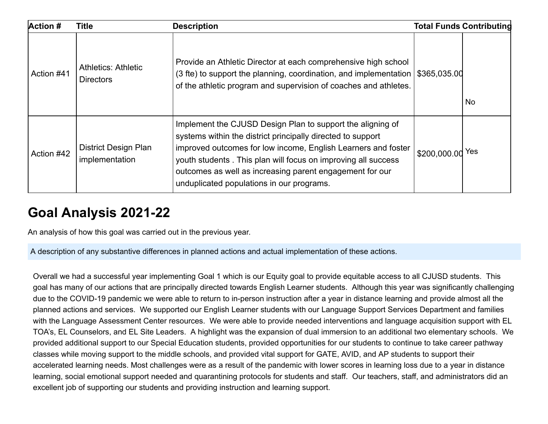| <b>Action #</b> | <b>Title</b>                                   | <b>Description</b>                                                                                                                                                                                                                                                                                                                                                   |                  | <b>Total Funds Contributing</b> |
|-----------------|------------------------------------------------|----------------------------------------------------------------------------------------------------------------------------------------------------------------------------------------------------------------------------------------------------------------------------------------------------------------------------------------------------------------------|------------------|---------------------------------|
| Action #41      | <b>Athletics: Athletic</b><br><b>Directors</b> | Provide an Athletic Director at each comprehensive high school<br>(3 fte) to support the planning, coordination, and implementation $\frac{1}{3}365,035.00$<br>of the athletic program and supervision of coaches and athletes.                                                                                                                                      |                  | No                              |
| Action #42      | <b>District Design Plan</b><br>implementation  | Implement the CJUSD Design Plan to support the aligning of<br>systems within the district principally directed to support<br>improved outcomes for low income, English Learners and foster<br>youth students. This plan will focus on improving all success<br>outcomes as well as increasing parent engagement for our<br>unduplicated populations in our programs. | \$200,000.00 Yes |                                 |

## **Goal Analysis 2021-22**

An analysis of how this goal was carried out in the previous year.

A description of any substantive differences in planned actions and actual implementation of these actions.

Overall we had a successful year implementing Goal 1 which is our Equity goal to provide equitable access to all CJUSD students. This goal has many of our actions that are principally directed towards English Learner students. Although this year was significantly challenging due to the COVID-19 pandemic we were able to return to in-person instruction after a year in distance learning and provide almost all the planned actions and services. We supported our English Learner students with our Language Support Services Department and families with the Language Assessment Center resources. We were able to provide needed interventions and language acquisition support with EL TOA's, EL Counselors, and EL Site Leaders. A highlight was the expansion of dual immersion to an additional two elementary schools. We provided additional support to our Special Education students, provided opportunities for our students to continue to take career pathway classes while moving support to the middle schools, and provided vital support for GATE, AVID, and AP students to support their accelerated learning needs. Most challenges were as a result of the pandemic with lower scores in learning loss due to a year in distance learning, social emotional support needed and quarantining protocols for students and staff. Our teachers, staff, and administrators did an excellent job of supporting our students and providing instruction and learning support.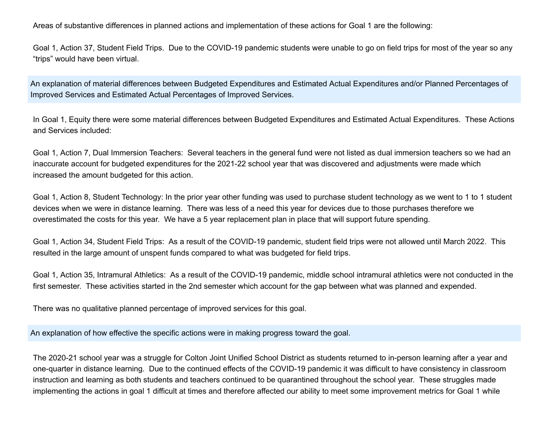Areas of substantive differences in planned actions and implementation of these actions for Goal 1 are the following:

Goal 1, Action 37, Student Field Trips. Due to the COVID-19 pandemic students were unable to go on field trips for most of the year so any "trips" would have been virtual.

An explanation of material differences between Budgeted Expenditures and Estimated Actual Expenditures and/or Planned Percentages of Improved Services and Estimated Actual Percentages of Improved Services.

In Goal 1, Equity there were some material differences between Budgeted Expenditures and Estimated Actual Expenditures. These Actions and Services included:

Goal 1, Action 7, Dual Immersion Teachers: Several teachers in the general fund were not listed as dual immersion teachers so we had an inaccurate account for budgeted expenditures for the 2021-22 school year that was discovered and adjustments were made which increased the amount budgeted for this action.

Goal 1, Action 8, Student Technology: In the prior year other funding was used to purchase student technology as we went to 1 to 1 student devices when we were in distance learning. There was less of a need this year for devices due to those purchases therefore we overestimated the costs for this year. We have a 5 year replacement plan in place that will support future spending.

Goal 1, Action 34, Student Field Trips: As a result of the COVID-19 pandemic, student field trips were not allowed until March 2022. This resulted in the large amount of unspent funds compared to what was budgeted for field trips.

Goal 1, Action 35, Intramural Athletics: As a result of the COVID-19 pandemic, middle school intramural athletics were not conducted in the first semester. These activities started in the 2nd semester which account for the gap between what was planned and expended.

There was no qualitative planned percentage of improved services for this goal.

An explanation of how effective the specific actions were in making progress toward the goal.

The 2020-21 school year was a struggle for Colton Joint Unified School District as students returned to in-person learning after a year and one-quarter in distance learning. Due to the continued effects of the COVID-19 pandemic it was difficult to have consistency in classroom instruction and learning as both students and teachers continued to be quarantined throughout the school year. These struggles made implementing the actions in goal 1 difficult at times and therefore affected our ability to meet some improvement metrics for Goal 1 while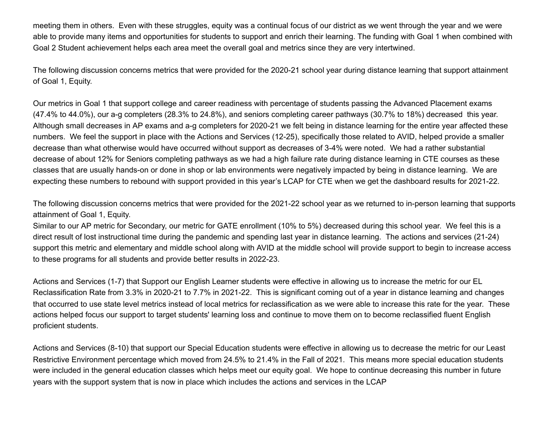meeting them in others. Even with these struggles, equity was a continual focus of our district as we went through the year and we were able to provide many items and opportunities for students to support and enrich their learning. The funding with Goal 1 when combined with Goal 2 Student achievement helps each area meet the overall goal and metrics since they are very intertwined.

The following discussion concerns metrics that were provided for the 2020-21 school year during distance learning that support attainment of Goal 1, Equity.

Our metrics in Goal 1 that support college and career readiness with percentage of students passing the Advanced Placement exams (47.4% to 44.0%), our a-g completers (28.3% to 24.8%), and seniors completing career pathways (30.7% to 18%) decreased this year. Although small decreases in AP exams and a-g completers for 2020-21 we felt being in distance learning for the entire year affected these numbers. We feel the support in place with the Actions and Services (12-25), specifically those related to AVID, helped provide a smaller decrease than what otherwise would have occurred without support as decreases of 3-4% were noted. We had a rather substantial decrease of about 12% for Seniors completing pathways as we had a high failure rate during distance learning in CTE courses as these classes that are usually hands-on or done in shop or lab environments were negatively impacted by being in distance learning. We are expecting these numbers to rebound with support provided in this year's LCAP for CTE when we get the dashboard results for 2021-22.

The following discussion concerns metrics that were provided for the 2021-22 school year as we returned to in-person learning that supports attainment of Goal 1, Equity.

Similar to our AP metric for Secondary, our metric for GATE enrollment (10% to 5%) decreased during this school year. We feel this is a direct result of lost instructional time during the pandemic and spending last year in distance learning. The actions and services (21-24) support this metric and elementary and middle school along with AVID at the middle school will provide support to begin to increase access to these programs for all students and provide better results in 2022-23.

Actions and Services (1-7) that Support our English Learner students were effective in allowing us to increase the metric for our EL Reclassification Rate from 3.3% in 2020-21 to 7.7% in 2021-22. This is significant coming out of a year in distance learning and changes that occurred to use state level metrics instead of local metrics for reclassification as we were able to increase this rate for the year. These actions helped focus our support to target students' learning loss and continue to move them on to become reclassified fluent English proficient students.

Actions and Services (8-10) that support our Special Education students were effective in allowing us to decrease the metric for our Least Restrictive Environment percentage which moved from 24.5% to 21.4% in the Fall of 2021. This means more special education students were included in the general education classes which helps meet our equity goal. We hope to continue decreasing this number in future years with the support system that is now in place which includes the actions and services in the LCAP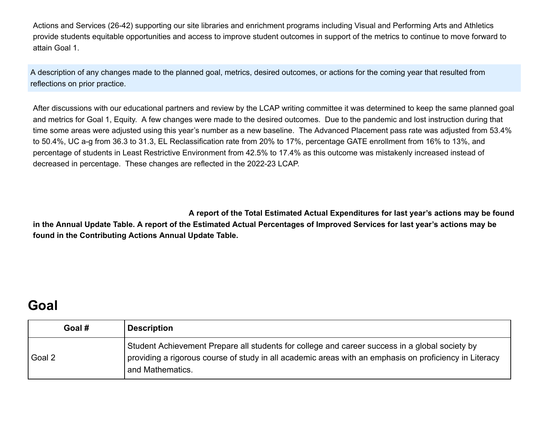Actions and Services (26-42) supporting our site libraries and enrichment programs including Visual and Performing Arts and Athletics provide students equitable opportunities and access to improve student outcomes in support of the metrics to continue to move forward to attain Goal 1.

A description of any changes made to the planned goal, metrics, desired outcomes, or actions for the coming year that resulted from reflections on prior practice.

After discussions with our educational partners and review by the LCAP writing committee it was determined to keep the same planned goal and metrics for Goal 1, Equity. A few changes were made to the desired outcomes. Due to the pandemic and lost instruction during that time some areas were adjusted using this year's number as a new baseline. The Advanced Placement pass rate was adjusted from 53.4% to 50.4%, UC a-g from 36.3 to 31.3, EL Reclassification rate from 20% to 17%, percentage GATE enrollment from 16% to 13%, and percentage of students in Least Restrictive Environment from 42.5% to 17.4% as this outcome was mistakenly increased instead of decreased in percentage. These changes are reflected in the 2022-23 LCAP.

**A report of the Total Estimated Actual Expenditures for last year's actions may be found in the Annual Update Table. A report of the Estimated Actual Percentages of Improved Services for last year's actions may be found in the Contributing Actions Annual Update Table.**

#### **Goal**

| Goal # | <b>Description</b>                                                                                                                                                                                                           |
|--------|------------------------------------------------------------------------------------------------------------------------------------------------------------------------------------------------------------------------------|
| Goal 2 | Student Achievement Prepare all students for college and career success in a global society by<br>providing a rigorous course of study in all academic areas with an emphasis on proficiency in Literacy<br>and Mathematics. |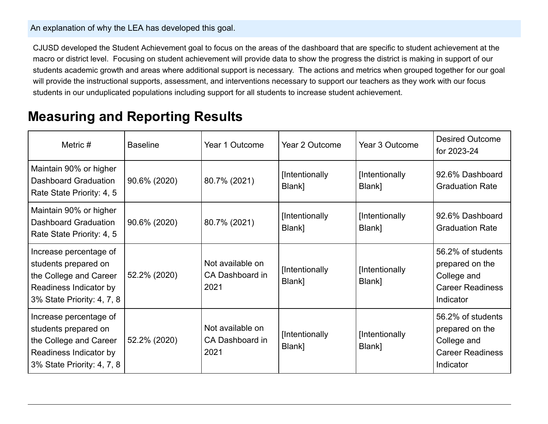#### An explanation of why the LEA has developed this goal.

CJUSD developed the Student Achievement goal to focus on the areas of the dashboard that are specific to student achievement at the macro or district level. Focusing on student achievement will provide data to show the progress the district is making in support of our students academic growth and areas where additional support is necessary. The actions and metrics when grouped together for our goal will provide the instructional supports, assessment, and interventions necessary to support our teachers as they work with our focus students in our unduplicated populations including support for all students to increase student achievement.

#### **Measuring and Reporting Results**

| Metric $#$                                                                                                                       | <b>Baseline</b> | Year 1 Outcome                              | Year 2 Outcome           | Year 3 Outcome           | <b>Desired Outcome</b><br>for 2023-24                                                       |
|----------------------------------------------------------------------------------------------------------------------------------|-----------------|---------------------------------------------|--------------------------|--------------------------|---------------------------------------------------------------------------------------------|
| Maintain 90% or higher<br>Dashboard Graduation<br>Rate State Priority: 4, 5                                                      | 90.6% (2020)    | 80.7% (2021)                                | [Intentionally<br>Blank] | [Intentionally<br>Blank] | 92.6% Dashboard<br><b>Graduation Rate</b>                                                   |
| Maintain 90% or higher<br><b>Dashboard Graduation</b><br>Rate State Priority: 4, 5                                               | 90.6% (2020)    | 80.7% (2021)                                | [Intentionally<br>Blank] | [Intentionally<br>Blank] | 92.6% Dashboard<br><b>Graduation Rate</b>                                                   |
| Increase percentage of<br>students prepared on<br>the College and Career<br>Readiness Indicator by<br>3% State Priority: 4, 7, 8 | 52.2% (2020)    | Not available on<br>CA Dashboard in<br>2021 | [Intentionally<br>Blank] | [Intentionally<br>Blank] | 56.2% of students<br>prepared on the<br>College and<br><b>Career Readiness</b><br>Indicator |
| Increase percentage of<br>students prepared on<br>the College and Career<br>Readiness Indicator by<br>3% State Priority: 4, 7, 8 | 52.2% (2020)    | Not available on<br>CA Dashboard in<br>2021 | [Intentionally<br>Blank] | [Intentionally<br>Blank] | 56.2% of students<br>prepared on the<br>College and<br><b>Career Readiness</b><br>Indicator |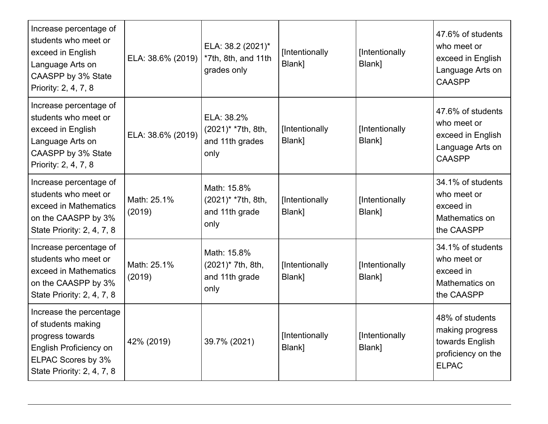| Increase percentage of<br>students who meet or<br>exceed in English<br>Language Arts on<br>CAASPP by 3% State<br>Priority: 2, 4, 7, 8                  | ELA: 38.6% (2019)     | ELA: 38.2 (2021)*<br>*7th, 8th, and 11th<br>grades only                 | [Intentionally<br>Blank] | [Intentionally<br>Blank] | 47.6% of students<br>who meet or<br>exceed in English<br>Language Arts on<br><b>CAASPP</b>  |
|--------------------------------------------------------------------------------------------------------------------------------------------------------|-----------------------|-------------------------------------------------------------------------|--------------------------|--------------------------|---------------------------------------------------------------------------------------------|
| Increase percentage of<br>students who meet or<br>exceed in English<br>Language Arts on<br>CAASPP by 3% State<br>Priority: 2, 4, 7, 8                  | ELA: 38.6% (2019)     | ELA: 38.2%<br>(2021)* *7th, 8th,<br>and 11th grades<br>only             | [Intentionally<br>Blank] | [Intentionally<br>Blank] | 47.6% of students<br>who meet or<br>exceed in English<br>Language Arts on<br><b>CAASPP</b>  |
| Increase percentage of<br>students who meet or<br>exceed in Mathematics<br>on the CAASPP by 3%<br>State Priority: 2, 4, 7, 8                           | Math: 25.1%<br>(2019) | Math: 15.8%<br>(2021) <sup>*</sup> *7th, 8th,<br>and 11th grade<br>only | [Intentionally<br>Blank] | [Intentionally<br>Blank] | 34.1% of students<br>who meet or<br>exceed in<br>Mathematics on<br>the CAASPP               |
| Increase percentage of<br>students who meet or<br>exceed in Mathematics<br>on the CAASPP by 3%<br>State Priority: 2, 4, 7, 8                           | Math: 25.1%<br>(2019) | Math: 15.8%<br>(2021)* 7th, 8th,<br>and 11th grade<br>only              | [Intentionally<br>Blank] | [Intentionally<br>Blank] | 34.1% of students<br>who meet or<br>exceed in<br>Mathematics on<br>the CAASPP               |
| Increase the percentage<br>of students making<br>progress towards<br><b>English Proficiency on</b><br>ELPAC Scores by 3%<br>State Priority: 2, 4, 7, 8 | 42% (2019)            | 39.7% (2021)                                                            | [Intentionally<br>Blank] | [Intentionally<br>Blank] | 48% of students<br>making progress<br>towards English<br>proficiency on the<br><b>ELPAC</b> |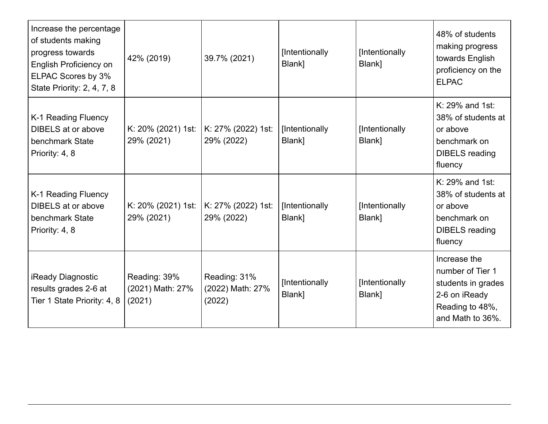| Increase the percentage<br>of students making<br>progress towards<br>English Proficiency on<br>ELPAC Scores by 3%<br>State Priority: 2, 4, 7, 8 | 42% (2019)                                 | 39.7% (2021)                               | [Intentionally<br>Blank] | [Intentionally<br>Blank] | 48% of students<br>making progress<br>towards English<br>proficiency on the<br><b>ELPAC</b>                    |
|-------------------------------------------------------------------------------------------------------------------------------------------------|--------------------------------------------|--------------------------------------------|--------------------------|--------------------------|----------------------------------------------------------------------------------------------------------------|
| K-1 Reading Fluency<br><b>DIBELS</b> at or above<br>benchmark State<br>Priority: 4, 8                                                           | K: 20% (2021) 1st:<br>29% (2021)           | K: 27% (2022) 1st:<br>29% (2022)           | [Intentionally<br>Blank] | [Intentionally<br>Blank] | K: 29% and 1st:<br>38% of students at<br>or above<br>benchmark on<br><b>DIBELS</b> reading<br>fluency          |
| K-1 Reading Fluency<br><b>DIBELS</b> at or above<br>benchmark State<br>Priority: 4, 8                                                           | K: 20% (2021) 1st:<br>29% (2021)           | K: 27% (2022) 1st:<br>29% (2022)           | [Intentionally<br>Blank] | [Intentionally<br>Blank] | K: 29% and 1st:<br>38% of students at<br>or above<br>benchmark on<br><b>DIBELS</b> reading<br>fluency          |
| <b>iReady Diagnostic</b><br>results grades 2-6 at<br>Tier 1 State Priority: 4, 8                                                                | Reading: 39%<br>(2021) Math: 27%<br>(2021) | Reading: 31%<br>(2022) Math: 27%<br>(2022) | [Intentionally<br>Blank] | [Intentionally<br>Blank] | Increase the<br>number of Tier 1<br>students in grades<br>2-6 on iReady<br>Reading to 48%,<br>and Math to 36%. |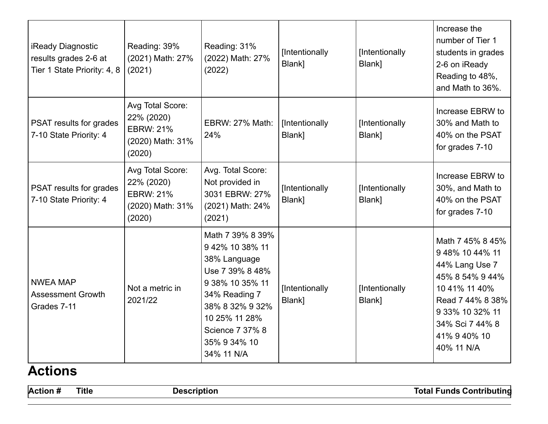| <b>iReady Diagnostic</b><br>results grades 2-6 at<br>Tier 1 State Priority: 4, 8 | Reading: 39%<br>(2021) Math: 27%<br>(2021)                                       | Reading: 31%<br>(2022) Math: 27%<br>(2022)                                                                                                                                                      | [Intentionally<br>Blank] | [Intentionally<br>Blank] | Increase the<br>number of Tier 1<br>students in grades<br>2-6 on iReady<br>Reading to 48%,<br>and Math to 36%.                                                                   |
|----------------------------------------------------------------------------------|----------------------------------------------------------------------------------|-------------------------------------------------------------------------------------------------------------------------------------------------------------------------------------------------|--------------------------|--------------------------|----------------------------------------------------------------------------------------------------------------------------------------------------------------------------------|
| PSAT results for grades<br>7-10 State Priority: 4                                | Avg Total Score:<br>22% (2020)<br><b>EBRW: 21%</b><br>(2020) Math: 31%<br>(2020) | <b>EBRW: 27% Math:</b><br>24%                                                                                                                                                                   | [Intentionally<br>Blank] | [Intentionally<br>Blank] | Increase EBRW to<br>30% and Math to<br>40% on the PSAT<br>for grades 7-10                                                                                                        |
| PSAT results for grades<br>7-10 State Priority: 4                                | Avg Total Score:<br>22% (2020)<br><b>EBRW: 21%</b><br>(2020) Math: 31%<br>(2020) | Avg. Total Score:<br>Not provided in<br>3031 EBRW: 27%<br>(2021) Math: 24%<br>(2021)                                                                                                            | [Intentionally<br>Blank] | [Intentionally<br>Blank] | Increase EBRW to<br>30%, and Math to<br>40% on the PSAT<br>for grades 7-10                                                                                                       |
| <b>NWEA MAP</b><br><b>Assessment Growth</b><br>Grades 7-11                       | Not a metric in<br>2021/22                                                       | Math 7 39% 8 39%<br>9 42% 10 38% 11<br>38% Language<br>Use 7 39% 8 48%<br>9 38% 10 35% 11<br>34% Reading 7<br>38% 8 32% 9 32%<br>10 25% 11 28%<br>Science 7 37% 8<br>35% 9 34% 10<br>34% 11 N/A | [Intentionally<br>Blank] | [Intentionally<br>Blank] | Math 7 45% 8 45%<br>9 48% 10 44% 11<br>44% Lang Use 7<br>45% 8 54% 9 44%<br>10 41% 11 40%<br>Read 7 44% 8 38%<br>9 33% 10 32% 11<br>34% Sci 7 44% 8<br>41% 940% 10<br>40% 11 N/A |

### **Actions**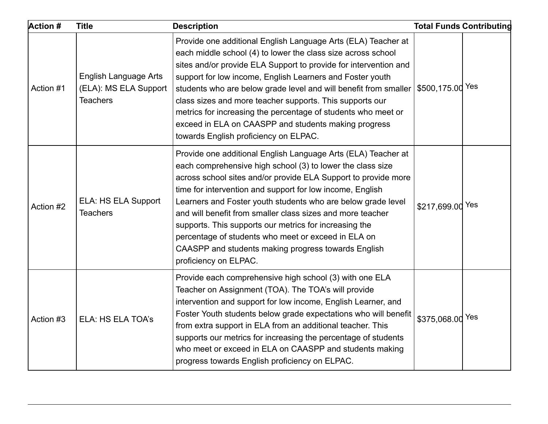| <b>Action #</b> | <b>Title</b>                                                             | <b>Description</b>                                                                                                                                                                                                                                                                                                                                                                                                                                                                                                                                                                        |                  | <b>Total Funds Contributing</b> |
|-----------------|--------------------------------------------------------------------------|-------------------------------------------------------------------------------------------------------------------------------------------------------------------------------------------------------------------------------------------------------------------------------------------------------------------------------------------------------------------------------------------------------------------------------------------------------------------------------------------------------------------------------------------------------------------------------------------|------------------|---------------------------------|
| Action #1       | <b>English Language Arts</b><br>(ELA): MS ELA Support<br><b>Teachers</b> | Provide one additional English Language Arts (ELA) Teacher at<br>each middle school (4) to lower the class size across school<br>sites and/or provide ELA Support to provide for intervention and<br>support for low income, English Learners and Foster youth<br>students who are below grade level and will benefit from smaller<br>class sizes and more teacher supports. This supports our<br>metrics for increasing the percentage of students who meet or<br>exceed in ELA on CAASPP and students making progress<br>towards English proficiency on ELPAC.                          | \$500,175.00 Yes |                                 |
| Action #2       | ELA: HS ELA Support<br><b>Teachers</b>                                   | Provide one additional English Language Arts (ELA) Teacher at<br>each comprehensive high school (3) to lower the class size<br>across school sites and/or provide ELA Support to provide more<br>time for intervention and support for low income, English<br>Learners and Foster youth students who are below grade level<br>and will benefit from smaller class sizes and more teacher<br>supports. This supports our metrics for increasing the<br>percentage of students who meet or exceed in ELA on<br>CAASPP and students making progress towards English<br>proficiency on ELPAC. | \$217,699.00 Yes |                                 |
| Action #3       | ELA: HS ELA TOA's                                                        | Provide each comprehensive high school (3) with one ELA<br>Teacher on Assignment (TOA). The TOA's will provide<br>intervention and support for low income, English Learner, and<br>Foster Youth students below grade expectations who will benefit<br>from extra support in ELA from an additional teacher. This<br>supports our metrics for increasing the percentage of students<br>who meet or exceed in ELA on CAASPP and students making<br>progress towards English proficiency on ELPAC.                                                                                           | \$375,068.00 Yes |                                 |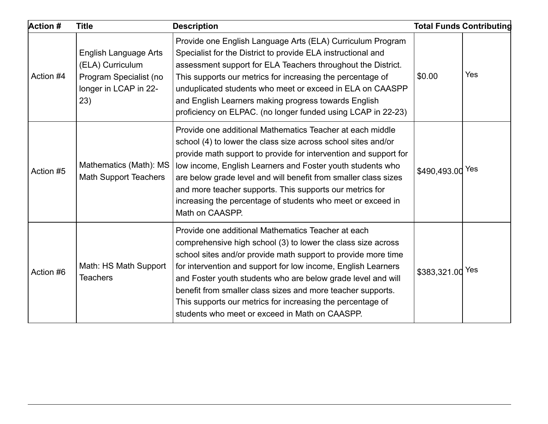| <b>Action #</b> | <b>Title</b>                                                                                               | <b>Description</b>                                                                                                                                                                                                                                                                                                                                                                                                                                                                                  |                  | <b>Total Funds Contributing</b> |
|-----------------|------------------------------------------------------------------------------------------------------------|-----------------------------------------------------------------------------------------------------------------------------------------------------------------------------------------------------------------------------------------------------------------------------------------------------------------------------------------------------------------------------------------------------------------------------------------------------------------------------------------------------|------------------|---------------------------------|
| Action #4       | <b>English Language Arts</b><br>(ELA) Curriculum<br>Program Specialist (no<br>longer in LCAP in 22-<br>23) | Provide one English Language Arts (ELA) Curriculum Program<br>Specialist for the District to provide ELA instructional and<br>assessment support for ELA Teachers throughout the District.<br>This supports our metrics for increasing the percentage of<br>unduplicated students who meet or exceed in ELA on CAASPP<br>and English Learners making progress towards English<br>proficiency on ELPAC. (no longer funded using LCAP in 22-23)                                                       | \$0.00           | Yes                             |
| Action #5       | Mathematics (Math): MS<br><b>Math Support Teachers</b>                                                     | Provide one additional Mathematics Teacher at each middle<br>school (4) to lower the class size across school sites and/or<br>provide math support to provide for intervention and support for<br>low income, English Learners and Foster youth students who<br>are below grade level and will benefit from smaller class sizes<br>and more teacher supports. This supports our metrics for<br>increasing the percentage of students who meet or exceed in<br>Math on CAASPP.                       | \$490,493.00 Yes |                                 |
| Action #6       | Math: HS Math Support<br><b>Teachers</b>                                                                   | Provide one additional Mathematics Teacher at each<br>comprehensive high school (3) to lower the class size across<br>school sites and/or provide math support to provide more time<br>for intervention and support for low income, English Learners<br>and Foster youth students who are below grade level and will<br>benefit from smaller class sizes and more teacher supports.<br>This supports our metrics for increasing the percentage of<br>students who meet or exceed in Math on CAASPP. | \$383,321.00 Yes |                                 |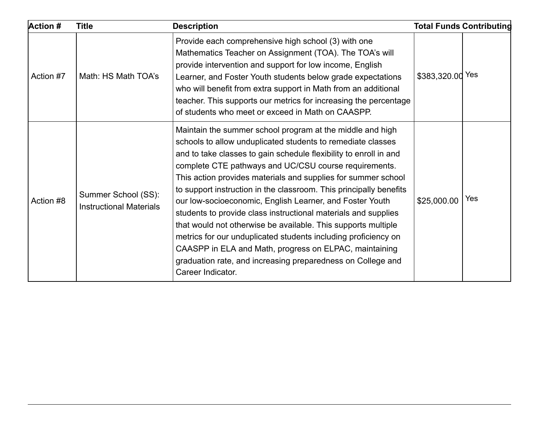| <b>Action #</b> | <b>Title</b>                                          | <b>Description</b>                                                                                                                                                                                                                                                                                                                                                                                                                                                                                                                                                                                                                                                                                                                                                                                           |                  | <b>Total Funds Contributing</b> |
|-----------------|-------------------------------------------------------|--------------------------------------------------------------------------------------------------------------------------------------------------------------------------------------------------------------------------------------------------------------------------------------------------------------------------------------------------------------------------------------------------------------------------------------------------------------------------------------------------------------------------------------------------------------------------------------------------------------------------------------------------------------------------------------------------------------------------------------------------------------------------------------------------------------|------------------|---------------------------------|
| Action #7       | Math: HS Math TOA's                                   | Provide each comprehensive high school (3) with one<br>Mathematics Teacher on Assignment (TOA). The TOA's will<br>provide intervention and support for low income, English<br>Learner, and Foster Youth students below grade expectations<br>who will benefit from extra support in Math from an additional<br>teacher. This supports our metrics for increasing the percentage<br>of students who meet or exceed in Math on CAASPP.                                                                                                                                                                                                                                                                                                                                                                         | \$383,320.00 Yes |                                 |
| Action #8       | Summer School (SS):<br><b>Instructional Materials</b> | Maintain the summer school program at the middle and high<br>schools to allow unduplicated students to remediate classes<br>and to take classes to gain schedule flexibility to enroll in and<br>complete CTE pathways and UC/CSU course requirements.<br>This action provides materials and supplies for summer school<br>to support instruction in the classroom. This principally benefits<br>our low-socioeconomic, English Learner, and Foster Youth<br>students to provide class instructional materials and supplies<br>that would not otherwise be available. This supports multiple<br>metrics for our unduplicated students including proficiency on<br>CAASPP in ELA and Math, progress on ELPAC, maintaining<br>graduation rate, and increasing preparedness on College and<br>Career Indicator. | \$25,000.00      | Yes                             |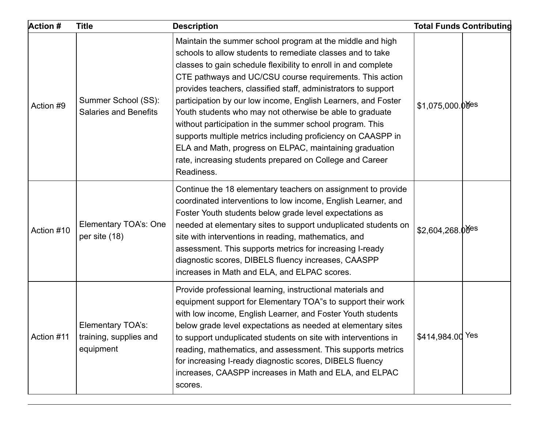| <b>Action #</b> | <b>Title</b>                                                    | <b>Description</b>                                                                                                                                                                                                                                                                                                                                                                                                                                                                                                                                                                                                                                                                                                    |                              | <b>Total Funds Contributing</b> |
|-----------------|-----------------------------------------------------------------|-----------------------------------------------------------------------------------------------------------------------------------------------------------------------------------------------------------------------------------------------------------------------------------------------------------------------------------------------------------------------------------------------------------------------------------------------------------------------------------------------------------------------------------------------------------------------------------------------------------------------------------------------------------------------------------------------------------------------|------------------------------|---------------------------------|
| Action #9       | Summer School (SS):<br><b>Salaries and Benefits</b>             | Maintain the summer school program at the middle and high<br>schools to allow students to remediate classes and to take<br>classes to gain schedule flexibility to enroll in and complete<br>CTE pathways and UC/CSU course requirements. This action<br>provides teachers, classified staff, administrators to support<br>participation by our low income, English Learners, and Foster<br>Youth students who may not otherwise be able to graduate<br>without participation in the summer school program. This<br>supports multiple metrics including proficiency on CAASPP in<br>ELA and Math, progress on ELPAC, maintaining graduation<br>rate, increasing students prepared on College and Career<br>Readiness. | $$1,075,000.00$ es           |                                 |
| Action #10      | Elementary TOA's: One<br>per site (18)                          | Continue the 18 elementary teachers on assignment to provide<br>coordinated interventions to low income, English Learner, and<br>Foster Youth students below grade level expectations as<br>needed at elementary sites to support unduplicated students on<br>site with interventions in reading, mathematics, and<br>assessment. This supports metrics for increasing I-ready<br>diagnostic scores, DIBELS fluency increases, CAASPP<br>increases in Math and ELA, and ELPAC scores.                                                                                                                                                                                                                                 | $$2,604,268.0$ <sup>es</sup> |                                 |
| Action #11      | <b>Elementary TOA's:</b><br>training, supplies and<br>equipment | Provide professional learning, instructional materials and<br>equipment support for Elementary TOA"s to support their work<br>with low income, English Learner, and Foster Youth students<br>below grade level expectations as needed at elementary sites<br>to support unduplicated students on site with interventions in<br>reading, mathematics, and assessment. This supports metrics<br>for increasing I-ready diagnostic scores, DIBELS fluency<br>increases, CAASPP increases in Math and ELA, and ELPAC<br>scores.                                                                                                                                                                                           | \$414,984.00 Yes             |                                 |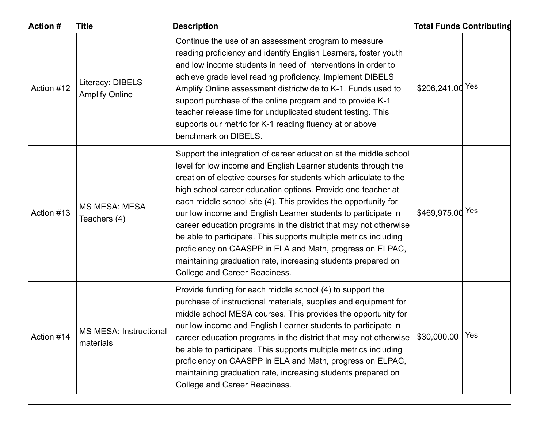| <b>Action #</b> | <b>Title</b>                               | <b>Description</b>                                                                                                                                                                                                                                                                                                                                                                                                                                                                                                                                                                                                                                                                                                     |                  | <b>Total Funds Contributing</b> |
|-----------------|--------------------------------------------|------------------------------------------------------------------------------------------------------------------------------------------------------------------------------------------------------------------------------------------------------------------------------------------------------------------------------------------------------------------------------------------------------------------------------------------------------------------------------------------------------------------------------------------------------------------------------------------------------------------------------------------------------------------------------------------------------------------------|------------------|---------------------------------|
| Action #12      | Literacy: DIBELS<br><b>Amplify Online</b>  | Continue the use of an assessment program to measure<br>reading proficiency and identify English Learners, foster youth<br>and low income students in need of interventions in order to<br>achieve grade level reading proficiency. Implement DIBELS<br>Amplify Online assessment districtwide to K-1. Funds used to<br>support purchase of the online program and to provide K-1<br>teacher release time for unduplicated student testing. This<br>supports our metric for K-1 reading fluency at or above<br>benchmark on DIBELS.                                                                                                                                                                                    | \$206,241.00 Yes |                                 |
| Action #13      | <b>MS MESA: MESA</b><br>Teachers (4)       | Support the integration of career education at the middle school<br>level for low income and English Learner students through the<br>creation of elective courses for students which articulate to the<br>high school career education options. Provide one teacher at<br>each middle school site (4). This provides the opportunity for<br>our low income and English Learner students to participate in<br>career education programs in the district that may not otherwise<br>be able to participate. This supports multiple metrics including<br>proficiency on CAASPP in ELA and Math, progress on ELPAC,<br>maintaining graduation rate, increasing students prepared on<br><b>College and Career Readiness.</b> | \$469,975.00 Yes |                                 |
| Action #14      | <b>MS MESA: Instructional</b><br>materials | Provide funding for each middle school (4) to support the<br>purchase of instructional materials, supplies and equipment for<br>middle school MESA courses. This provides the opportunity for<br>our low income and English Learner students to participate in<br>career education programs in the district that may not otherwise<br>be able to participate. This supports multiple metrics including<br>proficiency on CAASPP in ELA and Math, progress on ELPAC,<br>maintaining graduation rate, increasing students prepared on<br><b>College and Career Readiness.</b>                                                                                                                                            | \$30,000.00      | Yes                             |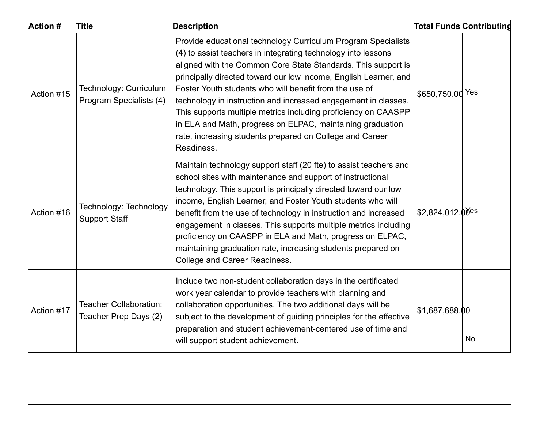| <b>Action #</b> | <b>Title</b>                                      | <b>Description</b>                                                                                                                                                                                                                                                                                                                                                                                                                                                                                                                                                                                        |                  | <b>Total Funds Contributing</b> |
|-----------------|---------------------------------------------------|-----------------------------------------------------------------------------------------------------------------------------------------------------------------------------------------------------------------------------------------------------------------------------------------------------------------------------------------------------------------------------------------------------------------------------------------------------------------------------------------------------------------------------------------------------------------------------------------------------------|------------------|---------------------------------|
| Action #15      | Technology: Curriculum<br>Program Specialists (4) | Provide educational technology Curriculum Program Specialists<br>(4) to assist teachers in integrating technology into lessons<br>aligned with the Common Core State Standards. This support is<br>principally directed toward our low income, English Learner, and<br>Foster Youth students who will benefit from the use of<br>technology in instruction and increased engagement in classes.<br>This supports multiple metrics including proficiency on CAASPP<br>in ELA and Math, progress on ELPAC, maintaining graduation<br>rate, increasing students prepared on College and Career<br>Readiness. | \$650,750.00 Yes |                                 |
| Action #16      | Technology: Technology<br><b>Support Staff</b>    | Maintain technology support staff (20 fte) to assist teachers and<br>school sites with maintenance and support of instructional<br>technology. This support is principally directed toward our low<br>income, English Learner, and Foster Youth students who will<br>benefit from the use of technology in instruction and increased<br>engagement in classes. This supports multiple metrics including<br>proficiency on CAASPP in ELA and Math, progress on ELPAC,<br>maintaining graduation rate, increasing students prepared on<br><b>College and Career Readiness.</b>                              | \$2,824,012.00es |                                 |
| Action #17      | Teacher Collaboration:<br>Teacher Prep Days (2)   | Include two non-student collaboration days in the certificated<br>work year calendar to provide teachers with planning and<br>collaboration opportunities. The two additional days will be<br>subject to the development of guiding principles for the effective<br>preparation and student achievement-centered use of time and<br>will support student achievement.                                                                                                                                                                                                                                     | \$1,687,688.00   | No                              |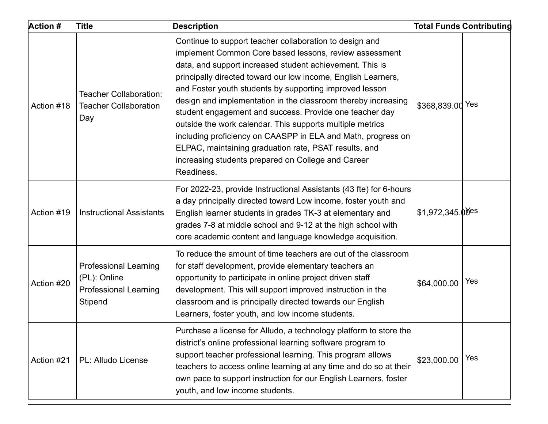| <b>Action #</b> | <b>Title</b>                                                                            | <b>Description</b>                                                                                                                                                                                                                                                                                                                                                                                                                                                                                                                                                                                                                                                                              |                    | <b>Total Funds Contributing</b> |
|-----------------|-----------------------------------------------------------------------------------------|-------------------------------------------------------------------------------------------------------------------------------------------------------------------------------------------------------------------------------------------------------------------------------------------------------------------------------------------------------------------------------------------------------------------------------------------------------------------------------------------------------------------------------------------------------------------------------------------------------------------------------------------------------------------------------------------------|--------------------|---------------------------------|
| Action #18      | Teacher Collaboration:<br><b>Teacher Collaboration</b><br>Day                           | Continue to support teacher collaboration to design and<br>implement Common Core based lessons, review assessment<br>data, and support increased student achievement. This is<br>principally directed toward our low income, English Learners,<br>and Foster youth students by supporting improved lesson<br>design and implementation in the classroom thereby increasing<br>student engagement and success. Provide one teacher day<br>outside the work calendar. This supports multiple metrics<br>including proficiency on CAASPP in ELA and Math, progress on<br>ELPAC, maintaining graduation rate, PSAT results, and<br>increasing students prepared on College and Career<br>Readiness. | \$368,839.00 Yes   |                                 |
| Action #19      | <b>Instructional Assistants</b>                                                         | For 2022-23, provide Instructional Assistants (43 fte) for 6-hours<br>a day principally directed toward Low income, foster youth and<br>English learner students in grades TK-3 at elementary and<br>grades 7-8 at middle school and 9-12 at the high school with<br>core academic content and language knowledge acquisition.                                                                                                                                                                                                                                                                                                                                                                  | $$1,972,345.0$ des |                                 |
| Action #20      | <b>Professional Learning</b><br>(PL): Online<br><b>Professional Learning</b><br>Stipend | To reduce the amount of time teachers are out of the classroom<br>for staff development, provide elementary teachers an<br>opportunity to participate in online project driven staff<br>development. This will support improved instruction in the<br>classroom and is principally directed towards our English<br>Learners, foster youth, and low income students.                                                                                                                                                                                                                                                                                                                             | \$64,000.00        | Yes                             |
| Action #21      | PL: Alludo License                                                                      | Purchase a license for Alludo, a technology platform to store the<br>district's online professional learning software program to<br>support teacher professional learning. This program allows<br>teachers to access online learning at any time and do so at their<br>own pace to support instruction for our English Learners, foster<br>youth, and low income students.                                                                                                                                                                                                                                                                                                                      | \$23,000.00        | Yes                             |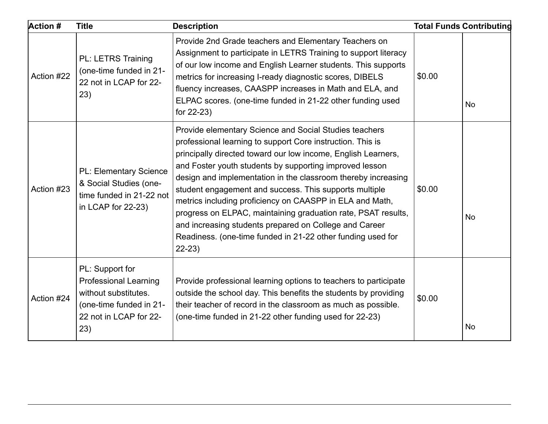| <b>Action #</b> | <b>Title</b>                                                                                                                        | <b>Description</b>                                                                                                                                                                                                                                                                                                                                                                                                                                                                                                                                                                                                                            |        | <b>Total Funds Contributing</b> |
|-----------------|-------------------------------------------------------------------------------------------------------------------------------------|-----------------------------------------------------------------------------------------------------------------------------------------------------------------------------------------------------------------------------------------------------------------------------------------------------------------------------------------------------------------------------------------------------------------------------------------------------------------------------------------------------------------------------------------------------------------------------------------------------------------------------------------------|--------|---------------------------------|
| Action #22      | PL: LETRS Training<br>(one-time funded in 21-<br>22 not in LCAP for 22-<br>23)                                                      | Provide 2nd Grade teachers and Elementary Teachers on<br>Assignment to participate in LETRS Training to support literacy<br>of our low income and English Learner students. This supports<br>metrics for increasing I-ready diagnostic scores, DIBELS<br>fluency increases, CAASPP increases in Math and ELA, and<br>ELPAC scores. (one-time funded in 21-22 other funding used<br>for 22-23)                                                                                                                                                                                                                                                 | \$0.00 | <b>No</b>                       |
| Action #23      | <b>PL: Elementary Science</b><br>& Social Studies (one-<br>time funded in 21-22 not<br>in LCAP for 22-23)                           | Provide elementary Science and Social Studies teachers<br>professional learning to support Core instruction. This is<br>principally directed toward our low income, English Learners,<br>and Foster youth students by supporting improved lesson<br>design and implementation in the classroom thereby increasing<br>student engagement and success. This supports multiple<br>metrics including proficiency on CAASPP in ELA and Math,<br>progress on ELPAC, maintaining graduation rate, PSAT results,<br>and increasing students prepared on College and Career<br>Readiness. (one-time funded in 21-22 other funding used for<br>$22-23)$ | \$0.00 | No                              |
| Action #24      | PL: Support for<br><b>Professional Learning</b><br>without substitutes.<br>(one-time funded in 21-<br>22 not in LCAP for 22-<br>23) | Provide professional learning options to teachers to participate<br>outside the school day. This benefits the students by providing<br>their teacher of record in the classroom as much as possible.<br>(one-time funded in 21-22 other funding used for 22-23)                                                                                                                                                                                                                                                                                                                                                                               | \$0.00 | No                              |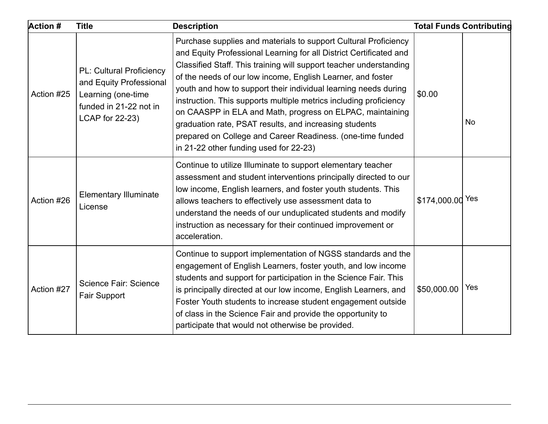| <b>Action #</b> | <b>Title</b>                                                                                                                  | <b>Description</b>                                                                                                                                                                                                                                                                                                                                                                                                                                                                                                                                                                                                                                |                  | <b>Total Funds Contributing</b> |
|-----------------|-------------------------------------------------------------------------------------------------------------------------------|---------------------------------------------------------------------------------------------------------------------------------------------------------------------------------------------------------------------------------------------------------------------------------------------------------------------------------------------------------------------------------------------------------------------------------------------------------------------------------------------------------------------------------------------------------------------------------------------------------------------------------------------------|------------------|---------------------------------|
| Action #25      | <b>PL: Cultural Proficiency</b><br>and Equity Professional<br>Learning (one-time<br>funded in 21-22 not in<br>LCAP for 22-23) | Purchase supplies and materials to support Cultural Proficiency<br>and Equity Professional Learning for all District Certificated and<br>Classified Staff. This training will support teacher understanding<br>of the needs of our low income, English Learner, and foster<br>youth and how to support their individual learning needs during<br>instruction. This supports multiple metrics including proficiency<br>on CAASPP in ELA and Math, progress on ELPAC, maintaining<br>graduation rate, PSAT results, and increasing students<br>prepared on College and Career Readiness. (one-time funded<br>in 21-22 other funding used for 22-23) | \$0.00           | No                              |
| Action #26      | <b>Elementary Illuminate</b><br>License                                                                                       | Continue to utilize Illuminate to support elementary teacher<br>assessment and student interventions principally directed to our<br>low income, English learners, and foster youth students. This<br>allows teachers to effectively use assessment data to<br>understand the needs of our unduplicated students and modify<br>instruction as necessary for their continued improvement or<br>acceleration.                                                                                                                                                                                                                                        | \$174,000.00 Yes |                                 |
| Action #27      | <b>Science Fair: Science</b><br><b>Fair Support</b>                                                                           | Continue to support implementation of NGSS standards and the<br>engagement of English Learners, foster youth, and low income<br>students and support for participation in the Science Fair. This<br>is principally directed at our low income, English Learners, and<br>Foster Youth students to increase student engagement outside<br>of class in the Science Fair and provide the opportunity to<br>participate that would not otherwise be provided.                                                                                                                                                                                          | \$50,000.00      | Yes                             |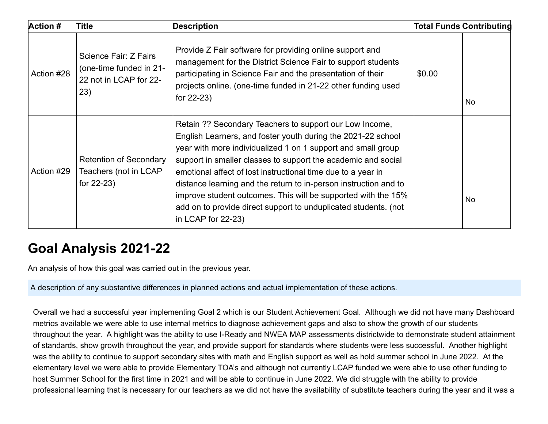| <b>Action #</b> | <b>Title</b>                                                                      | <b>Description</b>                                                                                                                                                                                                                                                                                                                                                                                                                                                                                                                                     |        | <b>Total Funds Contributing</b> |
|-----------------|-----------------------------------------------------------------------------------|--------------------------------------------------------------------------------------------------------------------------------------------------------------------------------------------------------------------------------------------------------------------------------------------------------------------------------------------------------------------------------------------------------------------------------------------------------------------------------------------------------------------------------------------------------|--------|---------------------------------|
| Action #28      | Science Fair: Z Fairs<br>(one-time funded in 21-<br>22 not in LCAP for 22-<br>23) | Provide Z Fair software for providing online support and<br>management for the District Science Fair to support students<br>participating in Science Fair and the presentation of their<br>projects online. (one-time funded in 21-22 other funding used<br>for $22-23$ )                                                                                                                                                                                                                                                                              | \$0.00 | No                              |
| Action #29      | <b>Retention of Secondary</b><br>Teachers (not in LCAP<br>for 22-23)              | Retain ?? Secondary Teachers to support our Low Income,<br>English Learners, and foster youth during the 2021-22 school<br>year with more individualized 1 on 1 support and small group<br>support in smaller classes to support the academic and social<br>emotional affect of lost instructional time due to a year in<br>distance learning and the return to in-person instruction and to<br>improve student outcomes. This will be supported with the 15%<br>add on to provide direct support to unduplicated students. (not<br>in LCAP for 22-23) |        | No                              |

#### **Goal Analysis 2021-22**

An analysis of how this goal was carried out in the previous year.

A description of any substantive differences in planned actions and actual implementation of these actions.

Overall we had a successful year implementing Goal 2 which is our Student Achievement Goal. Although we did not have many Dashboard metrics available we were able to use internal metrics to diagnose achievement gaps and also to show the growth of our students throughout the year. A highlight was the ability to use I-Ready and NWEA MAP assessments districtwide to demonstrate student attainment of standards, show growth throughout the year, and provide support for standards where students were less successful. Another highlight was the ability to continue to support secondary sites with math and English support as well as hold summer school in June 2022. At the elementary level we were able to provide Elementary TOA's and although not currently LCAP funded we were able to use other funding to host Summer School for the first time in 2021 and will be able to continue in June 2022. We did struggle with the ability to provide professional learning that is necessary for our teachers as we did not have the availability of substitute teachers during the year and it was a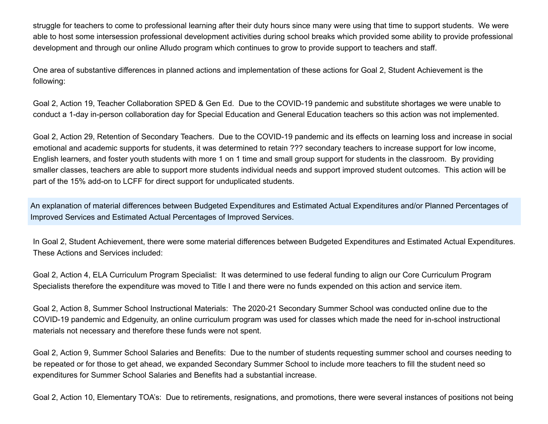struggle for teachers to come to professional learning after their duty hours since many were using that time to support students. We were able to host some intersession professional development activities during school breaks which provided some ability to provide professional development and through our online Alludo program which continues to grow to provide support to teachers and staff.

One area of substantive differences in planned actions and implementation of these actions for Goal 2, Student Achievement is the following:

Goal 2, Action 19, Teacher Collaboration SPED & Gen Ed. Due to the COVID-19 pandemic and substitute shortages we were unable to conduct a 1-day in-person collaboration day for Special Education and General Education teachers so this action was not implemented.

Goal 2, Action 29, Retention of Secondary Teachers. Due to the COVID-19 pandemic and its effects on learning loss and increase in social emotional and academic supports for students, it was determined to retain ??? secondary teachers to increase support for low income, English learners, and foster youth students with more 1 on 1 time and small group support for students in the classroom. By providing smaller classes, teachers are able to support more students individual needs and support improved student outcomes. This action will be part of the 15% add-on to LCFF for direct support for unduplicated students.

An explanation of material differences between Budgeted Expenditures and Estimated Actual Expenditures and/or Planned Percentages of Improved Services and Estimated Actual Percentages of Improved Services.

In Goal 2, Student Achievement, there were some material differences between Budgeted Expenditures and Estimated Actual Expenditures. These Actions and Services included:

Goal 2, Action 4, ELA Curriculum Program Specialist: It was determined to use federal funding to align our Core Curriculum Program Specialists therefore the expenditure was moved to Title I and there were no funds expended on this action and service item.

Goal 2, Action 8, Summer School Instructional Materials: The 2020-21 Secondary Summer School was conducted online due to the COVID-19 pandemic and Edgenuity, an online curriculum program was used for classes which made the need for in-school instructional materials not necessary and therefore these funds were not spent.

Goal 2, Action 9, Summer School Salaries and Benefits: Due to the number of students requesting summer school and courses needing to be repeated or for those to get ahead, we expanded Secondary Summer School to include more teachers to fill the student need so expenditures for Summer School Salaries and Benefits had a substantial increase.

Goal 2, Action 10, Elementary TOA's: Due to retirements, resignations, and promotions, there were several instances of positions not being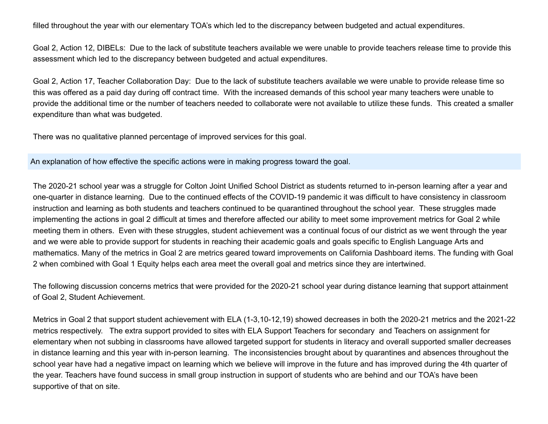filled throughout the year with our elementary TOA's which led to the discrepancy between budgeted and actual expenditures.

Goal 2, Action 12, DIBELs: Due to the lack of substitute teachers available we were unable to provide teachers release time to provide this assessment which led to the discrepancy between budgeted and actual expenditures.

Goal 2, Action 17, Teacher Collaboration Day: Due to the lack of substitute teachers available we were unable to provide release time so this was offered as a paid day during off contract time. With the increased demands of this school year many teachers were unable to provide the additional time or the number of teachers needed to collaborate were not available to utilize these funds. This created a smaller expenditure than what was budgeted.

There was no qualitative planned percentage of improved services for this goal.

An explanation of how effective the specific actions were in making progress toward the goal.

The 2020-21 school year was a struggle for Colton Joint Unified School District as students returned to in-person learning after a year and one-quarter in distance learning. Due to the continued effects of the COVID-19 pandemic it was difficult to have consistency in classroom instruction and learning as both students and teachers continued to be quarantined throughout the school year. These struggles made implementing the actions in goal 2 difficult at times and therefore affected our ability to meet some improvement metrics for Goal 2 while meeting them in others. Even with these struggles, student achievement was a continual focus of our district as we went through the year and we were able to provide support for students in reaching their academic goals and goals specific to English Language Arts and mathematics. Many of the metrics in Goal 2 are metrics geared toward improvements on California Dashboard items. The funding with Goal 2 when combined with Goal 1 Equity helps each area meet the overall goal and metrics since they are intertwined.

The following discussion concerns metrics that were provided for the 2020-21 school year during distance learning that support attainment of Goal 2, Student Achievement.

Metrics in Goal 2 that support student achievement with ELA (1-3,10-12,19) showed decreases in both the 2020-21 metrics and the 2021-22 metrics respectively. The extra support provided to sites with ELA Support Teachers for secondary and Teachers on assignment for elementary when not subbing in classrooms have allowed targeted support for students in literacy and overall supported smaller decreases in distance learning and this year with in-person learning. The inconsistencies brought about by quarantines and absences throughout the school year have had a negative impact on learning which we believe will improve in the future and has improved during the 4th quarter of the year. Teachers have found success in small group instruction in support of students who are behind and our TOA's have been supportive of that on site.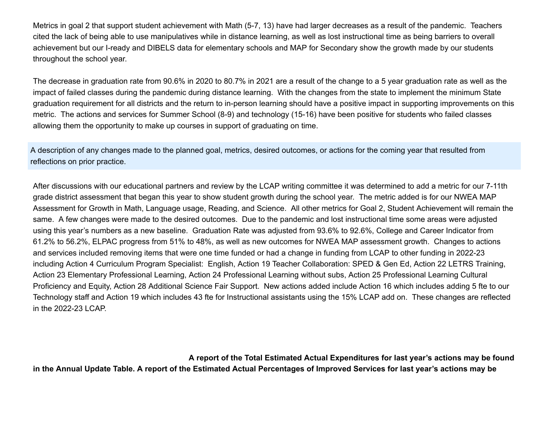Metrics in goal 2 that support student achievement with Math (5-7, 13) have had larger decreases as a result of the pandemic. Teachers cited the lack of being able to use manipulatives while in distance learning, as well as lost instructional time as being barriers to overall achievement but our I-ready and DIBELS data for elementary schools and MAP for Secondary show the growth made by our students throughout the school year.

The decrease in graduation rate from 90.6% in 2020 to 80.7% in 2021 are a result of the change to a 5 year graduation rate as well as the impact of failed classes during the pandemic during distance learning. With the changes from the state to implement the minimum State graduation requirement for all districts and the return to in-person learning should have a positive impact in supporting improvements on this metric. The actions and services for Summer School (8-9) and technology (15-16) have been positive for students who failed classes allowing them the opportunity to make up courses in support of graduating on time.

A description of any changes made to the planned goal, metrics, desired outcomes, or actions for the coming year that resulted from reflections on prior practice.

After discussions with our educational partners and review by the LCAP writing committee it was determined to add a metric for our 7-11th grade district assessment that began this year to show student growth during the school year. The metric added is for our NWEA MAP Assessment for Growth in Math, Language usage, Reading, and Science. All other metrics for Goal 2, Student Achievement will remain the same. A few changes were made to the desired outcomes. Due to the pandemic and lost instructional time some areas were adjusted using this year's numbers as a new baseline. Graduation Rate was adjusted from 93.6% to 92.6%, College and Career Indicator from 61.2% to 56.2%, ELPAC progress from 51% to 48%, as well as new outcomes for NWEA MAP assessment growth. Changes to actions and services included removing items that were one time funded or had a change in funding from LCAP to other funding in 2022-23 including Action 4 Curriculum Program Specialist: English, Action 19 Teacher Collaboration: SPED & Gen Ed, Action 22 LETRS Training, Action 23 Elementary Professional Learning, Action 24 Professional Learning without subs, Action 25 Professional Learning Cultural Proficiency and Equity, Action 28 Additional Science Fair Support. New actions added include Action 16 which includes adding 5 fte to our Technology staff and Action 19 which includes 43 fte for Instructional assistants using the 15% LCAP add on. These changes are reflected in the 2022-23 LCAP.

**A report of the Total Estimated Actual Expenditures for last year's actions may be found in the Annual Update Table. A report of the Estimated Actual Percentages of Improved Services for last year's actions may be**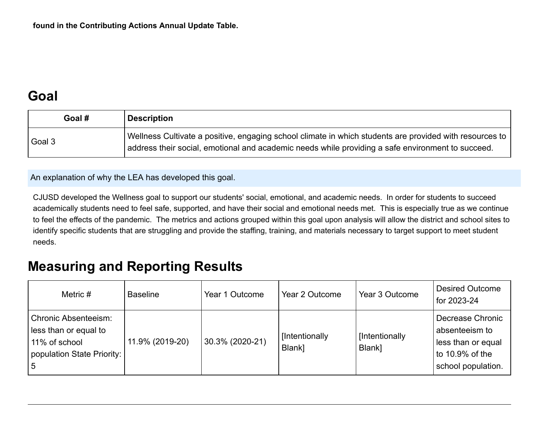### **Goal**

| Goal # | Description                                                                                                                                                                                                    |
|--------|----------------------------------------------------------------------------------------------------------------------------------------------------------------------------------------------------------------|
| Goal 3 | Wellness Cultivate a positive, engaging school climate in which students are provided with resources to  <br>address their social, emotional and academic needs while providing a safe environment to succeed. |

An explanation of why the LEA has developed this goal.

CJUSD developed the Wellness goal to support our students' social, emotional, and academic needs. In order for students to succeed academically students need to feel safe, supported, and have their social and emotional needs met. This is especially true as we continue to feel the effects of the pandemic. The metrics and actions grouped within this goal upon analysis will allow the district and school sites to identify specific students that are struggling and provide the staffing, training, and materials necessary to target support to meet student needs.

#### **Measuring and Reporting Results**

| Metric $#$                                                                                                 | <b>Baseline</b> | Year 1 Outcome  | Year 2 Outcome           | Year 3 Outcome           | <b>Desired Outcome</b><br>for 2023-24                                                             |
|------------------------------------------------------------------------------------------------------------|-----------------|-----------------|--------------------------|--------------------------|---------------------------------------------------------------------------------------------------|
| <b>Chronic Absenteeism:</b><br>less than or equal to<br>11% of school<br>population State Priority:<br>l 5 | 11.9% (2019-20) | 30.3% (2020-21) | [Intentionally<br>Blank] | [Intentionally<br>Blank] | Decrease Chronic<br>absenteeism to<br>less than or equal<br>to 10.9% of the<br>school population. |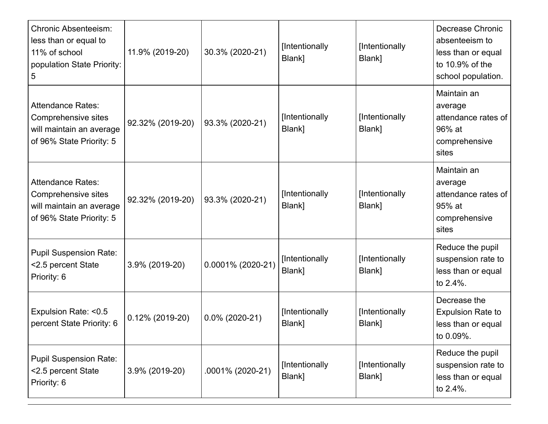| <b>Chronic Absenteeism:</b><br>less than or equal to<br>11% of school<br>population State Priority:<br>5 | 11.9% (2019-20)    | 30.3% (2020-21)   | [Intentionally<br>Blank] | [Intentionally<br>Blank] | Decrease Chronic<br>absenteeism to<br>less than or equal<br>to $10.9\%$ of the<br>school population. |
|----------------------------------------------------------------------------------------------------------|--------------------|-------------------|--------------------------|--------------------------|------------------------------------------------------------------------------------------------------|
| <b>Attendance Rates:</b><br>Comprehensive sites<br>will maintain an average<br>of 96% State Priority: 5  | 92.32% (2019-20)   | 93.3% (2020-21)   | [Intentionally<br>Blank] | [Intentionally<br>Blank] | Maintain an<br>average<br>attendance rates of<br>96% at<br>comprehensive<br>sites                    |
| <b>Attendance Rates:</b><br>Comprehensive sites<br>will maintain an average<br>of 96% State Priority: 5  | 92.32% (2019-20)   | 93.3% (2020-21)   | [Intentionally<br>Blank] | [Intentionally<br>Blank] | Maintain an<br>average<br>attendance rates of<br>95% at<br>comprehensive<br>sites                    |
| <b>Pupil Suspension Rate:</b><br><2.5 percent State<br>Priority: 6                                       | 3.9% (2019-20)     | 0.0001% (2020-21) | [Intentionally<br>Blank] | [Intentionally<br>Blank] | Reduce the pupil<br>suspension rate to<br>less than or equal<br>to 2.4%.                             |
| Expulsion Rate: <0.5<br>percent State Priority: 6                                                        | $0.12\%$ (2019-20) | $0.0\%$ (2020-21) | [Intentionally<br>Blank] | [Intentionally<br>Blank] | Decrease the<br><b>Expulsion Rate to</b><br>less than or equal<br>to 0.09%.                          |
| <b>Pupil Suspension Rate:</b><br><2.5 percent State<br>Priority: 6                                       | 3.9% (2019-20)     | .0001% (2020-21)  | [Intentionally<br>Blank] | [Intentionally<br>Blank] | Reduce the pupil<br>suspension rate to<br>less than or equal<br>to 2.4%.                             |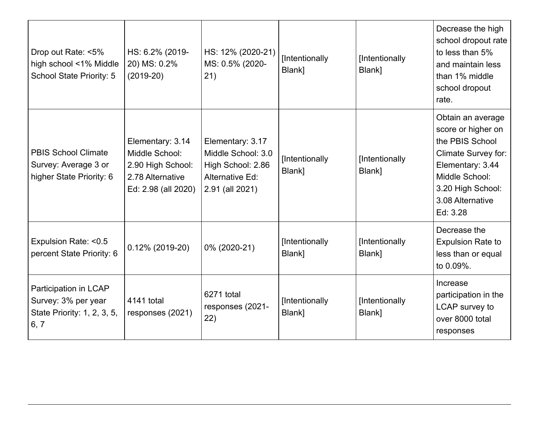| Drop out Rate: <5%<br>high school <1% Middle<br>School State Priority: 5            | HS: 6.2% (2019-<br>20) MS: 0.2%<br>$(2019-20)$                                                     | HS: 12% (2020-21)<br>MS: 0.5% (2020-<br>21)                                                       | [Intentionally<br>Blank] | [Intentionally<br>Blank] | Decrease the high<br>school dropout rate<br>to less than 5%<br>and maintain less<br>than 1% middle<br>school dropout<br>rate.                                                       |
|-------------------------------------------------------------------------------------|----------------------------------------------------------------------------------------------------|---------------------------------------------------------------------------------------------------|--------------------------|--------------------------|-------------------------------------------------------------------------------------------------------------------------------------------------------------------------------------|
| <b>PBIS School Climate</b><br>Survey: Average 3 or<br>higher State Priority: 6      | Elementary: 3.14<br>Middle School:<br>2.90 High School:<br>2.78 Alternative<br>Ed: 2.98 (all 2020) | Elementary: 3.17<br>Middle School: 3.0<br>High School: 2.86<br>Alternative Ed:<br>2.91 (all 2021) | [Intentionally<br>Blank] | [Intentionally<br>Blank] | Obtain an average<br>score or higher on<br>the PBIS School<br><b>Climate Survey for:</b><br>Elementary: 3.44<br>Middle School:<br>3.20 High School:<br>3.08 Alternative<br>Ed: 3.28 |
| Expulsion Rate: <0.5<br>percent State Priority: 6                                   | $0.12\%$ (2019-20)                                                                                 | 0% (2020-21)                                                                                      | [Intentionally<br>Blank] | [Intentionally<br>Blank] | Decrease the<br><b>Expulsion Rate to</b><br>less than or equal<br>to 0.09%.                                                                                                         |
| Participation in LCAP<br>Survey: 3% per year<br>State Priority: 1, 2, 3, 5,<br>6, 7 | 4141 total<br>responses (2021)                                                                     | 6271 total<br>responses (2021-<br>(22)                                                            | [Intentionally<br>Blank] | [Intentionally<br>Blank] | Increase<br>participation in the<br>LCAP survey to<br>over 8000 total<br>responses                                                                                                  |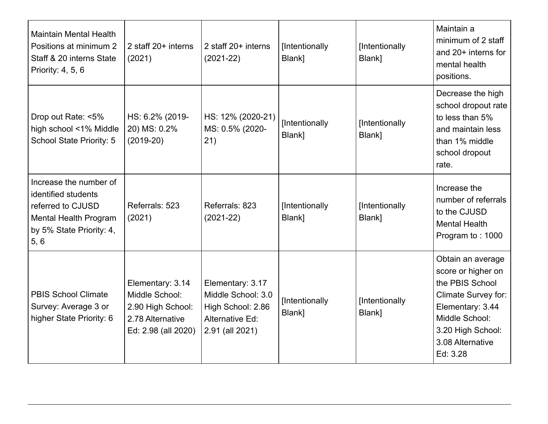| <b>Maintain Mental Health</b><br>Positions at minimum 2<br>Staff & 20 interns State<br>Priority: 4, 5, 6                               | 2 staff 20+ interns<br>(2021)                                                                      | 2 staff 20+ interns<br>$(2021-22)$                                                                | [Intentionally<br>Blank] | [Intentionally<br>Blank] | Maintain a<br>minimum of 2 staff<br>and $20+$ interns for<br>mental health<br>positions.                                                                                     |
|----------------------------------------------------------------------------------------------------------------------------------------|----------------------------------------------------------------------------------------------------|---------------------------------------------------------------------------------------------------|--------------------------|--------------------------|------------------------------------------------------------------------------------------------------------------------------------------------------------------------------|
| Drop out Rate: <5%<br>high school <1% Middle<br>School State Priority: 5                                                               | HS: 6.2% (2019-<br>20) MS: 0.2%<br>$(2019-20)$                                                     | HS: 12% (2020-21)<br>MS: 0.5% (2020-<br>21)                                                       | [Intentionally<br>Blank] | [Intentionally<br>Blank] | Decrease the high<br>school dropout rate<br>to less than 5%<br>and maintain less<br>than 1% middle<br>school dropout<br>rate.                                                |
| Increase the number of<br>identified students<br>referred to CJUSD<br><b>Mental Health Program</b><br>by 5% State Priority: 4,<br>5, 6 | Referrals: 523<br>(2021)                                                                           | Referrals: 823<br>$(2021 - 22)$                                                                   | [Intentionally<br>Blank] | [Intentionally<br>Blank] | Increase the<br>number of referrals<br>to the CJUSD<br><b>Mental Health</b><br>Program to: 1000                                                                              |
| <b>PBIS School Climate</b><br>Survey: Average 3 or<br>higher State Priority: 6                                                         | Elementary: 3.14<br>Middle School:<br>2.90 High School:<br>2.78 Alternative<br>Ed: 2.98 (all 2020) | Elementary: 3.17<br>Middle School: 3.0<br>High School: 2.86<br>Alternative Ed:<br>2.91 (all 2021) | [Intentionally<br>Blank] | [Intentionally<br>Blank] | Obtain an average<br>score or higher on<br>the PBIS School<br>Climate Survey for:<br>Elementary: 3.44<br>Middle School:<br>3.20 High School:<br>3.08 Alternative<br>Ed: 3.28 |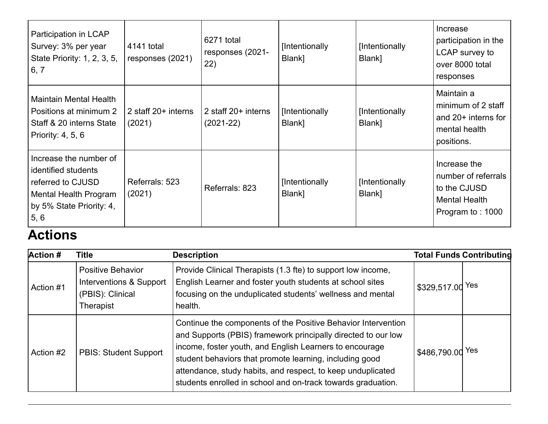| Participation in LCAP<br>Survey: 3% per year<br>State Priority: 1, 2, 3, 5,<br>6, 7                                                    | 4141 total<br>responses (2021)  | 6271 total<br>responses (2021-<br>22) | [Intentionally<br>Blank] | [Intentionally<br>Blank] | Increase<br>participation in the<br>LCAP survey to<br>over 8000 total<br>responses              |
|----------------------------------------------------------------------------------------------------------------------------------------|---------------------------------|---------------------------------------|--------------------------|--------------------------|-------------------------------------------------------------------------------------------------|
| <b>Maintain Mental Health</b><br>Positions at minimum 2<br>Staff & 20 interns State<br>Priority: 4, 5, 6                               | 2 staff $20+$ interns<br>(2021) | 2 staff 20+ interns<br>$(2021-22)$    | [Intentionally<br>Blank] | [Intentionally<br>Blank] | Maintain a<br>minimum of 2 staff<br>and $20+$ interns for<br>mental health<br>positions.        |
| Increase the number of<br>identified students<br>referred to CJUSD<br><b>Mental Health Program</b><br>by 5% State Priority: 4,<br>5, 6 | Referrals: 523<br>(2021)        | Referrals: 823                        | [Intentionally<br>Blank] | [Intentionally<br>Blank] | Increase the<br>number of referrals<br>to the CJUSD<br><b>Mental Health</b><br>Program to: 1000 |

### **Actions**

| <b>Action #</b> | <b>Title</b>                                                                         | <b>Description</b>                                                                                                                                                                                                                                                                                                                                                                  |                  | <b>Total Funds Contributing</b> |
|-----------------|--------------------------------------------------------------------------------------|-------------------------------------------------------------------------------------------------------------------------------------------------------------------------------------------------------------------------------------------------------------------------------------------------------------------------------------------------------------------------------------|------------------|---------------------------------|
| Action #1       | <b>Positive Behavior</b><br>Interventions & Support<br>(PBIS): Clinical<br>Therapist | Provide Clinical Therapists (1.3 fte) to support low income,<br>English Learner and foster youth students at school sites<br>focusing on the unduplicated students' wellness and mental<br>health.                                                                                                                                                                                  | \$329,517.00     | Yes                             |
| Action #2       | <b>PBIS: Student Support</b>                                                         | Continue the components of the Positive Behavior Intervention<br>and Supports (PBIS) framework principally directed to our low<br>income, foster youth, and English Learners to encourage<br>student behaviors that promote learning, including good<br>attendance, study habits, and respect, to keep unduplicated<br>students enrolled in school and on-track towards graduation. | \$486,790.00 Yes |                                 |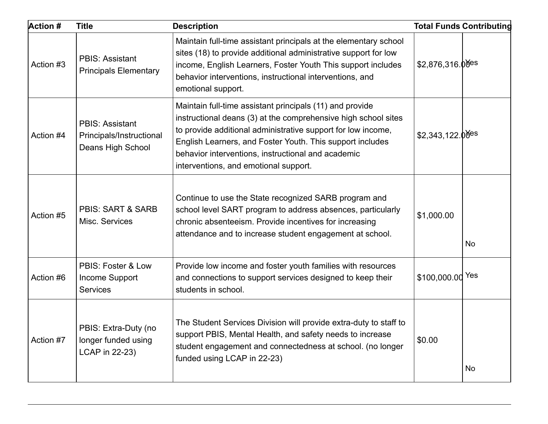| <b>Action #</b> | <b>Title</b>                                                            | <b>Description</b>                                                                                                                                                                                                                                                                                                                                     |                               | <b>Total Funds Contributing</b> |
|-----------------|-------------------------------------------------------------------------|--------------------------------------------------------------------------------------------------------------------------------------------------------------------------------------------------------------------------------------------------------------------------------------------------------------------------------------------------------|-------------------------------|---------------------------------|
| Action #3       | <b>PBIS: Assistant</b><br><b>Principals Elementary</b>                  | Maintain full-time assistant principals at the elementary school<br>sites (18) to provide additional administrative support for low<br>income, English Learners, Foster Youth This support includes<br>behavior interventions, instructional interventions, and<br>emotional support.                                                                  | $$2,876,316.00$ <sup>es</sup> |                                 |
| Action #4       | <b>PBIS: Assistant</b><br>Principals/Instructional<br>Deans High School | Maintain full-time assistant principals (11) and provide<br>instructional deans (3) at the comprehensive high school sites<br>to provide additional administrative support for low income,<br>English Learners, and Foster Youth. This support includes<br>behavior interventions, instructional and academic<br>interventions, and emotional support. | $$2,343,122.0$ <sup>des</sup> |                                 |
| Action #5       | <b>PBIS: SART &amp; SARB</b><br>Misc. Services                          | Continue to use the State recognized SARB program and<br>school level SART program to address absences, particularly<br>chronic absenteeism. Provide incentives for increasing<br>attendance and to increase student engagement at school.                                                                                                             | \$1,000.00                    | <b>No</b>                       |
| Action #6       | PBIS: Foster & Low<br>Income Support<br>Services                        | Provide low income and foster youth families with resources<br>and connections to support services designed to keep their<br>students in school.                                                                                                                                                                                                       | \$100,000.00 Yes              |                                 |
| Action #7       | PBIS: Extra-Duty (no<br>longer funded using<br>LCAP in 22-23)           | The Student Services Division will provide extra-duty to staff to<br>support PBIS, Mental Health, and safety needs to increase<br>student engagement and connectedness at school. (no longer<br>funded using LCAP in 22-23)                                                                                                                            | \$0.00                        | No                              |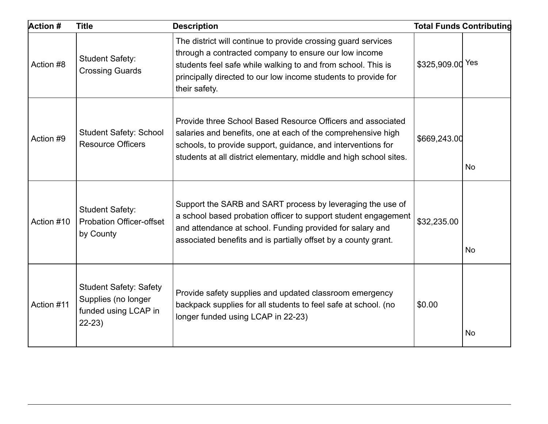| <b>Action #</b> | <b>Title</b>                                                                            | <b>Description</b>                                                                                                                                                                                                                                                        |                  | <b>Total Funds Contributing</b> |
|-----------------|-----------------------------------------------------------------------------------------|---------------------------------------------------------------------------------------------------------------------------------------------------------------------------------------------------------------------------------------------------------------------------|------------------|---------------------------------|
| Action #8       | <b>Student Safety:</b><br><b>Crossing Guards</b>                                        | The district will continue to provide crossing guard services<br>through a contracted company to ensure our low income<br>students feel safe while walking to and from school. This is<br>principally directed to our low income students to provide for<br>their safety. | \$325,909.00 Yes |                                 |
| Action #9       | <b>Student Safety: School</b><br><b>Resource Officers</b>                               | Provide three School Based Resource Officers and associated<br>salaries and benefits, one at each of the comprehensive high<br>schools, to provide support, guidance, and interventions for<br>students at all district elementary, middle and high school sites.         | \$669,243.00     | <b>No</b>                       |
| Action #10      | <b>Student Safety:</b><br><b>Probation Officer-offset</b><br>by County                  | Support the SARB and SART process by leveraging the use of<br>a school based probation officer to support student engagement<br>and attendance at school. Funding provided for salary and<br>associated benefits and is partially offset by a county grant.               | \$32,235.00      | No                              |
| Action #11      | <b>Student Safety: Safety</b><br>Supplies (no longer<br>funded using LCAP in<br>$22-23$ | Provide safety supplies and updated classroom emergency<br>backpack supplies for all students to feel safe at school. (no<br>longer funded using LCAP in 22-23)                                                                                                           | \$0.00           | <b>No</b>                       |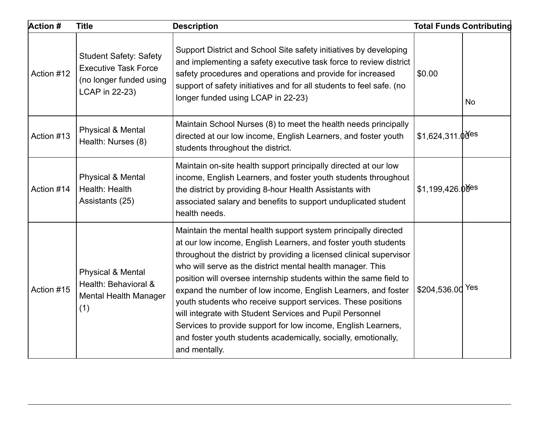| <b>Action #</b> | <b>Title</b>                                                                                              | <b>Description</b>                                                                                                                                                                                                                                                                                                                                                                                                                                                                                                                                                                                                                                                                           |                              | <b>Total Funds Contributing</b> |
|-----------------|-----------------------------------------------------------------------------------------------------------|----------------------------------------------------------------------------------------------------------------------------------------------------------------------------------------------------------------------------------------------------------------------------------------------------------------------------------------------------------------------------------------------------------------------------------------------------------------------------------------------------------------------------------------------------------------------------------------------------------------------------------------------------------------------------------------------|------------------------------|---------------------------------|
| Action #12      | <b>Student Safety: Safety</b><br><b>Executive Task Force</b><br>(no longer funded using<br>LCAP in 22-23) | Support District and School Site safety initiatives by developing<br>and implementing a safety executive task force to review district<br>safety procedures and operations and provide for increased<br>support of safety initiatives and for all students to feel safe. (no<br>longer funded using LCAP in 22-23)                                                                                                                                                                                                                                                                                                                                                                           | \$0.00                       | <b>No</b>                       |
| Action #13      | <b>Physical &amp; Mental</b><br>Health: Nurses (8)                                                        | Maintain School Nurses (8) to meet the health needs principally<br>directed at our low income, English Learners, and foster youth<br>students throughout the district.                                                                                                                                                                                                                                                                                                                                                                                                                                                                                                                       | $$1,624,311.0$ <sup>es</sup> |                                 |
| Action #14      | <b>Physical &amp; Mental</b><br>Health: Health<br>Assistants (25)                                         | Maintain on-site health support principally directed at our low<br>income, English Learners, and foster youth students throughout<br>the district by providing 8-hour Health Assistants with<br>associated salary and benefits to support unduplicated student<br>health needs.                                                                                                                                                                                                                                                                                                                                                                                                              | $$1,199,426.00$ es           |                                 |
| Action #15      | Physical & Mental<br>Health: Behavioral &<br><b>Mental Health Manager</b><br>(1)                          | Maintain the mental health support system principally directed<br>at our low income, English Learners, and foster youth students<br>throughout the district by providing a licensed clinical supervisor<br>who will serve as the district mental health manager. This<br>position will oversee internship students within the same field to<br>expand the number of low income, English Learners, and foster<br>youth students who receive support services. These positions<br>will integrate with Student Services and Pupil Personnel<br>Services to provide support for low income, English Learners,<br>and foster youth students academically, socially, emotionally,<br>and mentally. | \$204,536.00 Yes             |                                 |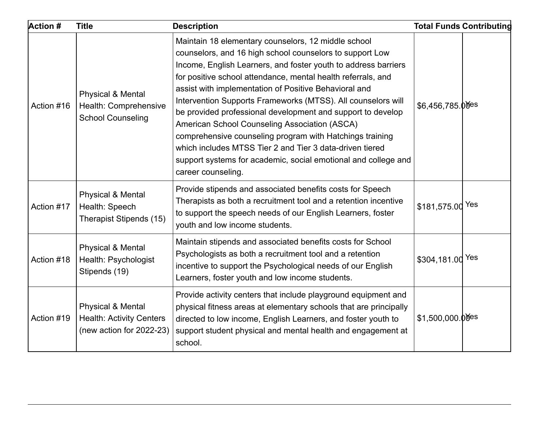| Action #   | <b>Title</b>                                                                                | <b>Description</b>                                                                                                                                                                                                                                                                                                                                                                                                                                                                                                                                                                                                                                                                                         |                                | <b>Total Funds Contributing</b> |
|------------|---------------------------------------------------------------------------------------------|------------------------------------------------------------------------------------------------------------------------------------------------------------------------------------------------------------------------------------------------------------------------------------------------------------------------------------------------------------------------------------------------------------------------------------------------------------------------------------------------------------------------------------------------------------------------------------------------------------------------------------------------------------------------------------------------------------|--------------------------------|---------------------------------|
| Action #16 | Physical & Mental<br>Health: Comprehensive<br><b>School Counseling</b>                      | Maintain 18 elementary counselors, 12 middle school<br>counselors, and 16 high school counselors to support Low<br>Income, English Learners, and foster youth to address barriers<br>for positive school attendance, mental health referrals, and<br>assist with implementation of Positive Behavioral and<br>Intervention Supports Frameworks (MTSS). All counselors will<br>be provided professional development and support to develop<br>American School Counseling Association (ASCA)<br>comprehensive counseling program with Hatchings training<br>which includes MTSS Tier 2 and Tier 3 data-driven tiered<br>support systems for academic, social emotional and college and<br>career counseling. | $$6,456,785.0$ <sup>ofes</sup> |                                 |
| Action #17 | <b>Physical &amp; Mental</b><br>Health: Speech<br>Therapist Stipends (15)                   | Provide stipends and associated benefits costs for Speech<br>Therapists as both a recruitment tool and a retention incentive<br>to support the speech needs of our English Learners, foster<br>youth and low income students.                                                                                                                                                                                                                                                                                                                                                                                                                                                                              | \$181,575.00 Yes               |                                 |
| Action #18 | Physical & Mental<br>Health: Psychologist<br>Stipends (19)                                  | Maintain stipends and associated benefits costs for School<br>Psychologists as both a recruitment tool and a retention<br>incentive to support the Psychological needs of our English<br>Learners, foster youth and low income students.                                                                                                                                                                                                                                                                                                                                                                                                                                                                   | \$304,181.00 Yes               |                                 |
| Action #19 | <b>Physical &amp; Mental</b><br><b>Health: Activity Centers</b><br>(new action for 2022-23) | Provide activity centers that include playground equipment and<br>physical fitness areas at elementary schools that are principally<br>directed to low income, English Learners, and foster youth to<br>support student physical and mental health and engagement at<br>school.                                                                                                                                                                                                                                                                                                                                                                                                                            | $$1,500,000.00$ es             |                                 |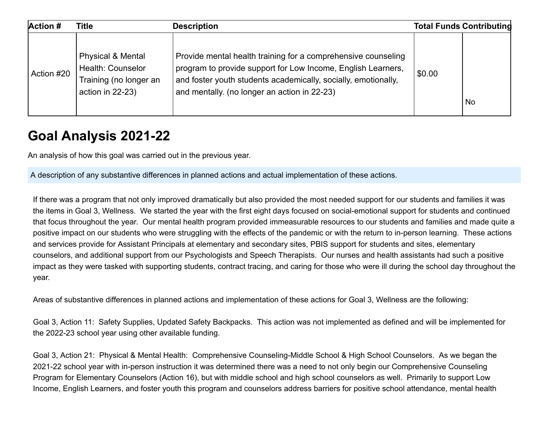| Action #   | <b>Title</b>                                                                                    | <b>Description</b>                                                                                                                                                                                                                              |        | <b>Total Funds Contributing</b> |
|------------|-------------------------------------------------------------------------------------------------|-------------------------------------------------------------------------------------------------------------------------------------------------------------------------------------------------------------------------------------------------|--------|---------------------------------|
| Action #20 | <b>Physical &amp; Mental</b><br>Health: Counselor<br>Training (no longer an<br>action in 22-23) | Provide mental health training for a comprehensive counseling<br>program to provide support for Low Income, English Learners,<br>and foster youth students academically, socially, emotionally,<br>and mentally. (no longer an action in 22-23) | \$0.00 | <b>No</b>                       |

### **Goal Analysis 2021-22**

An analysis of how this goal was carried out in the previous year.

A description of any substantive differences in planned actions and actual implementation of these actions.

If there was a program that not only improved dramatically but also provided the most needed support for our students and families it was the items in Goal 3, Wellness. We started the year with the first eight days focused on social-emotional support for students and continued that focus throughout the year. Our mental health program provided immeasurable resources to our students and families and made quite a positive impact on our students who were struggling with the effects of the pandemic or with the return to in-person learning. These actions and services provide for Assistant Principals at elementary and secondary sites, PBIS support for students and sites, elementary counselors, and additional support from our Psychologists and Speech Therapists. Our nurses and health assistants had such a positive impact as they were tasked with supporting students, contract tracing, and caring for those who were ill during the school day throughout the year.

Areas of substantive differences in planned actions and implementation of these actions for Goal 3, Wellness are the following:

Goal 3, Action 11: Safety Supplies, Updated Safety Backpacks. This action was not implemented as defined and will be implemented for the 2022-23 school year using other available funding.

Goal 3, Action 21: Physical & Mental Health: Comprehensive Counseling-Middle School & High School Counselors. As we began the 2021-22 school year with in-person instruction it was determined there was a need to not only begin our Comprehensive Counseling Program for Elementary Counselors (Action 16), but with middle school and high school counselors as well. Primarily to support Low Income, English Learners, and foster youth this program and counselors address barriers for positive school attendance, mental health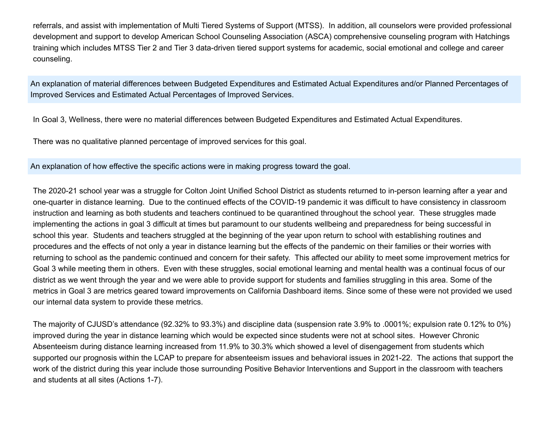referrals, and assist with implementation of Multi Tiered Systems of Support (MTSS). In addition, all counselors were provided professional development and support to develop American School Counseling Association (ASCA) comprehensive counseling program with Hatchings training which includes MTSS Tier 2 and Tier 3 data-driven tiered support systems for academic, social emotional and college and career counseling.

An explanation of material differences between Budgeted Expenditures and Estimated Actual Expenditures and/or Planned Percentages of Improved Services and Estimated Actual Percentages of Improved Services.

In Goal 3, Wellness, there were no material differences between Budgeted Expenditures and Estimated Actual Expenditures.

There was no qualitative planned percentage of improved services for this goal.

An explanation of how effective the specific actions were in making progress toward the goal.

The 2020-21 school year was a struggle for Colton Joint Unified School District as students returned to in-person learning after a year and one-quarter in distance learning. Due to the continued effects of the COVID-19 pandemic it was difficult to have consistency in classroom instruction and learning as both students and teachers continued to be quarantined throughout the school year. These struggles made implementing the actions in goal 3 difficult at times but paramount to our students wellbeing and preparedness for being successful in school this year. Students and teachers struggled at the beginning of the year upon return to school with establishing routines and procedures and the effects of not only a year in distance learning but the effects of the pandemic on their families or their worries with returning to school as the pandemic continued and concern for their safety. This affected our ability to meet some improvement metrics for Goal 3 while meeting them in others. Even with these struggles, social emotional learning and mental health was a continual focus of our district as we went through the year and we were able to provide support for students and families struggling in this area. Some of the metrics in Goal 3 are metrics geared toward improvements on California Dashboard items. Since some of these were not provided we used our internal data system to provide these metrics.

The majority of CJUSD's attendance (92.32% to 93.3%) and discipline data (suspension rate 3.9% to .0001%; expulsion rate 0.12% to 0%) improved during the year in distance learning which would be expected since students were not at school sites. However Chronic Absenteeism during distance learning increased from 11.9% to 30.3% which showed a level of disengagement from students which supported our prognosis within the LCAP to prepare for absenteeism issues and behavioral issues in 2021-22. The actions that support the work of the district during this year include those surrounding Positive Behavior Interventions and Support in the classroom with teachers and students at all sites (Actions 1-7).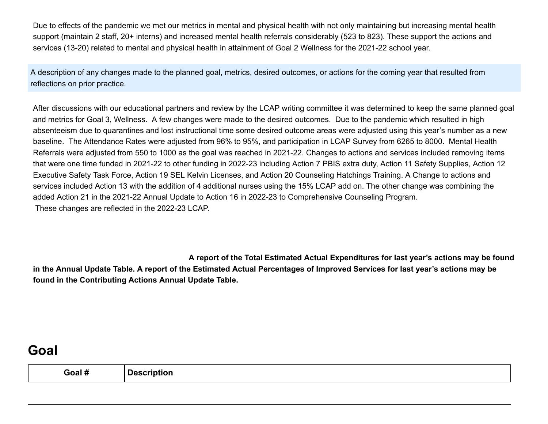Due to effects of the pandemic we met our metrics in mental and physical health with not only maintaining but increasing mental health support (maintain 2 staff, 20+ interns) and increased mental health referrals considerably (523 to 823). These support the actions and services (13-20) related to mental and physical health in attainment of Goal 2 Wellness for the 2021-22 school year.

A description of any changes made to the planned goal, metrics, desired outcomes, or actions for the coming year that resulted from reflections on prior practice.

After discussions with our educational partners and review by the LCAP writing committee it was determined to keep the same planned goal and metrics for Goal 3, Wellness. A few changes were made to the desired outcomes. Due to the pandemic which resulted in high absenteeism due to quarantines and lost instructional time some desired outcome areas were adjusted using this year's number as a new baseline. The Attendance Rates were adjusted from 96% to 95%, and participation in LCAP Survey from 6265 to 8000. Mental Health Referrals were adjusted from 550 to 1000 as the goal was reached in 2021-22. Changes to actions and services included removing items that were one time funded in 2021-22 to other funding in 2022-23 including Action 7 PBIS extra duty, Action 11 Safety Supplies, Action 12 Executive Safety Task Force, Action 19 SEL Kelvin Licenses, and Action 20 Counseling Hatchings Training. A Change to actions and services included Action 13 with the addition of 4 additional nurses using the 15% LCAP add on. The other change was combining the added Action 21 in the 2021-22 Annual Update to Action 16 in 2022-23 to Comprehensive Counseling Program. These changes are reflected in the 2022-23 LCAP.

**A report of the Total Estimated Actual Expenditures for last year's actions may be found in the Annual Update Table. A report of the Estimated Actual Percentages of Improved Services for last year's actions may be found in the Contributing Actions Annual Update Table.**

### **Goal**

| . .<br>$3$ oal # | <b>Description</b> |
|------------------|--------------------|
|------------------|--------------------|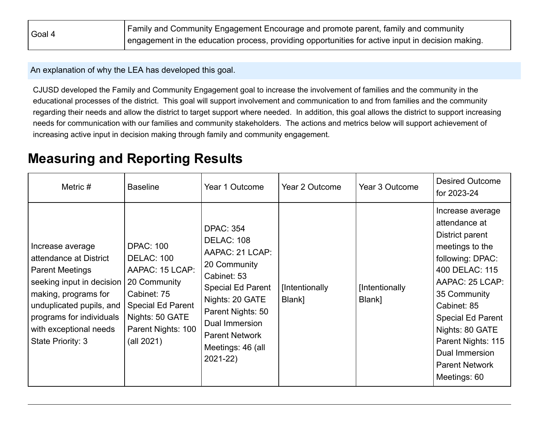| Goal 4 | Family and Community Engagement Encourage and promote parent, family and community                |  |  |  |  |
|--------|---------------------------------------------------------------------------------------------------|--|--|--|--|
|        | engagement in the education process, providing opportunities for active input in decision making. |  |  |  |  |

An explanation of why the LEA has developed this goal.

CJUSD developed the Family and Community Engagement goal to increase the involvement of families and the community in the educational processes of the district. This goal will support involvement and communication to and from families and the community regarding their needs and allow the district to target support where needed. In addition, this goal allows the district to support increasing needs for communication with our families and community stakeholders. The actions and metrics below will support achievement of increasing active input in decision making through family and community engagement.

### **Measuring and Reporting Results**

| Metric $#$                                                                                                                                                                                                                       | <b>Baseline</b>                                                                                                                                                            | Year 1 Outcome                                                                                                                                                                                                                              | Year 2 Outcome           | Year 3 Outcome           | <b>Desired Outcome</b><br>for 2023-24                                                                                                                                                                                                                                                           |
|----------------------------------------------------------------------------------------------------------------------------------------------------------------------------------------------------------------------------------|----------------------------------------------------------------------------------------------------------------------------------------------------------------------------|---------------------------------------------------------------------------------------------------------------------------------------------------------------------------------------------------------------------------------------------|--------------------------|--------------------------|-------------------------------------------------------------------------------------------------------------------------------------------------------------------------------------------------------------------------------------------------------------------------------------------------|
| Increase average<br>attendance at District<br><b>Parent Meetings</b><br>seeking input in decision<br>making, programs for<br>unduplicated pupils, and<br>programs for individuals<br>with exceptional needs<br>State Priority: 3 | <b>DPAC: 100</b><br><b>DELAC: 100</b><br>AAPAC: 15 LCAP:<br>20 Community<br>Cabinet: 75<br><b>Special Ed Parent</b><br>Nights: 50 GATE<br>Parent Nights: 100<br>(all 2021) | <b>DPAC: 354</b><br><b>DELAC: 108</b><br>AAPAC: 21 LCAP:<br>20 Community<br>Cabinet: 53<br><b>Special Ed Parent</b><br>Nights: 20 GATE<br>Parent Nights: 50<br>Dual Immersion<br><b>Parent Network</b><br>Meetings: 46 (all<br>$2021 - 22)$ | [Intentionally<br>Blank] | [Intentionally<br>Blank] | Increase average<br>attendance at<br>District parent<br>meetings to the<br>following: DPAC:<br>400 DELAC: 115<br>AAPAC: 25 LCAP:<br>35 Community<br>Cabinet: 85<br><b>Special Ed Parent</b><br>Nights: 80 GATE<br>Parent Nights: 115<br>Dual Immersion<br><b>Parent Network</b><br>Meetings: 60 |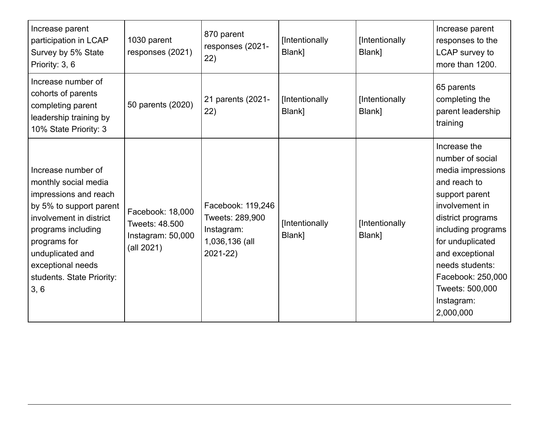| Increase parent<br>participation in LCAP<br>Survey by 5% State<br>Priority: 3, 6                                                                                                                                                              | 1030 parent<br>responses (2021)                                       | 870 parent<br>responses (2021-<br>22)                                                | [Intentionally<br>Blank] | [Intentionally<br>Blank] | Increase parent<br>responses to the<br>LCAP survey to<br>more than 1200.                                                                                                                                                                                                          |
|-----------------------------------------------------------------------------------------------------------------------------------------------------------------------------------------------------------------------------------------------|-----------------------------------------------------------------------|--------------------------------------------------------------------------------------|--------------------------|--------------------------|-----------------------------------------------------------------------------------------------------------------------------------------------------------------------------------------------------------------------------------------------------------------------------------|
| Increase number of<br>cohorts of parents<br>completing parent<br>leadership training by<br>10% State Priority: 3                                                                                                                              | 50 parents (2020)                                                     | 21 parents (2021-<br>22)                                                             | [Intentionally<br>Blank] | [Intentionally<br>Blank] | 65 parents<br>completing the<br>parent leadership<br>training                                                                                                                                                                                                                     |
| Increase number of<br>monthly social media<br>impressions and reach<br>by 5% to support parent<br>involvement in district<br>programs including<br>programs for<br>unduplicated and<br>exceptional needs<br>students. State Priority:<br>3, 6 | Facebook: 18,000<br>Tweets: 48,500<br>Instagram: 50,000<br>(all 2021) | Facebook: 119,246<br>Tweets: 289,900<br>Instagram:<br>1,036,136 (all<br>$2021 - 22)$ | [Intentionally<br>Blank] | [Intentionally<br>Blank] | Increase the<br>number of social<br>media impressions<br>and reach to<br>support parent<br>involvement in<br>district programs<br>including programs<br>for unduplicated<br>and exceptional<br>needs students:<br>Facebook: 250,000<br>Tweets: 500,000<br>Instagram:<br>2,000,000 |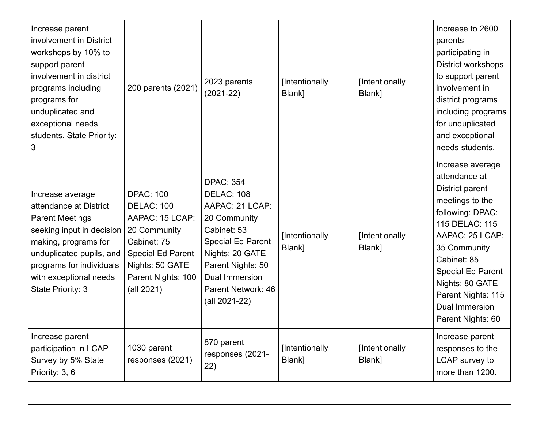| Increase parent<br>involvement in District<br>workshops by 10% to<br>support parent<br>involvement in district<br>programs including<br>programs for<br>unduplicated and<br>exceptional needs<br>students. State Priority:<br>3  | 200 parents (2021)                                                                                                                                                         | 2023 parents<br>$(2021 - 22)$                                                                                                                                                                                               | [Intentionally<br>Blank] | [Intentionally<br>Blank] | Increase to 2600<br>parents<br>participating in<br>District workshops<br>to support parent<br>involvement in<br>district programs<br>including programs<br>for unduplicated<br>and exceptional<br>needs students.                                                                  |
|----------------------------------------------------------------------------------------------------------------------------------------------------------------------------------------------------------------------------------|----------------------------------------------------------------------------------------------------------------------------------------------------------------------------|-----------------------------------------------------------------------------------------------------------------------------------------------------------------------------------------------------------------------------|--------------------------|--------------------------|------------------------------------------------------------------------------------------------------------------------------------------------------------------------------------------------------------------------------------------------------------------------------------|
| Increase average<br>attendance at District<br><b>Parent Meetings</b><br>seeking input in decision<br>making, programs for<br>unduplicated pupils, and<br>programs for individuals<br>with exceptional needs<br>State Priority: 3 | <b>DPAC: 100</b><br><b>DELAC: 100</b><br>AAPAC: 15 LCAP:<br>20 Community<br>Cabinet: 75<br><b>Special Ed Parent</b><br>Nights: 50 GATE<br>Parent Nights: 100<br>(all 2021) | <b>DPAC: 354</b><br><b>DELAC: 108</b><br>AAPAC: 21 LCAP:<br>20 Community<br>Cabinet: 53<br><b>Special Ed Parent</b><br>Nights: 20 GATE<br>Parent Nights: 50<br><b>Dual Immersion</b><br>Parent Network: 46<br>(all 2021-22) | [Intentionally<br>Blank] | [Intentionally<br>Blank] | Increase average<br>attendance at<br>District parent<br>meetings to the<br>following: DPAC:<br>115 DELAC: 115<br>AAPAC: 25 LCAP:<br>35 Community<br>Cabinet: 85<br><b>Special Ed Parent</b><br>Nights: 80 GATE<br>Parent Nights: 115<br><b>Dual Immersion</b><br>Parent Nights: 60 |
| Increase parent<br>participation in LCAP<br>Survey by 5% State<br>Priority: 3, 6                                                                                                                                                 | 1030 parent<br>responses (2021)                                                                                                                                            | 870 parent<br>responses (2021-<br>22)                                                                                                                                                                                       | [Intentionally<br>Blank] | [Intentionally<br>Blank] | Increase parent<br>responses to the<br>LCAP survey to<br>more than 1200.                                                                                                                                                                                                           |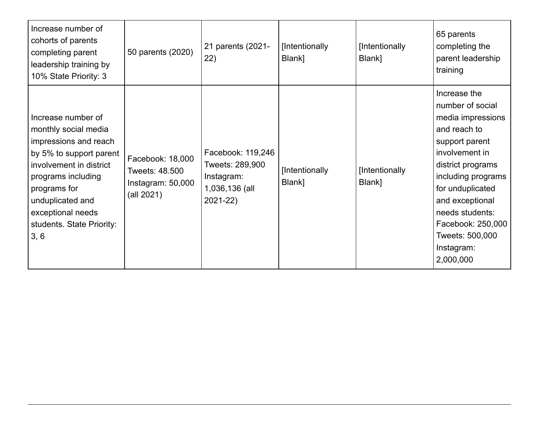| Increase number of<br>cohorts of parents<br>completing parent<br>leadership training by<br>10% State Priority: 3                                                                                                                              | 50 parents (2020)                                                     | 21 parents (2021-<br>22)                                                         | [Intentionally<br>Blank] | [Intentionally<br>Blank] | 65 parents<br>completing the<br>parent leadership<br>training                                                                                                                                                                                                                     |
|-----------------------------------------------------------------------------------------------------------------------------------------------------------------------------------------------------------------------------------------------|-----------------------------------------------------------------------|----------------------------------------------------------------------------------|--------------------------|--------------------------|-----------------------------------------------------------------------------------------------------------------------------------------------------------------------------------------------------------------------------------------------------------------------------------|
| Increase number of<br>monthly social media<br>impressions and reach<br>by 5% to support parent<br>involvement in district<br>programs including<br>programs for<br>unduplicated and<br>exceptional needs<br>students. State Priority:<br>3, 6 | Facebook: 18,000<br>Tweets: 48.500<br>Instagram: 50,000<br>(all 2021) | Facebook: 119,246<br>Tweets: 289,900<br>Instagram:<br>1,036,136 (all<br>2021-22) | [Intentionally<br>Blank] | [Intentionally<br>Blank] | Increase the<br>number of social<br>media impressions<br>and reach to<br>support parent<br>involvement in<br>district programs<br>including programs<br>for unduplicated<br>and exceptional<br>needs students:<br>Facebook: 250,000<br>Tweets: 500,000<br>Instagram:<br>2,000,000 |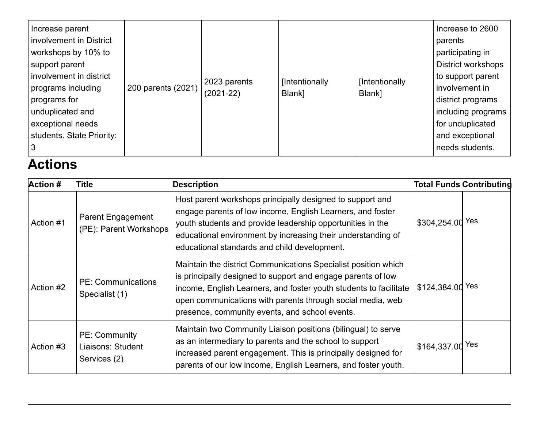| Increase parent<br>involvement in District<br>workshops by 10% to<br>support parent<br>involvement in district<br>programs including<br>programs for<br>unduplicated and<br>exceptional needs<br>students. State Priority: | 200 parents (2021) | 2023 parents<br>$(2021 - 22)$ | [Intentionally<br>Blank] | [Intentionally<br>Blank] | Increase to 2600<br>parents<br>participating in<br><b>District workshops</b><br>to support parent<br>involvement in<br>district programs<br>including programs<br>for unduplicated<br>and exceptional<br>needs students. |
|----------------------------------------------------------------------------------------------------------------------------------------------------------------------------------------------------------------------------|--------------------|-------------------------------|--------------------------|--------------------------|--------------------------------------------------------------------------------------------------------------------------------------------------------------------------------------------------------------------------|
|----------------------------------------------------------------------------------------------------------------------------------------------------------------------------------------------------------------------------|--------------------|-------------------------------|--------------------------|--------------------------|--------------------------------------------------------------------------------------------------------------------------------------------------------------------------------------------------------------------------|

# **Actions**

| <b>Action #</b> | Title                                              | <b>Description</b>                                                                                                                                                                                                                                                                                                  |                  | <b>Total Funds Contributing</b> |
|-----------------|----------------------------------------------------|---------------------------------------------------------------------------------------------------------------------------------------------------------------------------------------------------------------------------------------------------------------------------------------------------------------------|------------------|---------------------------------|
| Action #1       | <b>Parent Engagement</b><br>(PE): Parent Workshops | Host parent workshops principally designed to support and<br>engage parents of low income, English Learners, and foster<br>youth students and provide leadership opportunities in the<br>educational environment by increasing their understanding of<br>educational standards and child development.               | \$304,254.00 Yes |                                 |
| Action #2       | <b>PE: Communications</b><br>Specialist (1)        | Maintain the district Communications Specialist position which<br>is principally designed to support and engage parents of low<br>income, English Learners, and foster youth students to facilitate<br>open communications with parents through social media, web<br>presence, community events, and school events. | \$124,384.00 Yes |                                 |
| Action #3       | PE: Community<br>Liaisons: Student<br>Services (2) | Maintain two Community Liaison positions (bilingual) to serve<br>as an intermediary to parents and the school to support<br>increased parent engagement. This is principally designed for<br>parents of our low income, English Learners, and foster youth.                                                         | \$164,337.00 Yes |                                 |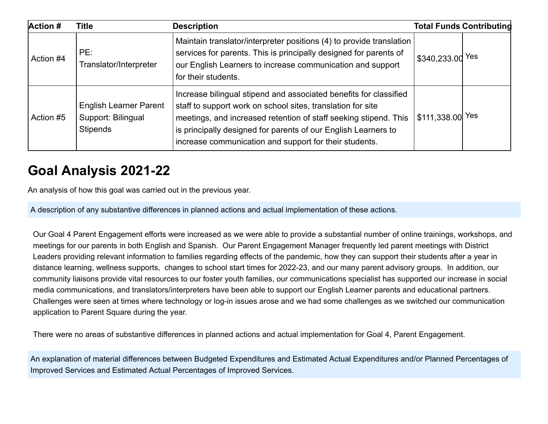| <b>Action #</b> | <b>Title</b>                                                           | <b>Description</b>                                                                                                                                                                                                                                                                                                               |                               | <b>Total Funds Contributing</b> |
|-----------------|------------------------------------------------------------------------|----------------------------------------------------------------------------------------------------------------------------------------------------------------------------------------------------------------------------------------------------------------------------------------------------------------------------------|-------------------------------|---------------------------------|
| Action #4       | PE:<br>Translator/Interpreter                                          | Maintain translator/interpreter positions (4) to provide translation<br>services for parents. This is principally designed for parents of<br>our English Learners to increase communication and support<br>for their students.                                                                                                   | ' \$340,233.0d <sup>Yes</sup> |                                 |
| Action #5       | <b>English Learner Parent</b><br>Support: Bilingual<br><b>Stipends</b> | Increase bilingual stipend and associated benefits for classified<br>staff to support work on school sites, translation for site<br>meetings, and increased retention of staff seeking stipend. This<br>is principally designed for parents of our English Learners to<br>increase communication and support for their students. | $$111,338.00$ Yes             |                                 |

### **Goal Analysis 2021-22**

An analysis of how this goal was carried out in the previous year.

A description of any substantive differences in planned actions and actual implementation of these actions.

Our Goal 4 Parent Engagement efforts were increased as we were able to provide a substantial number of online trainings, workshops, and meetings for our parents in both English and Spanish. Our Parent Engagement Manager frequently led parent meetings with District Leaders providing relevant information to families regarding effects of the pandemic, how they can support their students after a year in distance learning, wellness supports, changes to school start times for 2022-23, and our many parent advisory groups. In addition, our community liaisons provide vital resources to our foster youth families, our communications specialist has supported our increase in social media communications, and translators/interpreters have been able to support our English Learner parents and educational partners. Challenges were seen at times where technology or log-in issues arose and we had some challenges as we switched our communication application to Parent Square during the year.

There were no areas of substantive differences in planned actions and actual implementation for Goal 4, Parent Engagement.

An explanation of material differences between Budgeted Expenditures and Estimated Actual Expenditures and/or Planned Percentages of Improved Services and Estimated Actual Percentages of Improved Services.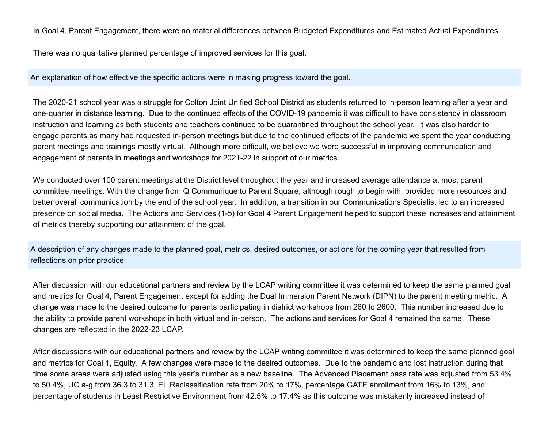In Goal 4, Parent Engagement, there were no material differences between Budgeted Expenditures and Estimated Actual Expenditures.

There was no qualitative planned percentage of improved services for this goal.

An explanation of how effective the specific actions were in making progress toward the goal.

The 2020-21 school year was a struggle for Colton Joint Unified School District as students returned to in-person learning after a year and one-quarter in distance learning. Due to the continued effects of the COVID-19 pandemic it was difficult to have consistency in classroom instruction and learning as both students and teachers continued to be quarantined throughout the school year. It was also harder to engage parents as many had requested in-person meetings but due to the continued effects of the pandemic we spent the year conducting parent meetings and trainings mostly virtual. Although more difficult, we believe we were successful in improving communication and engagement of parents in meetings and workshops for 2021-22 in support of our metrics.

We conducted over 100 parent meetings at the District level throughout the year and increased average attendance at most parent committee meetings. With the change from Q Communique to Parent Square, although rough to begin with, provided more resources and better overall communication by the end of the school year. In addition, a transition in our Communications Specialist led to an increased presence on social media. The Actions and Services (1-5) for Goal 4 Parent Engagement helped to support these increases and attainment of metrics thereby supporting our attainment of the goal.

A description of any changes made to the planned goal, metrics, desired outcomes, or actions for the coming year that resulted from reflections on prior practice.

After discussion with our educational partners and review by the LCAP writing committee it was determined to keep the same planned goal and metrics for Goal 4, Parent Engagement except for adding the Dual Immersion Parent Network (DIPN) to the parent meeting metric. A change was made to the desired outcome for parents participating in district workshops from 260 to 2600. This number increased due to the ability to provide parent workshops in both virtual and in-person. The actions and services for Goal 4 remained the same. These changes are reflected in the 2022-23 LCAP.

After discussions with our educational partners and review by the LCAP writing committee it was determined to keep the same planned goal and metrics for Goal 1, Equity. A few changes were made to the desired outcomes. Due to the pandemic and lost instruction during that time some areas were adjusted using this year's number as a new baseline. The Advanced Placement pass rate was adjusted from 53.4% to 50.4%, UC a-g from 36.3 to 31.3, EL Reclassification rate from 20% to 17%, percentage GATE enrollment from 16% to 13%, and percentage of students in Least Restrictive Environment from 42.5% to 17.4% as this outcome was mistakenly increased instead of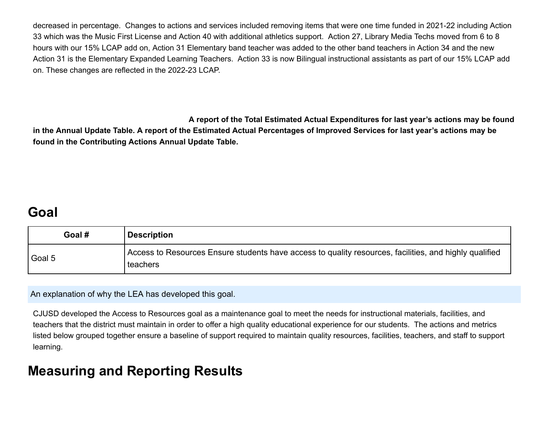decreased in percentage. Changes to actions and services included removing items that were one time funded in 2021-22 including Action 33 which was the Music First License and Action 40 with additional athletics support. Action 27, Library Media Techs moved from 6 to 8 hours with our 15% LCAP add on, Action 31 Elementary band teacher was added to the other band teachers in Action 34 and the new Action 31 is the Elementary Expanded Learning Teachers. Action 33 is now Bilingual instructional assistants as part of our 15% LCAP add on. These changes are reflected in the 2022-23 LCAP.

**A report of the Total Estimated Actual Expenditures for last year's actions may be found in the Annual Update Table. A report of the Estimated Actual Percentages of Improved Services for last year's actions may be found in the Contributing Actions Annual Update Table.**

### **Goal**

| Goal # | <b>Description</b>                                                                                                 |
|--------|--------------------------------------------------------------------------------------------------------------------|
| Goal 5 | Access to Resources Ensure students have access to quality resources, facilities, and highly qualified<br>teachers |

An explanation of why the LEA has developed this goal.

CJUSD developed the Access to Resources goal as a maintenance goal to meet the needs for instructional materials, facilities, and teachers that the district must maintain in order to offer a high quality educational experience for our students. The actions and metrics listed below grouped together ensure a baseline of support required to maintain quality resources, facilities, teachers, and staff to support learning.

### **Measuring and Reporting Results**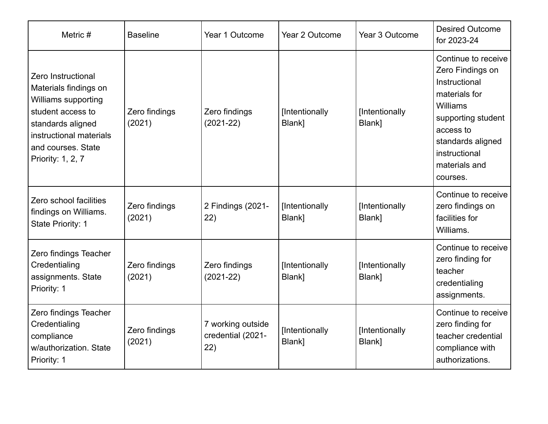| Metric #                                                                                                                                                                           | <b>Baseline</b>         | Year 1 Outcome                                | Year 2 Outcome           | Year 3 Outcome           | <b>Desired Outcome</b><br>for 2023-24                                                                                                                                                       |  |
|------------------------------------------------------------------------------------------------------------------------------------------------------------------------------------|-------------------------|-----------------------------------------------|--------------------------|--------------------------|---------------------------------------------------------------------------------------------------------------------------------------------------------------------------------------------|--|
| Zero Instructional<br>Materials findings on<br>Williams supporting<br>student access to<br>standards aligned<br>instructional materials<br>and courses. State<br>Priority: 1, 2, 7 | Zero findings<br>(2021) | Zero findings<br>$(2021 - 22)$                | [Intentionally<br>Blank] | [Intentionally<br>Blank] | Continue to receive<br>Zero Findings on<br>Instructional<br>materials for<br>Williams<br>supporting student<br>access to<br>standards aligned<br>instructional<br>materials and<br>courses. |  |
| Zero school facilities<br>findings on Williams.<br>State Priority: 1                                                                                                               | Zero findings<br>(2021) | 2 Findings (2021-<br>22)                      | [Intentionally<br>Blank] | [Intentionally<br>Blank] | Continue to receive<br>zero findings on<br>facilities for<br>Williams.                                                                                                                      |  |
| Zero findings Teacher<br>Credentialing<br>assignments. State<br>Priority: 1                                                                                                        | Zero findings<br>(2021) | Zero findings<br>$(2021 - 22)$                | [Intentionally<br>Blank] | [Intentionally<br>Blank] | Continue to receive<br>zero finding for<br>teacher<br>credentialing<br>assignments.                                                                                                         |  |
| Zero findings Teacher<br>Credentialing<br>compliance<br>w/authorization. State<br>Priority: 1                                                                                      | Zero findings<br>(2021) | 7 working outside<br>credential (2021-<br>22) | [Intentionally<br>Blank] | [Intentionally<br>Blank] | Continue to receive<br>zero finding for<br>teacher credential<br>compliance with<br>authorizations.                                                                                         |  |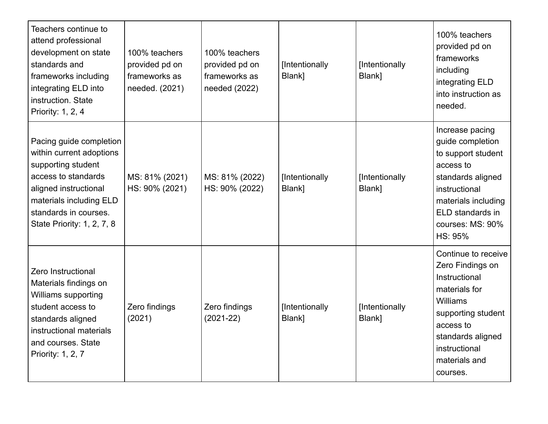| Teachers continue to<br>attend professional<br>development on state<br>standards and<br>frameworks including<br>integrating ELD into<br>instruction. State<br>Priority: 1, 2, 4                             | 100% teachers<br>provided pd on<br>frameworks as<br>needed. (2021) | 100% teachers<br>provided pd on<br>frameworks as<br>needed (2022) | [Intentionally<br>Blank] | [Intentionally<br>Blank] | 100% teachers<br>provided pd on<br>frameworks<br>including<br>integrating ELD<br>into instruction as<br>needed.                                                                             |
|-------------------------------------------------------------------------------------------------------------------------------------------------------------------------------------------------------------|--------------------------------------------------------------------|-------------------------------------------------------------------|--------------------------|--------------------------|---------------------------------------------------------------------------------------------------------------------------------------------------------------------------------------------|
| Pacing guide completion<br>within current adoptions<br>supporting student<br>access to standards<br>aligned instructional<br>materials including ELD<br>standards in courses.<br>State Priority: 1, 2, 7, 8 | MS: 81% (2021)<br>HS: 90% (2021)                                   | MS: 81% (2022)<br>HS: 90% (2022)                                  | [Intentionally<br>Blank] | [Intentionally<br>Blank] | Increase pacing<br>guide completion<br>to support student<br>access to<br>standards aligned<br>instructional<br>materials including<br>ELD standards in<br>courses: MS: 90%<br>HS: 95%      |
| Zero Instructional<br>Materials findings on<br>Williams supporting<br>student access to<br>standards aligned<br>instructional materials<br>and courses. State<br>Priority: 1, 2, 7                          | Zero findings<br>(2021)                                            | Zero findings<br>$(2021 - 22)$                                    | [Intentionally<br>Blank] | [Intentionally<br>Blank] | Continue to receive<br>Zero Findings on<br>Instructional<br>materials for<br>Williams<br>supporting student<br>access to<br>standards aligned<br>instructional<br>materials and<br>courses. |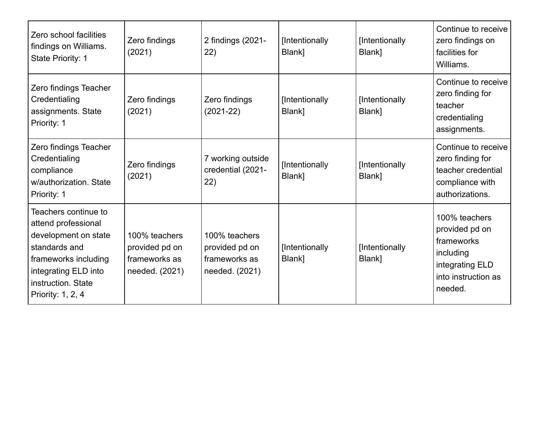| Zero school facilities<br>findings on Williams.<br>State Priority: 1                                                                                                            | Zero findings<br>(2021)                                            | 2 findings (2021-<br>22)                                           | [Intentionally<br>Blank] | [Intentionally<br>Blank] | Continue to receive<br>zero findings on<br>facilities for<br>Williams.                                          |
|---------------------------------------------------------------------------------------------------------------------------------------------------------------------------------|--------------------------------------------------------------------|--------------------------------------------------------------------|--------------------------|--------------------------|-----------------------------------------------------------------------------------------------------------------|
| Zero findings Teacher<br>Credentialing<br>assignments. State<br>Priority: 1                                                                                                     | Zero findings<br>(2021)                                            | Zero findings<br>$(2021-22)$                                       | [Intentionally<br>Blank] | [Intentionally<br>Blank] | Continue to receive<br>zero finding for<br>teacher<br>credentialing<br>assignments.                             |
| Zero findings Teacher<br>Credentialing<br>compliance<br>w/authorization. State<br>Priority: 1                                                                                   | Zero findings<br>(2021)                                            | 7 working outside<br>credential (2021-<br>22)                      | [Intentionally<br>Blank] | [Intentionally<br>Blank] | Continue to receive<br>zero finding for<br>teacher credential<br>compliance with<br>authorizations.             |
| Teachers continue to<br>attend professional<br>development on state<br>standards and<br>frameworks including<br>integrating ELD into<br>instruction. State<br>Priority: 1, 2, 4 | 100% teachers<br>provided pd on<br>frameworks as<br>needed. (2021) | 100% teachers<br>provided pd on<br>frameworks as<br>needed. (2021) | [Intentionally<br>Blank] | [Intentionally<br>Blank] | 100% teachers<br>provided pd on<br>frameworks<br>including<br>integrating ELD<br>into instruction as<br>needed. |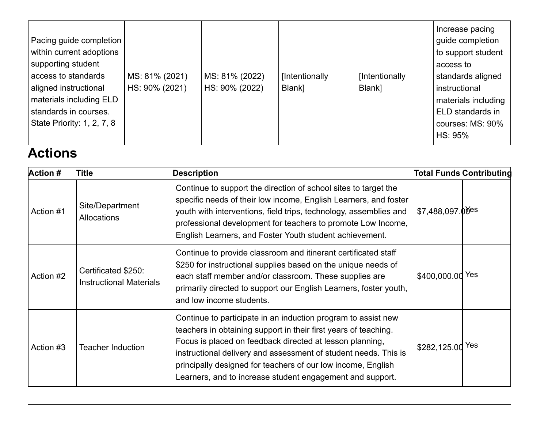|                            |                |                |                |                | Increase pacing     |
|----------------------------|----------------|----------------|----------------|----------------|---------------------|
| Pacing guide completion    |                |                |                |                | guide completion    |
| within current adoptions   |                |                |                |                | to support student  |
| supporting student         |                |                |                |                | access to           |
| access to standards        | MS: 81% (2021) | MS: 81% (2022) | [Intentionally | [Intentionally | standards aligned   |
| aligned instructional      | HS: 90% (2021) | HS: 90% (2022) | Blank]         | Blank]         | instructional       |
| materials including ELD    |                |                |                |                | materials including |
| standards in courses.      |                |                |                |                | ELD standards in    |
| State Priority: 1, 2, 7, 8 |                |                |                |                | courses: MS: 90%    |
|                            |                |                |                |                | HS: 95%             |

## **Actions**

| <b>Action #</b> | Title                                                 | <b>Description</b>                                                                                                                                                                                                                                                                                                                                                                           |                    | <b>Total Funds Contributing</b> |
|-----------------|-------------------------------------------------------|----------------------------------------------------------------------------------------------------------------------------------------------------------------------------------------------------------------------------------------------------------------------------------------------------------------------------------------------------------------------------------------------|--------------------|---------------------------------|
| Action #1       | Site/Department<br><b>Allocations</b>                 | Continue to support the direction of school sites to target the<br>specific needs of their low income, English Learners, and foster<br>youth with interventions, field trips, technology, assemblies and<br>professional development for teachers to promote Low Income,<br>English Learners, and Foster Youth student achievement.                                                          | $$7,488,097.00$ es |                                 |
| Action #2       | Certificated \$250:<br><b>Instructional Materials</b> | Continue to provide classroom and itinerant certificated staff<br>\$250 for instructional supplies based on the unique needs of<br>each staff member and/or classroom. These supplies are<br>primarily directed to support our English Learners, foster youth,<br>and low income students.                                                                                                   | \$400,000.00 Yes   |                                 |
| Action #3       | <b>Teacher Induction</b>                              | Continue to participate in an induction program to assist new<br>teachers in obtaining support in their first years of teaching.<br>Focus is placed on feedback directed at lesson planning,<br>instructional delivery and assessment of student needs. This is<br>principally designed for teachers of our low income, English<br>Learners, and to increase student engagement and support. | \$282,125.00 Yes   |                                 |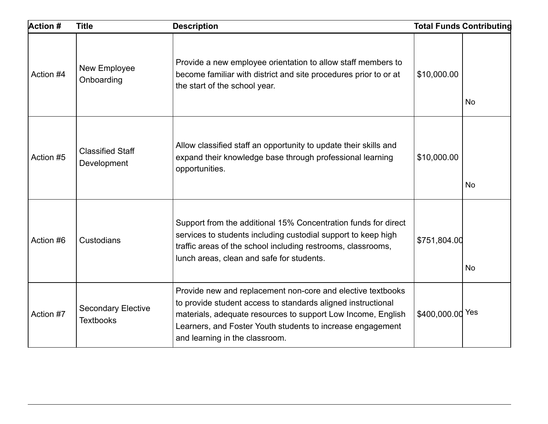| <b>Action #</b> | <b>Title</b>                                  | <b>Description</b>                                                                                                                                                                                                                                                                          |                  | <b>Total Funds Contributing</b> |
|-----------------|-----------------------------------------------|---------------------------------------------------------------------------------------------------------------------------------------------------------------------------------------------------------------------------------------------------------------------------------------------|------------------|---------------------------------|
| Action #4       | New Employee<br>Onboarding                    | Provide a new employee orientation to allow staff members to<br>become familiar with district and site procedures prior to or at<br>the start of the school year.                                                                                                                           | \$10,000.00      | <b>No</b>                       |
| Action #5       | <b>Classified Staff</b><br>Development        | Allow classified staff an opportunity to update their skills and<br>expand their knowledge base through professional learning<br>opportunities.                                                                                                                                             | \$10,000.00      | <b>No</b>                       |
| Action #6       | Custodians                                    | Support from the additional 15% Concentration funds for direct<br>services to students including custodial support to keep high<br>traffic areas of the school including restrooms, classrooms,<br>lunch areas, clean and safe for students.                                                | \$751,804.00     | <b>No</b>                       |
| Action #7       | <b>Secondary Elective</b><br><b>Textbooks</b> | Provide new and replacement non-core and elective textbooks<br>to provide student access to standards aligned instructional<br>materials, adequate resources to support Low Income, English<br>Learners, and Foster Youth students to increase engagement<br>and learning in the classroom. | \$400,000.00 Yes |                                 |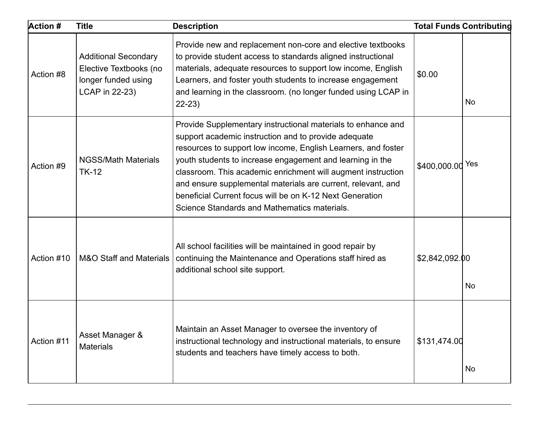| Action #   | <b>Title</b>                                                                                   | <b>Description</b>                                                                                                                                                                                                                                                                                                                                                                                                                                                                             |                  | <b>Total Funds Contributing</b> |
|------------|------------------------------------------------------------------------------------------------|------------------------------------------------------------------------------------------------------------------------------------------------------------------------------------------------------------------------------------------------------------------------------------------------------------------------------------------------------------------------------------------------------------------------------------------------------------------------------------------------|------------------|---------------------------------|
| Action #8  | <b>Additional Secondary</b><br>Elective Textbooks (no<br>longer funded using<br>LCAP in 22-23) | Provide new and replacement non-core and elective textbooks<br>to provide student access to standards aligned instructional<br>materials, adequate resources to support low income, English<br>Learners, and foster youth students to increase engagement<br>and learning in the classroom. (no longer funded using LCAP in<br>$22-23$                                                                                                                                                         | \$0.00           | <b>No</b>                       |
| Action #9  | <b>NGSS/Math Materials</b><br><b>TK-12</b>                                                     | Provide Supplementary instructional materials to enhance and<br>support academic instruction and to provide adequate<br>resources to support low income, English Learners, and foster<br>youth students to increase engagement and learning in the<br>classroom. This academic enrichment will augment instruction<br>and ensure supplemental materials are current, relevant, and<br>beneficial Current focus will be on K-12 Next Generation<br>Science Standards and Mathematics materials. | \$400,000.00 Yes |                                 |
| Action #10 | <b>M&amp;O Staff and Materials</b>                                                             | All school facilities will be maintained in good repair by<br>continuing the Maintenance and Operations staff hired as<br>additional school site support.                                                                                                                                                                                                                                                                                                                                      | \$2,842,092.00   | No                              |
| Action #11 | Asset Manager &<br><b>Materials</b>                                                            | Maintain an Asset Manager to oversee the inventory of<br>instructional technology and instructional materials, to ensure<br>students and teachers have timely access to both.                                                                                                                                                                                                                                                                                                                  | \$131,474.00     | No                              |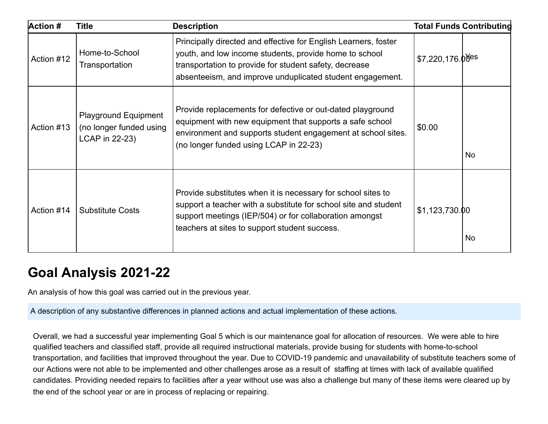| Action #   | <b>Title</b>                                                             | <b>Description</b>                                                                                                                                                                                                                               |                              | <b>Total Funds Contributing</b> |
|------------|--------------------------------------------------------------------------|--------------------------------------------------------------------------------------------------------------------------------------------------------------------------------------------------------------------------------------------------|------------------------------|---------------------------------|
| Action #12 | Home-to-School<br>Transportation                                         | Principally directed and effective for English Learners, foster<br>youth, and low income students, provide home to school<br>transportation to provide for student safety, decrease<br>absenteeism, and improve unduplicated student engagement. | $$7,220,176.0$ <sup>es</sup> |                                 |
| Action #13 | <b>Playground Equipment</b><br>(no longer funded using<br>LCAP in 22-23) | Provide replacements for defective or out-dated playground<br>equipment with new equipment that supports a safe school<br>environment and supports student engagement at school sites.<br>(no longer funded using LCAP in 22-23)                 | \$0.00                       | No                              |
| Action #14 | <b>Substitute Costs</b>                                                  | Provide substitutes when it is necessary for school sites to<br>support a teacher with a substitute for school site and student<br>support meetings (IEP/504) or for collaboration amongst<br>teachers at sites to support student success.      | \$1,123,730.00               | No                              |

### **Goal Analysis 2021-22**

An analysis of how this goal was carried out in the previous year.

A description of any substantive differences in planned actions and actual implementation of these actions.

Overall, we had a successful year implementing Goal 5 which is our maintenance goal for allocation of resources. We were able to hire qualified teachers and classified staff, provide all required instructional materials, provide busing for students with home-to-school transportation, and facilities that improved throughout the year. Due to COVID-19 pandemic and unavailability of substitute teachers some of our Actions were not able to be implemented and other challenges arose as a result of staffing at times with lack of available qualified candidates. Providing needed repairs to facilities after a year without use was also a challenge but many of these items were cleared up by the end of the school year or are in process of replacing or repairing.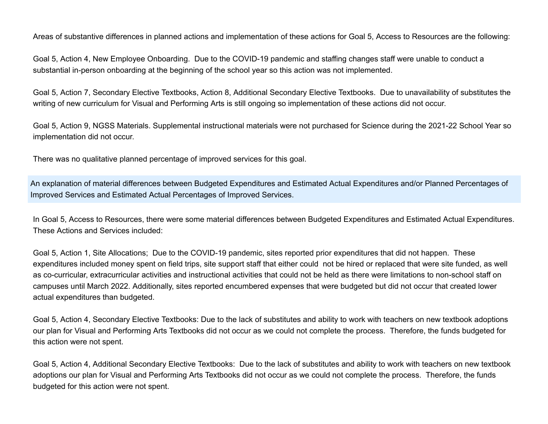Areas of substantive differences in planned actions and implementation of these actions for Goal 5, Access to Resources are the following:

Goal 5, Action 4, New Employee Onboarding. Due to the COVID-19 pandemic and staffing changes staff were unable to conduct a substantial in-person onboarding at the beginning of the school year so this action was not implemented.

Goal 5, Action 7, Secondary Elective Textbooks, Action 8, Additional Secondary Elective Textbooks. Due to unavailability of substitutes the writing of new curriculum for Visual and Performing Arts is still ongoing so implementation of these actions did not occur.

Goal 5, Action 9, NGSS Materials. Supplemental instructional materials were not purchased for Science during the 2021-22 School Year so implementation did not occur.

There was no qualitative planned percentage of improved services for this goal.

An explanation of material differences between Budgeted Expenditures and Estimated Actual Expenditures and/or Planned Percentages of Improved Services and Estimated Actual Percentages of Improved Services.

In Goal 5, Access to Resources, there were some material differences between Budgeted Expenditures and Estimated Actual Expenditures. These Actions and Services included:

Goal 5, Action 1, Site Allocations; Due to the COVID-19 pandemic, sites reported prior expenditures that did not happen. These expenditures included money spent on field trips, site support staff that either could not be hired or replaced that were site funded, as well as co-curricular, extracurricular activities and instructional activities that could not be held as there were limitations to non-school staff on campuses until March 2022. Additionally, sites reported encumbered expenses that were budgeted but did not occur that created lower actual expenditures than budgeted.

Goal 5, Action 4, Secondary Elective Textbooks: Due to the lack of substitutes and ability to work with teachers on new textbook adoptions our plan for Visual and Performing Arts Textbooks did not occur as we could not complete the process. Therefore, the funds budgeted for this action were not spent.

Goal 5, Action 4, Additional Secondary Elective Textbooks: Due to the lack of substitutes and ability to work with teachers on new textbook adoptions our plan for Visual and Performing Arts Textbooks did not occur as we could not complete the process. Therefore, the funds budgeted for this action were not spent.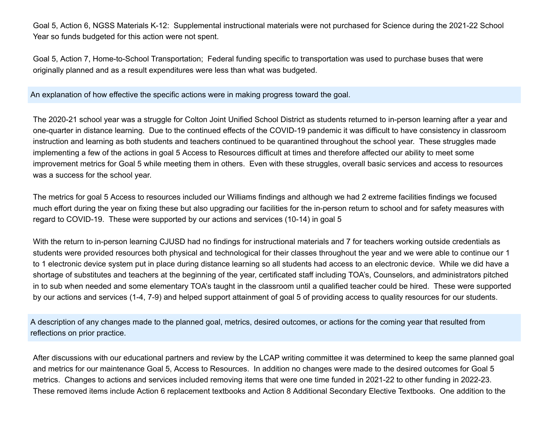Goal 5, Action 6, NGSS Materials K-12: Supplemental instructional materials were not purchased for Science during the 2021-22 School Year so funds budgeted for this action were not spent.

Goal 5, Action 7, Home-to-School Transportation; Federal funding specific to transportation was used to purchase buses that were originally planned and as a result expenditures were less than what was budgeted.

An explanation of how effective the specific actions were in making progress toward the goal.

The 2020-21 school year was a struggle for Colton Joint Unified School District as students returned to in-person learning after a year and one-quarter in distance learning. Due to the continued effects of the COVID-19 pandemic it was difficult to have consistency in classroom instruction and learning as both students and teachers continued to be quarantined throughout the school year. These struggles made implementing a few of the actions in goal 5 Access to Resources difficult at times and therefore affected our ability to meet some improvement metrics for Goal 5 while meeting them in others. Even with these struggles, overall basic services and access to resources was a success for the school year.

The metrics for goal 5 Access to resources included our Williams findings and although we had 2 extreme facilities findings we focused much effort during the year on fixing these but also upgrading our facilities for the in-person return to school and for safety measures with regard to COVID-19. These were supported by our actions and services (10-14) in goal 5

With the return to in-person learning CJUSD had no findings for instructional materials and 7 for teachers working outside credentials as students were provided resources both physical and technological for their classes throughout the year and we were able to continue our 1 to 1 electronic device system put in place during distance learning so all students had access to an electronic device. While we did have a shortage of substitutes and teachers at the beginning of the year, certificated staff including TOA's, Counselors, and administrators pitched in to sub when needed and some elementary TOA's taught in the classroom until a qualified teacher could be hired. These were supported by our actions and services (1-4, 7-9) and helped support attainment of goal 5 of providing access to quality resources for our students.

A description of any changes made to the planned goal, metrics, desired outcomes, or actions for the coming year that resulted from reflections on prior practice.

After discussions with our educational partners and review by the LCAP writing committee it was determined to keep the same planned goal and metrics for our maintenance Goal 5, Access to Resources. In addition no changes were made to the desired outcomes for Goal 5 metrics. Changes to actions and services included removing items that were one time funded in 2021-22 to other funding in 2022-23. These removed items include Action 6 replacement textbooks and Action 8 Additional Secondary Elective Textbooks. One addition to the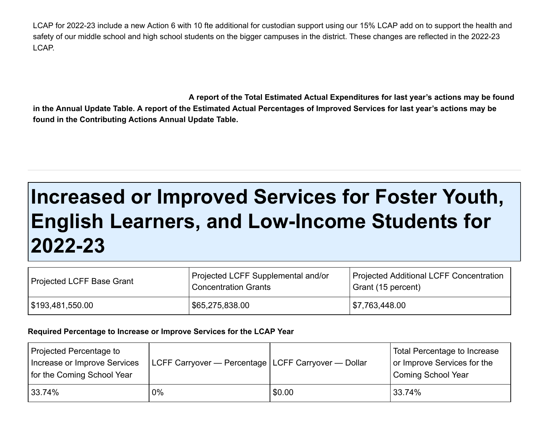LCAP for 2022-23 include a new Action 6 with 10 fte additional for custodian support using our 15% LCAP add on to support the health and safety of our middle school and high school students on the bigger campuses in the district. These changes are reflected in the 2022-23 LCAP.

**A report of the Total Estimated Actual Expenditures for last year's actions may be found in the Annual Update Table. A report of the Estimated Actual Percentages of Improved Services for last year's actions may be found in the Contributing Actions Annual Update Table.**

# **Increased or Improved Services for Foster Youth, English Learners, and Low-Income Students for 2022-23**

| Projected LCFF Base Grant | Projected LCFF Supplemental and/or<br><b>Concentration Grants</b> | Projected Additional LCFF Concentration<br>Grant (15 percent) |
|---------------------------|-------------------------------------------------------------------|---------------------------------------------------------------|
| \$193,481,550.00          | \$65,275,838.00                                                   | 1\$7,763,448.00                                               |

#### **Required Percentage to Increase or Improve Services for the LCAP Year**

| Projected Percentage to<br>Increase or Improve Services<br>for the Coming School Year | LCFF Carryover — Percentage   LCFF Carryover — Dollar |        | Total Percentage to Increase<br>or Improve Services for the<br><b>Coming School Year</b> |
|---------------------------------------------------------------------------------------|-------------------------------------------------------|--------|------------------------------------------------------------------------------------------|
| 33.74%                                                                                | $0\%$                                                 | \$0.00 | 33.74%                                                                                   |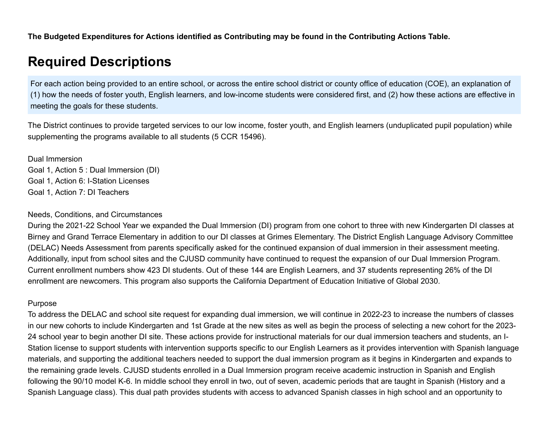**The Budgeted Expenditures for Actions identified as Contributing may be found in the Contributing Actions Table.**

### **Required Descriptions**

For each action being provided to an entire school, or across the entire school district or county office of education (COE), an explanation of (1) how the needs of foster youth, English learners, and low-income students were considered first, and (2) how these actions are effective in meeting the goals for these students.

The District continues to provide targeted services to our low income, foster youth, and English learners (unduplicated pupil population) while supplementing the programs available to all students (5 CCR 15496).

Dual Immersion Goal 1, Action 5 : Dual Immersion (DI) Goal 1, Action 6: I-Station Licenses Goal 1, Action 7: DI Teachers

#### Needs, Conditions, and Circumstances

During the 2021-22 School Year we expanded the Dual Immersion (DI) program from one cohort to three with new Kindergarten DI classes at Birney and Grand Terrace Elementary in addition to our DI classes at Grimes Elementary. The District English Language Advisory Committee (DELAC) Needs Assessment from parents specifically asked for the continued expansion of dual immersion in their assessment meeting. Additionally, input from school sites and the CJUSD community have continued to request the expansion of our Dual Immersion Program. Current enrollment numbers show 423 DI students. Out of these 144 are English Learners, and 37 students representing 26% of the DI enrollment are newcomers. This program also supports the California Department of Education Initiative of Global 2030.

#### Purpose

To address the DELAC and school site request for expanding dual immersion, we will continue in 2022-23 to increase the numbers of classes in our new cohorts to include Kindergarten and 1st Grade at the new sites as well as begin the process of selecting a new cohort for the 2023- 24 school year to begin another DI site. These actions provide for instructional materials for our dual immersion teachers and students, an I-Station license to support students with intervention supports specific to our English Learners as it provides intervention with Spanish language materials, and supporting the additional teachers needed to support the dual immersion program as it begins in Kindergarten and expands to the remaining grade levels. CJUSD students enrolled in a Dual Immersion program receive academic instruction in Spanish and English following the 90/10 model K-6. In middle school they enroll in two, out of seven, academic periods that are taught in Spanish (History and a Spanish Language class). This dual path provides students with access to advanced Spanish classes in high school and an opportunity to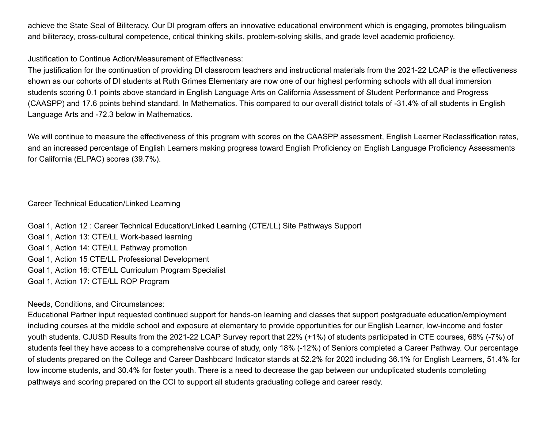achieve the State Seal of Biliteracy. Our DI program offers an innovative educational environment which is engaging, promotes bilingualism and biliteracy, cross-cultural competence, critical thinking skills, problem-solving skills, and grade level academic proficiency.

#### Justification to Continue Action/Measurement of Effectiveness:

The justification for the continuation of providing DI classroom teachers and instructional materials from the 2021-22 LCAP is the effectiveness shown as our cohorts of DI students at Ruth Grimes Elementary are now one of our highest performing schools with all dual immersion students scoring 0.1 points above standard in English Language Arts on California Assessment of Student Performance and Progress (CAASPP) and 17.6 points behind standard. In Mathematics. This compared to our overall district totals of -31.4% of all students in English Language Arts and -72.3 below in Mathematics.

We will continue to measure the effectiveness of this program with scores on the CAASPP assessment, English Learner Reclassification rates, and an increased percentage of English Learners making progress toward English Proficiency on English Language Proficiency Assessments for California (ELPAC) scores (39.7%).

#### Career Technical Education/Linked Learning

Goal 1, Action 12 : Career Technical Education/Linked Learning (CTE/LL) Site Pathways Support Goal 1, Action 13: CTE/LL Work-based learning Goal 1, Action 14: CTE/LL Pathway promotion Goal 1, Action 15 CTE/LL Professional Development Goal 1, Action 16: CTE/LL Curriculum Program Specialist Goal 1, Action 17: CTE/LL ROP Program

#### Needs, Conditions, and Circumstances:

Educational Partner input requested continued support for hands-on learning and classes that support postgraduate education/employment including courses at the middle school and exposure at elementary to provide opportunities for our English Learner, low-income and foster youth students. CJUSD Results from the 2021-22 LCAP Survey report that 22% (+1%) of students participated in CTE courses, 68% (-7%) of students feel they have access to a comprehensive course of study, only 18% (-12%) of Seniors completed a Career Pathway. Our percentage of students prepared on the College and Career Dashboard Indicator stands at 52.2% for 2020 including 36.1% for English Learners, 51.4% for low income students, and 30.4% for foster youth. There is a need to decrease the gap between our unduplicated students completing pathways and scoring prepared on the CCI to support all students graduating college and career ready.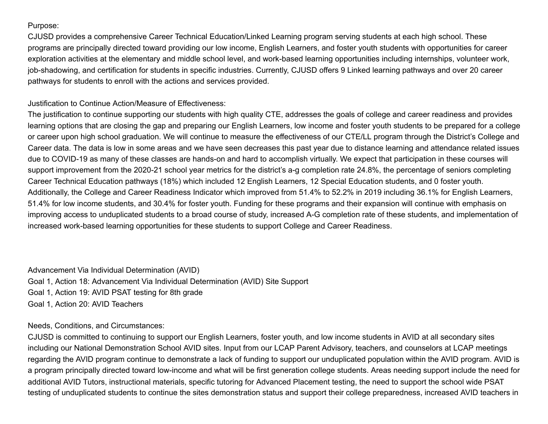Purpose:

CJUSD provides a comprehensive Career Technical Education/Linked Learning program serving students at each high school. These programs are principally directed toward providing our low income, English Learners, and foster youth students with opportunities for career exploration activities at the elementary and middle school level, and work-based learning opportunities including internships, volunteer work, job-shadowing, and certification for students in specific industries. Currently, CJUSD offers 9 Linked learning pathways and over 20 career pathways for students to enroll with the actions and services provided.

Justification to Continue Action/Measure of Effectiveness:

The justification to continue supporting our students with high quality CTE, addresses the goals of college and career readiness and provides learning options that are closing the gap and preparing our English Learners, low income and foster youth students to be prepared for a college or career upon high school graduation. We will continue to measure the effectiveness of our CTE/LL program through the District's College and Career data. The data is low in some areas and we have seen decreases this past year due to distance learning and attendance related issues due to COVID-19 as many of these classes are hands-on and hard to accomplish virtually. We expect that participation in these courses will support improvement from the 2020-21 school year metrics for the district's a-g completion rate 24.8%, the percentage of seniors completing Career Technical Education pathways (18%) which included 12 English Learners, 12 Special Education students, and 0 foster youth. Additionally, the College and Career Readiness Indicator which improved from 51.4% to 52.2% in 2019 including 36.1% for English Learners, 51.4% for low income students, and 30.4% for foster youth. Funding for these programs and their expansion will continue with emphasis on improving access to unduplicated students to a broad course of study, increased A-G completion rate of these students, and implementation of increased work-based learning opportunities for these students to support College and Career Readiness.

Advancement Via Individual Determination (AVID) Goal 1, Action 18: Advancement Via Individual Determination (AVID) Site Support Goal 1, Action 19: AVID PSAT testing for 8th grade Goal 1, Action 20: AVID Teachers

Needs, Conditions, and Circumstances:

CJUSD is committed to continuing to support our English Learners, foster youth, and low income students in AVID at all secondary sites including our National Demonstration School AVID sites. Input from our LCAP Parent Advisory, teachers, and counselors at LCAP meetings regarding the AVID program continue to demonstrate a lack of funding to support our unduplicated population within the AVID program. AVID is a program principally directed toward low-income and what will be first generation college students. Areas needing support include the need for additional AVID Tutors, instructional materials, specific tutoring for Advanced Placement testing, the need to support the school wide PSAT testing of unduplicated students to continue the sites demonstration status and support their college preparedness, increased AVID teachers in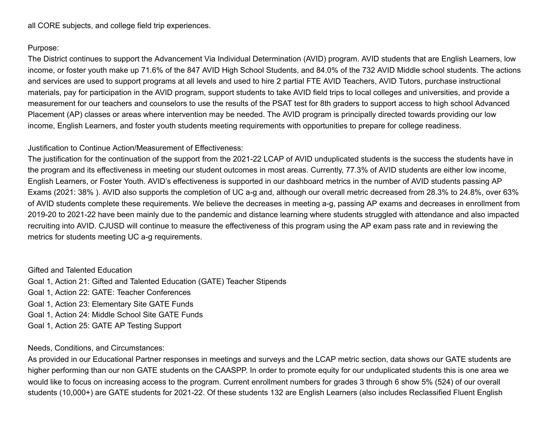all CORE subjects, and college field trip experiences.

#### Purpose:

The District continues to support the Advancement Via Individual Determination (AVID) program. AVID students that are English Learners, low income, or foster youth make up 71.6% of the 847 AVID High School Students, and 84.0% of the 732 AVID Middle school students. The actions and services are used to support programs at all levels and used to hire 2 partial FTE AVID Teachers, AVID Tutors, purchase instructional materials, pay for participation in the AVID program, support students to take AVID field trips to local colleges and universities, and provide a measurement for our teachers and counselors to use the results of the PSAT test for 8th graders to support access to high school Advanced Placement (AP) classes or areas where intervention may be needed. The AVID program is principally directed towards providing our low income, English Learners, and foster youth students meeting requirements with opportunities to prepare for college readiness.

#### Justification to Continue Action/Measurement of Effectiveness:

The justification for the continuation of the support from the 2021-22 LCAP of AVID unduplicated students is the success the students have in the program and its effectiveness in meeting our student outcomes in most areas. Currently, 77.3% of AVID students are either low income, English Learners, or Foster Youth. AVID's effectiveness is supported in our dashboard metrics in the number of AVID students passing AP Exams (2021: 38% ). AVID also supports the completion of UC a-g and, although our overall metric decreased from 28.3% to 24.8%, over 63% of AVID students complete these requirements. We believe the decreases in meeting a-g, passing AP exams and decreases in enrollment from 2019-20 to 2021-22 have been mainly due to the pandemic and distance learning where students struggled with attendance and also impacted recruiting into AVID. CJUSD will continue to measure the effectiveness of this program using the AP exam pass rate and in reviewing the metrics for students meeting UC a-g requirements.

#### Gifted and Talented Education

Goal 1, Action 21: Gifted and Talented Education (GATE) Teacher Stipends Goal 1, Action 22: GATE: Teacher Conferences Goal 1, Action 23: Elementary Site GATE Funds Goal 1, Action 24: Middle School Site GATE Funds Goal 1, Action 25: GATE AP Testing Support

#### Needs, Conditions, and Circumstances:

As provided in our Educational Partner responses in meetings and surveys and the LCAP metric section, data shows our GATE students are higher performing than our non GATE students on the CAASPP. In order to promote equity for our unduplicated students this is one area we would like to focus on increasing access to the program. Current enrollment numbers for grades 3 through 6 show 5% (524) of our overall students (10,000+) are GATE students for 2021-22. Of these students 132 are English Learners (also includes Reclassified Fluent English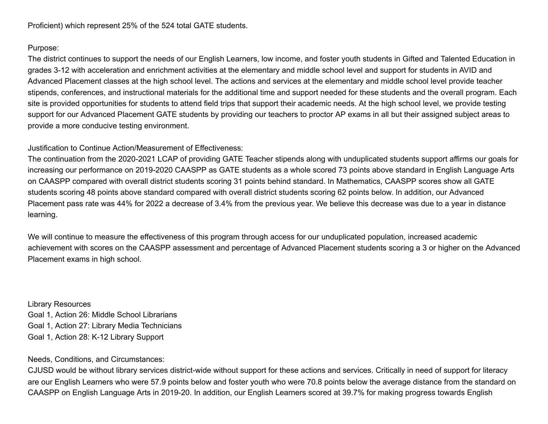Proficient) which represent 25% of the 524 total GATE students.

#### Purpose:

The district continues to support the needs of our English Learners, low income, and foster youth students in Gifted and Talented Education in grades 3-12 with acceleration and enrichment activities at the elementary and middle school level and support for students in AVID and Advanced Placement classes at the high school level. The actions and services at the elementary and middle school level provide teacher stipends, conferences, and instructional materials for the additional time and support needed for these students and the overall program. Each site is provided opportunities for students to attend field trips that support their academic needs. At the high school level, we provide testing support for our Advanced Placement GATE students by providing our teachers to proctor AP exams in all but their assigned subject areas to provide a more conducive testing environment.

#### Justification to Continue Action/Measurement of Effectiveness:

The continuation from the 2020-2021 LCAP of providing GATE Teacher stipends along with unduplicated students support affirms our goals for increasing our performance on 2019-2020 CAASPP as GATE students as a whole scored 73 points above standard in English Language Arts on CAASPP compared with overall district students scoring 31 points behind standard. In Mathematics, CAASPP scores show all GATE students scoring 48 points above standard compared with overall district students scoring 62 points below. In addition, our Advanced Placement pass rate was 44% for 2022 a decrease of 3.4% from the previous year. We believe this decrease was due to a year in distance learning.

We will continue to measure the effectiveness of this program through access for our unduplicated population, increased academic achievement with scores on the CAASPP assessment and percentage of Advanced Placement students scoring a 3 or higher on the Advanced Placement exams in high school.

Library Resources Goal 1, Action 26: Middle School Librarians Goal 1, Action 27: Library Media Technicians Goal 1, Action 28: K-12 Library Support

Needs, Conditions, and Circumstances:

CJUSD would be without library services district-wide without support for these actions and services. Critically in need of support for literacy are our English Learners who were 57.9 points below and foster youth who were 70.8 points below the average distance from the standard on CAASPP on English Language Arts in 2019-20. In addition, our English Learners scored at 39.7% for making progress towards English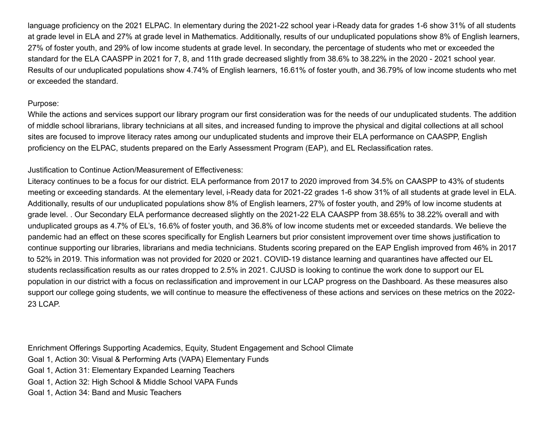language proficiency on the 2021 ELPAC. In elementary during the 2021-22 school year i-Ready data for grades 1-6 show 31% of all students at grade level in ELA and 27% at grade level in Mathematics. Additionally, results of our unduplicated populations show 8% of English learners, 27% of foster youth, and 29% of low income students at grade level. In secondary, the percentage of students who met or exceeded the standard for the ELA CAASPP in 2021 for 7, 8, and 11th grade decreased slightly from 38.6% to 38.22% in the 2020 - 2021 school year. Results of our unduplicated populations show 4.74% of English learners, 16.61% of foster youth, and 36.79% of low income students who met or exceeded the standard.

#### Purpose:

While the actions and services support our library program our first consideration was for the needs of our unduplicated students. The addition of middle school librarians, library technicians at all sites, and increased funding to improve the physical and digital collections at all school sites are focused to improve literacy rates among our unduplicated students and improve their ELA performance on CAASPP, English proficiency on the ELPAC, students prepared on the Early Assessment Program (EAP), and EL Reclassification rates.

#### Justification to Continue Action/Measurement of Effectiveness:

Literacy continues to be a focus for our district. ELA performance from 2017 to 2020 improved from 34.5% on CAASPP to 43% of students meeting or exceeding standards. At the elementary level, i-Ready data for 2021-22 grades 1-6 show 31% of all students at grade level in ELA. Additionally, results of our unduplicated populations show 8% of English learners, 27% of foster youth, and 29% of low income students at grade level. . Our Secondary ELA performance decreased slightly on the 2021-22 ELA CAASPP from 38.65% to 38.22% overall and with unduplicated groups as 4.7% of EL's, 16.6% of foster youth, and 36.8% of low income students met or exceeded standards. We believe the pandemic had an effect on these scores specifically for English Learners but prior consistent improvement over time shows justification to continue supporting our libraries, librarians and media technicians. Students scoring prepared on the EAP English improved from 46% in 2017 to 52% in 2019. This information was not provided for 2020 or 2021. COVID-19 distance learning and quarantines have affected our EL students reclassification results as our rates dropped to 2.5% in 2021. CJUSD is looking to continue the work done to support our EL population in our district with a focus on reclassification and improvement in our LCAP progress on the Dashboard. As these measures also support our college going students, we will continue to measure the effectiveness of these actions and services on these metrics on the 2022- 23 LCAP.

Enrichment Offerings Supporting Academics, Equity, Student Engagement and School Climate Goal 1, Action 30: Visual & Performing Arts (VAPA) Elementary Funds Goal 1, Action 31: Elementary Expanded Learning Teachers Goal 1, Action 32: High School & Middle School VAPA Funds Goal 1, Action 34: Band and Music Teachers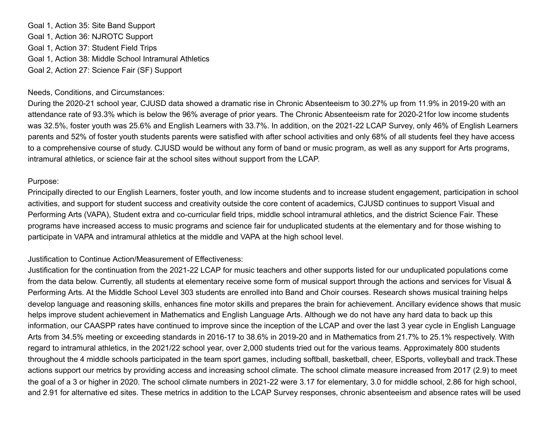Goal 1, Action 35: Site Band Support Goal 1, Action 36: NJROTC Support Goal 1, Action 37: Student Field Trips Goal 1, Action 38: Middle School Intramural Athletics Goal 2, Action 27: Science Fair (SF) Support

#### Needs, Conditions, and Circumstances:

During the 2020-21 school year, CJUSD data showed a dramatic rise in Chronic Absenteeism to 30.27% up from 11.9% in 2019-20 with an attendance rate of 93.3% which is below the 96% average of prior years. The Chronic Absenteeism rate for 2020-21for low income students was 32.5%, foster youth was 25.6% and English Learners with 33.7%. In addition, on the 2021-22 LCAP Survey, only 46% of English Learners parents and 52% of foster youth students parents were satisfied with after school activities and only 68% of all students feel they have access to a comprehensive course of study. CJUSD would be without any form of band or music program, as well as any support for Arts programs, intramural athletics, or science fair at the school sites without support from the LCAP.

#### Purpose:

Principally directed to our English Learners, foster youth, and low income students and to increase student engagement, participation in school activities, and support for student success and creativity outside the core content of academics, CJUSD continues to support Visual and Performing Arts (VAPA), Student extra and co-curricular field trips, middle school intramural athletics, and the district Science Fair. These programs have increased access to music programs and science fair for unduplicated students at the elementary and for those wishing to participate in VAPA and intramural athletics at the middle and VAPA at the high school level.

#### Justification to Continue Action/Measurement of Effectiveness:

Justification for the continuation from the 2021-22 LCAP for music teachers and other supports listed for our unduplicated populations come from the data below. Currently, all students at elementary receive some form of musical support through the actions and services for Visual & Performing Arts. At the Middle School Level 303 students are enrolled into Band and Choir courses. Research shows musical training helps develop language and reasoning skills, enhances fine motor skills and prepares the brain for achievement. Ancillary evidence shows that music helps improve student achievement in Mathematics and English Language Arts. Although we do not have any hard data to back up this information, our CAASPP rates have continued to improve since the inception of the LCAP and over the last 3 year cycle in English Language Arts from 34.5% meeting or exceeding standards in 2016-17 to 38.6% in 2019-20 and in Mathematics from 21.7% to 25.1% respectively. With regard to intramural athletics, in the 2021/22 school year, over 2,000 students tried out for the various teams. Approximately 800 students throughout the 4 middle schools participated in the team sport games, including softball, basketball, cheer, ESports, volleyball and track.These actions support our metrics by providing access and increasing school climate. The school climate measure increased from 2017 (2.9) to meet the goal of a 3 or higher in 2020. The school climate numbers in 2021-22 were 3.17 for elementary, 3.0 for middle school, 2.86 for high school, and 2.91 for alternative ed sites. These metrics in addition to the LCAP Survey responses, chronic absenteeism and absence rates will be used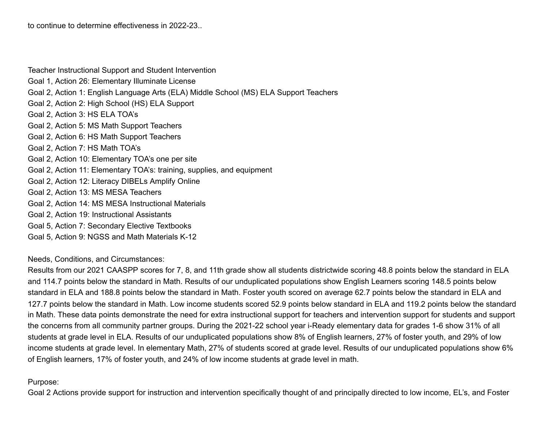Teacher Instructional Support and Student Intervention Goal 1, Action 26: Elementary Illuminate License Goal 2, Action 1: English Language Arts (ELA) Middle School (MS) ELA Support Teachers Goal 2, Action 2: High School (HS) ELA Support Goal 2, Action 3: HS ELA TOA's Goal 2, Action 5: MS Math Support Teachers Goal 2, Action 6: HS Math Support Teachers Goal 2, Action 7: HS Math TOA's Goal 2, Action 10: Elementary TOA's one per site Goal 2, Action 11: Elementary TOA's: training, supplies, and equipment Goal 2, Action 12: Literacy DIBELs Amplify Online Goal 2, Action 13: MS MESA Teachers Goal 2, Action 14: MS MESA Instructional Materials Goal 2, Action 19: Instructional Assistants Goal 5, Action 7: Secondary Elective Textbooks Goal 5, Action 9: NGSS and Math Materials K-12

Needs, Conditions, and Circumstances:

Results from our 2021 CAASPP scores for 7, 8, and 11th grade show all students districtwide scoring 48.8 points below the standard in ELA and 114.7 points below the standard in Math. Results of our unduplicated populations show English Learners scoring 148.5 points below standard in ELA and 188.8 points below the standard in Math. Foster youth scored on average 62.7 points below the standard in ELA and 127.7 points below the standard in Math. Low income students scored 52.9 points below standard in ELA and 119.2 points below the standard in Math. These data points demonstrate the need for extra instructional support for teachers and intervention support for students and support the concerns from all community partner groups. During the 2021-22 school year i-Ready elementary data for grades 1-6 show 31% of all students at grade level in ELA. Results of our unduplicated populations show 8% of English learners, 27% of foster youth, and 29% of low income students at grade level. In elementary Math, 27% of students scored at grade level. Results of our unduplicated populations show 6% of English learners, 17% of foster youth, and 24% of low income students at grade level in math.

#### Purpose:

Goal 2 Actions provide support for instruction and intervention specifically thought of and principally directed to low income, EL's, and Foster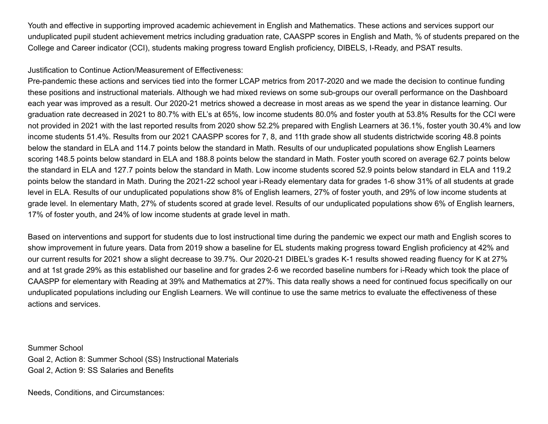Youth and effective in supporting improved academic achievement in English and Mathematics. These actions and services support our unduplicated pupil student achievement metrics including graduation rate, CAASPP scores in English and Math, % of students prepared on the College and Career indicator (CCI), students making progress toward English proficiency, DIBELS, I-Ready, and PSAT results.

Justification to Continue Action/Measurement of Effectiveness:

Pre-pandemic these actions and services tied into the former LCAP metrics from 2017-2020 and we made the decision to continue funding these positions and instructional materials. Although we had mixed reviews on some sub-groups our overall performance on the Dashboard each year was improved as a result. Our 2020-21 metrics showed a decrease in most areas as we spend the year in distance learning. Our graduation rate decreased in 2021 to 80.7% with EL's at 65%, low income students 80.0% and foster youth at 53.8% Results for the CCI were not provided in 2021 with the last reported results from 2020 show 52.2% prepared with English Learners at 36.1%, foster youth 30.4% and low income students 51.4%. Results from our 2021 CAASPP scores for 7, 8, and 11th grade show all students districtwide scoring 48.8 points below the standard in ELA and 114.7 points below the standard in Math. Results of our unduplicated populations show English Learners scoring 148.5 points below standard in ELA and 188.8 points below the standard in Math. Foster youth scored on average 62.7 points below the standard in ELA and 127.7 points below the standard in Math. Low income students scored 52.9 points below standard in ELA and 119.2 points below the standard in Math. During the 2021-22 school year i-Ready elementary data for grades 1-6 show 31% of all students at grade level in ELA. Results of our unduplicated populations show 8% of English learners, 27% of foster youth, and 29% of low income students at grade level. In elementary Math, 27% of students scored at grade level. Results of our unduplicated populations show 6% of English learners, 17% of foster youth, and 24% of low income students at grade level in math.

Based on interventions and support for students due to lost instructional time during the pandemic we expect our math and English scores to show improvement in future years. Data from 2019 show a baseline for EL students making progress toward English proficiency at 42% and our current results for 2021 show a slight decrease to 39.7%. Our 2020-21 DIBEL's grades K-1 results showed reading fluency for K at 27% and at 1st grade 29% as this established our baseline and for grades 2-6 we recorded baseline numbers for i-Ready which took the place of CAASPP for elementary with Reading at 39% and Mathematics at 27%. This data really shows a need for continued focus specifically on our unduplicated populations including our English Learners. We will continue to use the same metrics to evaluate the effectiveness of these actions and services.

Summer School Goal 2, Action 8: Summer School (SS) Instructional Materials Goal 2, Action 9: SS Salaries and Benefits

Needs, Conditions, and Circumstances: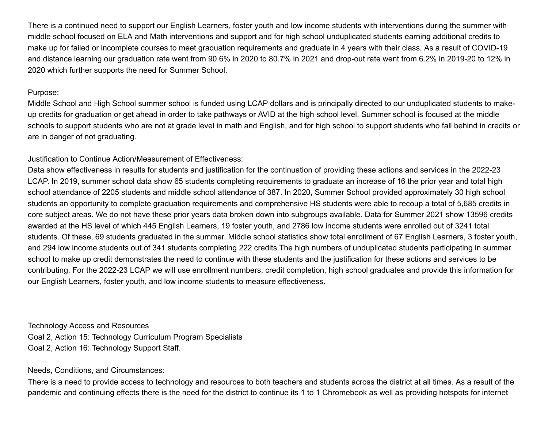There is a continued need to support our English Learners, foster youth and low income students with interventions during the summer with middle school focused on ELA and Math interventions and support and for high school unduplicated students earning additional credits to make up for failed or incomplete courses to meet graduation requirements and graduate in 4 years with their class. As a result of COVID-19 and distance learning our graduation rate went from 90.6% in 2020 to 80.7% in 2021 and drop-out rate went from 6.2% in 2019-20 to 12% in 2020 which further supports the need for Summer School.

#### Purpose:

Middle School and High School summer school is funded using LCAP dollars and is principally directed to our unduplicated students to makeup credits for graduation or get ahead in order to take pathways or AVID at the high school level. Summer school is focused at the middle schools to support students who are not at grade level in math and English, and for high school to support students who fall behind in credits or are in danger of not graduating.

# Justification to Continue Action/Measurement of Effectiveness:

Data show effectiveness in results for students and justification for the continuation of providing these actions and services in the 2022-23 LCAP. In 2019, summer school data show 65 students completing requirements to graduate an increase of 16 the prior year and total high school attendance of 2205 students and middle school attendance of 387. In 2020, Summer School provided approximately 30 high school students an opportunity to complete graduation requirements and comprehensive HS students were able to recoup a total of 5,685 credits in core subject areas. We do not have these prior years data broken down into subgroups available. Data for Summer 2021 show 13596 credits awarded at the HS level of which 445 English Learners, 19 foster youth, and 2786 low income students were enrolled out of 3241 total students. Of these, 69 students graduated in the summer. Middle school statistics show total enrollment of 67 English Learners, 3 foster youth, and 294 low income students out of 341 students completing 222 credits.The high numbers of unduplicated students participating in summer school to make up credit demonstrates the need to continue with these students and the justification for these actions and services to be contributing. For the 2022-23 LCAP we will use enrollment numbers, credit completion, high school graduates and provide this information for our English Learners, foster youth, and low income students to measure effectiveness.

Technology Access and Resources Goal 2, Action 15: Technology Curriculum Program Specialists Goal 2, Action 16: Technology Support Staff.

# Needs, Conditions, and Circumstances:

There is a need to provide access to technology and resources to both teachers and students across the district at all times. As a result of the pandemic and continuing effects there is the need for the district to continue its 1 to 1 Chromebook as well as providing hotspots for internet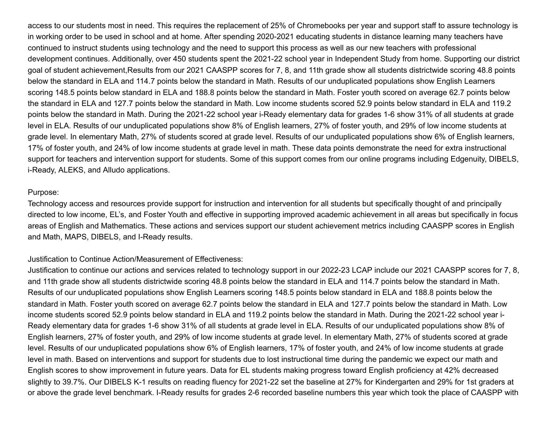access to our students most in need. This requires the replacement of 25% of Chromebooks per year and support staff to assure technology is in working order to be used in school and at home. After spending 2020-2021 educating students in distance learning many teachers have continued to instruct students using technology and the need to support this process as well as our new teachers with professional development continues. Additionally, over 450 students spent the 2021-22 school year in Independent Study from home. Supporting our district goal of student achievement,Results from our 2021 CAASPP scores for 7, 8, and 11th grade show all students districtwide scoring 48.8 points below the standard in ELA and 114.7 points below the standard in Math. Results of our unduplicated populations show English Learners scoring 148.5 points below standard in ELA and 188.8 points below the standard in Math. Foster youth scored on average 62.7 points below the standard in ELA and 127.7 points below the standard in Math. Low income students scored 52.9 points below standard in ELA and 119.2 points below the standard in Math. During the 2021-22 school year i-Ready elementary data for grades 1-6 show 31% of all students at grade level in ELA. Results of our unduplicated populations show 8% of English learners, 27% of foster youth, and 29% of low income students at grade level. In elementary Math, 27% of students scored at grade level. Results of our unduplicated populations show 6% of English learners, 17% of foster youth, and 24% of low income students at grade level in math. These data points demonstrate the need for extra instructional support for teachers and intervention support for students. Some of this support comes from our online programs including Edgenuity, DIBELS, i-Ready, ALEKS, and Alludo applications.

#### Purpose:

Technology access and resources provide support for instruction and intervention for all students but specifically thought of and principally directed to low income, EL's, and Foster Youth and effective in supporting improved academic achievement in all areas but specifically in focus areas of English and Mathematics. These actions and services support our student achievement metrics including CAASPP scores in English and Math, MAPS, DIBELS, and I-Ready results.

#### Justification to Continue Action/Measurement of Effectiveness:

Justification to continue our actions and services related to technology support in our 2022-23 LCAP include our 2021 CAASPP scores for 7, 8, and 11th grade show all students districtwide scoring 48.8 points below the standard in ELA and 114.7 points below the standard in Math. Results of our unduplicated populations show English Learners scoring 148.5 points below standard in ELA and 188.8 points below the standard in Math. Foster youth scored on average 62.7 points below the standard in ELA and 127.7 points below the standard in Math. Low income students scored 52.9 points below standard in ELA and 119.2 points below the standard in Math. During the 2021-22 school year i-Ready elementary data for grades 1-6 show 31% of all students at grade level in ELA. Results of our unduplicated populations show 8% of English learners, 27% of foster youth, and 29% of low income students at grade level. In elementary Math, 27% of students scored at grade level. Results of our unduplicated populations show 6% of English learners, 17% of foster youth, and 24% of low income students at grade level in math. Based on interventions and support for students due to lost instructional time during the pandemic we expect our math and English scores to show improvement in future years. Data for EL students making progress toward English proficiency at 42% decreased slightly to 39.7%. Our DIBELS K-1 results on reading fluency for 2021-22 set the baseline at 27% for Kindergarten and 29% for 1st graders at or above the grade level benchmark. I-Ready results for grades 2-6 recorded baseline numbers this year which took the place of CAASPP with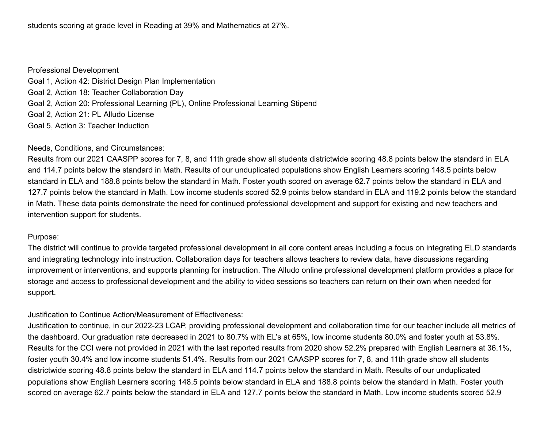students scoring at grade level in Reading at 39% and Mathematics at 27%.

Professional Development Goal 1, Action 42: District Design Plan Implementation Goal 2, Action 18: Teacher Collaboration Day Goal 2, Action 20: Professional Learning (PL), Online Professional Learning Stipend Goal 2, Action 21: PL Alludo License Goal 5, Action 3: Teacher Induction

#### Needs, Conditions, and Circumstances:

Results from our 2021 CAASPP scores for 7, 8, and 11th grade show all students districtwide scoring 48.8 points below the standard in ELA and 114.7 points below the standard in Math. Results of our unduplicated populations show English Learners scoring 148.5 points below standard in ELA and 188.8 points below the standard in Math. Foster youth scored on average 62.7 points below the standard in ELA and 127.7 points below the standard in Math. Low income students scored 52.9 points below standard in ELA and 119.2 points below the standard in Math. These data points demonstrate the need for continued professional development and support for existing and new teachers and intervention support for students.

#### Purpose:

The district will continue to provide targeted professional development in all core content areas including a focus on integrating ELD standards and integrating technology into instruction. Collaboration days for teachers allows teachers to review data, have discussions regarding improvement or interventions, and supports planning for instruction. The Alludo online professional development platform provides a place for storage and access to professional development and the ability to video sessions so teachers can return on their own when needed for support.

#### Justification to Continue Action/Measurement of Effectiveness:

Justification to continue, in our 2022-23 LCAP, providing professional development and collaboration time for our teacher include all metrics of the dashboard. Our graduation rate decreased in 2021 to 80.7% with EL's at 65%, low income students 80.0% and foster youth at 53.8%. Results for the CCI were not provided in 2021 with the last reported results from 2020 show 52.2% prepared with English Learners at 36.1%, foster youth 30.4% and low income students 51.4%. Results from our 2021 CAASPP scores for 7, 8, and 11th grade show all students districtwide scoring 48.8 points below the standard in ELA and 114.7 points below the standard in Math. Results of our unduplicated populations show English Learners scoring 148.5 points below standard in ELA and 188.8 points below the standard in Math. Foster youth scored on average 62.7 points below the standard in ELA and 127.7 points below the standard in Math. Low income students scored 52.9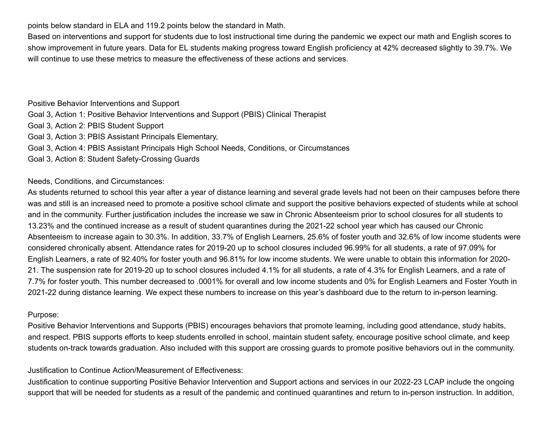points below standard in ELA and 119.2 points below the standard in Math.

Based on interventions and support for students due to lost instructional time during the pandemic we expect our math and English scores to show improvement in future years. Data for EL students making progress toward English proficiency at 42% decreased slightly to 39.7%. We will continue to use these metrics to measure the effectiveness of these actions and services.

Positive Behavior Interventions and Support Goal 3, Action 1: Positive Behavior Interventions and Support (PBIS) Clinical Therapist Goal 3, Action 2: PBIS Student Support Goal 3, Action 3: PBIS Assistant Principals Elementary, Goal 3, Action 4: PBIS Assistant Principals High School Needs, Conditions, or Circumstances Goal 3, Action 8: Student Safety-Crossing Guards

Needs, Conditions, and Circumstances:

As students returned to school this year after a year of distance learning and several grade levels had not been on their campuses before there was and still is an increased need to promote a positive school climate and support the positive behaviors expected of students while at school and in the community. Further justification includes the increase we saw in Chronic Absenteeism prior to school closures for all students to 13.23% and the continued increase as a result of student quarantines during the 2021-22 school year which has caused our Chronic Absenteeism to increase again to 30.3%. In addition, 33.7% of English Learners, 25.6% of foster youth and 32.6% of low income students were considered chronically absent. Attendance rates for 2019-20 up to school closures included 96.99% for all students, a rate of 97.09% for English Learners, a rate of 92.40% for foster youth and 96.81% for low income students. We were unable to obtain this information for 2020- 21. The suspension rate for 2019-20 up to school closures included 4.1% for all students, a rate of 4.3% for English Learners, and a rate of 7.7% for foster youth. This number decreased to .0001% for overall and low income students and 0% for English Learners and Foster Youth in 2021-22 during distance learning. We expect these numbers to increase on this year's dashboard due to the return to in-person learning.

#### Purpose:

Positive Behavior Interventions and Supports (PBIS) encourages behaviors that promote learning, including good attendance, study habits, and respect. PBIS supports efforts to keep students enrolled in school, maintain student safety, encourage positive school climate, and keep students on-track towards graduation. Also included with this support are crossing guards to promote positive behaviors out in the community.

Justification to Continue Action/Measurement of Effectiveness:

Justification to continue supporting Positive Behavior Intervention and Support actions and services in our 2022-23 LCAP include the ongoing support that will be needed for students as a result of the pandemic and continued quarantines and return to in-person instruction. In addition,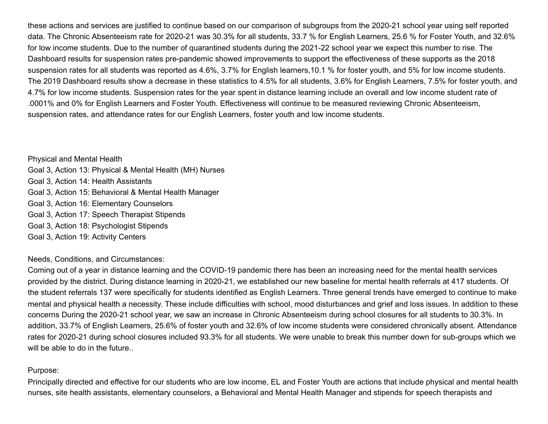these actions and services are justified to continue based on our comparison of subgroups from the 2020-21 school year using self reported data. The Chronic Absenteeism rate for 2020-21 was 30.3% for all students, 33.7 % for English Learners, 25.6 % for Foster Youth, and 32.6% for low income students. Due to the number of quarantined students during the 2021-22 school year we expect this number to rise. The Dashboard results for suspension rates pre-pandemic showed improvements to support the effectiveness of these supports as the 2018 suspension rates for all students was reported as 4.6%, 3.7% for English learners,10.1 % for foster youth, and 5% for low income students. The 2019 Dashboard results show a decrease in these statistics to 4.5% for all students, 3.6% for English Learners, 7.5% for foster youth, and 4.7% for low income students. Suspension rates for the year spent in distance learning include an overall and low income student rate of .0001% and 0% for English Learners and Foster Youth. Effectiveness will continue to be measured reviewing Chronic Absenteeism, suspension rates, and attendance rates for our English Learners, foster youth and low income students.

Physical and Mental Health Goal 3, Action 13: Physical & Mental Health (MH) Nurses Goal 3, Action 14: Health Assistants Goal 3, Action 15: Behavioral & Mental Health Manager Goal 3, Action 16: Elementary Counselors Goal 3, Action 17: Speech Therapist Stipends Goal 3, Action 18: Psychologist Stipends Goal 3, Action 19: Activity Centers

Needs, Conditions, and Circumstances:

Coming out of a year in distance learning and the COVID-19 pandemic there has been an increasing need for the mental health services provided by the district. During distance learning in 2020-21, we established our new baseline for mental health referrals at 417 students. Of the student referrals 137 were specifically for students identified as English Learners. Three general trends have emerged to continue to make mental and physical health a necessity. These include difficulties with school, mood disturbances and grief and loss issues. In addition to these concerns During the 2020-21 school year, we saw an increase in Chronic Absenteeism during school closures for all students to 30.3%. In addition, 33.7% of English Learners, 25.6% of foster youth and 32.6% of low income students were considered chronically absent. Attendance rates for 2020-21 during school closures included 93.3% for all students. We were unable to break this number down for sub-groups which we will be able to do in the future..

#### Purpose:

Principally directed and effective for our students who are low income, EL and Foster Youth are actions that include physical and mental health nurses, site health assistants, elementary counselors, a Behavioral and Mental Health Manager and stipends for speech therapists and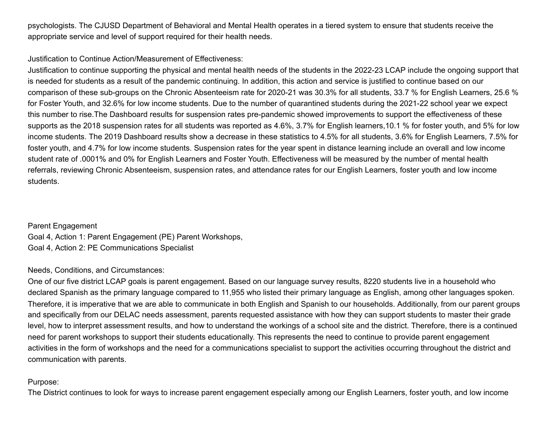psychologists. The CJUSD Department of Behavioral and Mental Health operates in a tiered system to ensure that students receive the appropriate service and level of support required for their health needs.

# Justification to Continue Action/Measurement of Effectiveness:

Justification to continue supporting the physical and mental health needs of the students in the 2022-23 LCAP include the ongoing support that is needed for students as a result of the pandemic continuing. In addition, this action and service is justified to continue based on our comparison of these sub-groups on the Chronic Absenteeism rate for 2020-21 was 30.3% for all students, 33.7 % for English Learners, 25.6 % for Foster Youth, and 32.6% for low income students. Due to the number of quarantined students during the 2021-22 school year we expect this number to rise.The Dashboard results for suspension rates pre-pandemic showed improvements to support the effectiveness of these supports as the 2018 suspension rates for all students was reported as 4.6%, 3.7% for English learners,10.1 % for foster youth, and 5% for low income students. The 2019 Dashboard results show a decrease in these statistics to 4.5% for all students, 3.6% for English Learners, 7.5% for foster youth, and 4.7% for low income students. Suspension rates for the year spent in distance learning include an overall and low income student rate of .0001% and 0% for English Learners and Foster Youth. Effectiveness will be measured by the number of mental health referrals, reviewing Chronic Absenteeism, suspension rates, and attendance rates for our English Learners, foster youth and low income students.

Parent Engagement Goal 4, Action 1: Parent Engagement (PE) Parent Workshops, Goal 4, Action 2: PE Communications Specialist

#### Needs, Conditions, and Circumstances:

One of our five district LCAP goals is parent engagement. Based on our language survey results, 8220 students live in a household who declared Spanish as the primary language compared to 11,955 who listed their primary language as English, among other languages spoken. Therefore, it is imperative that we are able to communicate in both English and Spanish to our households. Additionally, from our parent groups and specifically from our DELAC needs assessment, parents requested assistance with how they can support students to master their grade level, how to interpret assessment results, and how to understand the workings of a school site and the district. Therefore, there is a continued need for parent workshops to support their students educationally. This represents the need to continue to provide parent engagement activities in the form of workshops and the need for a communications specialist to support the activities occurring throughout the district and communication with parents.

#### Purpose:

The District continues to look for ways to increase parent engagement especially among our English Learners, foster youth, and low income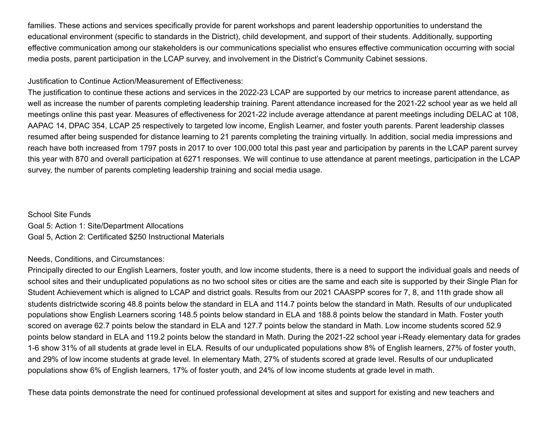families. These actions and services specifically provide for parent workshops and parent leadership opportunities to understand the educational environment (specific to standards in the District), child development, and support of their students. Additionally, supporting effective communication among our stakeholders is our communications specialist who ensures effective communication occurring with social media posts, parent participation in the LCAP survey, and involvement in the District's Community Cabinet sessions.

# Justification to Continue Action/Measurement of Effectiveness:

The justification to continue these actions and services in the 2022-23 LCAP are supported by our metrics to increase parent attendance, as well as increase the number of parents completing leadership training. Parent attendance increased for the 2021-22 school year as we held all meetings online this past year. Measures of effectiveness for 2021-22 include average attendance at parent meetings including DELAC at 108, AAPAC 14, DPAC 354, LCAP 25 respectively to targeted low income, English Learner, and foster youth parents. Parent leadership classes resumed after being suspended for distance learning to 21 parents completing the training virtually. In addition, social media impressions and reach have both increased from 1797 posts in 2017 to over 100,000 total this past year and participation by parents in the LCAP parent survey this year with 870 and overall participation at 6271 responses. We will continue to use attendance at parent meetings, participation in the LCAP survey, the number of parents completing leadership training and social media usage.

# School Site Funds Goal 5: Action 1: Site/Department Allocations Goal 5, Action 2: Certificated \$250 Instructional Materials

# Needs, Conditions, and Circumstances:

Principally directed to our English Learners, foster youth, and low income students, there is a need to support the individual goals and needs of school sites and their unduplicated populations as no two school sites or cities are the same and each site is supported by their Single Plan for Student Achievement which is aligned to LCAP and district goals. Results from our 2021 CAASPP scores for 7, 8, and 11th grade show all students districtwide scoring 48.8 points below the standard in ELA and 114.7 points below the standard in Math. Results of our unduplicated populations show English Learners scoring 148.5 points below standard in ELA and 188.8 points below the standard in Math. Foster youth scored on average 62.7 points below the standard in ELA and 127.7 points below the standard in Math. Low income students scored 52.9 points below standard in ELA and 119.2 points below the standard in Math. During the 2021-22 school year i-Ready elementary data for grades 1-6 show 31% of all students at grade level in ELA. Results of our unduplicated populations show 8% of English learners, 27% of foster youth, and 29% of low income students at grade level. In elementary Math, 27% of students scored at grade level. Results of our unduplicated populations show 6% of English learners, 17% of foster youth, and 24% of low income students at grade level in math.

These data points demonstrate the need for continued professional development at sites and support for existing and new teachers and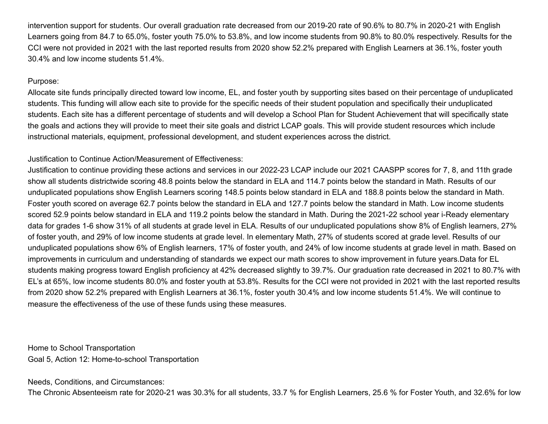intervention support for students. Our overall graduation rate decreased from our 2019-20 rate of 90.6% to 80.7% in 2020-21 with English Learners going from 84.7 to 65.0%, foster youth 75.0% to 53.8%, and low income students from 90.8% to 80.0% respectively. Results for the CCI were not provided in 2021 with the last reported results from 2020 show 52.2% prepared with English Learners at 36.1%, foster youth 30.4% and low income students 51.4%.

## Purpose:

Allocate site funds principally directed toward low income, EL, and foster youth by supporting sites based on their percentage of unduplicated students. This funding will allow each site to provide for the specific needs of their student population and specifically their unduplicated students. Each site has a different percentage of students and will develop a School Plan for Student Achievement that will specifically state the goals and actions they will provide to meet their site goals and district LCAP goals. This will provide student resources which include instructional materials, equipment, professional development, and student experiences across the district.

# Justification to Continue Action/Measurement of Effectiveness:

Justification to continue providing these actions and services in our 2022-23 LCAP include our 2021 CAASPP scores for 7, 8, and 11th grade show all students districtwide scoring 48.8 points below the standard in ELA and 114.7 points below the standard in Math. Results of our unduplicated populations show English Learners scoring 148.5 points below standard in ELA and 188.8 points below the standard in Math. Foster youth scored on average 62.7 points below the standard in ELA and 127.7 points below the standard in Math. Low income students scored 52.9 points below standard in ELA and 119.2 points below the standard in Math. During the 2021-22 school year i-Ready elementary data for grades 1-6 show 31% of all students at grade level in ELA. Results of our unduplicated populations show 8% of English learners, 27% of foster youth, and 29% of low income students at grade level. In elementary Math, 27% of students scored at grade level. Results of our unduplicated populations show 6% of English learners, 17% of foster youth, and 24% of low income students at grade level in math. Based on improvements in curriculum and understanding of standards we expect our math scores to show improvement in future years.Data for EL students making progress toward English proficiency at 42% decreased slightly to 39.7%. Our graduation rate decreased in 2021 to 80.7% with EL's at 65%, low income students 80.0% and foster youth at 53.8%. Results for the CCI were not provided in 2021 with the last reported results from 2020 show 52.2% prepared with English Learners at 36.1%, foster youth 30.4% and low income students 51.4%. We will continue to measure the effectiveness of the use of these funds using these measures.

Home to School Transportation Goal 5, Action 12: Home-to-school Transportation

Needs, Conditions, and Circumstances:

The Chronic Absenteeism rate for 2020-21 was 30.3% for all students, 33.7 % for English Learners, 25.6 % for Foster Youth, and 32.6% for low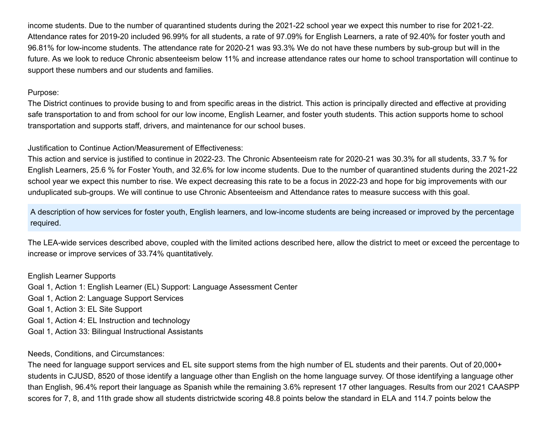income students. Due to the number of quarantined students during the 2021-22 school year we expect this number to rise for 2021-22. Attendance rates for 2019-20 included 96.99% for all students, a rate of 97.09% for English Learners, a rate of 92.40% for foster youth and 96.81% for low-income students. The attendance rate for 2020-21 was 93.3% We do not have these numbers by sub-group but will in the future. As we look to reduce Chronic absenteeism below 11% and increase attendance rates our home to school transportation will continue to support these numbers and our students and families.

#### Purpose:

The District continues to provide busing to and from specific areas in the district. This action is principally directed and effective at providing safe transportation to and from school for our low income, English Learner, and foster youth students. This action supports home to school transportation and supports staff, drivers, and maintenance for our school buses.

Justification to Continue Action/Measurement of Effectiveness:

This action and service is justified to continue in 2022-23. The Chronic Absenteeism rate for 2020-21 was 30.3% for all students, 33.7 % for English Learners, 25.6 % for Foster Youth, and 32.6% for low income students. Due to the number of quarantined students during the 2021-22 school year we expect this number to rise. We expect decreasing this rate to be a focus in 2022-23 and hope for big improvements with our unduplicated sub-groups. We will continue to use Chronic Absenteeism and Attendance rates to measure success with this goal.

A description of how services for foster youth, English learners, and low-income students are being increased or improved by the percentage required.

The LEA-wide services described above, coupled with the limited actions described here, allow the district to meet or exceed the percentage to increase or improve services of 33.74% quantitatively.

English Learner Supports Goal 1, Action 1: English Learner (EL) Support: Language Assessment Center Goal 1, Action 2: Language Support Services Goal 1, Action 3: EL Site Support Goal 1, Action 4: EL Instruction and technology Goal 1, Action 33: Bilingual Instructional Assistants

Needs, Conditions, and Circumstances:

The need for language support services and EL site support stems from the high number of EL students and their parents. Out of 20,000+ students in CJUSD, 8520 of those identify a language other than English on the home language survey. Of those identifying a language other than English, 96.4% report their language as Spanish while the remaining 3.6% represent 17 other languages. Results from our 2021 CAASPP scores for 7, 8, and 11th grade show all students districtwide scoring 48.8 points below the standard in ELA and 114.7 points below the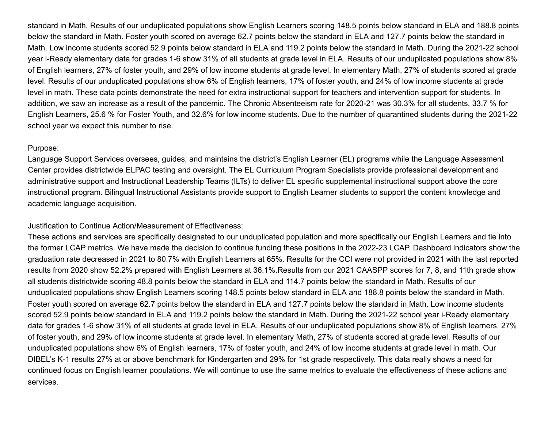standard in Math. Results of our unduplicated populations show English Learners scoring 148.5 points below standard in ELA and 188.8 points below the standard in Math. Foster youth scored on average 62.7 points below the standard in ELA and 127.7 points below the standard in Math. Low income students scored 52.9 points below standard in ELA and 119.2 points below the standard in Math. During the 2021-22 school year i-Ready elementary data for grades 1-6 show 31% of all students at grade level in ELA. Results of our unduplicated populations show 8% of English learners, 27% of foster youth, and 29% of low income students at grade level. In elementary Math, 27% of students scored at grade level. Results of our unduplicated populations show 6% of English learners, 17% of foster youth, and 24% of low income students at grade level in math. These data points demonstrate the need for extra instructional support for teachers and intervention support for students. In addition, we saw an increase as a result of the pandemic. The Chronic Absenteeism rate for 2020-21 was 30.3% for all students, 33.7 % for English Learners, 25.6 % for Foster Youth, and 32.6% for low income students. Due to the number of quarantined students during the 2021-22 school year we expect this number to rise.

#### Purpose:

Language Support Services oversees, guides, and maintains the district's English Learner (EL) programs while the Language Assessment Center provides districtwide ELPAC testing and oversight. The EL Curriculum Program Specialists provide professional development and administrative support and Instructional Leadership Teams (ILTs) to deliver EL specific supplemental instructional support above the core instructional program. Bilingual Instructional Assistants provide support to English Learner students to support the content knowledge and academic language acquisition.

#### Justification to Continue Action/Measurement of Effectiveness:

These actions and services are specifically designated to our unduplicated population and more specifically our English Learners and tie into the former LCAP metrics. We have made the decision to continue funding these positions in the 2022-23 LCAP. Dashboard indicators show the graduation rate decreased in 2021 to 80.7% with English Learners at 65%. Results for the CCI were not provided in 2021 with the last reported results from 2020 show 52.2% prepared with English Learners at 36.1%.Results from our 2021 CAASPP scores for 7, 8, and 11th grade show all students districtwide scoring 48.8 points below the standard in ELA and 114.7 points below the standard in Math. Results of our unduplicated populations show English Learners scoring 148.5 points below standard in ELA and 188.8 points below the standard in Math. Foster youth scored on average 62.7 points below the standard in ELA and 127.7 points below the standard in Math. Low income students scored 52.9 points below standard in ELA and 119.2 points below the standard in Math. During the 2021-22 school year i-Ready elementary data for grades 1-6 show 31% of all students at grade level in ELA. Results of our unduplicated populations show 8% of English learners, 27% of foster youth, and 29% of low income students at grade level. In elementary Math, 27% of students scored at grade level. Results of our unduplicated populations show 6% of English learners, 17% of foster youth, and 24% of low income students at grade level in math. Our DIBEL's K-1 results 27% at or above benchmark for Kindergarten and 29% for 1st grade respectively. This data really shows a need for continued focus on English learner populations. We will continue to use the same metrics to evaluate the effectiveness of these actions and services.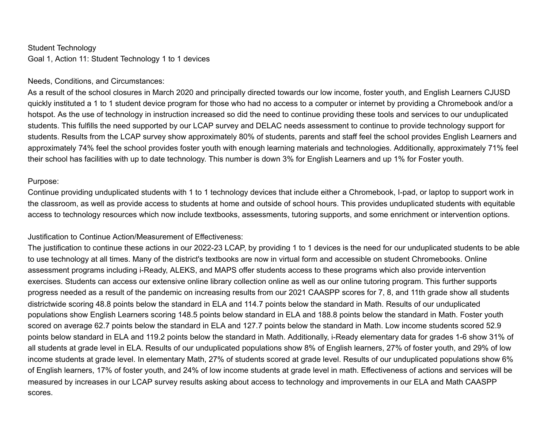#### Student Technology

Goal 1, Action 11: Student Technology 1 to 1 devices

#### Needs, Conditions, and Circumstances:

As a result of the school closures in March 2020 and principally directed towards our low income, foster youth, and English Learners CJUSD quickly instituted a 1 to 1 student device program for those who had no access to a computer or internet by providing a Chromebook and/or a hotspot. As the use of technology in instruction increased so did the need to continue providing these tools and services to our unduplicated students. This fulfills the need supported by our LCAP survey and DELAC needs assessment to continue to provide technology support for students. Results from the LCAP survey show approximately 80% of students, parents and staff feel the school provides English Learners and approximately 74% feel the school provides foster youth with enough learning materials and technologies. Additionally, approximately 71% feel their school has facilities with up to date technology. This number is down 3% for English Learners and up 1% for Foster youth.

#### Purpose:

Continue providing unduplicated students with 1 to 1 technology devices that include either a Chromebook, I-pad, or laptop to support work in the classroom, as well as provide access to students at home and outside of school hours. This provides unduplicated students with equitable access to technology resources which now include textbooks, assessments, tutoring supports, and some enrichment or intervention options.

#### Justification to Continue Action/Measurement of Effectiveness:

The justification to continue these actions in our 2022-23 LCAP, by providing 1 to 1 devices is the need for our unduplicated students to be able to use technology at all times. Many of the district's textbooks are now in virtual form and accessible on student Chromebooks. Online assessment programs including i-Ready, ALEKS, and MAPS offer students access to these programs which also provide intervention exercises. Students can access our extensive online library collection online as well as our online tutoring program. This further supports progress needed as a result of the pandemic on increasing results from our 2021 CAASPP scores for 7, 8, and 11th grade show all students districtwide scoring 48.8 points below the standard in ELA and 114.7 points below the standard in Math. Results of our unduplicated populations show English Learners scoring 148.5 points below standard in ELA and 188.8 points below the standard in Math. Foster youth scored on average 62.7 points below the standard in ELA and 127.7 points below the standard in Math. Low income students scored 52.9 points below standard in ELA and 119.2 points below the standard in Math. Additionally, i-Ready elementary data for grades 1-6 show 31% of all students at grade level in ELA. Results of our unduplicated populations show 8% of English learners, 27% of foster youth, and 29% of low income students at grade level. In elementary Math, 27% of students scored at grade level. Results of our unduplicated populations show 6% of English learners, 17% of foster youth, and 24% of low income students at grade level in math. Effectiveness of actions and services will be measured by increases in our LCAP survey results asking about access to technology and improvements in our ELA and Math CAASPP scores.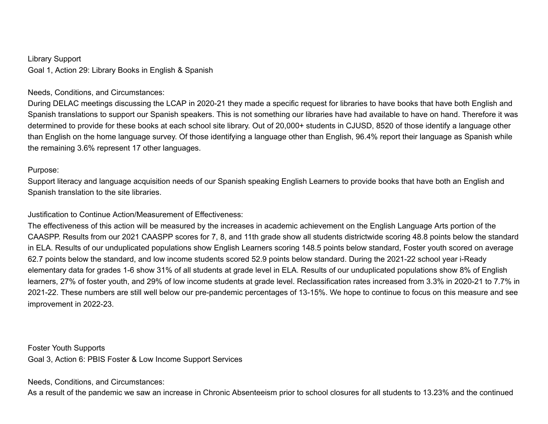Library Support Goal 1, Action 29: Library Books in English & Spanish

# Needs, Conditions, and Circumstances:

During DELAC meetings discussing the LCAP in 2020-21 they made a specific request for libraries to have books that have both English and Spanish translations to support our Spanish speakers. This is not something our libraries have had available to have on hand. Therefore it was determined to provide for these books at each school site library. Out of 20,000+ students in CJUSD, 8520 of those identify a language other than English on the home language survey. Of those identifying a language other than English, 96.4% report their language as Spanish while the remaining 3.6% represent 17 other languages.

#### Purpose:

Support literacy and language acquisition needs of our Spanish speaking English Learners to provide books that have both an English and Spanish translation to the site libraries.

## Justification to Continue Action/Measurement of Effectiveness:

The effectiveness of this action will be measured by the increases in academic achievement on the English Language Arts portion of the CAASPP. Results from our 2021 CAASPP scores for 7, 8, and 11th grade show all students districtwide scoring 48.8 points below the standard in ELA. Results of our unduplicated populations show English Learners scoring 148.5 points below standard, Foster youth scored on average 62.7 points below the standard, and low income students scored 52.9 points below standard. During the 2021-22 school year i-Ready elementary data for grades 1-6 show 31% of all students at grade level in ELA. Results of our unduplicated populations show 8% of English learners, 27% of foster youth, and 29% of low income students at grade level. Reclassification rates increased from 3.3% in 2020-21 to 7.7% in 2021-22. These numbers are still well below our pre-pandemic percentages of 13-15%. We hope to continue to focus on this measure and see improvement in 2022-23.

Foster Youth Supports Goal 3, Action 6: PBIS Foster & Low Income Support Services

Needs, Conditions, and Circumstances:

As a result of the pandemic we saw an increase in Chronic Absenteeism prior to school closures for all students to 13.23% and the continued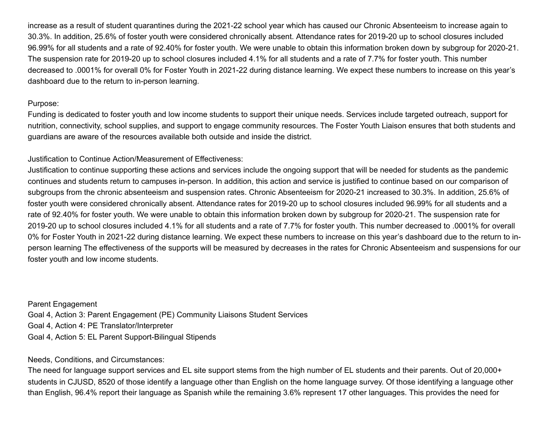increase as a result of student quarantines during the 2021-22 school year which has caused our Chronic Absenteeism to increase again to 30.3%. In addition, 25.6% of foster youth were considered chronically absent. Attendance rates for 2019-20 up to school closures included 96.99% for all students and a rate of 92.40% for foster youth. We were unable to obtain this information broken down by subgroup for 2020-21. The suspension rate for 2019-20 up to school closures included 4.1% for all students and a rate of 7.7% for foster youth. This number decreased to .0001% for overall 0% for Foster Youth in 2021-22 during distance learning. We expect these numbers to increase on this year's dashboard due to the return to in-person learning.

# Purpose:

Funding is dedicated to foster youth and low income students to support their unique needs. Services include targeted outreach, support for nutrition, connectivity, school supplies, and support to engage community resources. The Foster Youth Liaison ensures that both students and guardians are aware of the resources available both outside and inside the district.

# Justification to Continue Action/Measurement of Effectiveness:

Justification to continue supporting these actions and services include the ongoing support that will be needed for students as the pandemic continues and students return to campuses in-person. In addition, this action and service is justified to continue based on our comparison of subgroups from the chronic absenteeism and suspension rates. Chronic Absenteeism for 2020-21 increased to 30.3%. In addition, 25.6% of foster youth were considered chronically absent. Attendance rates for 2019-20 up to school closures included 96.99% for all students and a rate of 92.40% for foster youth. We were unable to obtain this information broken down by subgroup for 2020-21. The suspension rate for 2019-20 up to school closures included 4.1% for all students and a rate of 7.7% for foster youth. This number decreased to .0001% for overall 0% for Foster Youth in 2021-22 during distance learning. We expect these numbers to increase on this year's dashboard due to the return to inperson learning The effectiveness of the supports will be measured by decreases in the rates for Chronic Absenteeism and suspensions for our foster youth and low income students.

Parent Engagement Goal 4, Action 3: Parent Engagement (PE) Community Liaisons Student Services Goal 4, Action 4: PE Translator/Interpreter Goal 4, Action 5: EL Parent Support-Bilingual Stipends

# Needs, Conditions, and Circumstances:

The need for language support services and EL site support stems from the high number of EL students and their parents. Out of 20,000+ students in CJUSD, 8520 of those identify a language other than English on the home language survey. Of those identifying a language other than English, 96.4% report their language as Spanish while the remaining 3.6% represent 17 other languages. This provides the need for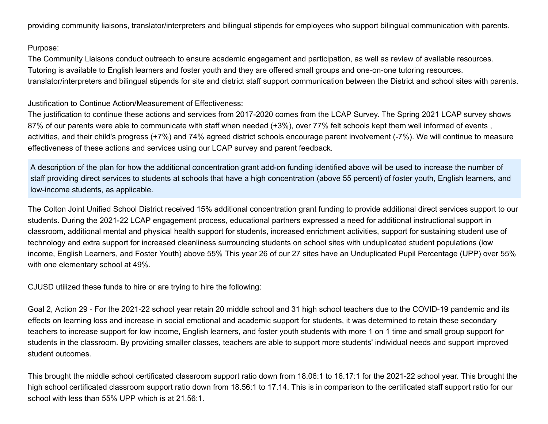providing community liaisons, translator/interpreters and bilingual stipends for employees who support bilingual communication with parents.

# Purpose:

The Community Liaisons conduct outreach to ensure academic engagement and participation, as well as review of available resources. Tutoring is available to English learners and foster youth and they are offered small groups and one-on-one tutoring resources. translator/interpreters and bilingual stipends for site and district staff support communication between the District and school sites with parents.

# Justification to Continue Action/Measurement of Effectiveness:

The justification to continue these actions and services from 2017-2020 comes from the LCAP Survey. The Spring 2021 LCAP survey shows 87% of our parents were able to communicate with staff when needed (+3%), over 77% felt schools kept them well informed of events, activities, and their child's progress (+7%) and 74% agreed district schools encourage parent involvement (-7%). We will continue to measure effectiveness of these actions and services using our LCAP survey and parent feedback.

A description of the plan for how the additional concentration grant add-on funding identified above will be used to increase the number of staff providing direct services to students at schools that have a high concentration (above 55 percent) of foster youth, English learners, and low-income students, as applicable.

The Colton Joint Unified School District received 15% additional concentration grant funding to provide additional direct services support to our students. During the 2021-22 LCAP engagement process, educational partners expressed a need for additional instructional support in classroom, additional mental and physical health support for students, increased enrichment activities, support for sustaining student use of technology and extra support for increased cleanliness surrounding students on school sites with unduplicated student populations (low income, English Learners, and Foster Youth) above 55% This year 26 of our 27 sites have an Unduplicated Pupil Percentage (UPP) over 55% with one elementary school at 49%.

CJUSD utilized these funds to hire or are trying to hire the following:

Goal 2, Action 29 - For the 2021-22 school year retain 20 middle school and 31 high school teachers due to the COVID-19 pandemic and its effects on learning loss and increase in social emotional and academic support for students, it was determined to retain these secondary teachers to increase support for low income, English learners, and foster youth students with more 1 on 1 time and small group support for students in the classroom. By providing smaller classes, teachers are able to support more students' individual needs and support improved student outcomes.

This brought the middle school certificated classroom support ratio down from 18.06:1 to 16.17:1 for the 2021-22 school year. This brought the high school certificated classroom support ratio down from 18.56:1 to 17.14. This is in comparison to the certificated staff support ratio for our school with less than 55% UPP which is at 21.56:1.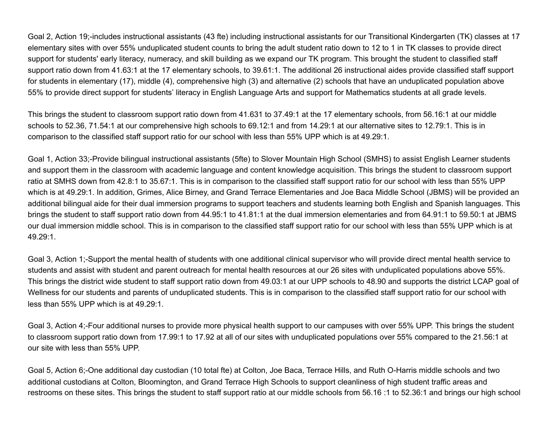Goal 2, Action 19;-includes instructional assistants (43 fte) including instructional assistants for our Transitional Kindergarten (TK) classes at 17 elementary sites with over 55% unduplicated student counts to bring the adult student ratio down to 12 to 1 in TK classes to provide direct support for students' early literacy, numeracy, and skill building as we expand our TK program. This brought the student to classified staff support ratio down from 41.63:1 at the 17 elementary schools, to 39.61:1. The additional 26 instructional aides provide classified staff support for students in elementary (17), middle (4), comprehensive high (3) and alternative (2) schools that have an unduplicated population above 55% to provide direct support for students' literacy in English Language Arts and support for Mathematics students at all grade levels.

This brings the student to classroom support ratio down from 41.631 to 37.49:1 at the 17 elementary schools, from 56.16:1 at our middle schools to 52.36, 71.54:1 at our comprehensive high schools to 69.12:1 and from 14.29:1 at our alternative sites to 12.79:1. This is in comparison to the classified staff support ratio for our school with less than 55% UPP which is at 49.29:1.

Goal 1, Action 33;-Provide bilingual instructional assistants (5fte) to Slover Mountain High School (SMHS) to assist English Learner students and support them in the classroom with academic language and content knowledge acquisition. This brings the student to classroom support ratio at SMHS down from 42.8:1 to 35.67:1. This is in comparison to the classified staff support ratio for our school with less than 55% UPP which is at 49.29:1. In addition, Grimes, Alice Birney, and Grand Terrace Elementaries and Joe Baca Middle School (JBMS) will be provided an additional bilingual aide for their dual immersion programs to support teachers and students learning both English and Spanish languages. This brings the student to staff support ratio down from 44.95:1 to 41.81:1 at the dual immersion elementaries and from 64.91:1 to 59.50:1 at JBMS our dual immersion middle school. This is in comparison to the classified staff support ratio for our school with less than 55% UPP which is at 49.29:1.

Goal 3, Action 1;-Support the mental health of students with one additional clinical supervisor who will provide direct mental health service to students and assist with student and parent outreach for mental health resources at our 26 sites with unduplicated populations above 55%. This brings the district wide student to staff support ratio down from 49.03:1 at our UPP schools to 48.90 and supports the district LCAP goal of Wellness for our students and parents of unduplicated students. This is in comparison to the classified staff support ratio for our school with less than 55% UPP which is at 49.29:1.

Goal 3, Action 4;-Four additional nurses to provide more physical health support to our campuses with over 55% UPP. This brings the student to classroom support ratio down from 17.99:1 to 17.92 at all of our sites with unduplicated populations over 55% compared to the 21.56:1 at our site with less than 55% UPP.

Goal 5, Action 6;-One additional day custodian (10 total fte) at Colton, Joe Baca, Terrace Hills, and Ruth O-Harris middle schools and two additional custodians at Colton, Bloomington, and Grand Terrace High Schools to support cleanliness of high student traffic areas and restrooms on these sites. This brings the student to staff support ratio at our middle schools from 56.16 :1 to 52.36:1 and brings our high school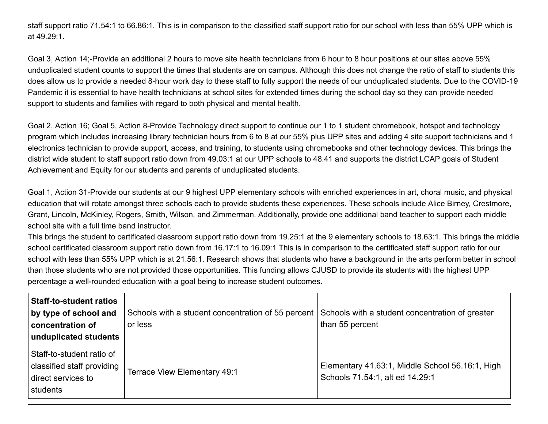staff support ratio 71.54:1 to 66.86:1. This is in comparison to the classified staff support ratio for our school with less than 55% UPP which is at 49.29:1.

Goal 3, Action 14;-Provide an additional 2 hours to move site health technicians from 6 hour to 8 hour positions at our sites above 55% unduplicated student counts to support the times that students are on campus. Although this does not change the ratio of staff to students this does allow us to provide a needed 8-hour work day to these staff to fully support the needs of our unduplicated students. Due to the COVID-19 Pandemic it is essential to have health technicians at school sites for extended times during the school day so they can provide needed support to students and families with regard to both physical and mental health.

Goal 2, Action 16; Goal 5, Action 8-Provide Technology direct support to continue our 1 to 1 student chromebook, hotspot and technology program which includes increasing library technician hours from 6 to 8 at our 55% plus UPP sites and adding 4 site support technicians and 1 electronics technician to provide support, access, and training, to students using chromebooks and other technology devices. This brings the district wide student to staff support ratio down from 49.03:1 at our UPP schools to 48.41 and supports the district LCAP goals of Student Achievement and Equity for our students and parents of unduplicated students.

Goal 1, Action 31-Provide our students at our 9 highest UPP elementary schools with enriched experiences in art, choral music, and physical education that will rotate amongst three schools each to provide students these experiences. These schools include Alice Birney, Crestmore, Grant, Lincoln, McKinley, Rogers, Smith, Wilson, and Zimmerman. Additionally, provide one additional band teacher to support each middle school site with a full time band instructor.

This brings the student to certificated classroom support ratio down from 19.25:1 at the 9 elementary schools to 18.63:1. This brings the middle school certificated classroom support ratio down from 16.17:1 to 16.09:1 This is in comparison to the certificated staff support ratio for our school with less than 55% UPP which is at 21.56:1. Research shows that students who have a background in the arts perform better in school than those students who are not provided those opportunities. This funding allows CJUSD to provide its students with the highest UPP percentage a well-rounded education with a goal being to increase student outcomes.

| <b>Staff-to-student ratios</b><br>by type of school and<br>concentration of<br>unduplicated students | Schools with a student concentration of 55 percent Schools with a student concentration of greater<br>or less | than 55 percent                                                                    |
|------------------------------------------------------------------------------------------------------|---------------------------------------------------------------------------------------------------------------|------------------------------------------------------------------------------------|
| Staff-to-student ratio of<br>classified staff providing<br>direct services to<br>students            | Terrace View Elementary 49:1                                                                                  | Elementary 41.63:1, Middle School 56.16:1, High<br>Schools 71.54:1, alt ed 14.29:1 |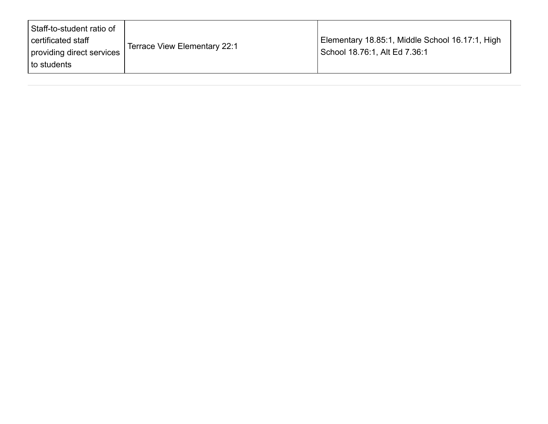| Staff-to-student ratio of<br>certificated staff |                              | Elementary 18.85:1, Middle School 16.17:1, High |
|-------------------------------------------------|------------------------------|-------------------------------------------------|
| providing direct services<br>l to students      | Terrace View Elementary 22:1 | School 18.76:1, Alt Ed 7.36:1                   |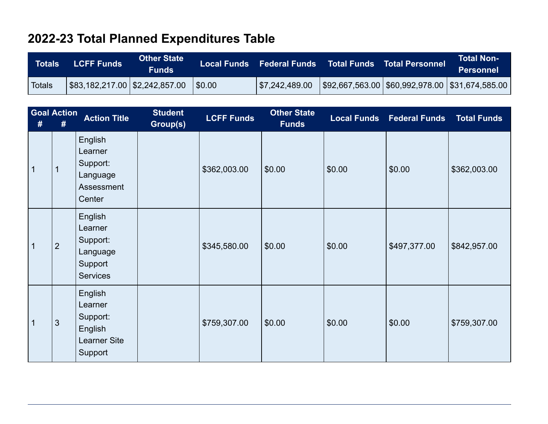# **2022-23 Total Planned Expenditures Table**

| <b>Totals</b> | <b>LCFF Funds</b>                                                               | <b>Other State</b><br><b>Funds</b> |                           | Local Funds Federal Funds Total Funds Total Personnel       | Total Non-<br>Personnel |
|---------------|---------------------------------------------------------------------------------|------------------------------------|---------------------------|-------------------------------------------------------------|-------------------------|
| <b>Totals</b> | $\frac{1}{2}$ \$83,182,217.00 $\frac{1}{2}$ \$2,242,857.00 $\frac{1}{2}$ \$0.00 |                                    | $\frac{1}{2}$ ,242,489.00 | $ $ \$92,667,563.00 $ $ \$60,992,978.00 $ $ \$31,674,585.00 |                         |

| #              | <b>Goal Action</b><br># | <b>Action Title</b>                                                         | <b>Student</b><br>Group(s) | <b>LCFF Funds</b> | <b>Other State</b><br><b>Funds</b> |        | <b>Local Funds Federal Funds</b> | <b>Total Funds</b> |
|----------------|-------------------------|-----------------------------------------------------------------------------|----------------------------|-------------------|------------------------------------|--------|----------------------------------|--------------------|
| $\overline{1}$ | $\mathbf 1$             | English<br>Learner<br>Support:<br>Language<br>Assessment<br>Center          |                            | \$362,003.00      | \$0.00                             | \$0.00 | \$0.00                           | \$362,003.00       |
| $\overline{1}$ | $\overline{2}$          | English<br>Learner<br>Support:<br>Language<br>Support<br><b>Services</b>    |                            | \$345,580.00      | \$0.00                             | \$0.00 | \$497,377.00                     | \$842,957.00       |
| $\overline{1}$ | 3                       | English<br>Learner<br>Support:<br>English<br><b>Learner Site</b><br>Support |                            | \$759,307.00      | \$0.00                             | \$0.00 | \$0.00                           | \$759,307.00       |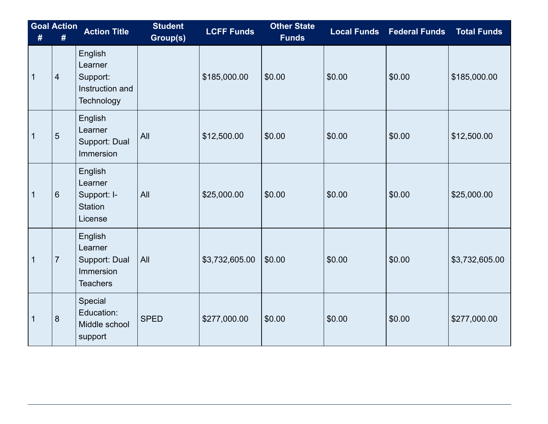| #            | <b>Goal Action</b><br># | <b>Action Title</b>                                                    | <b>Student</b><br>Group(s) | <b>LCFF Funds</b> | <b>Other State</b><br><b>Funds</b> |        | <b>Local Funds</b> Federal Funds | <b>Total Funds</b> |
|--------------|-------------------------|------------------------------------------------------------------------|----------------------------|-------------------|------------------------------------|--------|----------------------------------|--------------------|
| 1            | $\overline{4}$          | English<br>Learner<br>Support:<br>Instruction and<br><b>Technology</b> |                            | \$185,000.00      | \$0.00                             | \$0.00 | \$0.00                           | \$185,000.00       |
| $\mathbf 1$  | 5                       | English<br>Learner<br>Support: Dual<br><b>Immersion</b>                | All                        | \$12,500.00       | \$0.00                             | \$0.00 | \$0.00                           | \$12,500.00        |
| $\mathbf{1}$ | $6\phantom{1}$          | English<br>Learner<br>Support: I-<br><b>Station</b><br>License         | All                        | \$25,000.00       | \$0.00                             | \$0.00 | \$0.00                           | \$25,000.00        |
| $\mathbf{1}$ | $\overline{7}$          | English<br>Learner<br>Support: Dual<br>Immersion<br><b>Teachers</b>    | All                        | \$3,732,605.00    | \$0.00                             | \$0.00 | \$0.00                           | \$3,732,605.00     |
| 1            | 8                       | Special<br>Education:<br>Middle school<br>support                      | <b>SPED</b>                | \$277,000.00      | \$0.00                             | \$0.00 | \$0.00                           | \$277,000.00       |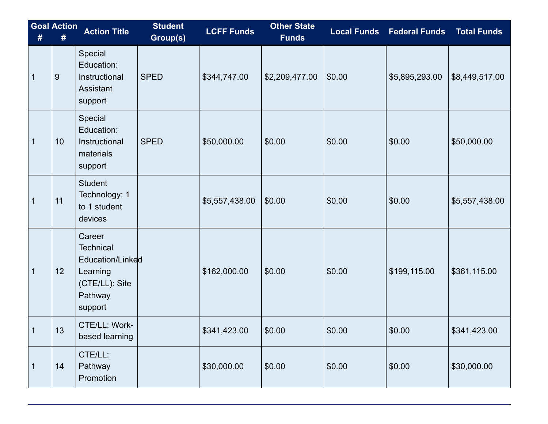| #            | <b>Goal Action</b><br># | <b>Action Title</b>                                                                                | <b>Student</b><br>Group(s) | <b>LCFF Funds</b> | <b>Other State</b><br>Funds | <b>Local Funds</b> | <b>Federal Funds</b> | <b>Total Funds</b> |
|--------------|-------------------------|----------------------------------------------------------------------------------------------------|----------------------------|-------------------|-----------------------------|--------------------|----------------------|--------------------|
| $\mathbf 1$  | 9                       | Special<br>Education:<br>Instructional<br><b>Assistant</b><br>support                              | <b>SPED</b>                | \$344,747.00      | \$2,209,477.00              | \$0.00             | \$5,895,293.00       | \$8,449,517.00     |
| 1            | 10                      | Special<br>Education:<br>Instructional<br>materials<br>support                                     | <b>SPED</b>                | \$50,000.00       | \$0.00                      | \$0.00             | \$0.00               | \$50,000.00        |
| 1            | 11                      | <b>Student</b><br>Technology: 1<br>to 1 student<br>devices                                         |                            | \$5,557,438.00    | \$0.00                      | \$0.00             | \$0.00               | \$5,557,438.00     |
| $\mathbf 1$  | 12                      | Career<br><b>Technical</b><br>Education/Linked<br>Learning<br>(CTE/LL): Site<br>Pathway<br>support |                            | \$162,000.00      | \$0.00                      | \$0.00             | \$199,115.00         | \$361,115.00       |
|              | 13                      | CTE/LL: Work-<br>based learning                                                                    |                            | \$341,423.00      | \$0.00                      | \$0.00             | \$0.00               | \$341,423.00       |
| $\mathbf{1}$ | 14                      | CTE/LL:<br>Pathway<br>Promotion                                                                    |                            | \$30,000.00       | \$0.00                      | \$0.00             | \$0.00               | \$30,000.00        |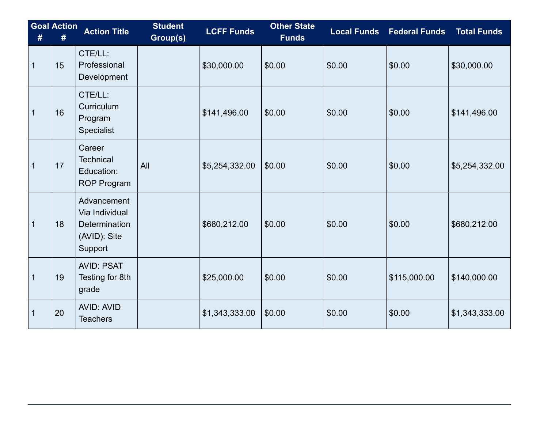| #            | <b>Goal Action</b><br># | <b>Action Title</b>                                                       | <b>Student</b><br>Group(s) | <b>LCFF Funds</b> | <b>Other State</b><br><b>Funds</b> | <b>Local Funds</b> | <b>Federal Funds</b> | <b>Total Funds</b> |
|--------------|-------------------------|---------------------------------------------------------------------------|----------------------------|-------------------|------------------------------------|--------------------|----------------------|--------------------|
| $\mathbf{1}$ | 15                      | CTE/LL:<br>Professional<br>Development                                    |                            | \$30,000.00       | \$0.00                             | \$0.00             | \$0.00               | \$30,000.00        |
| $\mathbf{1}$ | 16                      | CTE/LL:<br>Curriculum<br>Program<br>Specialist                            |                            | \$141,496.00      | \$0.00                             | \$0.00             | \$0.00               | \$141,496.00       |
| $\mathbf{1}$ | 17                      | Career<br><b>Technical</b><br>Education:<br><b>ROP Program</b>            | All                        | \$5,254,332.00    | \$0.00                             | \$0.00             | \$0.00               | \$5,254,332.00     |
| $\mathbf{1}$ | 18                      | Advancement<br>Via Individual<br>Determination<br>(AVID): Site<br>Support |                            | \$680,212.00      | \$0.00                             | \$0.00             | \$0.00               | \$680,212.00       |
| $\mathbf{1}$ | 19                      | <b>AVID: PSAT</b><br>Testing for 8th<br>grade                             |                            | \$25,000.00       | \$0.00                             | \$0.00             | \$115,000.00         | \$140,000.00       |
| $\mathbf 1$  | 20                      | <b>AVID: AVID</b><br><b>Teachers</b>                                      |                            | \$1,343,333.00    | \$0.00                             | \$0.00             | \$0.00               | \$1,343,333.00     |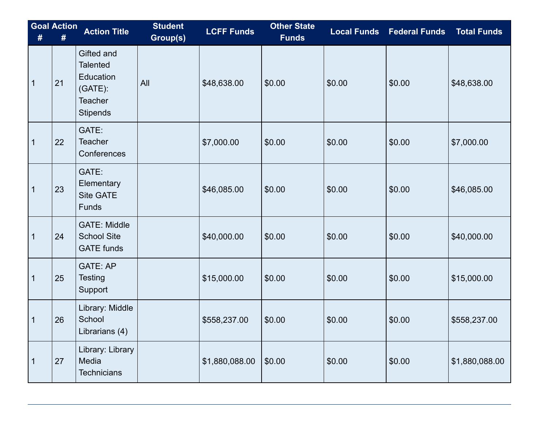| #            | <b>Goal Action</b><br># | <b>Action Title</b>                                                                           | <b>Student</b><br>Group(s) | <b>LCFF Funds</b> | <b>Other State</b><br><b>Funds</b> | <b>Local Funds</b> | <b>Federal Funds</b> | <b>Total Funds</b> |
|--------------|-------------------------|-----------------------------------------------------------------------------------------------|----------------------------|-------------------|------------------------------------|--------------------|----------------------|--------------------|
| $\mathbf{1}$ | 21                      | Gifted and<br><b>Talented</b><br>Education<br>$(GATE)$ :<br><b>Teacher</b><br><b>Stipends</b> | All                        | \$48,638.00       | \$0.00                             | \$0.00             | \$0.00               | \$48,638.00        |
| 1            | 22                      | GATE:<br><b>Teacher</b><br>Conferences                                                        |                            | \$7,000.00        | \$0.00                             | \$0.00             | \$0.00               | \$7,000.00         |
| $\mathbf 1$  | 23                      | GATE:<br>Elementary<br><b>Site GATE</b><br>Funds                                              |                            | \$46,085.00       | \$0.00                             | \$0.00             | \$0.00               | \$46,085.00        |
| $\mathbf 1$  | 24                      | <b>GATE: Middle</b><br><b>School Site</b><br><b>GATE</b> funds                                |                            | \$40,000.00       | \$0.00                             | \$0.00             | \$0.00               | \$40,000.00        |
| 1            | 25                      | <b>GATE: AP</b><br><b>Testing</b><br>Support                                                  |                            | \$15,000.00       | \$0.00                             | \$0.00             | \$0.00               | \$15,000.00        |
| $\mathbf{1}$ | 26                      | Library: Middle<br>School<br>Librarians (4)                                                   |                            | \$558,237.00      | \$0.00                             | \$0.00             | \$0.00               | \$558,237.00       |
| 1            | 27                      | Library: Library<br>Media<br><b>Technicians</b>                                               |                            | \$1,880,088.00    | \$0.00                             | \$0.00             | \$0.00               | \$1,880,088.00     |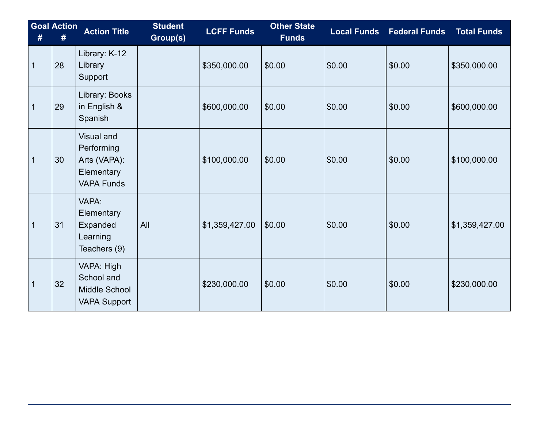| #           | <b>Goal Action</b> | <b>Action Title</b>                                                                | <b>Student</b><br>Group(s) | <b>LCFF Funds</b> | <b>Other State</b><br><b>Funds</b> | <b>Local Funds</b> | <b>Federal Funds</b> | <b>Total Funds</b> |
|-------------|--------------------|------------------------------------------------------------------------------------|----------------------------|-------------------|------------------------------------|--------------------|----------------------|--------------------|
| $\mathbf 1$ | 28                 | Library: K-12<br>Library<br>Support                                                |                            | \$350,000.00      | \$0.00                             | \$0.00             | \$0.00               | \$350,000.00       |
| 1           | 29                 | Library: Books<br>in English &<br>Spanish                                          |                            | \$600,000.00      | \$0.00                             | \$0.00             | \$0.00               | \$600,000.00       |
| $\mathbf 1$ | 30                 | <b>Visual and</b><br>Performing<br>Arts (VAPA):<br>Elementary<br><b>VAPA Funds</b> |                            | \$100,000.00      | \$0.00                             | \$0.00             | \$0.00               | \$100,000.00       |
| $\mathbf 1$ | 31                 | VAPA:<br>Elementary<br>Expanded<br>Learning<br>Teachers (9)                        | All                        | \$1,359,427.00    | \$0.00                             | \$0.00             | \$0.00               | \$1,359,427.00     |
| $\mathbf 1$ | 32                 | VAPA: High<br>School and<br>Middle School<br><b>VAPA Support</b>                   |                            | \$230,000.00      | \$0.00                             | \$0.00             | \$0.00               | \$230,000.00       |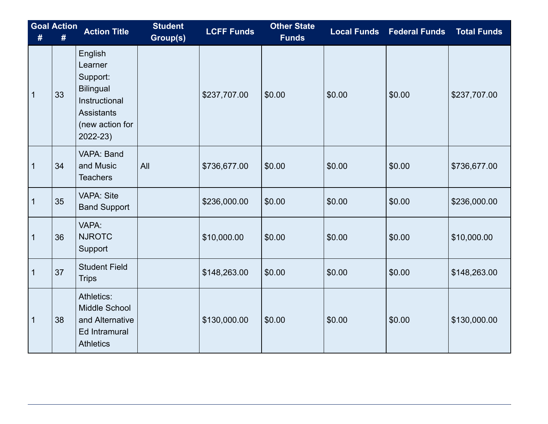| #           | <b>Goal Action</b><br># | <b>Action Title</b>                                                                                                        | <b>Student</b><br>Group(s) | <b>LCFF Funds</b> | <b>Other State</b><br><b>Funds</b> | <b>Local Funds</b> | <b>Federal Funds</b> | <b>Total Funds</b> |
|-------------|-------------------------|----------------------------------------------------------------------------------------------------------------------------|----------------------------|-------------------|------------------------------------|--------------------|----------------------|--------------------|
| $\mathbf 1$ | 33                      | English<br>Learner<br>Support:<br><b>Bilingual</b><br>Instructional<br><b>Assistants</b><br>(new action for<br>$2022 - 23$ |                            | \$237,707.00      | \$0.00                             | \$0.00             | \$0.00               | \$237,707.00       |
| 1           | 34                      | VAPA: Band<br>and Music<br><b>Teachers</b>                                                                                 | All                        | \$736,677.00      | \$0.00                             | \$0.00             | \$0.00               | \$736,677.00       |
| $\mathbf 1$ | 35                      | <b>VAPA: Site</b><br><b>Band Support</b>                                                                                   |                            | \$236,000.00      | \$0.00                             | \$0.00             | \$0.00               | \$236,000.00       |
| 1           | 36                      | VAPA:<br><b>NJROTC</b><br>Support                                                                                          |                            | \$10,000.00       | \$0.00                             | \$0.00             | \$0.00               | \$10,000.00        |
| $\mathbf 1$ | 37                      | <b>Student Field</b><br><b>Trips</b>                                                                                       |                            | \$148,263.00      | \$0.00                             | \$0.00             | \$0.00               | \$148,263.00       |
| 1           | 38                      | Athletics:<br>Middle School<br>and Alternative<br>Ed Intramural<br><b>Athletics</b>                                        |                            | \$130,000.00      | \$0.00                             | \$0.00             | \$0.00               | \$130,000.00       |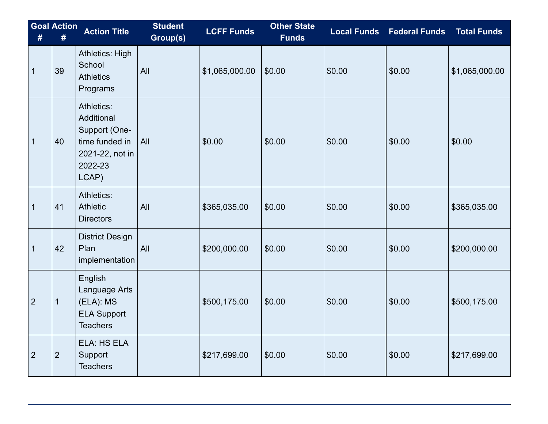| #              | <b>Goal Action</b><br># | <b>Action Title</b>                                                                                | <b>Student</b><br>Group(s) | <b>LCFF Funds</b> | <b>Other State</b><br><b>Funds</b> | <b>Local Funds</b> | <b>Federal Funds</b> | <b>Total Funds</b> |
|----------------|-------------------------|----------------------------------------------------------------------------------------------------|----------------------------|-------------------|------------------------------------|--------------------|----------------------|--------------------|
| $\mathbf{1}$   | 39                      | <b>Athletics: High</b><br>School<br><b>Athletics</b><br>Programs                                   | All                        | \$1,065,000.00    | \$0.00                             | \$0.00             | \$0.00               | \$1,065,000.00     |
| $\mathbf{1}$   | 40                      | Athletics:<br>Additional<br>Support (One-<br>time funded in<br>2021-22, not in<br>2022-23<br>LCAP) | All                        | \$0.00            | \$0.00                             | \$0.00             | \$0.00               | \$0.00             |
| 1              | 41                      | Athletics:<br>Athletic<br><b>Directors</b>                                                         | All                        | \$365,035.00      | \$0.00                             | \$0.00             | \$0.00               | \$365,035.00       |
| $\mathbf{1}$   | 42                      | <b>District Design</b><br>Plan<br>implementation                                                   | All                        | \$200,000.00      | \$0.00                             | \$0.00             | \$0.00               | \$200,000.00       |
| $\overline{2}$ | $\mathbf 1$             | English<br>Language Arts<br>(ELA): MS<br><b>ELA Support</b><br><b>Teachers</b>                     |                            | \$500,175.00      | \$0.00                             | \$0.00             | \$0.00               | \$500,175.00       |
| $\overline{2}$ | $\overline{2}$          | ELA: HS ELA<br>Support<br><b>Teachers</b>                                                          |                            | \$217,699.00      | \$0.00                             | \$0.00             | \$0.00               | \$217,699.00       |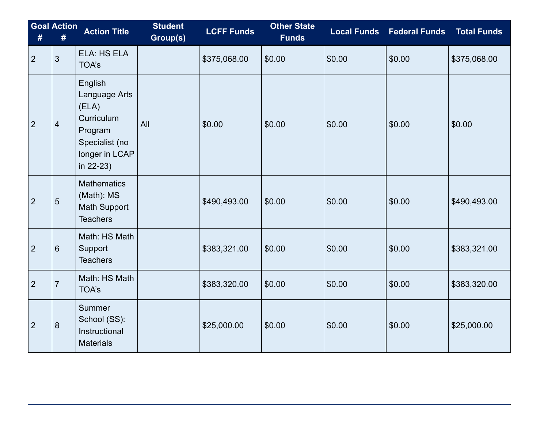| #              | <b>Goal Action</b><br># | <b>Action Title</b>                                                                                         | <b>Student</b><br>Group(s) | <b>LCFF Funds</b> | <b>Other State</b><br><b>Funds</b> | <b>Local Funds</b> | <b>Federal Funds</b> | <b>Total Funds</b> |
|----------------|-------------------------|-------------------------------------------------------------------------------------------------------------|----------------------------|-------------------|------------------------------------|--------------------|----------------------|--------------------|
| $\overline{2}$ | $\mathfrak{S}$          | ELA: HS ELA<br>TOA's                                                                                        |                            | \$375,068.00      | \$0.00                             | \$0.00             | \$0.00               | \$375,068.00       |
| $\overline{2}$ | $\overline{4}$          | English<br>Language Arts<br>(ELA)<br>Curriculum<br>Program<br>Specialist (no<br>longer in LCAP<br>in 22-23) | All                        | \$0.00            | \$0.00                             | \$0.00             | \$0.00               | \$0.00             |
| $\overline{2}$ | $5\phantom{.}$          | <b>Mathematics</b><br>(Math): MS<br><b>Math Support</b><br><b>Teachers</b>                                  |                            | \$490,493.00      | \$0.00                             | \$0.00             | \$0.00               | \$490,493.00       |
| $\overline{2}$ | $6\phantom{1}6$         | Math: HS Math<br>Support<br><b>Teachers</b>                                                                 |                            | \$383,321.00      | \$0.00                             | \$0.00             | \$0.00               | \$383,321.00       |
| $\overline{2}$ | $\overline{7}$          | Math: HS Math<br><b>TOA's</b>                                                                               |                            | \$383,320.00      | \$0.00                             | \$0.00             | \$0.00               | \$383,320.00       |
| $\overline{2}$ | 8                       | <b>Summer</b><br>School (SS):<br>Instructional<br><b>Materials</b>                                          |                            | \$25,000.00       | \$0.00                             | \$0.00             | \$0.00               | \$25,000.00        |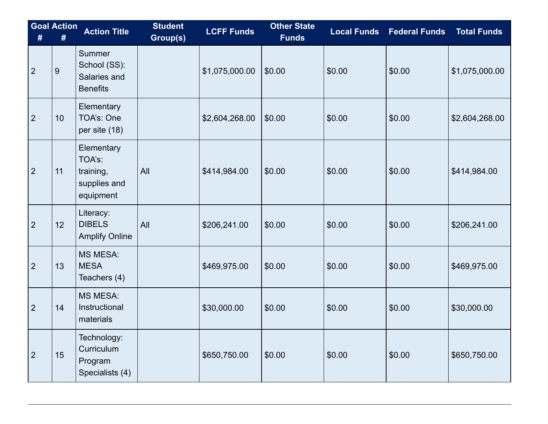| #              | <b>Goal Action</b><br># | <b>Action Title</b>                                            | <b>Student</b><br>Group(s) | <b>LCFF Funds</b> | <b>Other State</b><br><b>Funds</b> | <b>Local Funds</b> | <b>Federal Funds</b> | <b>Total Funds</b> |
|----------------|-------------------------|----------------------------------------------------------------|----------------------------|-------------------|------------------------------------|--------------------|----------------------|--------------------|
| $\overline{2}$ | 9                       | Summer<br>School (SS):<br>Salaries and<br><b>Benefits</b>      |                            | \$1,075,000.00    | \$0.00                             | \$0.00             | \$0.00               | \$1,075,000.00     |
| $\overline{2}$ | 10                      | Elementary<br>TOA's: One<br>per site (18)                      |                            | \$2,604,268.00    | \$0.00                             | \$0.00             | \$0.00               | \$2,604,268.00     |
| $\overline{2}$ | 11                      | Elementary<br>TOA's:<br>training,<br>supplies and<br>equipment | All                        | \$414,984.00      | \$0.00                             | \$0.00             | \$0.00               | \$414,984.00       |
| $\overline{2}$ | 12                      | Literacy:<br><b>DIBELS</b><br><b>Amplify Online</b>            | All                        | \$206,241.00      | \$0.00                             | \$0.00             | \$0.00               | \$206,241.00       |
| $\overline{2}$ | 13                      | <b>MS MESA:</b><br><b>MESA</b><br>Teachers (4)                 |                            | \$469,975.00      | \$0.00                             | \$0.00             | \$0.00               | \$469,975.00       |
| $\overline{2}$ | 14                      | <b>MS MESA:</b><br>Instructional<br>materials                  |                            | \$30,000.00       | \$0.00                             | \$0.00             | \$0.00               | \$30,000.00        |
| $\overline{2}$ | 15                      | Technology:<br>Curriculum<br>Program<br>Specialists (4)        |                            | \$650,750.00      | \$0.00                             | \$0.00             | \$0.00               | \$650,750.00       |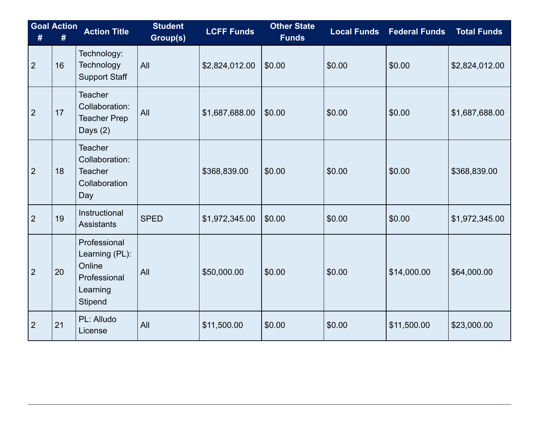| #              | <b>Goal Action</b><br># | <b>Action Title</b>                                                                    | <b>Student</b><br>Group(s) | <b>LCFF Funds</b> | <b>Other State</b><br><b>Funds</b> | <b>Local Funds</b> | <b>Federal Funds</b> | <b>Total Funds</b> |
|----------------|-------------------------|----------------------------------------------------------------------------------------|----------------------------|-------------------|------------------------------------|--------------------|----------------------|--------------------|
| $\overline{2}$ | 16                      | Technology:<br>Technology<br><b>Support Staff</b>                                      | All                        | \$2,824,012.00    | \$0.00                             | \$0.00             | \$0.00               | \$2,824,012.00     |
| $\overline{2}$ | 17                      | <b>Teacher</b><br>Collaboration:<br><b>Teacher Prep</b><br>Days (2)                    | All                        | \$1,687,688.00    | \$0.00                             | \$0.00             | \$0.00               | \$1,687,688.00     |
| $\overline{2}$ | 18                      | <b>Teacher</b><br>Collaboration:<br><b>Teacher</b><br>Collaboration<br>Day             |                            | \$368,839.00      | \$0.00                             | \$0.00             | \$0.00               | \$368,839.00       |
| $\overline{2}$ | 19                      | Instructional<br><b>Assistants</b>                                                     | <b>SPED</b>                | \$1,972,345.00    | \$0.00                             | \$0.00             | \$0.00               | \$1,972,345.00     |
| $\overline{2}$ | 20                      | Professional<br>Learning (PL):<br>Online<br>Professional<br>Learning<br><b>Stipend</b> | All                        | \$50,000.00       | \$0.00                             | \$0.00             | \$14,000.00          | \$64,000.00        |
| $\overline{2}$ | 21                      | PL: Alludo<br>License                                                                  | All                        | \$11,500.00       | \$0.00                             | \$0.00             | \$11,500.00          | \$23,000.00        |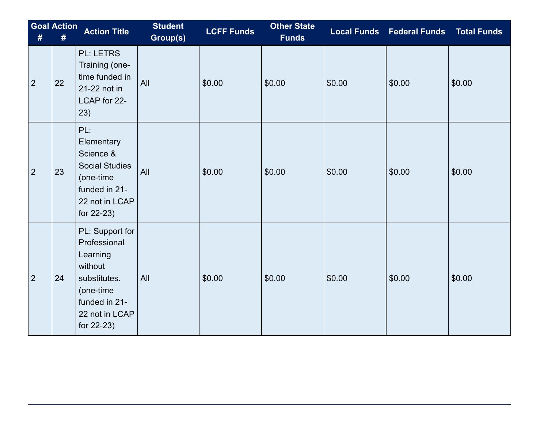| #              | <b>Goal Action</b><br># | <b>Action Title</b>                                                                                                                  | <b>Student</b><br>Group(s) | <b>LCFF Funds</b> | <b>Other State</b><br><b>Funds</b> |        | Local Funds Federal Funds Total Funds |        |
|----------------|-------------------------|--------------------------------------------------------------------------------------------------------------------------------------|----------------------------|-------------------|------------------------------------|--------|---------------------------------------|--------|
| $\overline{2}$ | 22                      | <b>PL: LETRS</b><br>Training (one-<br>time funded in<br>21-22 not in<br>LCAP for 22-<br>23)                                          | All                        | \$0.00            | \$0.00                             | \$0.00 | \$0.00                                | \$0.00 |
| $\overline{2}$ | 23                      | PL:<br>Elementary<br>Science &<br><b>Social Studies</b><br>(one-time<br>funded in 21-<br>22 not in LCAP<br>for 22-23)                | All                        | \$0.00            | \$0.00                             | \$0.00 | \$0.00                                | \$0.00 |
| $\overline{2}$ | 24                      | PL: Support for<br>Professional<br>Learning<br>without<br>substitutes.<br>(one-time<br>funded in 21-<br>22 not in LCAP<br>for 22-23) | All                        | \$0.00            | \$0.00                             | \$0.00 | \$0.00                                | \$0.00 |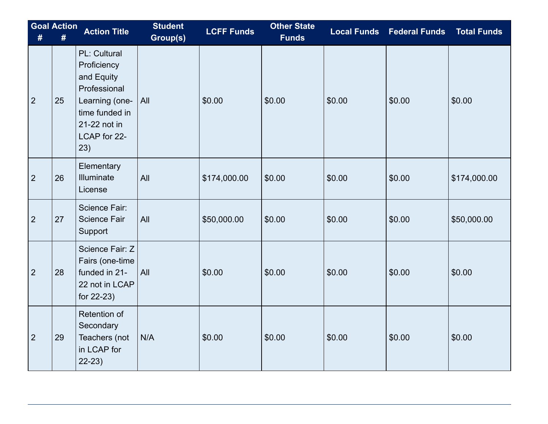| #              | <b>Goal Action</b><br># | <b>Action Title</b>                                                                                                                         | <b>Student</b><br>Group(s) | <b>LCFF Funds</b> | <b>Other State</b><br><b>Funds</b> |        | <b>Local Funds Federal Funds</b> | <b>Total Funds</b> |
|----------------|-------------------------|---------------------------------------------------------------------------------------------------------------------------------------------|----------------------------|-------------------|------------------------------------|--------|----------------------------------|--------------------|
| $\overline{2}$ | 25                      | <b>PL: Cultural</b><br>Proficiency<br>and Equity<br>Professional<br>Learning (one-<br>time funded in<br>21-22 not in<br>LCAP for 22-<br>23) | All                        | \$0.00            | \$0.00                             | \$0.00 | \$0.00                           | \$0.00             |
| $\overline{2}$ | 26                      | Elementary<br>Illuminate<br>License                                                                                                         | All                        | \$174,000.00      | \$0.00                             | \$0.00 | \$0.00                           | \$174,000.00       |
| $\overline{2}$ | 27                      | <b>Science Fair:</b><br><b>Science Fair</b><br>Support                                                                                      | All                        | \$50,000.00       | \$0.00                             | \$0.00 | \$0.00                           | \$50,000.00        |
| $\overline{2}$ | 28                      | Science Fair: Z<br>Fairs (one-time<br>funded in 21-<br>22 not in LCAP<br>for 22-23)                                                         | All                        | \$0.00            | \$0.00                             | \$0.00 | \$0.00                           | \$0.00             |
| $\overline{2}$ | 29                      | Retention of<br>Secondary<br>Teachers (not<br>in LCAP for<br>$22-23)$                                                                       | N/A                        | \$0.00            | \$0.00                             | \$0.00 | \$0.00                           | \$0.00             |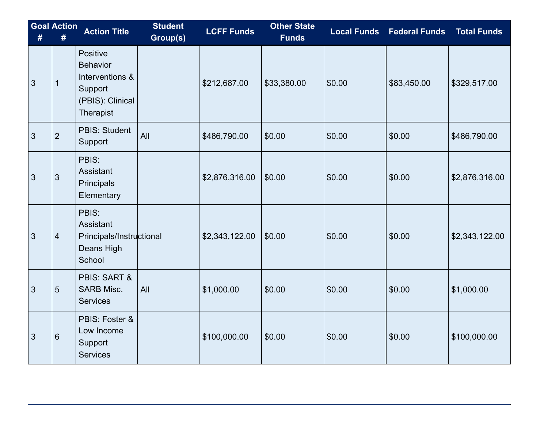| #              | <b>Goal Action</b><br># | <b>Action Title</b>                                                                               | <b>Student</b><br>Group(s) | <b>LCFF Funds</b> | <b>Other State</b><br><b>Funds</b> | <b>Local Funds</b> | <b>Federal Funds</b> | <b>Total Funds</b> |
|----------------|-------------------------|---------------------------------------------------------------------------------------------------|----------------------------|-------------------|------------------------------------|--------------------|----------------------|--------------------|
| 3              | $\mathbf{1}$            | Positive<br><b>Behavior</b><br>Interventions &<br>Support<br>(PBIS): Clinical<br><b>Therapist</b> |                            | \$212,687.00      | \$33,380.00                        | \$0.00             | \$83,450.00          | \$329,517.00       |
| $\mathfrak{S}$ | $\overline{2}$          | <b>PBIS: Student</b><br>Support                                                                   | All                        | \$486,790.00      | \$0.00                             | \$0.00             | \$0.00               | \$486,790.00       |
| 3              | 3                       | PBIS:<br>Assistant<br>Principals<br>Elementary                                                    |                            | \$2,876,316.00    | \$0.00                             | \$0.00             | \$0.00               | \$2,876,316.00     |
| 3              | $\overline{4}$          | PBIS:<br>Assistant<br>Principals/Instructional<br>Deans High<br>School                            |                            | \$2,343,122.00    | \$0.00                             | \$0.00             | \$0.00               | \$2,343,122.00     |
| 3              | 5                       | <b>PBIS: SART &amp;</b><br><b>SARB Misc.</b><br><b>Services</b>                                   | All                        | \$1,000.00        | \$0.00                             | \$0.00             | \$0.00               | \$1,000.00         |
| 3              | $6\phantom{1}6$         | PBIS: Foster &<br>Low Income<br>Support<br><b>Services</b>                                        |                            | \$100,000.00      | \$0.00                             | \$0.00             | \$0.00               | \$100,000.00       |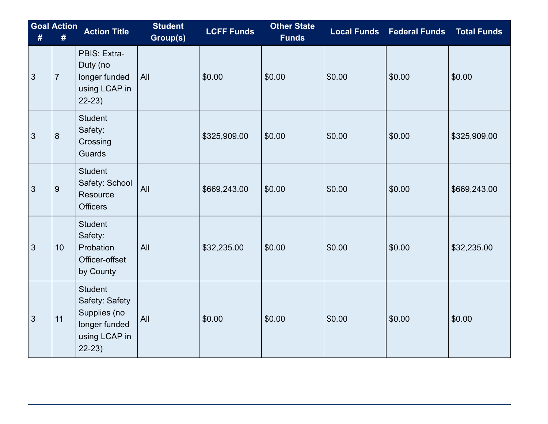| # | <b>Goal Action</b><br>$\pmb{\#}$ | <b>Action Title</b>                                                                           | <b>Student</b><br>Group(s) | <b>LCFF Funds</b> | <b>Other State</b><br><b>Funds</b> |        | <b>Local Funds Federal Funds</b> | <b>Total Funds</b> |
|---|----------------------------------|-----------------------------------------------------------------------------------------------|----------------------------|-------------------|------------------------------------|--------|----------------------------------|--------------------|
| 3 | $\overline{7}$                   | PBIS: Extra-<br>Duty (no<br>longer funded<br>using LCAP in<br>$22-23$                         | All                        | \$0.00            | \$0.00                             | \$0.00 | \$0.00                           | \$0.00             |
| 3 | $\boldsymbol{8}$                 | <b>Student</b><br>Safety:<br>Crossing<br>Guards                                               |                            | \$325,909.00      | \$0.00                             | \$0.00 | \$0.00                           | \$325,909.00       |
| 3 | $9$                              | <b>Student</b><br>Safety: School<br>Resource<br><b>Officers</b>                               | All                        | \$669,243.00      | \$0.00                             | \$0.00 | \$0.00                           | \$669,243.00       |
| 3 | 10                               | <b>Student</b><br>Safety:<br>Probation<br>Officer-offset<br>by County                         | All                        | \$32,235.00       | \$0.00                             | \$0.00 | \$0.00                           | \$32,235.00        |
| 3 | 11                               | <b>Student</b><br>Safety: Safety<br>Supplies (no<br>longer funded<br>using LCAP in<br>$22-23$ | All                        | \$0.00            | \$0.00                             | \$0.00 | \$0.00                           | \$0.00             |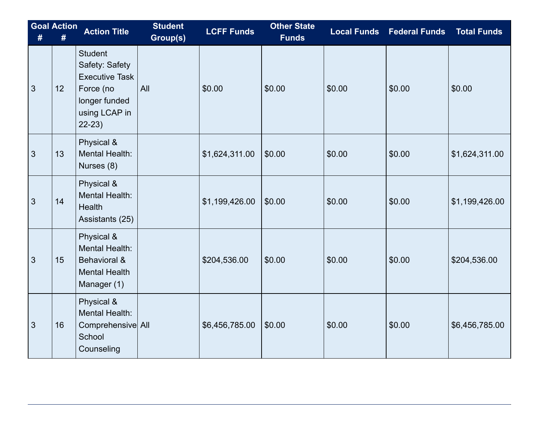| # | <b>Goal Action</b> | <b>Action Title</b>                                                                                                 | <b>Student</b><br>Group(s) | <b>LCFF Funds</b> | <b>Other State</b><br><b>Funds</b> | <b>Local Funds</b> | <b>Federal Funds</b> | <b>Total Funds</b> |
|---|--------------------|---------------------------------------------------------------------------------------------------------------------|----------------------------|-------------------|------------------------------------|--------------------|----------------------|--------------------|
| 3 | 12                 | <b>Student</b><br>Safety: Safety<br><b>Executive Task</b><br>Force (no<br>longer funded<br>using LCAP in<br>$22-23$ | All                        | \$0.00            | \$0.00                             | \$0.00             | \$0.00               | \$0.00             |
| 3 | 13                 | Physical &<br>Mental Health:<br>Nurses (8)                                                                          |                            | \$1,624,311.00    | \$0.00                             | \$0.00             | \$0.00               | \$1,624,311.00     |
| 3 | 14                 | Physical &<br>Mental Health:<br>Health<br>Assistants (25)                                                           |                            | \$1,199,426.00    | \$0.00                             | \$0.00             | \$0.00               | \$1,199,426.00     |
| 3 | 15                 | Physical &<br><b>Mental Health:</b><br>Behavioral &<br><b>Mental Health</b><br>Manager (1)                          |                            | \$204,536.00      | \$0.00                             | \$0.00             | \$0.00               | \$204,536.00       |
| 3 | 16                 | Physical &<br>Mental Health:<br>Comprehensive All<br>School<br>Counseling                                           |                            | \$6,456,785.00    | \$0.00                             | \$0.00             | \$0.00               | \$6,456,785.00     |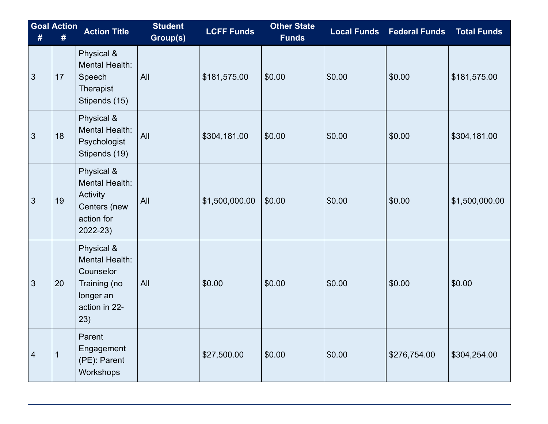| #              | <b>Goal Action</b><br># | <b>Action Title</b>                                                                            | <b>Student</b><br>Group(s) | <b>LCFF Funds</b> | <b>Other State</b><br><b>Funds</b> | <b>Local Funds</b> | <b>Federal Funds</b> | <b>Total Funds</b> |
|----------------|-------------------------|------------------------------------------------------------------------------------------------|----------------------------|-------------------|------------------------------------|--------------------|----------------------|--------------------|
| 3              | 17                      | Physical &<br>Mental Health:<br>Speech<br>Therapist<br>Stipends (15)                           | All                        | \$181,575.00      | \$0.00                             | \$0.00             | \$0.00               | \$181,575.00       |
| $\mathfrak{S}$ | 18                      | Physical &<br>Mental Health:<br>Psychologist<br>Stipends (19)                                  | All                        | \$304,181.00      | \$0.00                             | \$0.00             | \$0.00               | \$304,181.00       |
| 3              | 19                      | Physical &<br>Mental Health:<br>Activity<br>Centers (new<br>action for<br>2022-23)             | All                        | \$1,500,000.00    | \$0.00                             | \$0.00             | \$0.00               | \$1,500,000.00     |
| 3              | 20                      | Physical &<br>Mental Health:<br>Counselor<br>Training (no<br>longer an<br>action in 22-<br>23) | All                        | \$0.00            | \$0.00                             | \$0.00             | \$0.00               | \$0.00             |
| $\overline{4}$ | 1                       | Parent<br>Engagement<br>(PE): Parent<br>Workshops                                              |                            | \$27,500.00       | \$0.00                             | \$0.00             | \$276,754.00         | \$304,254.00       |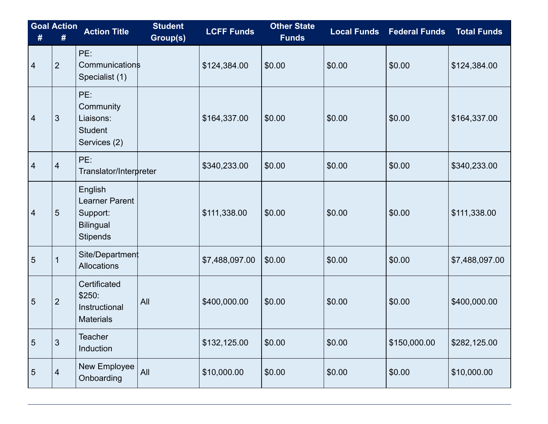| # | <b>Goal Action</b><br># | <b>Action Title</b>                                                                 | <b>Student</b><br>Group(s) | <b>LCFF Funds</b> | Other State<br>Funds | <b>Local Funds</b> | <b>Federal Funds</b> | <b>Total Funds</b> |
|---|-------------------------|-------------------------------------------------------------------------------------|----------------------------|-------------------|----------------------|--------------------|----------------------|--------------------|
| 4 | $\overline{2}$          | PE:<br><b>Communications</b><br>Specialist (1)                                      |                            | \$124,384.00      | \$0.00               | \$0.00             | \$0.00               | \$124,384.00       |
| 4 | 3                       | PE:<br>Community<br>Liaisons:<br><b>Student</b><br>Services (2)                     |                            | \$164,337.00      | \$0.00               | \$0.00             | \$0.00               | \$164,337.00       |
| 4 | $\overline{4}$          | PE:<br>Translator/Interpreter                                                       |                            | \$340,233.00      | \$0.00               | \$0.00             | \$0.00               | \$340,233.00       |
| 4 | $\overline{5}$          | English<br><b>Learner Parent</b><br>Support:<br><b>Bilingual</b><br><b>Stipends</b> |                            | \$111,338.00      | \$0.00               | \$0.00             | \$0.00               | \$111,338.00       |
| 5 | 1                       | Site/Department<br>Allocations                                                      |                            | \$7,488,097.00    | \$0.00               | \$0.00             | \$0.00               | \$7,488,097.00     |
| 5 | $\overline{2}$          | Certificated<br>\$250:<br>Instructional<br><b>Materials</b>                         | All                        | \$400,000.00      | \$0.00               | \$0.00             | \$0.00               | \$400,000.00       |
| 5 | $\mathfrak{S}$          | <b>Teacher</b><br>Induction                                                         |                            | \$132,125.00      | \$0.00               | \$0.00             | \$150,000.00         | \$282,125.00       |
| 5 | $\overline{4}$          | New Employee<br>Onboarding                                                          | All                        | \$10,000.00       | \$0.00               | \$0.00             | \$0.00               | \$10,000.00        |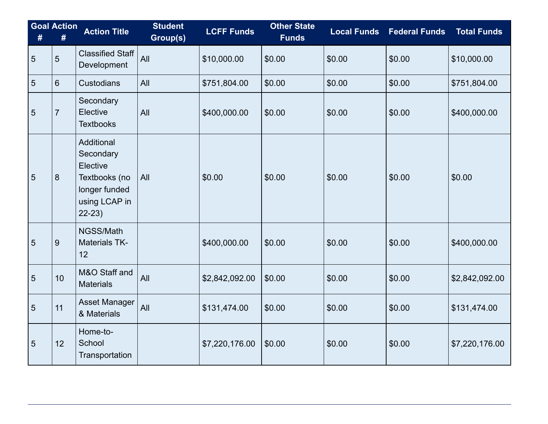| #              | <b>Goal Action</b><br># | <b>Action Title</b>                                                                               | <b>Student</b><br>Group(s) | <b>LCFF Funds</b> | <b>Other State</b><br><b>Funds</b> | <b>Local Funds</b> | <b>Federal Funds</b> | <b>Total Funds</b> |
|----------------|-------------------------|---------------------------------------------------------------------------------------------------|----------------------------|-------------------|------------------------------------|--------------------|----------------------|--------------------|
| 5              | 5                       | <b>Classified Staff</b><br>Development                                                            | All                        | \$10,000.00       | \$0.00                             | \$0.00             | \$0.00               | \$10,000.00        |
| 5              | 6                       | <b>Custodians</b>                                                                                 | All                        | \$751,804.00      | \$0.00                             | \$0.00             | \$0.00               | \$751,804.00       |
| $\overline{5}$ | $\overline{7}$          | Secondary<br>Elective<br><b>Textbooks</b>                                                         | All                        | \$400,000.00      | \$0.00                             | \$0.00             | \$0.00               | \$400,000.00       |
| 5              | 8                       | Additional<br>Secondary<br>Elective<br>Textbooks (no<br>longer funded<br>using LCAP in<br>$22-23$ | All                        | \$0.00            | \$0.00                             | \$0.00             | \$0.00               | \$0.00             |
| 5              | 9                       | NGSS/Math<br><b>Materials TK-</b><br>12                                                           |                            | \$400,000.00      | \$0.00                             | \$0.00             | \$0.00               | \$400,000.00       |
| $\overline{5}$ | 10                      | M&O Staff and<br><b>Materials</b>                                                                 | All                        | \$2,842,092.00    | \$0.00                             | \$0.00             | \$0.00               | \$2,842,092.00     |
| 5              | 11                      | <b>Asset Manager</b><br>& Materials                                                               | All                        | \$131,474.00      | \$0.00                             | \$0.00             | \$0.00               | \$131,474.00       |
| 5              | 12                      | Home-to-<br>School<br>Transportation                                                              |                            | \$7,220,176.00    | \$0.00                             | \$0.00             | \$0.00               | \$7,220,176.00     |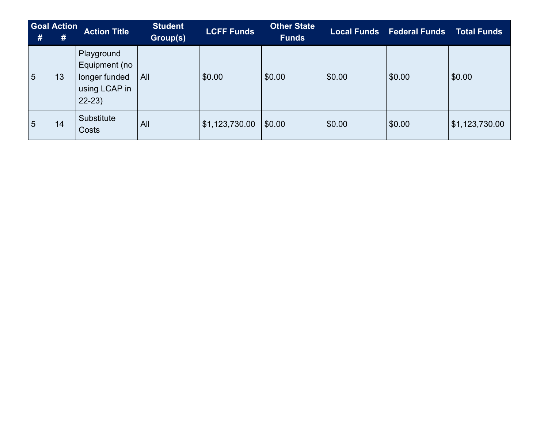| # | <b>Goal Action</b><br># | <b>Action Title</b>                                                      | <b>Student</b><br>Group(s) | <b>LCFF Funds</b> | <b>Other State</b><br><b>Funds</b> |        | <b>Local Funds</b> Federal Funds | <b>Total Funds</b> |
|---|-------------------------|--------------------------------------------------------------------------|----------------------------|-------------------|------------------------------------|--------|----------------------------------|--------------------|
| 5 | 13                      | Playground<br>Equipment (no<br>longer funded<br>using LCAP in<br>$22-23$ | All                        | \$0.00            | \$0.00                             | \$0.00 | \$0.00                           | \$0.00             |
| 5 | 14                      | Substitute<br>Costs                                                      | All                        | \$1,123,730.00    | \$0.00                             | \$0.00 | \$0.00                           | \$1,123,730.00     |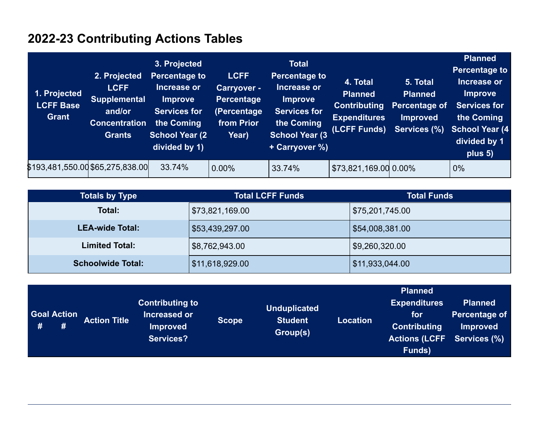## **2022-23 Contributing Actions Tables**

| 1. Projected<br><b>LCFF Base</b><br>Grant | 2. Projected<br><b>LCFF</b><br><b>Supplemental</b><br>and/or<br><b>Concentration</b><br><b>Grants</b> | 3. Projected<br><b>Percentage to</b><br>Increase or<br><b>Improve</b><br><b>Services for</b><br>the Coming<br><b>School Year (2)</b><br>divided by 1) | <b>LCFF</b><br><b>Carryover -</b><br>Percentage<br>(Percentage<br>from Prior<br>Year) | <b>Total</b><br><b>Percentage to</b><br>Increase or<br><b>Improve</b><br><b>Services for</b><br>the Coming<br><b>School Year (3)</b><br>+ Carryover %) | 4. Total<br><b>Planned</b><br><b>Contributing</b><br><b>Expenditures</b><br>(LCFF Funds) | 5. Total<br><b>Planned</b><br>Percentage of<br><b>Improved</b><br>Services (%) | <b>Planned</b><br><b>Percentage to</b><br>Increase or<br><b>Improve</b><br><b>Services for</b><br>the Coming<br><b>School Year (4)</b><br>divided by 1<br>plus 5) |
|-------------------------------------------|-------------------------------------------------------------------------------------------------------|-------------------------------------------------------------------------------------------------------------------------------------------------------|---------------------------------------------------------------------------------------|--------------------------------------------------------------------------------------------------------------------------------------------------------|------------------------------------------------------------------------------------------|--------------------------------------------------------------------------------|-------------------------------------------------------------------------------------------------------------------------------------------------------------------|
| \$193,481,550.00 \$65,275,838.00          |                                                                                                       | 33.74%                                                                                                                                                | $ 0.00\%$                                                                             | 33.74%                                                                                                                                                 | \$73,821,169.00 0.00%                                                                    |                                                                                | 0%                                                                                                                                                                |

| <b>Totals by Type</b>    | <b>Total LCFF Funds</b> | <b>Total Funds</b> |
|--------------------------|-------------------------|--------------------|
| Total:                   | \$73,821,169.00         | \$75,201,745.00    |
| <b>LEA-wide Total:</b>   | \$53,439,297.00         | \$54,008,381.00    |
| <b>Limited Total:</b>    | \$8,762,943.00          | \$9,260,320.00     |
| <b>Schoolwide Total:</b> | \$11,618,929.00         | \$11,933,044.00    |

|                    |                     |                                        |              |                            |                 | <b>Planned</b>                                           |                                 |
|--------------------|---------------------|----------------------------------------|--------------|----------------------------|-----------------|----------------------------------------------------------|---------------------------------|
| <b>Goal Action</b> |                     | <b>Contributing to</b><br>Increased or |              | <b>Unduplicated</b>        |                 | <b>Expenditures</b><br><b>for</b>                        | <b>Planned</b><br>Percentage of |
| #<br>#             | <b>Action Title</b> | <b>Improved</b><br><b>Services?</b>    | <b>Scope</b> | <b>Student</b><br>Group(s) | <b>Location</b> | <b>Contributing</b><br><b>Actions (LCFF Services (%)</b> | <b>Improved</b>                 |
|                    |                     |                                        |              |                            |                 | Funds)                                                   |                                 |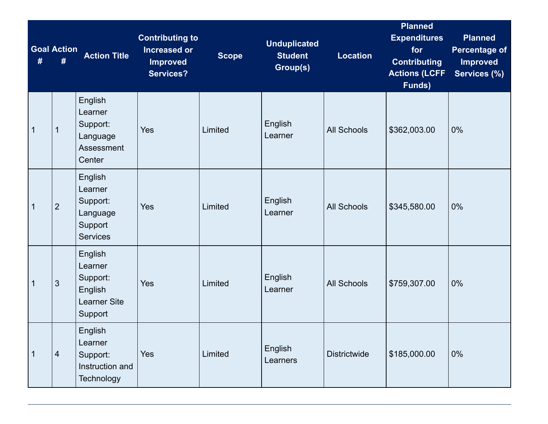|              | <b>Goal Action</b><br># | <b>Action Title</b>                                                         | <b>Contributing to</b><br><b>Increased or</b><br><b>Improved</b><br><b>Services?</b> | <b>Scope</b> | <b>Unduplicated</b><br><b>Student</b><br>Group(s) | Location            | <b>Planned</b><br><b>Expenditures</b><br>for<br><b>Contributing</b><br><b>Actions (LCFF</b><br>Funds) | <b>Planned</b><br><b>Percentage of</b><br><b>Improved</b><br>Services (%) |
|--------------|-------------------------|-----------------------------------------------------------------------------|--------------------------------------------------------------------------------------|--------------|---------------------------------------------------|---------------------|-------------------------------------------------------------------------------------------------------|---------------------------------------------------------------------------|
| $\mathbf 1$  | 1                       | English<br>Learner<br>Support:<br>Language<br>Assessment<br>Center          | Yes                                                                                  | Limited      | English<br>Learner                                | <b>All Schools</b>  | \$362,003.00                                                                                          | 0%                                                                        |
| $\mathbf{1}$ | $\overline{2}$          | English<br>Learner<br>Support:<br>Language<br>Support<br><b>Services</b>    | Yes                                                                                  | Limited      | English<br>Learner                                | <b>All Schools</b>  | \$345,580.00                                                                                          | 0%                                                                        |
| $\mathbf 1$  | $\mathfrak{S}$          | English<br>Learner<br>Support:<br>English<br><b>Learner Site</b><br>Support | Yes                                                                                  | Limited      | English<br>Learner                                | <b>All Schools</b>  | \$759,307.00                                                                                          | 0%                                                                        |
| $\mathbf{1}$ | $\overline{4}$          | English<br>Learner<br>Support:<br>Instruction and<br>Technology             | Yes                                                                                  | Limited      | English<br>Learners                               | <b>Districtwide</b> | \$185,000.00                                                                                          | 0%                                                                        |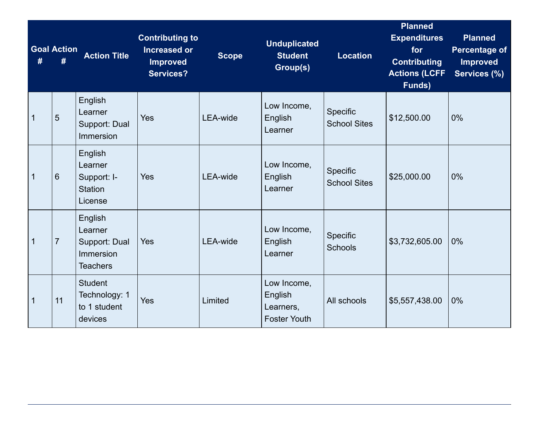|                | <b>Goal Action</b><br># | <b>Action Title</b>                                                 | <b>Contributing to</b><br><b>Increased or</b><br><b>Improved</b><br><b>Services?</b> | <b>Scope</b>    | <b>Unduplicated</b><br><b>Student</b><br>Group(s)          | <b>Location</b>                 | <b>Planned</b><br><b>Expenditures</b><br>for<br><b>Contributing</b><br><b>Actions (LCFF</b><br>Funds) | <b>Planned</b><br><b>Percentage of</b><br><b>Improved</b><br>Services (%) |
|----------------|-------------------------|---------------------------------------------------------------------|--------------------------------------------------------------------------------------|-----------------|------------------------------------------------------------|---------------------------------|-------------------------------------------------------------------------------------------------------|---------------------------------------------------------------------------|
| $\overline{1}$ | 5                       | English<br>Learner<br>Support: Dual<br>Immersion                    | Yes                                                                                  | <b>LEA-wide</b> | Low Income,<br>English<br>Learner                          | Specific<br><b>School Sites</b> | \$12,500.00                                                                                           | 0%                                                                        |
| $\mathbf 1$    | 6                       | English<br>Learner<br>Support: I-<br><b>Station</b><br>License      | Yes                                                                                  | LEA-wide        | Low Income,<br>English<br>Learner                          | Specific<br><b>School Sites</b> | \$25,000.00                                                                                           | 0%                                                                        |
| $\mathbf{1}$   | $\overline{7}$          | English<br>Learner<br>Support: Dual<br>Immersion<br><b>Teachers</b> | Yes                                                                                  | <b>LEA-wide</b> | Low Income,<br>English<br>Learner                          | Specific<br><b>Schools</b>      | \$3,732,605.00                                                                                        | 0%                                                                        |
| $\mathbf{1}$   | 11                      | <b>Student</b><br>Technology: 1<br>to 1 student<br>devices          | Yes                                                                                  | Limited         | Low Income,<br>English<br>Learners,<br><b>Foster Youth</b> | All schools                     | \$5,557,438.00                                                                                        | 0%                                                                        |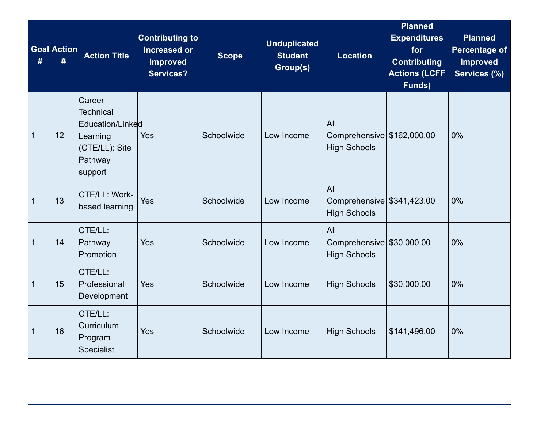|              | <b>Goal Action</b><br># | <b>Action Title</b>                                                                                | <b>Contributing to</b><br><b>Increased or</b><br><b>Improved</b><br><b>Services?</b> | <b>Scope</b> | <b>Unduplicated</b><br><b>Student</b><br>Group(s) | <b>Location</b>                                          | <b>Planned</b><br><b>Expenditures</b><br>for<br><b>Contributing</b><br><b>Actions (LCFF</b><br>Funds) | <b>Planned</b><br><b>Percentage of</b><br><b>Improved</b><br>Services (%) |
|--------------|-------------------------|----------------------------------------------------------------------------------------------------|--------------------------------------------------------------------------------------|--------------|---------------------------------------------------|----------------------------------------------------------|-------------------------------------------------------------------------------------------------------|---------------------------------------------------------------------------|
| $\mathbf{1}$ | 12                      | Career<br><b>Technical</b><br>Education/Linked<br>Learning<br>(CTE/LL): Site<br>Pathway<br>support | Yes                                                                                  | Schoolwide   | Low Income                                        | All<br>Comprehensive \$162,000.00<br><b>High Schools</b> |                                                                                                       | 0%                                                                        |
| $\mathbf 1$  | 13                      | CTE/LL: Work-<br>based learning                                                                    | Yes                                                                                  | Schoolwide   | Low Income                                        | All<br>Comprehensive \$341,423.00<br><b>High Schools</b> |                                                                                                       | 0%                                                                        |
| $\mathbf{1}$ | 14                      | CTE/LL:<br>Pathway<br>Promotion                                                                    | Yes                                                                                  | Schoolwide   | Low Income                                        | All<br>Comprehensive \$30,000.00<br><b>High Schools</b>  |                                                                                                       | 0%                                                                        |
| $\mathbf 1$  | 15                      | CTE/LL:<br>Professional<br>Development                                                             | Yes                                                                                  | Schoolwide   | Low Income                                        | <b>High Schools</b>                                      | \$30,000.00                                                                                           | 0%                                                                        |
| $\mathbf{1}$ | 16                      | CTE/LL:<br>Curriculum<br>Program<br>Specialist                                                     | Yes                                                                                  | Schoolwide   | Low Income                                        | <b>High Schools</b>                                      | \$141,496.00                                                                                          | 0%                                                                        |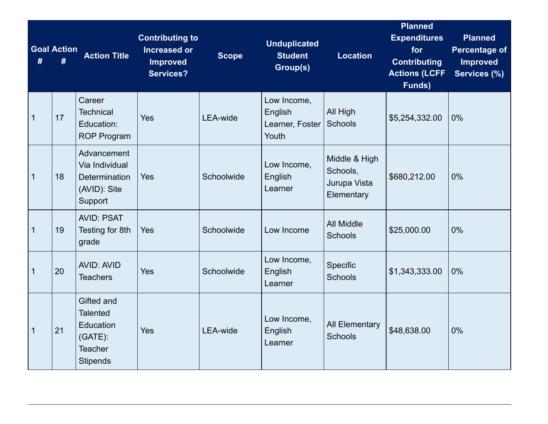|              | <b>Goal Action</b><br># | <b>Action Title</b>                                                                           | <b>Contributing to</b><br><b>Increased or</b><br><b>Improved</b><br><b>Services?</b> | <b>Scope</b>    | <b>Unduplicated</b><br><b>Student</b><br>Group(s)  | <b>Location</b>                                         | <b>Planned</b><br><b>Expenditures</b><br>for<br><b>Contributing</b><br><b>Actions (LCFF</b><br>Funds) | <b>Planned</b><br><b>Percentage of</b><br><b>Improved</b><br>Services (%) |
|--------------|-------------------------|-----------------------------------------------------------------------------------------------|--------------------------------------------------------------------------------------|-----------------|----------------------------------------------------|---------------------------------------------------------|-------------------------------------------------------------------------------------------------------|---------------------------------------------------------------------------|
| $\mathbf 1$  | 17                      | Career<br><b>Technical</b><br>Education:<br><b>ROP Program</b>                                | Yes                                                                                  | <b>LEA-wide</b> | Low Income,<br>English<br>Learner, Foster<br>Youth | All High<br><b>Schools</b>                              | \$5,254,332.00                                                                                        | 0%                                                                        |
| $\mathbf 1$  | 18                      | Advancement<br>Via Individual<br>Determination<br>(AVID): Site<br>Support                     | Yes                                                                                  | Schoolwide      | Low Income,<br>English<br>Learner                  | Middle & High<br>Schools,<br>Jurupa Vista<br>Elementary | \$680,212.00                                                                                          | 0%                                                                        |
| $\mathbf 1$  | 19                      | <b>AVID: PSAT</b><br>Testing for 8th<br>grade                                                 | Yes                                                                                  | Schoolwide      | Low Income                                         | <b>All Middle</b><br><b>Schools</b>                     | \$25,000.00                                                                                           | 0%                                                                        |
| $\mathbf{1}$ | 20                      | <b>AVID: AVID</b><br><b>Teachers</b>                                                          | Yes                                                                                  | Schoolwide      | Low Income,<br>English<br>Learner                  | Specific<br><b>Schools</b>                              | \$1,343,333.00                                                                                        | 0%                                                                        |
| $\mathbf{1}$ | 21                      | Gifted and<br><b>Talented</b><br>Education<br>$(GATE)$ :<br><b>Teacher</b><br><b>Stipends</b> | Yes                                                                                  | LEA-wide        | Low Income,<br>English<br>Learner                  | <b>All Elementary</b><br><b>Schools</b>                 | \$48,638.00                                                                                           | 0%                                                                        |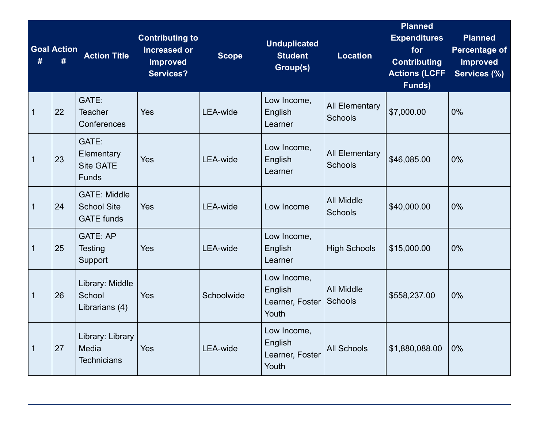|              | <b>Goal Action</b><br># | <b>Action Title</b>                                            | <b>Contributing to</b><br><b>Increased or</b><br><b>Improved</b><br><b>Services?</b> | <b>Scope</b>    | <b>Unduplicated</b><br><b>Student</b><br>Group(s)  | <b>Location</b>                         | <b>Planned</b><br><b>Expenditures</b><br>for<br><b>Contributing</b><br><b>Actions (LCFF</b><br>Funds) | <b>Planned</b><br><b>Percentage of</b><br><b>Improved</b><br>Services (%) |
|--------------|-------------------------|----------------------------------------------------------------|--------------------------------------------------------------------------------------|-----------------|----------------------------------------------------|-----------------------------------------|-------------------------------------------------------------------------------------------------------|---------------------------------------------------------------------------|
| $\mathbf{1}$ | 22                      | GATE:<br>Teacher<br>Conferences                                | Yes                                                                                  | <b>LEA-wide</b> | Low Income,<br>English<br>Learner                  | <b>All Elementary</b><br><b>Schools</b> | \$7,000.00                                                                                            | 0%                                                                        |
| $\mathbf{1}$ | 23                      | GATE:<br>Elementary<br><b>Site GATE</b><br><b>Funds</b>        | Yes                                                                                  | <b>LEA-wide</b> | Low Income,<br>English<br>Learner                  | <b>All Elementary</b><br><b>Schools</b> | \$46,085.00                                                                                           | 0%                                                                        |
| $\mathbf{1}$ | 24                      | <b>GATE: Middle</b><br><b>School Site</b><br><b>GATE</b> funds | Yes                                                                                  | <b>LEA-wide</b> | Low Income                                         | <b>All Middle</b><br><b>Schools</b>     | \$40,000.00                                                                                           | 0%                                                                        |
| $\mathbf 1$  | 25                      | <b>GATE: AP</b><br>Testing<br>Support                          | Yes                                                                                  | <b>LEA-wide</b> | Low Income,<br>English<br>Learner                  | <b>High Schools</b>                     | \$15,000.00                                                                                           | 0%                                                                        |
| $\mathbf{1}$ | 26                      | Library: Middle<br>School<br>Librarians (4)                    | Yes                                                                                  | Schoolwide      | Low Income,<br>English<br>Learner, Foster<br>Youth | <b>All Middle</b><br>Schools            | \$558,237.00                                                                                          | 0%                                                                        |
| $\mathbf{1}$ | 27                      | Library: Library<br>Media<br><b>Technicians</b>                | Yes                                                                                  | <b>LEA-wide</b> | Low Income,<br>English<br>Learner, Foster<br>Youth | <b>All Schools</b>                      | \$1,880,088.00                                                                                        | 0%                                                                        |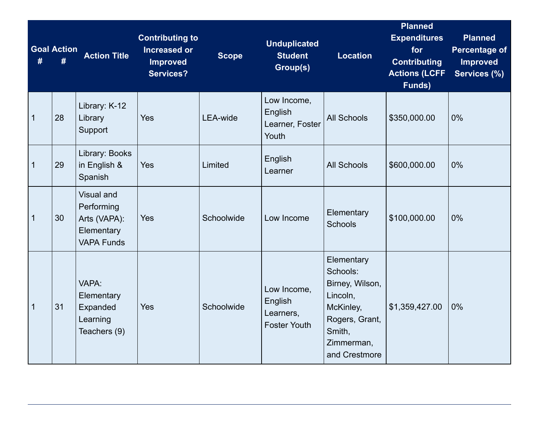| #           | <b>Goal Action</b><br># | <b>Action Title</b>                                                                | <b>Contributing to</b><br><b>Increased or</b><br><b>Improved</b><br><b>Services?</b> | <b>Scope</b>    | <b>Unduplicated</b><br><b>Student</b><br>Group(s)          | <b>Location</b>                                                                                                               | <b>Planned</b><br><b>Expenditures</b><br>for<br><b>Contributing</b><br><b>Actions (LCFF</b><br>Funds) | <b>Planned</b><br><b>Percentage of</b><br><b>Improved</b><br>Services (%) |
|-------------|-------------------------|------------------------------------------------------------------------------------|--------------------------------------------------------------------------------------|-----------------|------------------------------------------------------------|-------------------------------------------------------------------------------------------------------------------------------|-------------------------------------------------------------------------------------------------------|---------------------------------------------------------------------------|
| 1           | 28                      | Library: K-12<br>Library<br>Support                                                | Yes                                                                                  | <b>LEA-wide</b> | Low Income,<br>English<br>Learner, Foster<br>Youth         | <b>All Schools</b>                                                                                                            | \$350,000.00                                                                                          | 0%                                                                        |
| $\mathbf 1$ | 29                      | Library: Books<br>in English &<br>Spanish                                          | Yes                                                                                  | Limited         | English<br>Learner                                         | <b>All Schools</b>                                                                                                            | \$600,000.00                                                                                          | 0%                                                                        |
| 1           | 30                      | <b>Visual and</b><br>Performing<br>Arts (VAPA):<br>Elementary<br><b>VAPA Funds</b> | Yes                                                                                  | Schoolwide      | Low Income                                                 | Elementary<br><b>Schools</b>                                                                                                  | \$100,000.00                                                                                          | 0%                                                                        |
| 1           | 31                      | VAPA:<br>Elementary<br>Expanded<br>Learning<br>Teachers (9)                        | Yes                                                                                  | Schoolwide      | Low Income,<br>English<br>Learners,<br><b>Foster Youth</b> | Elementary<br>Schools:<br>Birney, Wilson,<br>Lincoln,<br>McKinley,<br>Rogers, Grant,<br>Smith,<br>Zimmerman,<br>and Crestmore | \$1,359,427.00                                                                                        | 0%                                                                        |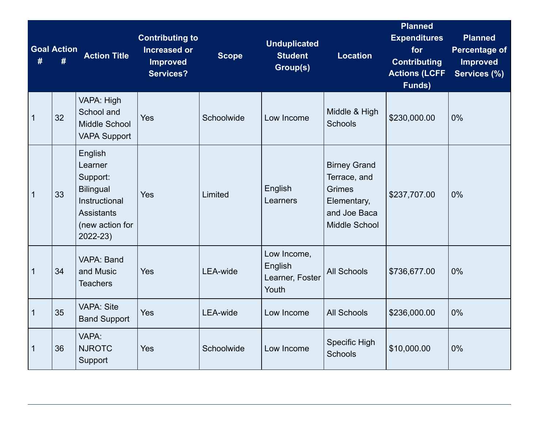| #            | <b>Goal Action</b><br># | <b>Action Title</b>                                                                                                     | <b>Contributing to</b><br><b>Increased or</b><br><b>Improved</b><br><b>Services?</b> | <b>Scope</b>    | <b>Unduplicated</b><br><b>Student</b><br>Group(s)  | <b>Location</b>                                                                                      | <b>Planned</b><br><b>Expenditures</b><br>for<br><b>Contributing</b><br><b>Actions (LCFF</b><br>Funds) | <b>Planned</b><br><b>Percentage of</b><br><b>Improved</b><br>Services (%) |
|--------------|-------------------------|-------------------------------------------------------------------------------------------------------------------------|--------------------------------------------------------------------------------------|-----------------|----------------------------------------------------|------------------------------------------------------------------------------------------------------|-------------------------------------------------------------------------------------------------------|---------------------------------------------------------------------------|
| $\mathbf{1}$ | 32                      | VAPA: High<br>School and<br>Middle School<br><b>VAPA Support</b>                                                        | Yes                                                                                  | Schoolwide      | Low Income                                         | Middle & High<br><b>Schools</b>                                                                      | \$230,000.00                                                                                          | 0%                                                                        |
| $\mathbf{1}$ | 33                      | English<br>Learner<br>Support:<br><b>Bilingual</b><br>Instructional<br><b>Assistants</b><br>(new action for<br>2022-23) | Yes                                                                                  | Limited         | English<br>Learners                                | <b>Birney Grand</b><br>Terrace, and<br><b>Grimes</b><br>Elementary,<br>and Joe Baca<br>Middle School | \$237,707.00                                                                                          | 0%                                                                        |
| $\mathbf 1$  | 34                      | VAPA: Band<br>and Music<br><b>Teachers</b>                                                                              | Yes                                                                                  | <b>LEA-wide</b> | Low Income,<br>English<br>Learner, Foster<br>Youth | <b>All Schools</b>                                                                                   | \$736,677.00                                                                                          | 0%                                                                        |
| $\mathbf{1}$ | 35                      | <b>VAPA: Site</b><br><b>Band Support</b>                                                                                | Yes                                                                                  | <b>LEA-wide</b> | Low Income                                         | <b>All Schools</b>                                                                                   | \$236,000.00                                                                                          | 0%                                                                        |
| $\mathbf 1$  | 36                      | VAPA:<br><b>NJROTC</b><br>Support                                                                                       | Yes                                                                                  | Schoolwide      | Low Income                                         | <b>Specific High</b><br><b>Schools</b>                                                               | \$10,000.00                                                                                           | 0%                                                                        |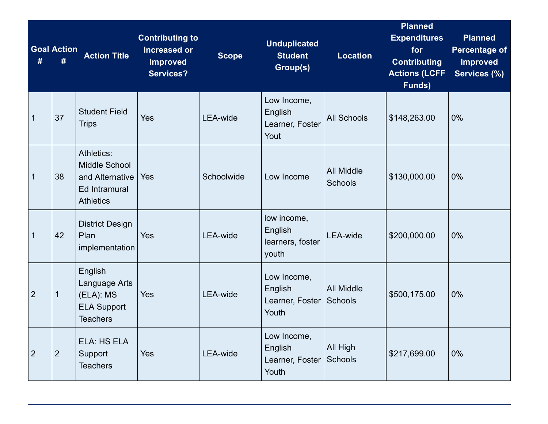| #              | <b>Goal Action</b><br># | <b>Action Title</b>                                                                        | <b>Contributing to</b><br><b>Increased or</b><br><b>Improved</b><br><b>Services?</b> | <b>Scope</b>    | <b>Unduplicated</b><br><b>Student</b><br>Group(s)   | <b>Location</b>                     | <b>Planned</b><br><b>Expenditures</b><br>for<br><b>Contributing</b><br><b>Actions (LCFF</b><br>Funds) | <b>Planned</b><br><b>Percentage of</b><br><b>Improved</b><br>Services (%) |
|----------------|-------------------------|--------------------------------------------------------------------------------------------|--------------------------------------------------------------------------------------|-----------------|-----------------------------------------------------|-------------------------------------|-------------------------------------------------------------------------------------------------------|---------------------------------------------------------------------------|
| $\mathbf{1}$   | 37                      | <b>Student Field</b><br><b>Trips</b>                                                       | Yes                                                                                  | <b>LEA-wide</b> | Low Income,<br>English<br>Learner, Foster<br>Yout   | <b>All Schools</b>                  | \$148,263.00                                                                                          | 0%                                                                        |
| $\mathbf 1$    | 38                      | Athletics:<br><b>Middle School</b><br>and Alternative<br>Ed Intramural<br><b>Athletics</b> | Yes                                                                                  | Schoolwide      | Low Income                                          | <b>All Middle</b><br><b>Schools</b> | \$130,000.00                                                                                          | 0%                                                                        |
| $\mathbf 1$    | 42                      | <b>District Design</b><br>Plan<br>implementation                                           | Yes                                                                                  | <b>LEA-wide</b> | low income,<br>English<br>learners, foster<br>youth | <b>LEA-wide</b>                     | \$200,000.00                                                                                          | 0%                                                                        |
| $\overline{2}$ | $\mathbf{1}$            | English<br>Language Arts<br>(ELA): MS<br><b>ELA Support</b><br><b>Teachers</b>             | Yes                                                                                  | <b>LEA-wide</b> | Low Income,<br>English<br>Learner, Foster<br>Youth  | <b>All Middle</b><br><b>Schools</b> | \$500,175.00                                                                                          | 0%                                                                        |
| $\overline{2}$ | $\overline{2}$          | ELA: HS ELA<br>Support<br><b>Teachers</b>                                                  | Yes                                                                                  | <b>LEA-wide</b> | Low Income,<br>English<br>Learner, Foster<br>Youth  | All High<br><b>Schools</b>          | \$217,699.00                                                                                          | 0%                                                                        |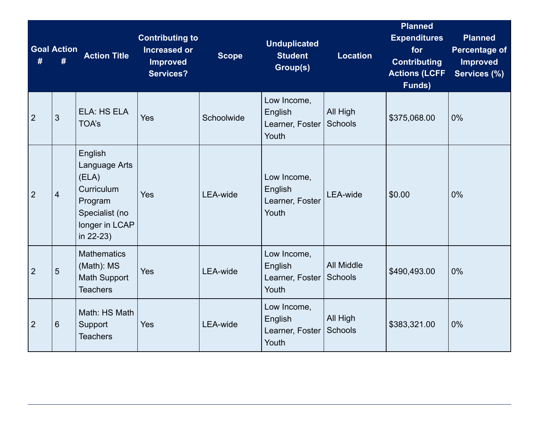| #              | <b>Goal Action</b><br># | <b>Action Title</b>                                                                                                | <b>Contributing to</b><br><b>Increased or</b><br><b>Improved</b><br><b>Services?</b> | <b>Scope</b>    | <b>Unduplicated</b><br><b>Student</b><br>Group(s)  | <b>Location</b>              | <b>Planned</b><br><b>Expenditures</b><br>for<br><b>Contributing</b><br><b>Actions (LCFF</b><br>Funds) | <b>Planned</b><br><b>Percentage of</b><br><b>Improved</b><br>Services (%) |
|----------------|-------------------------|--------------------------------------------------------------------------------------------------------------------|--------------------------------------------------------------------------------------|-----------------|----------------------------------------------------|------------------------------|-------------------------------------------------------------------------------------------------------|---------------------------------------------------------------------------|
| $\overline{2}$ | 3                       | ELA: HS ELA<br><b>TOA's</b>                                                                                        | Yes                                                                                  | Schoolwide      | Low Income,<br>English<br>Learner, Foster<br>Youth | All High<br>Schools          | \$375,068.00                                                                                          | 0%                                                                        |
| $\overline{2}$ | $\overline{4}$          | English<br>Language Arts<br>(ELA)<br><b>Curriculum</b><br>Program<br>Specialist (no<br>longer in LCAP<br>in 22-23) | Yes                                                                                  | <b>LEA-wide</b> | Low Income,<br>English<br>Learner, Foster<br>Youth | <b>LEA-wide</b>              | \$0.00                                                                                                | 0%                                                                        |
| $\overline{2}$ | $5\phantom{.0}$         | <b>Mathematics</b><br>(Math): MS<br><b>Math Support</b><br><b>Teachers</b>                                         | Yes                                                                                  | LEA-wide        | Low Income,<br>English<br>Learner, Foster<br>Youth | <b>All Middle</b><br>Schools | \$490,493.00                                                                                          | 0%                                                                        |
| $\overline{2}$ | 6                       | Math: HS Math<br>Support<br><b>Teachers</b>                                                                        | Yes                                                                                  | <b>LEA-wide</b> | Low Income,<br>English<br>Learner, Foster<br>Youth | All High<br>Schools          | \$383,321.00                                                                                          | 0%                                                                        |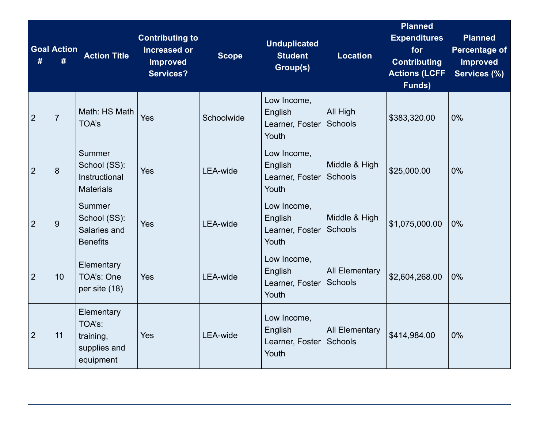| #              | <b>Goal Action</b><br># | <b>Action Title</b>                                            | <b>Contributing to</b><br><b>Increased or</b><br><b>Improved</b><br><b>Services?</b> | <b>Scope</b>    | <b>Unduplicated</b><br><b>Student</b><br>Group(s)  | <b>Location</b>                         | <b>Planned</b><br><b>Expenditures</b><br>for<br><b>Contributing</b><br><b>Actions (LCFF</b><br>Funds) | <b>Planned</b><br><b>Percentage of</b><br><b>Improved</b><br>Services (%) |
|----------------|-------------------------|----------------------------------------------------------------|--------------------------------------------------------------------------------------|-----------------|----------------------------------------------------|-----------------------------------------|-------------------------------------------------------------------------------------------------------|---------------------------------------------------------------------------|
| $\overline{2}$ | $\overline{7}$          | Math: HS Math<br><b>TOA's</b>                                  | Yes                                                                                  | Schoolwide      | Low Income,<br>English<br>Learner, Foster<br>Youth | All High<br><b>Schools</b>              | \$383,320.00                                                                                          | 0%                                                                        |
| $\overline{2}$ | 8                       | Summer<br>School (SS):<br>Instructional<br><b>Materials</b>    | Yes                                                                                  | <b>LEA-wide</b> | Low Income,<br>English<br>Learner, Foster<br>Youth | Middle & High<br><b>Schools</b>         | \$25,000.00                                                                                           | 0%                                                                        |
| $\overline{2}$ | 9                       | Summer<br>School (SS):<br>Salaries and<br><b>Benefits</b>      | Yes                                                                                  | <b>LEA-wide</b> | Low Income,<br>English<br>Learner, Foster<br>Youth | Middle & High<br><b>Schools</b>         | \$1,075,000.00                                                                                        | 0%                                                                        |
| $\overline{2}$ | 10 <sup>1</sup>         | Elementary<br>TOA's: One<br>per site (18)                      | Yes                                                                                  | <b>LEA-wide</b> | Low Income,<br>English<br>Learner, Foster<br>Youth | <b>All Elementary</b><br><b>Schools</b> | \$2,604,268.00                                                                                        | 0%                                                                        |
| $\overline{2}$ | 11                      | Elementary<br>TOA's:<br>training,<br>supplies and<br>equipment | Yes                                                                                  | <b>LEA-wide</b> | Low Income,<br>English<br>Learner, Foster<br>Youth | <b>All Elementary</b><br>Schools        | \$414,984.00                                                                                          | 0%                                                                        |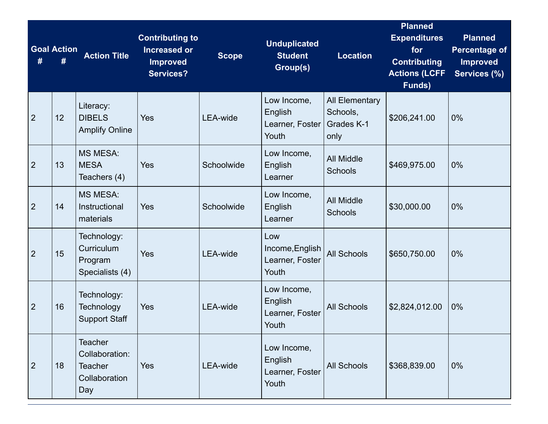|                | <b>Goal Action</b> | <b>Action Title</b>                                                        | <b>Contributing to</b><br><b>Increased or</b><br><b>Improved</b><br><b>Services?</b> | <b>Scope</b>    | <b>Unduplicated</b><br><b>Student</b><br>Group(s)  | <b>Location</b>                                         | <b>Planned</b><br><b>Expenditures</b><br>for<br><b>Contributing</b><br><b>Actions (LCFF</b><br>Funds) | <b>Planned</b><br><b>Percentage of</b><br><b>Improved</b><br>Services (%) |
|----------------|--------------------|----------------------------------------------------------------------------|--------------------------------------------------------------------------------------|-----------------|----------------------------------------------------|---------------------------------------------------------|-------------------------------------------------------------------------------------------------------|---------------------------------------------------------------------------|
| $\overline{2}$ | 12                 | Literacy:<br><b>DIBELS</b><br><b>Amplify Online</b>                        | Yes                                                                                  | <b>LEA-wide</b> | Low Income,<br>English<br>Learner, Foster<br>Youth | <b>All Elementary</b><br>Schools,<br>Grades K-1<br>only | \$206,241.00                                                                                          | 0%                                                                        |
| $\overline{2}$ | 13                 | <b>MS MESA:</b><br><b>MESA</b><br>Teachers (4)                             | Yes                                                                                  | Schoolwide      | Low Income,<br>English<br>Learner                  | <b>All Middle</b><br><b>Schools</b>                     | \$469,975.00                                                                                          | 0%                                                                        |
| $\overline{2}$ | 14                 | <b>MS MESA:</b><br>Instructional<br>materials                              | Yes                                                                                  | Schoolwide      | Low Income,<br>English<br>Learner                  | <b>All Middle</b><br><b>Schools</b>                     | \$30,000.00                                                                                           | 0%                                                                        |
| $\overline{2}$ | 15                 | Technology:<br>Curriculum<br>Program<br>Specialists (4)                    | Yes                                                                                  | <b>LEA-wide</b> | Low<br>Income, English<br>Learner, Foster<br>Youth | <b>All Schools</b>                                      | \$650,750.00                                                                                          | 0%                                                                        |
| $\overline{2}$ | 16                 | Technology:<br>Technology<br><b>Support Staff</b>                          | Yes                                                                                  | LEA-wide        | Low Income,<br>English<br>Learner, Foster<br>Youth | <b>All Schools</b>                                      | \$2,824,012.00                                                                                        | 0%                                                                        |
| $\overline{2}$ | 18                 | <b>Teacher</b><br>Collaboration:<br><b>Teacher</b><br>Collaboration<br>Day | Yes                                                                                  | LEA-wide        | Low Income,<br>English<br>Learner, Foster<br>Youth | <b>All Schools</b>                                      | \$368,839.00                                                                                          | $0\%$                                                                     |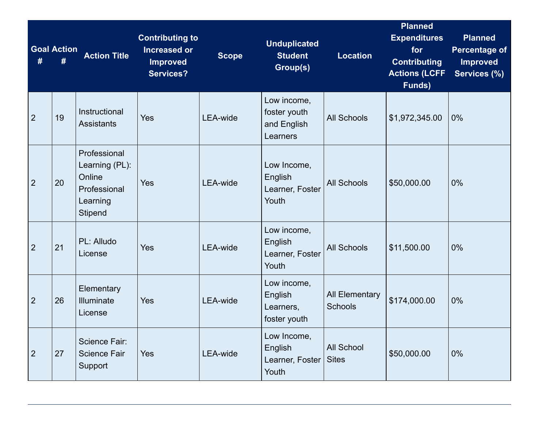| #              | <b>Goal Action</b><br># | <b>Action Title</b>                                                                    | <b>Contributing to</b><br><b>Increased or</b><br><b>Improved</b><br><b>Services?</b> | <b>Scope</b>    | <b>Unduplicated</b><br><b>Student</b><br>Group(s)      | <b>Location</b>                         | <b>Planned</b><br><b>Expenditures</b><br>for<br><b>Contributing</b><br><b>Actions (LCFF</b><br>Funds) | <b>Planned</b><br><b>Percentage of</b><br><b>Improved</b><br>Services (%) |
|----------------|-------------------------|----------------------------------------------------------------------------------------|--------------------------------------------------------------------------------------|-----------------|--------------------------------------------------------|-----------------------------------------|-------------------------------------------------------------------------------------------------------|---------------------------------------------------------------------------|
| $\overline{2}$ | 19                      | Instructional<br><b>Assistants</b>                                                     | Yes                                                                                  | <b>LEA-wide</b> | Low income,<br>foster youth<br>and English<br>Learners | <b>All Schools</b>                      | \$1,972,345.00                                                                                        | 0%                                                                        |
| $\overline{2}$ | 20                      | Professional<br>Learning (PL):<br>Online<br>Professional<br>Learning<br><b>Stipend</b> | Yes                                                                                  | <b>LEA-wide</b> | Low Income,<br>English<br>Learner, Foster<br>Youth     | <b>All Schools</b>                      | \$50,000.00                                                                                           | 0%                                                                        |
| $\overline{2}$ | 21                      | PL: Alludo<br>License                                                                  | Yes                                                                                  | <b>LEA-wide</b> | Low income,<br>English<br>Learner, Foster<br>Youth     | <b>All Schools</b>                      | \$11,500.00                                                                                           | 0%                                                                        |
| $\overline{2}$ | 26                      | Elementary<br>Illuminate<br>License                                                    | Yes                                                                                  | <b>LEA-wide</b> | Low income,<br>English<br>Learners,<br>foster youth    | <b>All Elementary</b><br><b>Schools</b> | \$174,000.00                                                                                          | 0%                                                                        |
| $\overline{2}$ | 27                      | Science Fair:<br><b>Science Fair</b><br>Support                                        | Yes                                                                                  | <b>LEA-wide</b> | Low Income,<br>English<br>Learner, Foster<br>Youth     | <b>All School</b><br><b>Sites</b>       | \$50,000.00                                                                                           | 0%                                                                        |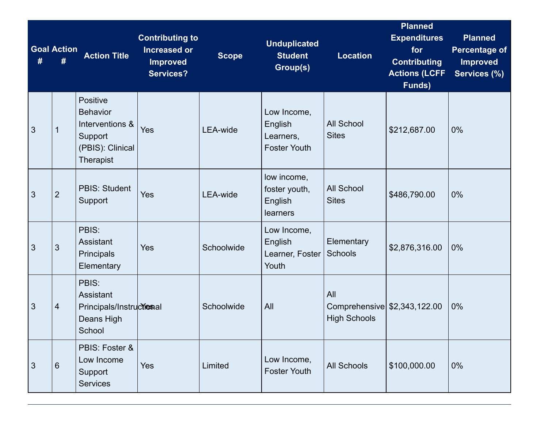|                | <b>Goal Action</b><br># | <b>Action Title</b>                                                                               | <b>Contributing to</b><br><b>Increased or</b><br><b>Improved</b><br><b>Services?</b> | <b>Scope</b>    | <b>Unduplicated</b><br><b>Student</b><br>Group(s)          | <b>Location</b>                                            | <b>Planned</b><br><b>Expenditures</b><br>for<br><b>Contributing</b><br><b>Actions (LCFF</b><br>Funds) | <b>Planned</b><br><b>Percentage of</b><br><b>Improved</b><br>Services (%) |
|----------------|-------------------------|---------------------------------------------------------------------------------------------------|--------------------------------------------------------------------------------------|-----------------|------------------------------------------------------------|------------------------------------------------------------|-------------------------------------------------------------------------------------------------------|---------------------------------------------------------------------------|
| $\mathfrak{S}$ | $\mathbf 1$             | Positive<br><b>Behavior</b><br>Interventions &<br>Support<br>(PBIS): Clinical<br><b>Therapist</b> | Yes                                                                                  | <b>LEA-wide</b> | Low Income,<br>English<br>Learners,<br><b>Foster Youth</b> | <b>All School</b><br><b>Sites</b>                          | \$212,687.00                                                                                          | 0%                                                                        |
| 3              | $\overline{2}$          | <b>PBIS: Student</b><br>Support                                                                   | Yes                                                                                  | <b>LEA-wide</b> | low income,<br>foster youth,<br>English<br>learners        | <b>All School</b><br><b>Sites</b>                          | \$486,790.00                                                                                          | 0%                                                                        |
| 3              | 3                       | PBIS:<br>Assistant<br>Principals<br>Elementary                                                    | Yes                                                                                  | Schoolwide      | Low Income,<br>English<br>Learner, Foster<br>Youth         | Elementary<br>Schools                                      | \$2,876,316.00                                                                                        | 0%                                                                        |
| 3              | $\overline{4}$          | PBIS:<br>Assistant<br>Principals/Instructional<br>Deans High<br>School                            |                                                                                      | Schoolwide      | All                                                        | All<br>Comprehensive \$2,343,122.00<br><b>High Schools</b> |                                                                                                       | 0%                                                                        |
| $\mathbf{3}$   | 6                       | PBIS: Foster &<br>Low Income<br>Support<br><b>Services</b>                                        | Yes                                                                                  | Limited         | Low Income,<br><b>Foster Youth</b>                         | <b>All Schools</b>                                         | \$100,000.00                                                                                          | 0%                                                                        |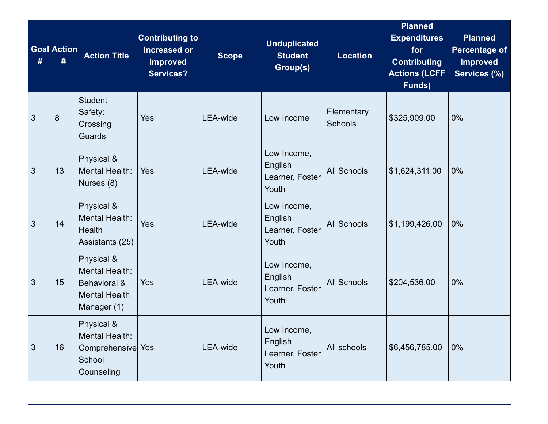| # | <b>Goal Action</b><br># | <b>Action Title</b>                                                                 | <b>Contributing to</b><br><b>Increased or</b><br><b>Improved</b><br><b>Services?</b> | <b>Scope</b>    | <b>Unduplicated</b><br><b>Student</b><br>Group(s)  | <b>Location</b>              | <b>Planned</b><br><b>Expenditures</b><br>for<br><b>Contributing</b><br><b>Actions (LCFF</b><br>Funds) | <b>Planned</b><br><b>Percentage of</b><br><b>Improved</b><br>Services (%) |
|---|-------------------------|-------------------------------------------------------------------------------------|--------------------------------------------------------------------------------------|-----------------|----------------------------------------------------|------------------------------|-------------------------------------------------------------------------------------------------------|---------------------------------------------------------------------------|
| 3 | 8                       | <b>Student</b><br>Safety:<br>Crossing<br>Guards                                     | <b>Yes</b>                                                                           | <b>LEA-wide</b> | Low Income                                         | Elementary<br><b>Schools</b> | \$325,909.00                                                                                          | 0%                                                                        |
| 3 | 13                      | Physical &<br><b>Mental Health:</b><br>Nurses (8)                                   | <b>Yes</b>                                                                           | <b>LEA-wide</b> | Low Income,<br>English<br>Learner, Foster<br>Youth | <b>All Schools</b>           | \$1,624,311.00                                                                                        | 0%                                                                        |
| 3 | 14                      | Physical &<br><b>Mental Health:</b><br>Health<br>Assistants (25)                    | Yes                                                                                  | <b>LEA-wide</b> | Low Income,<br>English<br>Learner, Foster<br>Youth | <b>All Schools</b>           | \$1,199,426.00                                                                                        | 0%                                                                        |
| 3 | 15                      | Physical &<br>Mental Health:<br>Behavioral &<br><b>Mental Health</b><br>Manager (1) | Yes                                                                                  | <b>LEA-wide</b> | Low Income,<br>English<br>Learner, Foster<br>Youth | <b>All Schools</b>           | \$204,536.00                                                                                          | 0%                                                                        |
| 3 | 16                      | Physical &<br>Mental Health:<br>Comprehensive Yes<br>School<br>Counseling           |                                                                                      | <b>LEA-wide</b> | Low Income,<br>English<br>Learner, Foster<br>Youth | All schools                  | \$6,456,785.00                                                                                        | 0%                                                                        |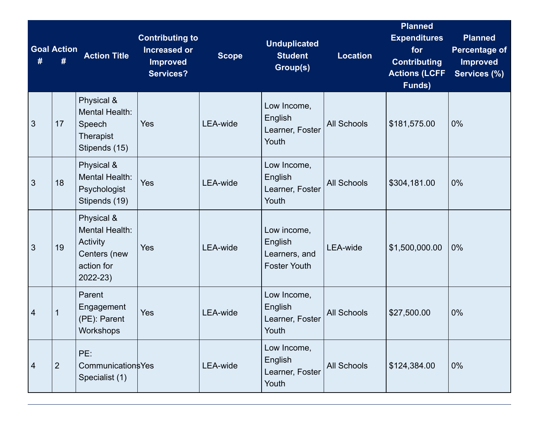|                | <b>Goal Action</b><br># | <b>Action Title</b>                                                                | <b>Contributing to</b><br><b>Increased or</b><br><b>Improved</b><br><b>Services?</b> | <b>Scope</b>    | <b>Unduplicated</b><br><b>Student</b><br>Group(s)              | <b>Location</b>    | <b>Planned</b><br><b>Expenditures</b><br>for<br><b>Contributing</b><br><b>Actions (LCFF</b><br>Funds) | <b>Planned</b><br><b>Percentage of</b><br><b>Improved</b><br>Services (%) |
|----------------|-------------------------|------------------------------------------------------------------------------------|--------------------------------------------------------------------------------------|-----------------|----------------------------------------------------------------|--------------------|-------------------------------------------------------------------------------------------------------|---------------------------------------------------------------------------|
| $\mathbf{3}$   | 17                      | Physical &<br>Mental Health:<br>Speech<br><b>Therapist</b><br>Stipends (15)        | Yes                                                                                  | LEA-wide        | Low Income,<br>English<br>Learner, Foster<br>Youth             | <b>All Schools</b> | \$181,575.00                                                                                          | 0%                                                                        |
| 3              | 18                      | Physical &<br>Mental Health:<br>Psychologist<br>Stipends (19)                      | Yes                                                                                  | LEA-wide        | Low Income,<br>English<br>Learner, Foster<br>Youth             | <b>All Schools</b> | \$304,181.00                                                                                          | 0%                                                                        |
| $\mathbf{3}$   | 19                      | Physical &<br>Mental Health:<br>Activity<br>Centers (new<br>action for<br>2022-23) | Yes                                                                                  | <b>LEA-wide</b> | Low income,<br>English<br>Learners, and<br><b>Foster Youth</b> | <b>LEA-wide</b>    | \$1,500,000.00                                                                                        | 0%                                                                        |
| $\overline{4}$ | $\mathbf 1$             | Parent<br>Engagement<br>(PE): Parent<br>Workshops                                  | Yes                                                                                  | <b>LEA-wide</b> | Low Income,<br>English<br>Learner, Foster<br>Youth             | <b>All Schools</b> | \$27,500.00                                                                                           | 0%                                                                        |
| $\overline{4}$ | $\overline{2}$          | PE:<br><b>Communications Yes</b><br>Specialist (1)                                 |                                                                                      | LEA-wide        | Low Income,<br>English<br>Learner, Foster<br>Youth             | <b>All Schools</b> | \$124,384.00                                                                                          | 0%                                                                        |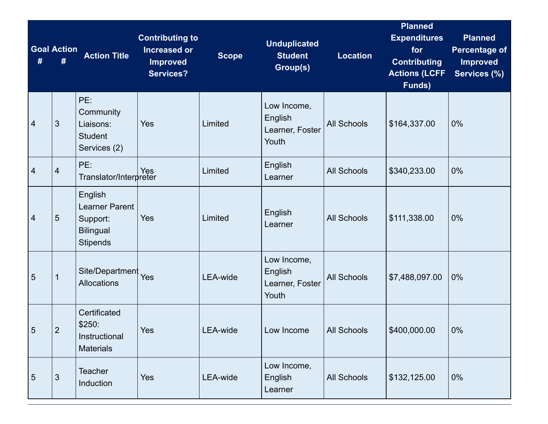| #              | <b>Goal Action</b><br># | <b>Action Title</b>                                                                 | <b>Contributing to</b><br><b>Increased or</b><br><b>Improved</b><br><b>Services?</b> | <b>Scope</b>    | <b>Unduplicated</b><br><b>Student</b><br>Group(s)  | <b>Location</b>    | <b>Planned</b><br><b>Expenditures</b><br>for<br><b>Contributing</b><br><b>Actions (LCFF</b><br>Funds) | <b>Planned</b><br><b>Percentage of</b><br><b>Improved</b><br>Services (%) |
|----------------|-------------------------|-------------------------------------------------------------------------------------|--------------------------------------------------------------------------------------|-----------------|----------------------------------------------------|--------------------|-------------------------------------------------------------------------------------------------------|---------------------------------------------------------------------------|
| 4              | 3                       | PE:<br>Community<br>Liaisons:<br><b>Student</b><br>Services (2)                     | Yes                                                                                  | Limited         | Low Income,<br>English<br>Learner, Foster<br>Youth | <b>All Schools</b> | \$164,337.00                                                                                          | 0%                                                                        |
| $\overline{4}$ | 4                       | PE:<br>Pes<br>Translator/Interpreter                                                |                                                                                      | Limited         | <b>English</b><br>Learner                          | <b>All Schools</b> | \$340,233.00                                                                                          | 0%                                                                        |
| 4              | $\overline{5}$          | English<br><b>Learner Parent</b><br>Support:<br><b>Bilingual</b><br><b>Stipends</b> | Yes                                                                                  | Limited         | English<br>Learner                                 | <b>All Schools</b> | \$111,338.00                                                                                          | 0%                                                                        |
| 5              | 1                       | Site/Department<br>Allocations                                                      | Yes                                                                                  | <b>LEA-wide</b> | Low Income,<br>English<br>Learner, Foster<br>Youth | <b>All Schools</b> | \$7,488,097.00                                                                                        | 0%                                                                        |
| 5              | $\overline{2}$          | Certificated<br>\$250:<br>Instructional<br><b>Materials</b>                         | Yes                                                                                  | LEA-wide        | Low Income                                         | All Schools        | \$400,000.00                                                                                          | 0%                                                                        |
| 5              | 3                       | Teacher<br>Induction                                                                | Yes                                                                                  | LEA-wide        | Low Income,<br>English<br>Learner                  | <b>All Schools</b> | \$132,125.00                                                                                          | 0%                                                                        |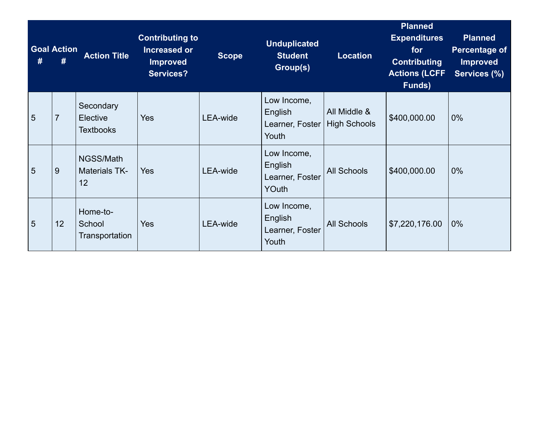|   | <b>Goal Action</b> | <b>Action Title</b>                       | <b>Contributing to</b><br>Increased or<br><b>Improved</b><br><b>Services?</b> | <b>Scope</b>    | <b>Unduplicated</b><br><b>Student</b><br>Group(s)         | <b>Location</b>                     | <b>Planned</b><br><b>Expenditures</b><br>for<br><b>Contributing</b><br><b>Actions (LCFF</b><br>Funds) | <b>Planned</b><br>Percentage of<br><b>Improved</b><br>Services (%) |
|---|--------------------|-------------------------------------------|-------------------------------------------------------------------------------|-----------------|-----------------------------------------------------------|-------------------------------------|-------------------------------------------------------------------------------------------------------|--------------------------------------------------------------------|
| 5 | $\overline{7}$     | Secondary<br>Elective<br><b>Textbooks</b> | <b>Yes</b>                                                                    | <b>LEA-wide</b> | Low Income,<br>English<br>Learner, Foster<br>Youth        | All Middle &<br><b>High Schools</b> | \$400,000.00                                                                                          | $0\%$                                                              |
| 5 | 9                  | NGSS/Math<br><b>Materials TK-</b><br>12   | <b>Yes</b>                                                                    | <b>LEA-wide</b> | Low Income,<br>English<br>Learner, Foster<br><b>YOuth</b> | <b>All Schools</b>                  | \$400,000.00                                                                                          | $0\%$                                                              |
| 5 | 12                 | Home-to-<br>School<br>Transportation      | Yes                                                                           | LEA-wide        | Low Income,<br>English<br>Learner, Foster<br>Youth        | <b>All Schools</b>                  | \$7,220,176.00                                                                                        | $0\%$                                                              |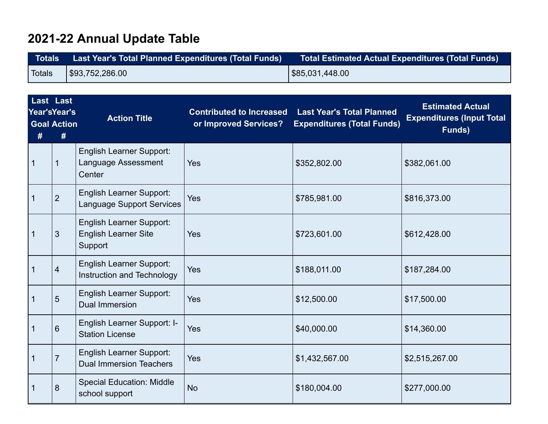## **2021-22 Annual Update Table**

| <b>Totals</b> ' | Last Year's Total Planned Expenditures (Total Funds) | Total Estimated Actual Expenditures (Total Funds) \ |
|-----------------|------------------------------------------------------|-----------------------------------------------------|
| Totals          | $1$ \$93,752,286.00                                  | \$85,031,448.00                                     |

| #            | <b>Last Last</b><br>Year'sYear's<br><b>Goal Action</b><br># | <b>Action Title</b>                                                       | <b>Contributed to Increased</b><br>or Improved Services? | <b>Last Year's Total Planned</b><br><b>Expenditures (Total Funds)</b> | <b>Estimated Actual</b><br><b>Expenditures (Input Total</b><br>Funds) |
|--------------|-------------------------------------------------------------|---------------------------------------------------------------------------|----------------------------------------------------------|-----------------------------------------------------------------------|-----------------------------------------------------------------------|
| $\mathbf{1}$ | $\mathbf 1$                                                 | <b>English Learner Support:</b><br>Language Assessment<br>Center          | Yes                                                      | \$352,802.00                                                          | \$382,061.00                                                          |
| $\mathbf 1$  | $\overline{2}$                                              | <b>English Learner Support:</b><br><b>Language Support Services</b>       | Yes                                                      | \$785,981.00                                                          | \$816,373.00                                                          |
| $\mathbf{1}$ | 3                                                           | <b>English Learner Support:</b><br><b>English Learner Site</b><br>Support | <b>Yes</b>                                               | \$723,601.00                                                          | \$612,428.00                                                          |
| $\mathbf{1}$ | $\overline{4}$                                              | <b>English Learner Support:</b><br>Instruction and Technology             | Yes                                                      | \$188,011.00                                                          | \$187,284.00                                                          |
| $\mathbf{1}$ | 5                                                           | <b>English Learner Support:</b><br><b>Dual Immersion</b>                  | Yes                                                      | \$12,500.00                                                           | \$17,500.00                                                           |
| $\mathbf{1}$ | 6                                                           | English Learner Support: I-<br><b>Station License</b>                     | Yes                                                      | \$40,000.00                                                           | \$14,360.00                                                           |
| $\mathbf 1$  | $\overline{7}$                                              | <b>English Learner Support:</b><br><b>Dual Immersion Teachers</b>         | Yes                                                      | \$1,432,567.00                                                        | \$2,515,267.00                                                        |
| $\mathbf{1}$ | 8                                                           | <b>Special Education: Middle</b><br>school support                        | <b>No</b>                                                | \$180,004.00                                                          | \$277,000.00                                                          |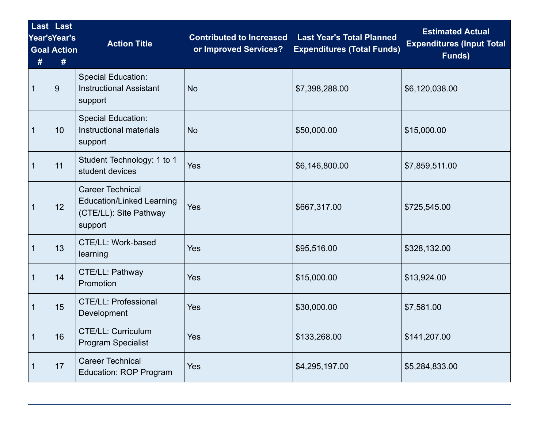| #            | Last Last<br>Year'sYear's<br><b>Goal Action</b><br># | <b>Action Title</b>                                                                              | <b>Contributed to Increased</b><br>or Improved Services? | <b>Last Year's Total Planned</b><br><b>Expenditures (Total Funds)</b> | <b>Estimated Actual</b><br><b>Expenditures (Input Total</b><br>Funds) |
|--------------|------------------------------------------------------|--------------------------------------------------------------------------------------------------|----------------------------------------------------------|-----------------------------------------------------------------------|-----------------------------------------------------------------------|
|              | 9                                                    | <b>Special Education:</b><br><b>Instructional Assistant</b><br>support                           | <b>No</b>                                                | \$7,398,288.00                                                        | \$6,120,038.00                                                        |
| 1            | 10                                                   | <b>Special Education:</b><br>Instructional materials<br>support                                  | <b>No</b>                                                | \$50,000.00                                                           | \$15,000.00                                                           |
| 1            | 11                                                   | Student Technology: 1 to 1<br>student devices                                                    | Yes                                                      | \$6,146,800.00                                                        | \$7,859,511.00                                                        |
| $\mathbf{1}$ | 12                                                   | <b>Career Technical</b><br><b>Education/Linked Learning</b><br>(CTE/LL): Site Pathway<br>support | Yes                                                      | \$667,317.00                                                          | \$725,545.00                                                          |
| 1            | 13                                                   | CTE/LL: Work-based<br>learning                                                                   | Yes                                                      | \$95,516.00                                                           | \$328,132.00                                                          |
| $\mathbf{1}$ | 14                                                   | CTE/LL: Pathway<br>Promotion                                                                     | Yes                                                      | \$15,000.00                                                           | \$13,924.00                                                           |
| $\mathbf 1$  | 15                                                   | <b>CTE/LL: Professional</b><br>Development                                                       | Yes                                                      | \$30,000.00                                                           | \$7,581.00                                                            |
| $\mathbf 1$  | 16                                                   | CTE/LL: Curriculum<br><b>Program Specialist</b>                                                  | Yes                                                      | \$133,268.00                                                          | \$141,207.00                                                          |
|              | 17                                                   | <b>Career Technical</b><br><b>Education: ROP Program</b>                                         | Yes                                                      | \$4,295,197.00                                                        | \$5,284,833.00                                                        |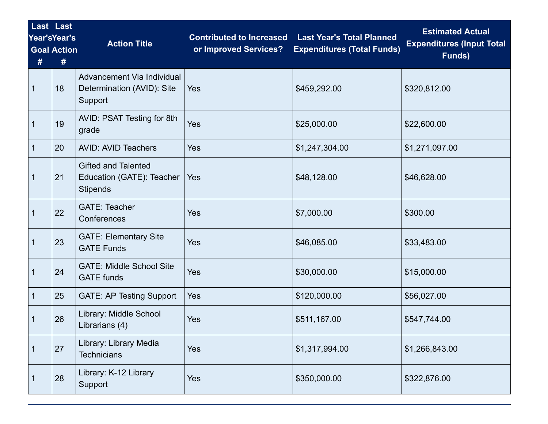| #           | Last Last<br>Year'sYear's<br><b>Goal Action</b><br># | <b>Action Title</b>                                                        | <b>Contributed to Increased</b><br>or Improved Services? | <b>Last Year's Total Planned</b><br><b>Expenditures (Total Funds)</b> | <b>Estimated Actual</b><br><b>Expenditures (Input Total</b><br>Funds) |  |
|-------------|------------------------------------------------------|----------------------------------------------------------------------------|----------------------------------------------------------|-----------------------------------------------------------------------|-----------------------------------------------------------------------|--|
| 1           | 18                                                   | Advancement Via Individual<br>Determination (AVID): Site<br>Support        | Yes                                                      | \$459,292.00                                                          | \$320,812.00                                                          |  |
| 1           | 19                                                   | AVID: PSAT Testing for 8th<br>grade                                        | Yes                                                      | \$25,000.00                                                           | \$22,600.00                                                           |  |
| 1           | 20                                                   | <b>AVID: AVID Teachers</b>                                                 | Yes                                                      | \$1,247,304.00                                                        | \$1,271,097.00                                                        |  |
| $\mathbf 1$ | 21                                                   | <b>Gifted and Talented</b><br>Education (GATE): Teacher<br><b>Stipends</b> | Yes                                                      | \$48,128.00                                                           | \$46,628.00                                                           |  |
| 1           | 22                                                   | <b>GATE: Teacher</b><br>Conferences                                        | Yes                                                      | \$7,000.00                                                            | \$300.00                                                              |  |
| 1           | 23                                                   | <b>GATE: Elementary Site</b><br><b>GATE Funds</b>                          | Yes                                                      | \$46,085.00                                                           | \$33,483.00                                                           |  |
| 1           | 24                                                   | <b>GATE: Middle School Site</b><br><b>GATE</b> funds                       | Yes                                                      | \$30,000.00                                                           | \$15,000.00                                                           |  |
| 1           | 25                                                   | <b>GATE: AP Testing Support</b>                                            | Yes                                                      | \$120,000.00                                                          | \$56,027.00                                                           |  |
| 1           | 26                                                   | Library: Middle School<br>Librarians (4)                                   | Yes                                                      | \$511,167.00                                                          | \$547,744.00                                                          |  |
|             | 27                                                   | Library: Library Media<br><b>Technicians</b>                               | Yes                                                      | \$1,317,994.00                                                        | \$1,266,843.00                                                        |  |
|             | 28                                                   | Library: K-12 Library<br>Support                                           | Yes                                                      | \$350,000.00                                                          | \$322,876.00                                                          |  |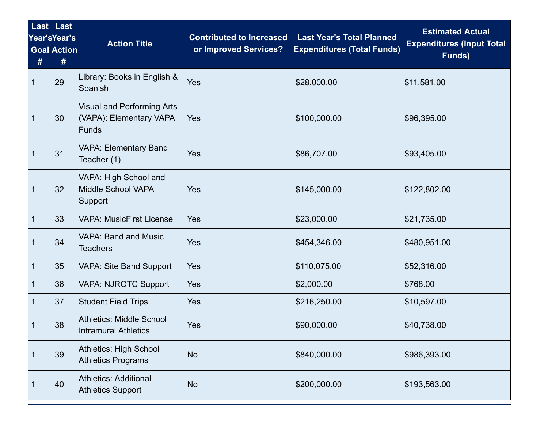| #           | Last Last<br><b>Year'sYear's</b><br><b>Goal Action</b><br># | <b>Action Title</b>                                                          | <b>Contributed to Increased</b><br>or Improved Services? | <b>Last Year's Total Planned</b><br><b>Expenditures (Total Funds)</b> | <b>Estimated Actual</b><br><b>Expenditures (Input Total</b><br>Funds) |
|-------------|-------------------------------------------------------------|------------------------------------------------------------------------------|----------------------------------------------------------|-----------------------------------------------------------------------|-----------------------------------------------------------------------|
| 1           | 29                                                          | Library: Books in English &<br>Spanish                                       | Yes                                                      | \$28,000.00                                                           | \$11,581.00                                                           |
| 1           | 30                                                          | <b>Visual and Performing Arts</b><br>(VAPA): Elementary VAPA<br><b>Funds</b> | <b>Yes</b>                                               | \$100,000.00                                                          | \$96,395.00                                                           |
| 1           | 31                                                          | <b>VAPA: Elementary Band</b><br>Teacher (1)                                  | Yes                                                      | \$86,707.00                                                           | \$93,405.00                                                           |
| 1           | 32                                                          | VAPA: High School and<br><b>Middle School VAPA</b><br>Support                | Yes                                                      | \$145,000.00                                                          | \$122,802.00                                                          |
| $\mathbf 1$ | 33                                                          | <b>VAPA: MusicFirst License</b>                                              | Yes                                                      | \$23,000.00                                                           | \$21,735.00                                                           |
| 1           | 34                                                          | <b>VAPA: Band and Music</b><br><b>Teachers</b>                               | Yes                                                      | \$454,346.00                                                          | \$480,951.00                                                          |
| 1           | 35                                                          | <b>VAPA: Site Band Support</b>                                               | Yes                                                      | \$110,075.00                                                          | \$52,316.00                                                           |
| 1           | 36                                                          | <b>VAPA: NJROTC Support</b>                                                  | Yes                                                      | \$2,000.00                                                            | \$768.00                                                              |
| 1           | 37                                                          | <b>Student Field Trips</b>                                                   | Yes                                                      | \$216,250.00                                                          | \$10,597.00                                                           |
|             | 38                                                          | <b>Athletics: Middle School</b><br><b>Intramural Athletics</b>               | Yes                                                      | \$90,000.00                                                           | \$40,738.00                                                           |
| 1           | 39                                                          | <b>Athletics: High School</b><br><b>Athletics Programs</b>                   | <b>No</b>                                                | \$840,000.00                                                          | \$986,393.00                                                          |
| 1           | 40                                                          | <b>Athletics: Additional</b><br><b>Athletics Support</b>                     | <b>No</b>                                                | \$200,000.00                                                          | \$193,563.00                                                          |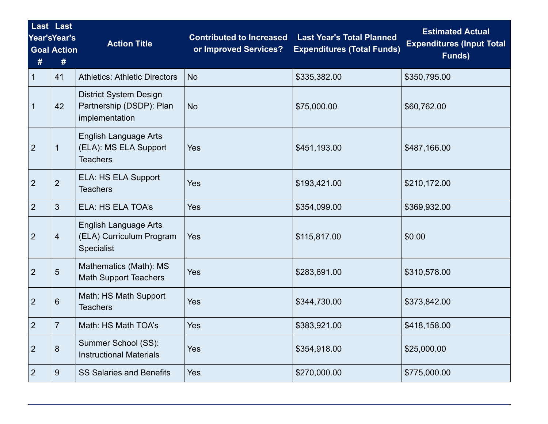| #              | Last Last<br>Year'sYear's<br><b>Goal Action</b><br># | <b>Action Title</b>                                                         | <b>Contributed to Increased</b><br>or Improved Services? | <b>Last Year's Total Planned</b><br><b>Expenditures (Total Funds)</b> | <b>Estimated Actual</b><br><b>Expenditures (Input Total</b><br>Funds) |  |
|----------------|------------------------------------------------------|-----------------------------------------------------------------------------|----------------------------------------------------------|-----------------------------------------------------------------------|-----------------------------------------------------------------------|--|
| $\mathbf{1}$   | 41                                                   | <b>Athletics: Athletic Directors</b>                                        | <b>No</b>                                                | \$335,382.00                                                          | \$350,795.00                                                          |  |
| $\mathbf{1}$   | 42                                                   | <b>District System Design</b><br>Partnership (DSDP): Plan<br>implementation | <b>No</b>                                                | \$75,000.00                                                           | \$60,762.00                                                           |  |
| $\overline{2}$ | 1                                                    | English Language Arts<br>(ELA): MS ELA Support<br><b>Teachers</b>           | Yes                                                      | \$451,193.00                                                          | \$487,166.00                                                          |  |
| $\overline{2}$ | $\overline{2}$                                       | ELA: HS ELA Support<br><b>Teachers</b>                                      | Yes                                                      | \$193,421.00                                                          | \$210,172.00                                                          |  |
| $\overline{2}$ | 3                                                    | <b>ELA: HS ELA TOA's</b>                                                    | Yes                                                      | \$354,099.00                                                          | \$369,932.00                                                          |  |
| $\overline{2}$ | 4                                                    | <b>English Language Arts</b><br>(ELA) Curriculum Program<br>Specialist      | Yes                                                      | \$115,817.00                                                          | \$0.00                                                                |  |
| $\overline{2}$ | 5                                                    | Mathematics (Math): MS<br><b>Math Support Teachers</b>                      | Yes                                                      | \$283,691.00                                                          | \$310,578.00                                                          |  |
| $\overline{2}$ | 6                                                    | Math: HS Math Support<br><b>Teachers</b>                                    | Yes                                                      | \$344,730.00                                                          | \$373,842.00                                                          |  |
| $\overline{2}$ |                                                      | Math: HS Math TOA's                                                         | Yes                                                      | \$383,921.00                                                          | \$418,158.00                                                          |  |
| $\overline{2}$ | 8                                                    | Summer School (SS):<br><b>Instructional Materials</b>                       | Yes                                                      | \$354,918.00                                                          | \$25,000.00                                                           |  |
| $\overline{2}$ | 9                                                    | <b>SS Salaries and Benefits</b>                                             | Yes                                                      | \$270,000.00                                                          | \$775,000.00                                                          |  |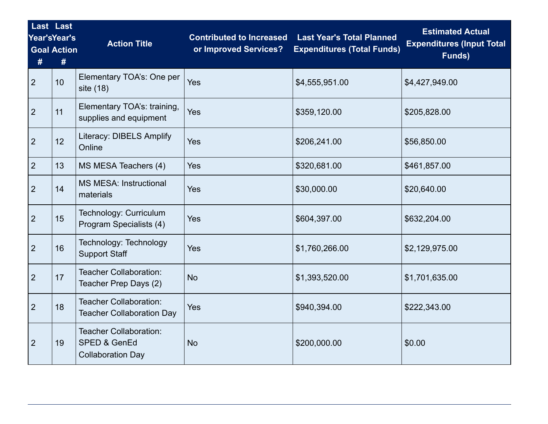| #              | Last Last<br>Year'sYear's<br><b>Goal Action</b><br># | <b>Action Title</b>                                                | <b>Last Year's Total Planned</b><br><b>Contributed to Increased</b><br><b>Expenditures (Total Funds)</b><br>or Improved Services? |                | <b>Estimated Actual</b><br><b>Expenditures (Input Total</b><br>Funds) |  |
|----------------|------------------------------------------------------|--------------------------------------------------------------------|-----------------------------------------------------------------------------------------------------------------------------------|----------------|-----------------------------------------------------------------------|--|
| 2              | 10                                                   | Elementary TOA's: One per<br>site (18)                             | Yes                                                                                                                               | \$4,555,951.00 | \$4,427,949.00                                                        |  |
| $\overline{2}$ | 11                                                   | Elementary TOA's: training,<br>supplies and equipment              | Yes                                                                                                                               | \$359,120.00   | \$205,828.00                                                          |  |
| $\overline{2}$ | 12 <sup>2</sup>                                      | <b>Literacy: DIBELS Amplify</b><br>Online                          | Yes                                                                                                                               | \$206,241.00   | \$56,850.00                                                           |  |
| $\overline{2}$ | 13                                                   | MS MESA Teachers (4)                                               | Yes                                                                                                                               | \$320,681.00   | \$461,857.00                                                          |  |
| $\overline{2}$ | 14                                                   | <b>MS MESA: Instructional</b><br>materials                         | Yes                                                                                                                               | \$30,000.00    | \$20,640.00                                                           |  |
| 2              | 15                                                   | Technology: Curriculum<br>Program Specialists (4)                  | Yes                                                                                                                               | \$604,397.00   | \$632,204.00                                                          |  |
| $\overline{2}$ | 16                                                   | Technology: Technology<br><b>Support Staff</b>                     | Yes                                                                                                                               | \$1,760,266.00 | \$2,129,975.00                                                        |  |
| $\overline{2}$ | 17                                                   | <b>Teacher Collaboration:</b><br>Teacher Prep Days (2)             | <b>No</b>                                                                                                                         | \$1,393,520.00 | \$1,701,635.00                                                        |  |
| $\overline{2}$ | 18                                                   | <b>Teacher Collaboration:</b><br><b>Teacher Collaboration Day</b>  | Yes                                                                                                                               | \$940,394.00   | \$222,343.00                                                          |  |
| $\overline{2}$ | 19                                                   | Teacher Collaboration:<br>SPED & GenEd<br><b>Collaboration Day</b> | <b>No</b>                                                                                                                         | \$200,000.00   | \$0.00                                                                |  |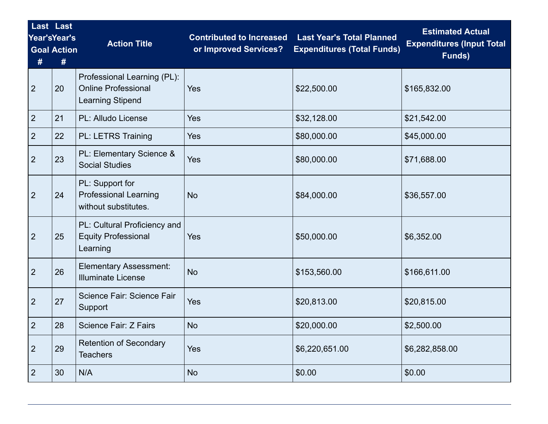| #              | Last Last<br>Year'sYear's<br><b>Goal Action</b><br># | <b>Action Title</b>                                                                  | <b>Contributed to Increased</b><br>or Improved Services? | <b>Last Year's Total Planned</b><br><b>Expenditures (Total Funds)</b> | <b>Estimated Actual</b><br><b>Expenditures (Input Total</b><br>Funds) |
|----------------|------------------------------------------------------|--------------------------------------------------------------------------------------|----------------------------------------------------------|-----------------------------------------------------------------------|-----------------------------------------------------------------------|
| $\overline{2}$ | 20                                                   | Professional Learning (PL):<br><b>Online Professional</b><br><b>Learning Stipend</b> | Yes                                                      | \$22,500.00                                                           | \$165,832.00                                                          |
| $\overline{2}$ | 21                                                   | PL: Alludo License                                                                   | Yes                                                      | \$32,128.00                                                           | \$21,542.00                                                           |
| $\overline{2}$ | 22                                                   | <b>PL: LETRS Training</b>                                                            | Yes                                                      | \$80,000.00                                                           | \$45,000.00                                                           |
| $\overline{2}$ | 23                                                   | PL: Elementary Science &<br><b>Social Studies</b>                                    | Yes                                                      | \$80,000.00                                                           | \$71,688.00                                                           |
| $\overline{2}$ | 24                                                   | PL: Support for<br><b>Professional Learning</b><br>without substitutes.              | <b>No</b>                                                | \$84,000.00                                                           | \$36,557.00                                                           |
| $\overline{2}$ | 25                                                   | PL: Cultural Proficiency and<br><b>Equity Professional</b><br>Learning               | Yes                                                      | \$50,000.00                                                           | \$6,352.00                                                            |
| $\overline{2}$ | 26                                                   | <b>Elementary Assessment:</b><br><b>Illuminate License</b>                           | <b>No</b>                                                | \$153,560.00                                                          | \$166,611.00                                                          |
| $\overline{2}$ | 27                                                   | Science Fair: Science Fair<br>Support                                                | Yes                                                      | \$20,813.00                                                           | \$20,815.00                                                           |
| $\overline{2}$ | 28                                                   | Science Fair: Z Fairs                                                                | <b>No</b>                                                | \$20,000.00                                                           | \$2,500.00                                                            |
| $\overline{2}$ | 29                                                   | <b>Retention of Secondary</b><br><b>Teachers</b>                                     | Yes                                                      | \$6,220,651.00                                                        | \$6,282,858.00                                                        |
| $\overline{2}$ | 30                                                   | N/A                                                                                  | <b>No</b>                                                | \$0.00                                                                | \$0.00                                                                |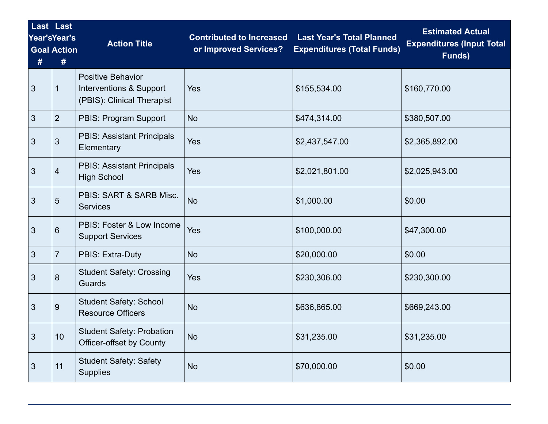| #              | Last Last<br><b>Year'sYear's</b><br><b>Goal Action</b><br># | <b>Action Title</b>                                                               | <b>Contributed to Increased</b><br>or Improved Services? | <b>Last Year's Total Planned</b><br><b>Expenditures (Total Funds)</b> | <b>Estimated Actual</b><br><b>Expenditures (Input Total</b><br>Funds) |  |
|----------------|-------------------------------------------------------------|-----------------------------------------------------------------------------------|----------------------------------------------------------|-----------------------------------------------------------------------|-----------------------------------------------------------------------|--|
| 3              |                                                             | <b>Positive Behavior</b><br>Interventions & Support<br>(PBIS): Clinical Therapist | Yes                                                      | \$155,534.00                                                          | \$160,770.00                                                          |  |
| $\mathbf{3}$   | $\overline{2}$                                              | PBIS: Program Support                                                             | <b>No</b>                                                | \$474,314.00                                                          | \$380,507.00                                                          |  |
| 3              | 3                                                           | <b>PBIS: Assistant Principals</b><br>Elementary                                   | Yes                                                      | \$2,437,547.00                                                        | \$2,365,892.00                                                        |  |
| 3              | 4                                                           | <b>PBIS: Assistant Principals</b><br><b>High School</b>                           | Yes                                                      | \$2,021,801.00                                                        | \$2,025,943.00                                                        |  |
| 3              | 5                                                           | PBIS: SART & SARB Misc.<br><b>Services</b>                                        | <b>No</b>                                                | \$1,000.00                                                            | \$0.00                                                                |  |
| 3              | 6                                                           | PBIS: Foster & Low Income<br><b>Support Services</b>                              | Yes                                                      | \$100,000.00                                                          | \$47,300.00                                                           |  |
| 3              | 7                                                           | PBIS: Extra-Duty                                                                  | <b>No</b>                                                | \$20,000.00                                                           | \$0.00                                                                |  |
| 3              | 8                                                           | <b>Student Safety: Crossing</b><br>Guards                                         | Yes                                                      | \$230,306.00                                                          | \$230,300.00                                                          |  |
| 3              | 9                                                           | <b>Student Safety: School</b><br><b>Resource Officers</b>                         | <b>No</b>                                                | \$636,865.00                                                          | \$669,243.00                                                          |  |
| $\mathfrak{S}$ | 10                                                          | <b>Student Safety: Probation</b><br><b>Officer-offset by County</b>               | <b>No</b>                                                | \$31,235.00                                                           | \$31,235.00                                                           |  |
| 3              | 11                                                          | <b>Student Safety: Safety</b><br><b>Supplies</b>                                  | <b>No</b>                                                | \$70,000.00                                                           | \$0.00                                                                |  |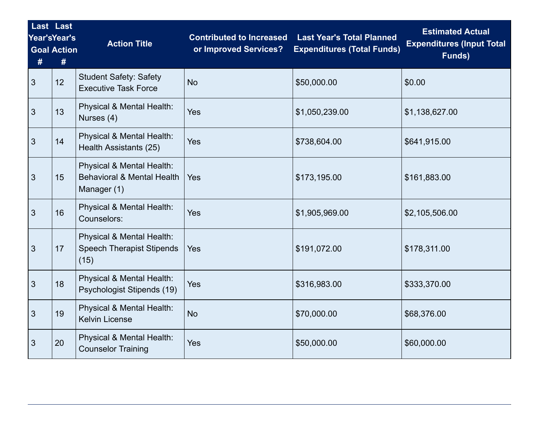| #              | Last Last<br>Year'sYear's<br><b>Goal Action</b><br># | <b>Action Title</b>                                                               | <b>Contributed to Increased</b><br>or Improved Services? | <b>Last Year's Total Planned</b><br><b>Expenditures (Total Funds)</b> | <b>Estimated Actual</b><br><b>Expenditures (Input Total</b><br>Funds) |  |
|----------------|------------------------------------------------------|-----------------------------------------------------------------------------------|----------------------------------------------------------|-----------------------------------------------------------------------|-----------------------------------------------------------------------|--|
| 3              | 12 <sup>°</sup>                                      | <b>Student Safety: Safety</b><br><b>Executive Task Force</b>                      | <b>No</b>                                                | \$50,000.00                                                           | \$0.00                                                                |  |
| 3              | 13                                                   | Physical & Mental Health:<br>Nurses (4)                                           | Yes                                                      | \$1,050,239.00                                                        | \$1,138,627.00                                                        |  |
| 3              | 14                                                   | Physical & Mental Health:<br>Health Assistants (25)                               | Yes                                                      | \$738,604.00                                                          | \$641,915.00                                                          |  |
| $\mathfrak{Z}$ | 15                                                   | Physical & Mental Health:<br><b>Behavioral &amp; Mental Health</b><br>Manager (1) | Yes                                                      | \$173,195.00                                                          | \$161,883.00                                                          |  |
| $\mathbf{3}$   | 16                                                   | Physical & Mental Health:<br>Counselors:                                          | Yes                                                      | \$1,905,969.00                                                        | \$2,105,506.00                                                        |  |
| $\mathbf{3}$   | 17                                                   | Physical & Mental Health:<br><b>Speech Therapist Stipends</b><br>(15)             | Yes                                                      | \$191,072.00                                                          | \$178,311.00                                                          |  |
| 3              | 18                                                   | Physical & Mental Health:<br>Psychologist Stipends (19)                           | Yes                                                      | \$316,983.00                                                          | \$333,370.00                                                          |  |
| 3              | 19                                                   | Physical & Mental Health:<br><b>Kelvin License</b>                                | <b>No</b>                                                | \$70,000.00                                                           | \$68,376.00                                                           |  |
| 3              | 20                                                   | Physical & Mental Health:<br><b>Counselor Training</b>                            | Yes                                                      | \$50,000.00                                                           | \$60,000.00                                                           |  |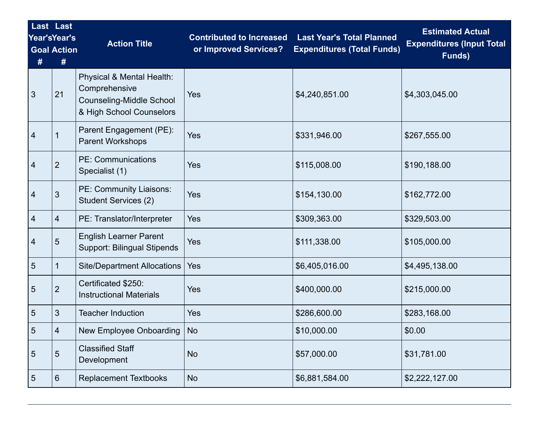| # | Last Last<br>Year'sYear's<br><b>Goal Action</b><br># | <b>Action Title</b>                                                                                       | <b>Contributed to Increased</b><br><b>Last Year's Total Planned</b><br>or Improved Services?<br><b>Expenditures (Total Funds)</b> |                | <b>Estimated Actual</b><br><b>Expenditures (Input Total</b><br>Funds) |  |
|---|------------------------------------------------------|-----------------------------------------------------------------------------------------------------------|-----------------------------------------------------------------------------------------------------------------------------------|----------------|-----------------------------------------------------------------------|--|
| 3 | 21                                                   | Physical & Mental Health:<br>Comprehensive<br><b>Counseling-Middle School</b><br>& High School Counselors | Yes                                                                                                                               | \$4,240,851.00 | \$4,303,045.00                                                        |  |
| 4 |                                                      | Parent Engagement (PE):<br><b>Parent Workshops</b>                                                        | Yes                                                                                                                               | \$331,946.00   | \$267,555.00                                                          |  |
| 4 | $\overline{2}$                                       | <b>PE: Communications</b><br>Specialist (1)                                                               | Yes                                                                                                                               | \$115,008.00   | \$190,188.00                                                          |  |
| 4 | $\mathfrak{S}$                                       | PE: Community Liaisons:<br><b>Student Services (2)</b>                                                    | Yes                                                                                                                               | \$154,130.00   | \$162,772.00                                                          |  |
| 4 | $\overline{4}$                                       | PE: Translator/Interpreter                                                                                | Yes                                                                                                                               | \$309,363.00   | \$329,503.00                                                          |  |
| 4 | 5                                                    | <b>English Learner Parent</b><br><b>Support: Bilingual Stipends</b>                                       | Yes                                                                                                                               | \$111,338.00   | \$105,000.00                                                          |  |
| 5 |                                                      | <b>Site/Department Allocations</b>                                                                        | Yes                                                                                                                               | \$6,405,016.00 | \$4,495,138.00                                                        |  |
| 5 | $\overline{2}$                                       | Certificated \$250:<br><b>Instructional Materials</b>                                                     | Yes                                                                                                                               | \$400,000.00   | \$215,000.00                                                          |  |
| 5 | 3                                                    | <b>Teacher Induction</b>                                                                                  | Yes                                                                                                                               | \$286,600.00   | \$283,168.00                                                          |  |
| 5 |                                                      | New Employee Onboarding   No                                                                              |                                                                                                                                   | \$10,000.00    | \$0.00                                                                |  |
| 5 | $5\phantom{.0}$                                      | <b>Classified Staff</b><br>Development                                                                    | <b>No</b>                                                                                                                         | \$57,000.00    | \$31,781.00                                                           |  |
| 5 | $6\phantom{1}$                                       | <b>Replacement Textbooks</b>                                                                              | <b>No</b>                                                                                                                         | \$6,881,584.00 | \$2,222,127.00                                                        |  |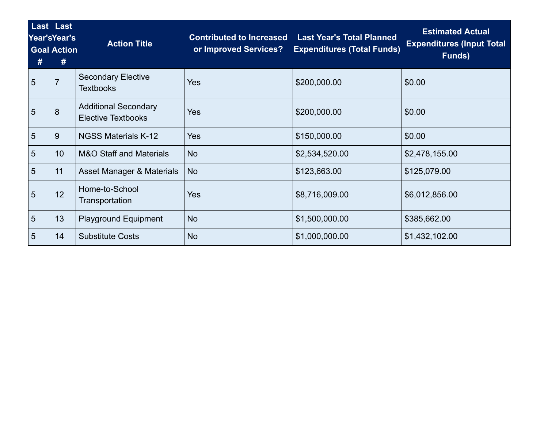| # | Last Last<br>Year'sYear's<br><b>Goal Action</b><br># | <b>Action Title</b>                                      | <b>Contributed to Increased</b><br>or Improved Services? | <b>Last Year's Total Planned</b><br><b>Expenditures (Total Funds)</b> | <b>Estimated Actual</b><br><b>Expenditures (Input Total</b><br>Funds) |  |
|---|------------------------------------------------------|----------------------------------------------------------|----------------------------------------------------------|-----------------------------------------------------------------------|-----------------------------------------------------------------------|--|
| 5 | $\overline{7}$                                       | <b>Secondary Elective</b><br><b>Textbooks</b>            | Yes                                                      | \$200,000.00                                                          | \$0.00                                                                |  |
| 5 | 8                                                    | <b>Additional Secondary</b><br><b>Elective Textbooks</b> | Yes                                                      | \$200,000.00                                                          | \$0.00                                                                |  |
| 5 | 9                                                    | <b>NGSS Materials K-12</b>                               | Yes                                                      | \$150,000.00                                                          | \$0.00                                                                |  |
| 5 | 10 <sup>°</sup>                                      | <b>M&amp;O Staff and Materials</b>                       | <b>No</b>                                                | \$2,534,520.00                                                        | \$2,478,155.00                                                        |  |
| 5 | 11                                                   | Asset Manager & Materials                                | <b>No</b>                                                | \$123,663.00                                                          | \$125,079.00                                                          |  |
| 5 | 12                                                   | Home-to-School<br>Transportation                         | Yes                                                      | \$8,716,009.00                                                        | \$6,012,856.00                                                        |  |
| 5 | 13                                                   | <b>Playground Equipment</b>                              | <b>No</b>                                                | \$1,500,000.00                                                        | \$385,662.00                                                          |  |
| 5 | 14                                                   | <b>Substitute Costs</b>                                  | <b>No</b>                                                | \$1,000,000.00                                                        | \$1,432,102.00                                                        |  |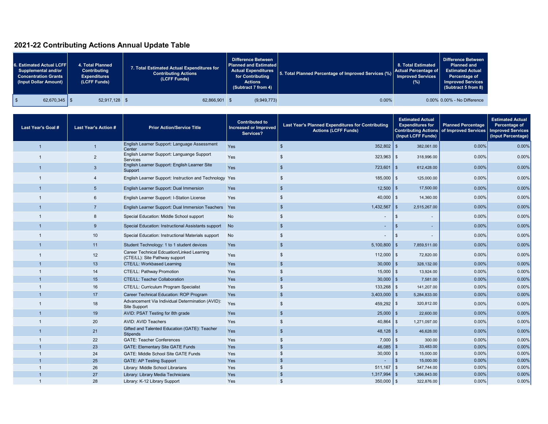## **2021-22 Contributing Actions Annual Update Table**

| 6. Estimated Actual LCFF<br>Supplemental and/or<br><b>Concentration Grants</b><br>(Input Dollar Amount) |                 | 4. Total Planned<br>Contributing<br><b>Expenditures</b><br>(LCFF Funds) | 7. Total Estimated Actual Expenditures for<br><b>Contributing Actions</b><br>(LCFF Funds) | <b>Difference Between</b><br><b>Planned and Estimated</b><br>for Contributing<br><b>Actions</b><br>(Subtract 7 from 4) | Actual Expenditures 5. Total Planned Percentage of Improved Services (%) Actual Percentage of | 8. Total Estimated<br>Improved Services<br>$(\%)$ | Difference Between<br><b>Planned and</b><br><b>Estimated Actual</b><br>Percentage of<br><b>Improved Services</b><br>(Subtract 5 from 8) |
|---------------------------------------------------------------------------------------------------------|-----------------|-------------------------------------------------------------------------|-------------------------------------------------------------------------------------------|------------------------------------------------------------------------------------------------------------------------|-----------------------------------------------------------------------------------------------|---------------------------------------------------|-----------------------------------------------------------------------------------------------------------------------------------------|
|                                                                                                         | $62,670,345$ \$ | 52,917,128 \$                                                           | 62,866,901 \$                                                                             | (9,949,773)                                                                                                            | 0.00%                                                                                         |                                                   | 0.00% 0.00% - No Difference                                                                                                             |

| <b>Last Year's Goal #</b> | <b>Last Year's Action #</b> | <b>Prior Action/Service Title</b>                                            | <b>Contributed to</b><br><b>Increased or Improved</b><br>Services? | <b>Estimated Actual</b><br>Last Year's Planned Expenditures for Contributing<br><b>Expenditures for</b><br><b>Actions (LCFF Funds)</b><br><b>Contributing Actions</b><br>(Input LCFF Funds) |                                            | <b>Planned Percentage</b><br>of Improved Services | <b>Estimated Actual</b><br>Percentage of<br><b>Improved Services</b><br>(Input Percentage) |
|---------------------------|-----------------------------|------------------------------------------------------------------------------|--------------------------------------------------------------------|---------------------------------------------------------------------------------------------------------------------------------------------------------------------------------------------|--------------------------------------------|---------------------------------------------------|--------------------------------------------------------------------------------------------|
| $\overline{\mathbf{1}}$   | $\blacksquare$              | English Learner Support: Language Assessment<br>Center                       | <b>Yes</b>                                                         | $\mathbb{S}$<br>$352,802$ \$                                                                                                                                                                | 382.061.00                                 | 0.00%                                             | 0.00%                                                                                      |
|                           | $\overline{2}$              | English Learner Support: Languange Support<br>Services                       | Yes                                                                | $323,963$ \$<br>\$.                                                                                                                                                                         | 318,996.00                                 | 0.00%                                             | 0.00%                                                                                      |
|                           | $\mathbf{3}$                | English Learner Support: English Learner Site<br>Support                     | <b>Yes</b>                                                         | $\mathfrak{s}$<br>723,601                                                                                                                                                                   | $\sqrt{3}$<br>612,428.00                   | 0.00%                                             | 0.00%                                                                                      |
|                           | 4                           | English Learner Support: Instruction and Technology Yes                      |                                                                    | $185,000$ \$<br>\$                                                                                                                                                                          | 125,000.00                                 | 0.00%                                             | 0.00%                                                                                      |
|                           | 5 <sup>5</sup>              | English Learner Support: Dual Immersion                                      | Yes                                                                | $\mathfrak{s}$<br>$12,500$ \$                                                                                                                                                               | 17,500.00                                  | 0.00%                                             | 0.00%                                                                                      |
|                           | 6                           | English Learner Support: I-Station License                                   | Yes                                                                | $40,000$ \$<br>\$                                                                                                                                                                           | 14,360.00                                  | 0.00%                                             | 0.00%                                                                                      |
|                           | $\overline{7}$              | English Learner Support: Dual Immersion Teachers Yes                         |                                                                    | $1,432,567$ \$<br>$\mathbb{S}$                                                                                                                                                              | 2,515,267.00                               | 0.00%                                             | 0.00%                                                                                      |
|                           | 8                           | Special Education: Middle School support                                     | <b>No</b>                                                          | \$                                                                                                                                                                                          | $\mathfrak{s}$<br>$\overline{\phantom{a}}$ | 0.00%                                             | 0.00%                                                                                      |
|                           | 9                           | Special Education: Instructional Assistants support                          | <b>No</b>                                                          | $\mathfrak{s}$<br>$\blacksquare$                                                                                                                                                            | $\mathbf{\$}$<br>÷.                        | $0.00\%$                                          | 0.00%                                                                                      |
|                           | 10                          | Special Education: Instructional Materials support                           | <b>No</b>                                                          | \$                                                                                                                                                                                          | $\mathfrak{s}$                             | 0.00%                                             | 0.00%                                                                                      |
|                           | 11                          | Student Technology: 1 to 1 student devices                                   | Yes                                                                | $\mathbb{S}$<br>$5,100,800$   \$                                                                                                                                                            | 7,859,511.00                               | 0.00%                                             | 0.00%                                                                                      |
|                           | 12                          | Career Technical Edcuation/Linked Learning<br>(CTE/LL): Site Pathway support | Yes                                                                | $112,000$   \$<br>\$.                                                                                                                                                                       | 72,820.00                                  | 0.00%                                             | 0.00%                                                                                      |
|                           | 13                          | <b>CTE/LL: Workbased Learning</b>                                            | <b>Yes</b>                                                         | $30,000$ \$<br>$\mathbf{s}$                                                                                                                                                                 | 328,132.00                                 | 0.00%                                             | 0.00%                                                                                      |
|                           | 14                          | <b>CTE/LL: Pathway Promotion</b>                                             | Yes                                                                | $15,000$ \$<br>\$                                                                                                                                                                           | 13,924.00                                  | 0.00%                                             | 0.00%                                                                                      |
|                           | 15                          | <b>CTE/LL: Teacher Collaboration</b>                                         | Yes                                                                | $30,000$ \$<br>\$                                                                                                                                                                           | 7,581.00                                   | 0.00%                                             | 0.00%                                                                                      |
|                           | 16                          | CTE/LL: Curriculum Program Specialist                                        | Yes                                                                | $133,268$ \$<br>\$                                                                                                                                                                          | 141,207.00                                 | 0.00%                                             | 0.00%                                                                                      |
|                           | 17                          | Career Technical Education: ROP Program                                      | Yes                                                                | $\mathfrak{s}$<br>$3,403,000$ \$                                                                                                                                                            | 5,284,833.00                               | 0.00%                                             | 0.00%                                                                                      |
| -1                        | 18                          | Advancement Via Individual Determination (AVID):<br><b>Site Support</b>      | Yes                                                                | $459,292$ \$<br>\$                                                                                                                                                                          | 320,812.00                                 | 0.00%                                             | 0.00%                                                                                      |
|                           | 19                          | AVID: PSAT Testing for 8th grade                                             | Yes                                                                | $25,000$ \$<br>\$                                                                                                                                                                           | 22,600.00                                  | 0.00%                                             | 0.00%                                                                                      |
| -1                        | 20                          | <b>AVID: AVID Teachers</b>                                                   | Yes                                                                | $40,864$ \$<br>\$                                                                                                                                                                           | 1,271,097.00                               | 0.00%                                             | 0.00%                                                                                      |
|                           | 21                          | Gifted and Talented Education (GATE): Teacher<br><b>Stipends</b>             | Yes                                                                | $48,128$ \$<br>$\mathfrak s$                                                                                                                                                                | 46,628.00                                  | 0.00%                                             | 0.00%                                                                                      |
|                           | 22                          | <b>GATE: Teacher Conferences</b>                                             | Yes                                                                | $7,000$ \$<br>\$                                                                                                                                                                            | 300.00                                     | 0.00%                                             | 0.00%                                                                                      |
|                           | 23                          | <b>GATE: Elementary Site GATE Funds</b>                                      | Yes                                                                | $46,085$ \$<br>$\mathbf{F}$                                                                                                                                                                 | 33,483.00                                  | 0.00%                                             | 0.00%                                                                                      |
|                           | 24                          | GATE: Middle School Site GATE Funds                                          | Yes                                                                | \$<br>30,000                                                                                                                                                                                | $\mathsf{I}$<br>15,000.00                  | 0.00%                                             | 0.00%                                                                                      |
|                           | 25                          | <b>GATE: AP Testing Support</b>                                              | Yes                                                                | \$                                                                                                                                                                                          | $\mathfrak{s}$<br>15,000.00                | 0.00%                                             | 0.00%                                                                                      |
|                           | 26                          | Library: Middle School Librarians                                            | Yes                                                                | $511,167$ \$<br>\$                                                                                                                                                                          | 547,744.00                                 | 0.00%                                             | 0.00%                                                                                      |
|                           | 27                          | Library: Library Media Technicians                                           | Yes                                                                | 1,317,994<br>\$                                                                                                                                                                             | 1,266,843.00<br>$\mathsf{I}$ \$            | 0.00%                                             | 0.00%                                                                                      |
|                           | 28                          | Library: K-12 Library Support                                                | Yes                                                                | $350,000$ \$<br>$\mathfrak{L}$                                                                                                                                                              | 322,876.00                                 | 0.00%                                             | 0.00%                                                                                      |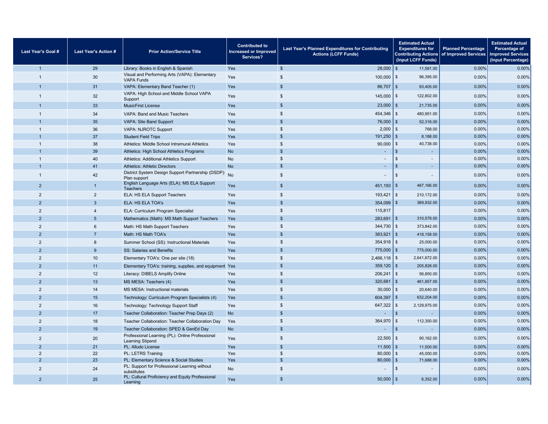| Last Year's Goal # | <b>Last Year's Action #</b> | <b>Prior Action/Service Title</b>                                          | <b>Contributed to</b><br>Increased or Improved<br>Services? | Last Year's Planned Expenditures for Contributing<br><b>Actions (LCFF Funds)</b> | <b>Estimated Actual</b><br><b>Expenditures for</b><br>(Input LCFF Funds) | <b>Planned Percentage</b><br>Contributing Actions of Improved Services | <b>Estimated Actual</b><br>Percentage of<br><b>Improved Services</b><br>(Input Percentage) |
|--------------------|-----------------------------|----------------------------------------------------------------------------|-------------------------------------------------------------|----------------------------------------------------------------------------------|--------------------------------------------------------------------------|------------------------------------------------------------------------|--------------------------------------------------------------------------------------------|
| $\overline{1}$     | 29                          | Library: Books in English & Spanish                                        | Yes                                                         | $\mathbb{S}$<br>28,000                                                           | l s<br>11.581.00                                                         | $0.00\%$                                                               | 0.00%                                                                                      |
| $\overline{1}$     | 30                          | Visual and Performing Arts (VAPA): Elementary<br><b>VAPA Funds</b>         | Yes                                                         | $\mathbb{S}$<br>100,000                                                          | l \$<br>96,395.00                                                        | 0.00%                                                                  | 0.00%                                                                                      |
|                    | 31                          | VAPA: Elementary Band Teacher (1)                                          | Yes                                                         | \$<br>86,707                                                                     | 93,405.00<br>l \$                                                        | 0.00%                                                                  | 0.00%                                                                                      |
|                    | 32                          | VAPA: High School and Middle School VAPA<br>Support                        | Yes                                                         | $\mathbf{s}$<br>$145,000$ \$                                                     | 122,802.00                                                               | 0.00%                                                                  | 0.00%                                                                                      |
|                    | 33                          | <b>MusicFirst License</b>                                                  | Yes                                                         | $\mathbb{S}$<br>23,000                                                           | l \$<br>21,735.00                                                        | 0.00%                                                                  | 0.00%                                                                                      |
|                    | 34                          | VAPA: Band and Music Teachers                                              | Yes                                                         | $\mathbf{s}$<br>454.346                                                          | <b>S</b><br>480,951.00                                                   | 0.00%                                                                  | 0.00%                                                                                      |
|                    | 35                          | <b>VAPA: Site Band Support</b>                                             | Yes                                                         | $\mathbb{S}$<br>76,000                                                           | l \$<br>52,316.00                                                        | 0.00%                                                                  | 0.00%                                                                                      |
| $\overline{1}$     | 36                          | VAPA: NJROTC Support                                                       | Yes                                                         | $\mathbb{S}$<br>2,000                                                            | 768.00<br>l \$                                                           | 0.00%                                                                  | 0.00%                                                                                      |
|                    | 37                          | <b>Student Field Trips</b>                                                 | Yes                                                         | $\mathbb{S}$<br>191.250                                                          | l \$<br>8,188.00                                                         | 0.00%                                                                  | 0.00%                                                                                      |
|                    | 38                          | Athletics: Middle School Intramural Athletics                              | Yes                                                         | $\mathbb{S}$<br>90,000                                                           | 40,738.00<br>$\mathfrak{L}$                                              | 0.00%                                                                  | 0.00%                                                                                      |
|                    | 39                          | Athletics: High School Athletics Programs                                  | <b>No</b>                                                   | $\mathbb{S}$                                                                     | S<br>٠                                                                   | 0.00%                                                                  | 0.00%                                                                                      |
|                    | 40                          | <b>Athletics: Additional Athletics Support</b>                             | <b>No</b>                                                   | $\mathbb{S}$                                                                     | $\mathfrak{s}$<br>٠                                                      | 0.00%                                                                  | 0.00%                                                                                      |
|                    | 41                          | <b>Athletics: Athletic Directors</b>                                       | <b>No</b>                                                   | $\mathbb{S}$                                                                     | $\mathfrak{L}$<br>$\overline{\phantom{a}}$                               | 0.00%                                                                  | 0.00%                                                                                      |
| -1                 | 42                          | District System Design Support Partnership (DSDP): No<br>Plan support      |                                                             | $\mathfrak{s}$                                                                   | $\mathfrak{L}$                                                           | 0.00%                                                                  | 0.00%                                                                                      |
| $\overline{2}$     | $\mathbf{1}$                | English Language Arts (ELA): MS ELA Support<br>Teachers                    | Yes                                                         | \$<br>$451,193$ \$                                                               | 487,166.00                                                               | 0.00%                                                                  | 0.00%                                                                                      |
| $\overline{2}$     | 2                           | ELA: HS ELA Support Teachers                                               | Yes                                                         | $\mathbb{S}$<br>193,421                                                          | l \$<br>210,172.00                                                       | 0.00%                                                                  | 0.00%                                                                                      |
| $\mathcal{P}$      | $\mathbf{3}$                | ELA: HS ELA TOA's                                                          | Yes                                                         | \$<br>354,099                                                                    | $\mathfrak{s}$<br>369,932.00                                             | 0.00%                                                                  | 0.00%                                                                                      |
| 2                  | $\overline{4}$              | ELA: Curriculum Program Specialist                                         | Yes                                                         | $\sqrt[6]{3}$<br>115,817                                                         |                                                                          | 0.00%                                                                  | 0.00%                                                                                      |
| $\mathcal{P}$      | $5\phantom{.0}$             | Mathematics (Math): MS Math Support Teachers                               | Yes                                                         | $\mathbf{s}$<br>283,691                                                          | 310,578.00<br>ls.                                                        | 0.00%                                                                  | 0.00%                                                                                      |
| $\overline{2}$     | $6\phantom{1}$              | Math: HS Math Support Teachers                                             | Yes                                                         | $\mathbb{S}$<br>344,730                                                          | $\sqrt{3}$<br>373,842.00                                                 | 0.00%                                                                  | 0.00%                                                                                      |
| $\mathcal{P}$      | $\overline{7}$              | Math: HS Math TOA's                                                        | <b>Yes</b>                                                  | $\mathbf{s}$<br>383,921                                                          | l \$<br>418,158.00                                                       | 0.00%                                                                  | 0.00%                                                                                      |
| 2                  | 8                           | Summer School (SS): Instructional Materials                                | Yes                                                         | $\mathbb{S}$<br>354,918                                                          | \$<br>25,000.00                                                          | 0.00%                                                                  | 0.00%                                                                                      |
| $\mathcal{P}$      | 9                           | SS: Salaries and Benefits                                                  | Yes                                                         | \$<br>775,000                                                                    | l \$<br>775,000.00                                                       | 0.00%                                                                  | 0.00%                                                                                      |
| $\overline{2}$     | 10                          | Elementary TOA's: One per site (18)                                        | Yes                                                         | \$<br>$2,466,118$ \$                                                             | 2,641,672.00                                                             | 0.00%                                                                  | 0.00%                                                                                      |
| $\mathcal{P}$      | 11                          | Elementary TOA's: training, supplies, and equipment Yes                    |                                                             | $\mathbb{S}$<br>359,120                                                          | l \$<br>205,828.00                                                       | 0.00%                                                                  | 0.00%                                                                                      |
| $\overline{2}$     | 12                          | Literacy: DIBELS Amplify Online                                            | Yes                                                         | $\mathbb{S}$<br>206,241                                                          | $\sqrt{3}$<br>56,850.00                                                  | 0.00%                                                                  | 0.00%                                                                                      |
| $\mathcal{P}$      | 13                          | MS MESA: Teachers (4)                                                      | Yes                                                         | $\mathbb{S}$<br>320.681                                                          | ls.<br>461,857.00                                                        | 0.00%                                                                  | 0.00%                                                                                      |
| $\overline{2}$     | 14                          | MS MESA: Instructional materials                                           | Yes                                                         | $\mathbb{S}$<br>30,000                                                           | \$<br>20,640.00                                                          | 0.00%                                                                  | 0.00%                                                                                      |
| $\mathcal{P}$      | 15                          | Technology: Curriculum Program Specialists (4)                             | Yes                                                         | $\mathfrak{s}$<br>604,397                                                        | l \$<br>632,204.00                                                       | 0.00%                                                                  | 0.00%                                                                                      |
| $\overline{2}$     | 16                          | Technology: Technology Support Staff                                       | Yes                                                         | $\mathfrak{s}$<br>647,322                                                        | l \$<br>2,129,975.00                                                     | 0.00%                                                                  | 0.00%                                                                                      |
| $\mathfrak{p}$     | 17                          | Teacher Collaboration: Teacher Prep Days (2)                               | <b>No</b>                                                   | $\mathfrak{s}$<br>٠                                                              | $\sqrt{3}$                                                               | 0.00%                                                                  | 0.00%                                                                                      |
| $\overline{2}$     | 18                          | Teacher Collaboration: Teacher Collaboration Day                           | Yes                                                         | $\mathbb{S}$<br>364,970                                                          | l \$<br>112,350.00                                                       | 0.00%                                                                  | 0.00%                                                                                      |
| $\overline{2}$     | 19                          | Teacher Collaboration: SPED & GenEd Day                                    | <b>No</b>                                                   | $\mathfrak{s}$                                                                   | \$<br>٠                                                                  | 0.00%                                                                  | 0.00%                                                                                      |
| 2                  | 20                          | Professional Learning (PL): Online Professional<br><b>Learning Stipend</b> | Yes                                                         | 22,500<br>\$                                                                     | ls:<br>90,162.00                                                         | 0.00%                                                                  | 0.00%                                                                                      |
| $\mathcal{P}$      | 21                          | PL: Alludo License                                                         | Yes                                                         | $\mathbb{S}$<br>11,500                                                           | \$<br>11,500.00                                                          | 0.00%                                                                  | 0.00%                                                                                      |
| 2                  | 22                          | PL: LETRS Training                                                         | Yes                                                         | $\mathfrak{s}$<br>80,000                                                         | 45,000.00<br>$\mathfrak{s}$                                              | 0.00%                                                                  | 0.00%                                                                                      |
| $\overline{2}$     | 23                          | PL: Elementary Science & Social Studies                                    | Yes                                                         | $\mathbb{S}$<br>80,000                                                           | \$<br>71,688.00                                                          | 0.00%                                                                  | 0.00%                                                                                      |
| $\overline{2}$     | 24                          | PL: Support for Professional Learning without<br>substitutes               | <b>No</b>                                                   | $\mathfrak{s}$                                                                   | \$                                                                       | 0.00%                                                                  | 0.00%                                                                                      |
| 2                  | 25                          | PL: Cultural Proficiency and Equity Professional<br>Learning               | Yes                                                         | \$<br>$50,000$   \$                                                              | 6,352.00                                                                 | 0.00%                                                                  | 0.00%                                                                                      |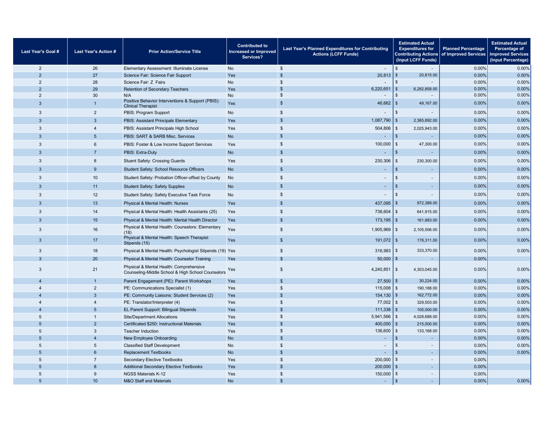| Last Year's Goal #  | <b>Last Year's Action #</b>    | <b>Prior Action/Service Title</b>                                                            | <b>Contributed to</b><br><b>Increased or Improved</b><br>Services? | <b>Estimated Actual</b><br>Last Year's Planned Expenditures for Contributing<br><b>Expenditures for</b><br><b>Actions (LCFF Funds)</b><br>(Input LCFF Funds) |                                            | <b>Planned Percentage</b><br>Contributing Actions of Improved Services | <b>Estimated Actual</b><br>Percentage of<br><b>Improved Services</b><br>(Input Percentage) |
|---------------------|--------------------------------|----------------------------------------------------------------------------------------------|--------------------------------------------------------------------|--------------------------------------------------------------------------------------------------------------------------------------------------------------|--------------------------------------------|------------------------------------------------------------------------|--------------------------------------------------------------------------------------------|
| $\overline{2}$      | 26                             | Elementary Assessment: Illuminate License                                                    | <b>No</b>                                                          | $\sqrt[6]{2}$<br>$\sim$                                                                                                                                      | $\mathfrak{L}$<br>$\overline{\phantom{a}}$ | 0.00%                                                                  | 0.00%                                                                                      |
| $\mathfrak{p}$      | 27                             | Science Fair: Science Fair Support                                                           | Yes                                                                | $\mathbf{s}$<br>20,813                                                                                                                                       | 20,815.00<br>l s                           | 0.00%                                                                  | 0.00%                                                                                      |
| 2                   | 28                             | Science Fair: Z Fairs                                                                        | No                                                                 | $\mathfrak{S}$                                                                                                                                               | $\mathfrak{L}$                             | 0.00%                                                                  | 0.00%                                                                                      |
| 2                   | 29                             | Retention of Secondary Teachers                                                              | Yes                                                                | $\mathsf{s}$<br>6,220,651                                                                                                                                    | \$<br>6,282,858.00<br>$\mathfrak{s}$       | 0.00%                                                                  | 0.00%                                                                                      |
| $\overline{2}$<br>3 | 30<br>$\mathbf{1}$             | N/A<br>Positive Behavior Interventions & Support (PBIS):                                     | No<br>Yes                                                          | $\frac{2}{3}$<br>$\overline{\phantom{a}}$<br>\$<br>46,662                                                                                                    | $\sim$<br>l s<br>49,167.00                 | 0.00%<br>0.00%                                                         | 0.00%<br>0.00%                                                                             |
| 3                   | $\overline{2}$                 | <b>Clinical Therapist</b><br>PBIS: Program Support                                           | <b>No</b>                                                          | $\mathfrak{s}$                                                                                                                                               | \$                                         | 0.00%                                                                  | 0.00%                                                                                      |
| $\mathcal{R}$       | $\mathbf{3}$                   | PBIS: Assistant Principals Elementary                                                        | Yes                                                                | $\mathfrak{s}$<br>1,087,790                                                                                                                                  | l \$<br>2,365,892.00                       | 0.00%                                                                  | 0.00%                                                                                      |
| 3                   | $\overline{4}$                 | PBIS: Assistant Principals High School                                                       | Yes                                                                | $\mathfrak{s}$<br>504,806                                                                                                                                    | 2,025,943.00<br>  \$                       | 0.00%                                                                  | 0.00%                                                                                      |
| $\mathcal{R}$       | 5                              | PBIS: SART & SARB Misc. Services                                                             | <b>No</b>                                                          | \$<br>$\sim$                                                                                                                                                 | l s                                        | 0.00%                                                                  | 0.00%                                                                                      |
| 3                   | $6\phantom{1}$                 | PBIS: Foster & Low Income Support Services                                                   | Yes                                                                | $\mathfrak{s}$<br>100,000                                                                                                                                    | 47,300.00<br>  \$                          | 0.00%                                                                  | 0.00%                                                                                      |
| $\mathcal{R}$       | $\overline{7}$                 | PBIS: Extra-Duty                                                                             | <b>No</b>                                                          | $\mathfrak{s}$                                                                                                                                               | \$                                         | 0.00%                                                                  | 0.00%                                                                                      |
| 3                   | 8                              | <b>Stuent Safety: Crossing Guards</b>                                                        | Yes                                                                | $\frac{2}{3}$<br>230,306                                                                                                                                     | l \$<br>230,300.00                         | 0.00%                                                                  | 0.00%                                                                                      |
| $\mathbf{3}$        | 9                              | Student Safety: School Resource Officers                                                     | <b>No</b>                                                          | \$                                                                                                                                                           | <sub>\$</sub><br>×.                        | 0.00%                                                                  | 0.00%                                                                                      |
| $\mathbf{3}$        | 10                             | Student Safety: Probation Officer-offset by County                                           | <b>No</b>                                                          | $\mathfrak{s}$                                                                                                                                               | \$<br>٠                                    | 0.00%                                                                  | 0.00%                                                                                      |
| $\mathbf{3}$        | 11                             | <b>Student Safety: Safety Supplies</b>                                                       | <b>No</b>                                                          | $\mathfrak{s}$<br>  \$                                                                                                                                       |                                            | 0.00%                                                                  | 0.00%                                                                                      |
| 3                   | 12                             | Student Safety: Safety Executive Task Force                                                  | $\mathfrak{s}$<br><b>No</b>                                        |                                                                                                                                                              | l \$                                       | 0.00%                                                                  | 0.00%                                                                                      |
| 3                   | 13                             | <b>Physical &amp; Mental Health: Nurses</b>                                                  | Yes                                                                | $\mathfrak{s}$<br>437,095                                                                                                                                    | l \$<br>972,389.00                         | 0.00%                                                                  | 0.00%                                                                                      |
| 3                   | 14                             | Physical & Mental Health: Health Assistants (25)                                             | Yes                                                                | $\frac{2}{3}$<br>738,604                                                                                                                                     | 641,915.00<br>  \$                         | 0.00%                                                                  | 0.00%                                                                                      |
| $\mathbf{3}$        | 15                             | Physical & Mental Health: Mental Health Director                                             | Yes                                                                | \$<br>173,195                                                                                                                                                | l \$<br>161,883.00                         | 0.00%                                                                  | 0.00%                                                                                      |
| 3                   | 16                             | Physical & Mental Health: Counselors: Elementary<br>(18)                                     | Yes                                                                | $\mathfrak{S}$<br>$1,905,969$ \$                                                                                                                             | 2,105,506.00                               | 0.00%                                                                  | 0.00%                                                                                      |
| 3                   | 17                             | Physical & Mental Health: Speech Therapist<br>Stipends (15)                                  | Yes                                                                | \$<br>$191,072$ \$                                                                                                                                           | 178,311.00                                 | 0.00%                                                                  | 0.00%                                                                                      |
| 3                   | 18                             | Physical & Mental Health: Psychologist Stipends (19) Yes                                     |                                                                    | $\mathfrak{S}$<br>316,983                                                                                                                                    | l \$<br>333,370.00                         | 0.00%                                                                  | 0.00%                                                                                      |
| 3                   | 20                             | Physical & Mental Health: Counselor Training                                                 | Yes                                                                | $\mathfrak{s}$<br>50,000                                                                                                                                     | \$                                         | 0.00%                                                                  |                                                                                            |
| 3                   | 21                             | Physical & Mental Health: Comprehensive<br>Counseling-Middle School & High School Counselors | Yes                                                                | $\mathfrak s$<br>4,240,851                                                                                                                                   | $\vert$ \$<br>4,303,045.00                 | 0.00%                                                                  | 0.00%                                                                                      |
| $\Delta$            | $\overline{1}$                 | Parent Engagement (PE): Parent Workshops                                                     | Yes                                                                | \$<br>$27,500$ \$                                                                                                                                            | 30,224.00                                  | 0.00%                                                                  | 0.00%                                                                                      |
| $\overline{4}$      | $\overline{2}$                 | PE: Communications Specialist (1)                                                            | Yes                                                                | $\mathsf{s}$<br>115,008                                                                                                                                      | l \$<br>190,188.00                         | 0.00%                                                                  | 0.00%                                                                                      |
| $\Delta$            | $\overline{3}$                 | PE: Community Liaisons: Student Services (2)                                                 | Yes                                                                | $\mathfrak{s}$<br>154,130                                                                                                                                    | l \$<br>162,772.00                         | 0.00%                                                                  | 0.00%                                                                                      |
| $\overline{4}$      | $\overline{4}$                 | PE: Translator/Interpreter (4)                                                               | Yes                                                                | $\mathsf{s}$<br>77,002                                                                                                                                       | l \$<br>329,503.00                         | 0.00%                                                                  | 0.00%                                                                                      |
|                     | 5                              | EL Parent Support: Bilingual Stipends                                                        | $\mathfrak{s}$<br>Yes<br>111,338<br>l \$                           |                                                                                                                                                              | 105,000.00                                 | 0.00%                                                                  | 0.00%                                                                                      |
| 5<br>5              | $\mathbf{1}$<br>$\overline{2}$ | <b>Site/Department Allocations</b>                                                           | Yes<br>Yes                                                         | $\mathfrak{S}$<br>5,941,566<br>$\mathsf{s}$<br>400,000                                                                                                       | \$<br>4,028,688.00<br>  \$<br>215,000.00   | 0.00%<br>0.00%                                                         | 0.00%<br>0.00%                                                                             |
| 5                   | $\mathbf{3}$                   | Certificated \$250: Instructional Materials<br><b>Teacher Induction</b>                      | Yes                                                                | $\mathsf{s}$<br>136,600                                                                                                                                      | 133,168.00<br>l \$                         | 0.00%                                                                  | 0.00%                                                                                      |
| 5                   | $\overline{4}$                 | New Employee Onboarding                                                                      | <b>No</b>                                                          | \$                                                                                                                                                           | $\mathfrak{L}$                             | 0.00%                                                                  | 0.00%                                                                                      |
| 5                   | 5                              | <b>Classified Staff Development</b>                                                          | No                                                                 | $\mathsf{s}$                                                                                                                                                 | $\mathfrak{L}$                             | 0.00%                                                                  | 0.00%                                                                                      |
| 5                   | 6                              | <b>Replacement Textbooks</b>                                                                 | <b>No</b>                                                          | $\mathfrak{s}$                                                                                                                                               | $\mathfrak{F}$<br>×.                       | 0.00%                                                                  | 0.00%                                                                                      |
| 5                   | $\overline{7}$                 | <b>Secondary Elective Textbooks</b>                                                          | Yes                                                                | $\mathsf{\$}$<br>200,000                                                                                                                                     | \$<br>$\overline{\phantom{a}}$             | 0.00%                                                                  |                                                                                            |
| 5                   | 8                              | <b>Additional Secondary Elective Textbooks</b>                                               | Yes                                                                | $\mathbf{s}$<br>200,000                                                                                                                                      | $\mathfrak{L}$<br>×.                       | 0.00%                                                                  |                                                                                            |
| 5                   | 9                              | <b>NGSS Materials K-12</b>                                                                   | Yes                                                                | $\mathsf{s}$<br>150,000                                                                                                                                      | <sub>\$</sub><br>$\overline{\phantom{m}}$  | 0.00%                                                                  |                                                                                            |
| 5                   | 10                             | <b>M&amp;O Staff and Materials</b>                                                           | <b>No</b>                                                          | $\mathbf{\hat{s}}$                                                                                                                                           | <sub>\$</sub><br>÷.                        | 0.00%                                                                  | 0.00%                                                                                      |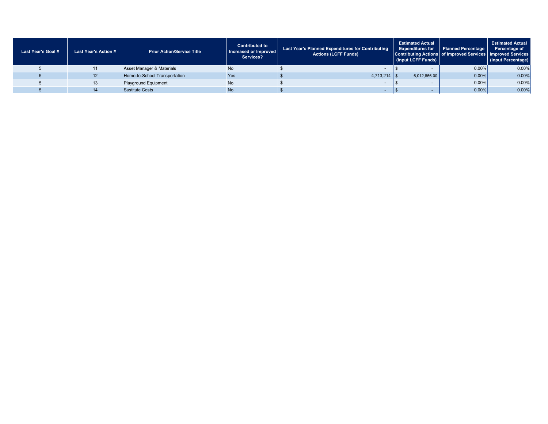|                                                                                          | (Input Percentage) |
|------------------------------------------------------------------------------------------|--------------------|
| $0.00\%$<br><b>No</b><br>Asset Manager & Materials                                       | 0.00%              |
| $0.00\%$<br>Yes<br>$4,713,214$ \$<br>6,012,856.00<br>Home-to-School Transportation<br>12 | 0.00%              |
| <b>No</b><br>$0.00\%$<br>Playground Equipment                                            | 0.00%              |
| <b>No</b><br>$0.00\%$<br><b>Sustitute Costs</b><br>14                                    | 0.00%              |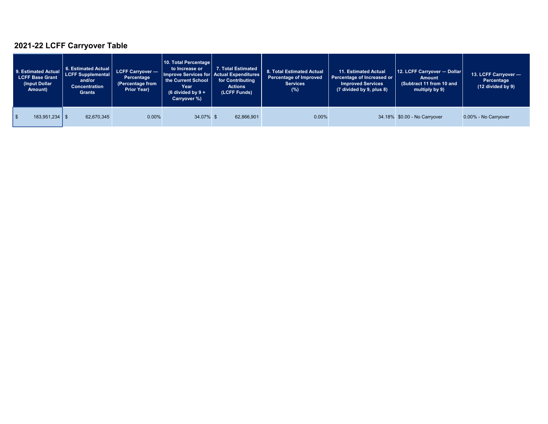## **2021-22 LCFF Carryover Table**

| 9. Estimated Actual<br><b>LCFF Base Grant</b><br>(Input Dollar<br>Amount) | 6. Estimated Actual<br><b>LCFF Supplemental</b><br>and/or<br>Concentration<br><b>Grants</b> | LCFF Carryover -<br>Percentage<br>(Percentage from<br>Prior Year) | 10. Total Percentage<br>to Increase or<br>Improve Services for Actual Expenditures<br>the Current School<br>Year<br>$(6 \div 6)$ divided by $9 +$<br>Carryover %) | 7. Total Estimated<br>for Contributing<br><b>Actions</b><br>(LCFF Funds) | 8. Total Estimated Actual<br>Percentage of Improved<br><b>Services</b><br>$(\%)$ | 11. Estimated Actual<br>Percentage of Increased or<br><b>Improved Services</b><br>(7 divided by 9, plus 8) | 12. LCFF Carryover - Dollar<br>Amount<br>(Subtract 11 from 10 and<br>multiply by 9) | 13. LCFF Carryover -<br>Percentage<br>(12 divided by 9) |
|---------------------------------------------------------------------------|---------------------------------------------------------------------------------------------|-------------------------------------------------------------------|-------------------------------------------------------------------------------------------------------------------------------------------------------------------|--------------------------------------------------------------------------|----------------------------------------------------------------------------------|------------------------------------------------------------------------------------------------------------|-------------------------------------------------------------------------------------|---------------------------------------------------------|
| $183,951,234$   \$<br>l \$                                                | 62,670,345                                                                                  | 0.00%                                                             | 34.07% \$                                                                                                                                                         | 62,866,901                                                               | 0.00%                                                                            |                                                                                                            | 34.18% \$0.00 - No Carryover                                                        | 0.00% - No Carryover                                    |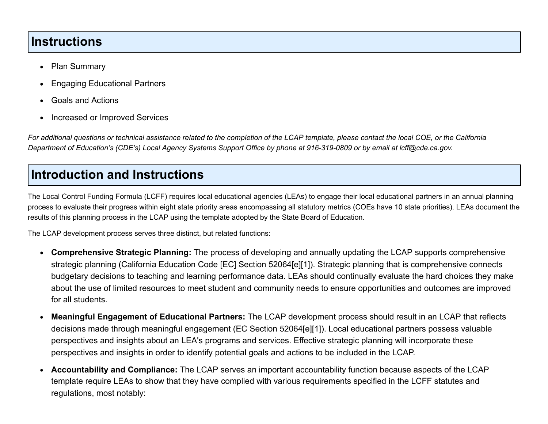### **Instructions**

- Plan Summary  $\bullet$
- Engaging Educational Partners  $\bullet$
- Goals and Actions  $\bullet$
- Increased or Improved Services  $\bullet$

*For additional questions or technical assistance related to the completion of the LCAP template, please contact the local COE, or the California Department of Education's (CDE's) Local Agency Systems Support Office by phone at 916-319-0809 or by email at lcff@cde.ca.gov.*

# **Introduction and Instructions**

The Local Control Funding Formula (LCFF) requires local educational agencies (LEAs) to engage their local educational partners in an annual planning process to evaluate their progress within eight state priority areas encompassing all statutory metrics (COEs have 10 state priorities). LEAs document the results of this planning process in the LCAP using the template adopted by the State Board of Education.

The LCAP development process serves three distinct, but related functions:

- **Comprehensive Strategic Planning:** The process of developing and annually updating the LCAP supports comprehensive strategic planning (California Education Code [EC] Section 52064[e][1]). Strategic planning that is comprehensive connects budgetary decisions to teaching and learning performance data. LEAs should continually evaluate the hard choices they make about the use of limited resources to meet student and community needs to ensure opportunities and outcomes are improved for all students.
- **Meaningful Engagement of Educational Partners:** The LCAP development process should result in an LCAP that reflects  $\bullet$ decisions made through meaningful engagement (EC Section 52064[e][1]). Local educational partners possess valuable perspectives and insights about an LEA's programs and services. Effective strategic planning will incorporate these perspectives and insights in order to identify potential goals and actions to be included in the LCAP.
- **Accountability and Compliance:** The LCAP serves an important accountability function because aspects of the LCAP  $\bullet$ template require LEAs to show that they have complied with various requirements specified in the LCFF statutes and regulations, most notably: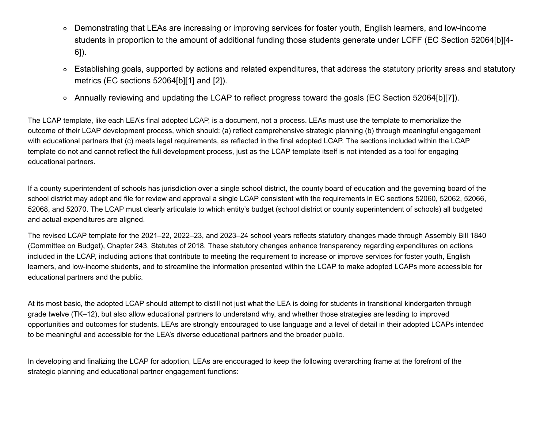- Demonstrating that LEAs are increasing or improving services for foster youth, English learners, and low-income students in proportion to the amount of additional funding those students generate under LCFF (EC Section 52064[b][4- 6]).
- Establishing goals, supported by actions and related expenditures, that address the statutory priority areas and statutory  $\circ$ metrics (EC sections 52064[b][1] and [2]).
- Annually reviewing and updating the LCAP to reflect progress toward the goals (EC Section 52064[b][7]).

The LCAP template, like each LEA's final adopted LCAP, is a document, not a process. LEAs must use the template to memorialize the outcome of their LCAP development process, which should: (a) reflect comprehensive strategic planning (b) through meaningful engagement with educational partners that (c) meets legal requirements, as reflected in the final adopted LCAP. The sections included within the LCAP template do not and cannot reflect the full development process, just as the LCAP template itself is not intended as a tool for engaging educational partners.

If a county superintendent of schools has jurisdiction over a single school district, the county board of education and the governing board of the school district may adopt and file for review and approval a single LCAP consistent with the requirements in EC sections 52060, 52062, 52066, 52068, and 52070. The LCAP must clearly articulate to which entity's budget (school district or county superintendent of schools) all budgeted and actual expenditures are aligned.

The revised LCAP template for the 2021–22, 2022–23, and 2023–24 school years reflects statutory changes made through Assembly Bill 1840 (Committee on Budget), Chapter 243, Statutes of 2018. These statutory changes enhance transparency regarding expenditures on actions included in the LCAP, including actions that contribute to meeting the requirement to increase or improve services for foster youth, English learners, and low-income students, and to streamline the information presented within the LCAP to make adopted LCAPs more accessible for educational partners and the public.

At its most basic, the adopted LCAP should attempt to distill not just what the LEA is doing for students in transitional kindergarten through grade twelve (TK–12), but also allow educational partners to understand why, and whether those strategies are leading to improved opportunities and outcomes for students. LEAs are strongly encouraged to use language and a level of detail in their adopted LCAPs intended to be meaningful and accessible for the LEA's diverse educational partners and the broader public.

In developing and finalizing the LCAP for adoption, LEAs are encouraged to keep the following overarching frame at the forefront of the strategic planning and educational partner engagement functions: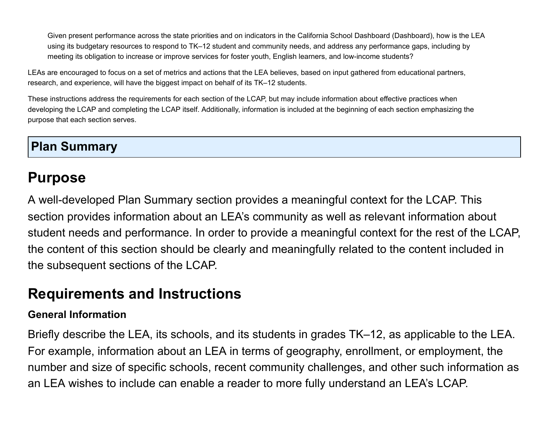Given present performance across the state priorities and on indicators in the California School Dashboard (Dashboard), how is the LEA using its budgetary resources to respond to TK–12 student and community needs, and address any performance gaps, including by meeting its obligation to increase or improve services for foster youth, English learners, and low-income students?

LEAs are encouraged to focus on a set of metrics and actions that the LEA believes, based on input gathered from educational partners, research, and experience, will have the biggest impact on behalf of its TK–12 students.

These instructions address the requirements for each section of the LCAP, but may include information about effective practices when developing the LCAP and completing the LCAP itself. Additionally, information is included at the beginning of each section emphasizing the purpose that each section serves.

# **Plan Summary**

# **Purpose**

A well-developed Plan Summary section provides a meaningful context for the LCAP. This section provides information about an LEA's community as well as relevant information about student needs and performance. In order to provide a meaningful context for the rest of the LCAP, the content of this section should be clearly and meaningfully related to the content included in the subsequent sections of the LCAP.

# **Requirements and Instructions**

#### **General Information**

Briefly describe the LEA, its schools, and its students in grades TK–12, as applicable to the LEA. For example, information about an LEA in terms of geography, enrollment, or employment, the number and size of specific schools, recent community challenges, and other such information as an LEA wishes to include can enable a reader to more fully understand an LEA's LCAP.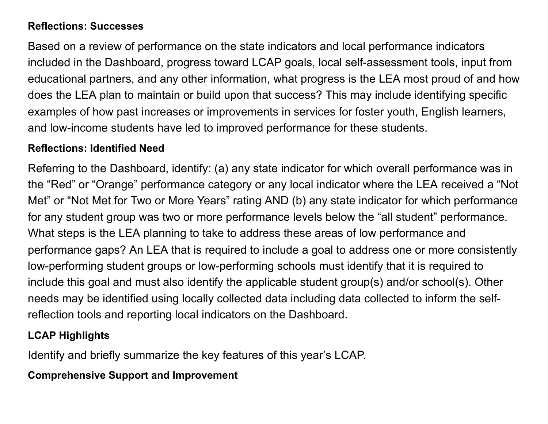#### **Reflections: Successes**

Based on a review of performance on the state indicators and local performance indicators included in the Dashboard, progress toward LCAP goals, local self-assessment tools, input from educational partners, and any other information, what progress is the LEA most proud of and how does the LEA plan to maintain or build upon that success? This may include identifying specific examples of how past increases or improvements in services for foster youth, English learners, and low-income students have led to improved performance for these students.

#### **Reflections: Identified Need**

Referring to the Dashboard, identify: (a) any state indicator for which overall performance was in the "Red" or "Orange" performance category or any local indicator where the LEA received a "Not Met" or "Not Met for Two or More Years" rating AND (b) any state indicator for which performance for any student group was two or more performance levels below the "all student" performance. What steps is the LEA planning to take to address these areas of low performance and performance gaps? An LEA that is required to include a goal to address one or more consistently low-performing student groups or low-performing schools must identify that it is required to include this goal and must also identify the applicable student group(s) and/or school(s). Other needs may be identified using locally collected data including data collected to inform the selfreflection tools and reporting local indicators on the Dashboard.

#### **LCAP Highlights**

Identify and briefly summarize the key features of this year's LCAP.

#### **Comprehensive Support and Improvement**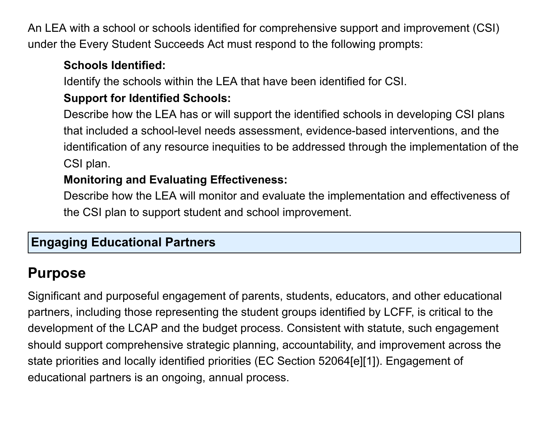An LEA with a school or schools identified for comprehensive support and improvement (CSI) under the Every Student Succeeds Act must respond to the following prompts:

### **Schools Identified:**

Identify the schools within the LEA that have been identified for CSI.

# **Support for Identified Schools:**

Describe how the LEA has or will support the identified schools in developing CSI plans that included a school-level needs assessment, evidence-based interventions, and the identification of any resource inequities to be addressed through the implementation of the CSI plan.

# **Monitoring and Evaluating Effectiveness:**

Describe how the LEA will monitor and evaluate the implementation and effectiveness of the CSI plan to support student and school improvement.

# **Engaging Educational Partners**

# **Purpose**

Significant and purposeful engagement of parents, students, educators, and other educational partners, including those representing the student groups identified by LCFF, is critical to the development of the LCAP and the budget process. Consistent with statute, such engagement should support comprehensive strategic planning, accountability, and improvement across the state priorities and locally identified priorities (EC Section 52064[e][1]). Engagement of educational partners is an ongoing, annual process.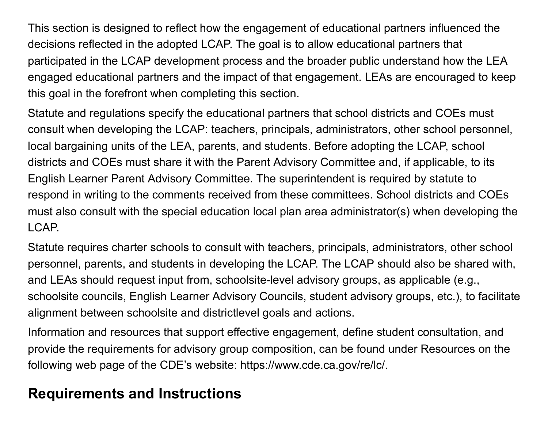This section is designed to reflect how the engagement of educational partners influenced the decisions reflected in the adopted LCAP. The goal is to allow educational partners that participated in the LCAP development process and the broader public understand how the LEA engaged educational partners and the impact of that engagement. LEAs are encouraged to keep this goal in the forefront when completing this section.

Statute and regulations specify the educational partners that school districts and COEs must consult when developing the LCAP: teachers, principals, administrators, other school personnel, local bargaining units of the LEA, parents, and students. Before adopting the LCAP, school districts and COEs must share it with the Parent Advisory Committee and, if applicable, to its English Learner Parent Advisory Committee. The superintendent is required by statute to respond in writing to the comments received from these committees. School districts and COEs must also consult with the special education local plan area administrator(s) when developing the LCAP.

Statute requires charter schools to consult with teachers, principals, administrators, other school personnel, parents, and students in developing the LCAP. The LCAP should also be shared with, and LEAs should request input from, schoolsite-level advisory groups, as applicable (e.g., schoolsite councils, English Learner Advisory Councils, student advisory groups, etc.), to facilitate alignment between schoolsite and districtlevel goals and actions.

Information and resources that support effective engagement, define student consultation, and provide the requirements for advisory group composition, can be found under Resources on the following web page of the CDE's website: https://www.cde.ca.gov/re/lc/.

# **Requirements and Instructions**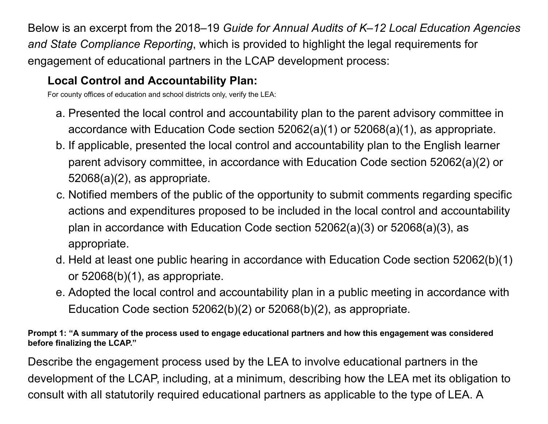Below is an excerpt from the 2018–19 *Guide for Annual Audits of K–12 Local Education Agencies and State Compliance Reporting*, which is provided to highlight the legal requirements for engagement of educational partners in the LCAP development process:

# **Local Control and Accountability Plan:**

For county offices of education and school districts only, verify the LEA:

- a. Presented the local control and accountability plan to the parent advisory committee in accordance with Education Code section 52062(a)(1) or 52068(a)(1), as appropriate.
- b. If applicable, presented the local control and accountability plan to the English learner parent advisory committee, in accordance with Education Code section 52062(a)(2) or 52068(a)(2), as appropriate.
- c. Notified members of the public of the opportunity to submit comments regarding specific actions and expenditures proposed to be included in the local control and accountability plan in accordance with Education Code section 52062(a)(3) or 52068(a)(3), as appropriate.
- d. Held at least one public hearing in accordance with Education Code section 52062(b)(1) or 52068(b)(1), as appropriate.
- e. Adopted the local control and accountability plan in a public meeting in accordance with Education Code section 52062(b)(2) or 52068(b)(2), as appropriate.

**Prompt 1: "A summary of the process used to engage educational partners and how this engagement was considered before finalizing the LCAP."**

Describe the engagement process used by the LEA to involve educational partners in the development of the LCAP, including, at a minimum, describing how the LEA met its obligation to consult with all statutorily required educational partners as applicable to the type of LEA. A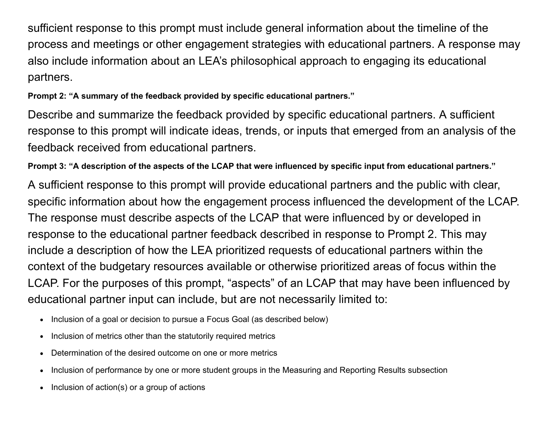sufficient response to this prompt must include general information about the timeline of the process and meetings or other engagement strategies with educational partners. A response may also include information about an LEA's philosophical approach to engaging its educational partners.

**Prompt 2: "A summary of the feedback provided by specific educational partners."**

Describe and summarize the feedback provided by specific educational partners. A sufficient response to this prompt will indicate ideas, trends, or inputs that emerged from an analysis of the feedback received from educational partners.

**Prompt 3: "A description of the aspects of the LCAP that were influenced by specific input from educational partners."**

A sufficient response to this prompt will provide educational partners and the public with clear, specific information about how the engagement process influenced the development of the LCAP. The response must describe aspects of the LCAP that were influenced by or developed in response to the educational partner feedback described in response to Prompt 2. This may include a description of how the LEA prioritized requests of educational partners within the context of the budgetary resources available or otherwise prioritized areas of focus within the LCAP. For the purposes of this prompt, "aspects" of an LCAP that may have been influenced by educational partner input can include, but are not necessarily limited to:

- Inclusion of a goal or decision to pursue a Focus Goal (as described below)
- Inclusion of metrics other than the statutorily required metrics
- Determination of the desired outcome on one or more metrics  $\bullet$
- Inclusion of performance by one or more student groups in the Measuring and Reporting Results subsection  $\bullet$
- Inclusion of action(s) or a group of actions $\bullet$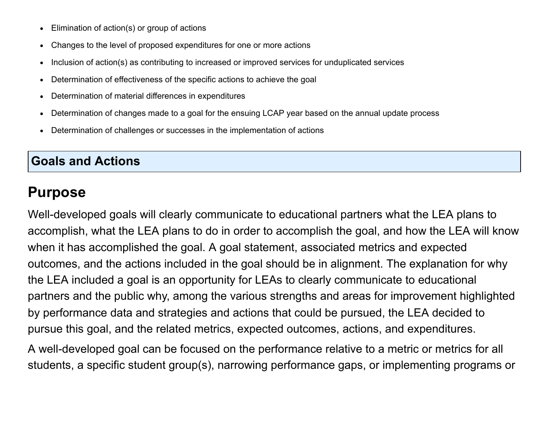- Elimination of action(s) or group of actions  $\bullet$
- Changes to the level of proposed expenditures for one or more actions  $\bullet$
- Inclusion of action(s) as contributing to increased or improved services for unduplicated services  $\bullet$
- Determination of effectiveness of the specific actions to achieve the goal  $\bullet$
- Determination of material differences in expenditures  $\bullet$
- Determination of changes made to a goal for the ensuing LCAP year based on the annual update process  $\bullet$
- Determination of challenges or successes in the implementation of actions  $\bullet$

## **Goals and Actions**

# **Purpose**

Well-developed goals will clearly communicate to educational partners what the LEA plans to accomplish, what the LEA plans to do in order to accomplish the goal, and how the LEA will know when it has accomplished the goal. A goal statement, associated metrics and expected outcomes, and the actions included in the goal should be in alignment. The explanation for why the LEA included a goal is an opportunity for LEAs to clearly communicate to educational partners and the public why, among the various strengths and areas for improvement highlighted by performance data and strategies and actions that could be pursued, the LEA decided to pursue this goal, and the related metrics, expected outcomes, actions, and expenditures.

A well-developed goal can be focused on the performance relative to a metric or metrics for all students, a specific student group(s), narrowing performance gaps, or implementing programs or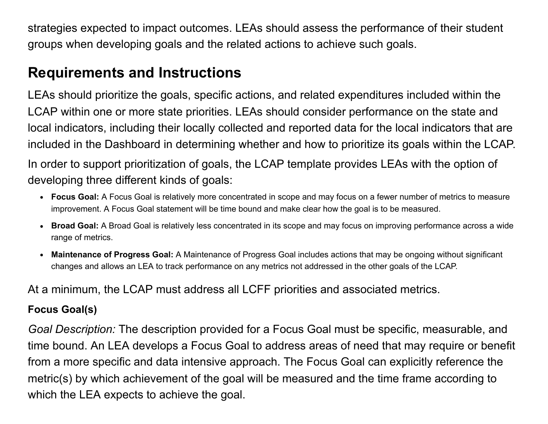strategies expected to impact outcomes. LEAs should assess the performance of their student groups when developing goals and the related actions to achieve such goals.

# **Requirements and Instructions**

LEAs should prioritize the goals, specific actions, and related expenditures included within the LCAP within one or more state priorities. LEAs should consider performance on the state and local indicators, including their locally collected and reported data for the local indicators that are included in the Dashboard in determining whether and how to prioritize its goals within the LCAP. In order to support prioritization of goals, the LCAP template provides LEAs with the option of developing three different kinds of goals:

- **Focus Goal:** A Focus Goal is relatively more concentrated in scope and may focus on a fewer number of metrics to measure improvement. A Focus Goal statement will be time bound and make clear how the goal is to be measured.
- **Broad Goal:** A Broad Goal is relatively less concentrated in its scope and may focus on improving performance across a wide range of metrics.
- **Maintenance of Progress Goal:** A Maintenance of Progress Goal includes actions that may be ongoing without significant changes and allows an LEA to track performance on any metrics not addressed in the other goals of the LCAP.

At a minimum, the LCAP must address all LCFF priorities and associated metrics.

#### **Focus Goal(s)**

*Goal Description:* The description provided for a Focus Goal must be specific, measurable, and time bound. An LEA develops a Focus Goal to address areas of need that may require or benefit from a more specific and data intensive approach. The Focus Goal can explicitly reference the metric(s) by which achievement of the goal will be measured and the time frame according to which the LEA expects to achieve the goal.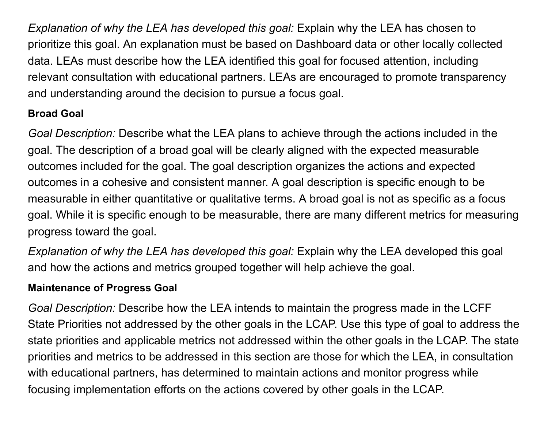*Explanation of why the LEA has developed this goal:* Explain why the LEA has chosen to prioritize this goal. An explanation must be based on Dashboard data or other locally collected data. LEAs must describe how the LEA identified this goal for focused attention, including relevant consultation with educational partners. LEAs are encouraged to promote transparency and understanding around the decision to pursue a focus goal.

### **Broad Goal**

*Goal Description:* Describe what the LEA plans to achieve through the actions included in the goal. The description of a broad goal will be clearly aligned with the expected measurable outcomes included for the goal. The goal description organizes the actions and expected outcomes in a cohesive and consistent manner. A goal description is specific enough to be measurable in either quantitative or qualitative terms. A broad goal is not as specific as a focus goal. While it is specific enough to be measurable, there are many different metrics for measuring progress toward the goal.

*Explanation of why the LEA has developed this goal:* Explain why the LEA developed this goal and how the actions and metrics grouped together will help achieve the goal.

### **Maintenance of Progress Goal**

*Goal Description:* Describe how the LEA intends to maintain the progress made in the LCFF State Priorities not addressed by the other goals in the LCAP. Use this type of goal to address the state priorities and applicable metrics not addressed within the other goals in the LCAP. The state priorities and metrics to be addressed in this section are those for which the LEA, in consultation with educational partners, has determined to maintain actions and monitor progress while focusing implementation efforts on the actions covered by other goals in the LCAP.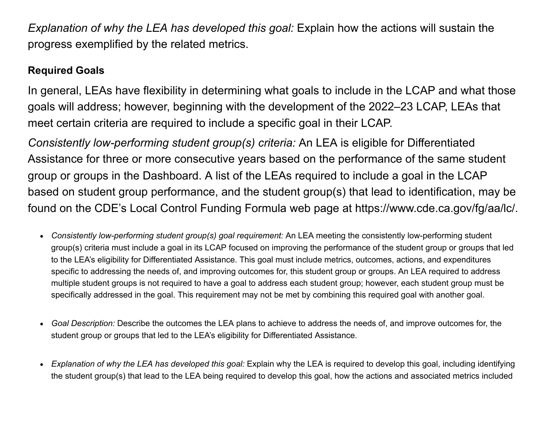*Explanation of why the LEA has developed this goal:* Explain how the actions will sustain the progress exemplified by the related metrics.

#### **Required Goals**

In general, LEAs have flexibility in determining what goals to include in the LCAP and what those goals will address; however, beginning with the development of the 2022–23 LCAP, LEAs that meet certain criteria are required to include a specific goal in their LCAP.

*Consistently low-performing student group(s) criteria:* An LEA is eligible for Differentiated Assistance for three or more consecutive years based on the performance of the same student group or groups in the Dashboard. A list of the LEAs required to include a goal in the LCAP based on student group performance, and the student group(s) that lead to identification, may be found on the CDE's Local Control Funding Formula web page at https://www.cde.ca.gov/fg/aa/lc/.

- *Consistently low-performing student group(s) goal requirement:* An LEA meeting the consistently low-performing student group(s) criteria must include a goal in its LCAP focused on improving the performance of the student group or groups that led to the LEA's eligibility for Differentiated Assistance. This goal must include metrics, outcomes, actions, and expenditures specific to addressing the needs of, and improving outcomes for, this student group or groups. An LEA required to address multiple student groups is not required to have a goal to address each student group; however, each student group must be specifically addressed in the goal. This requirement may not be met by combining this required goal with another goal.
- *Goal Description:* Describe the outcomes the LEA plans to achieve to address the needs of, and improve outcomes for, the student group or groups that led to the LEA's eligibility for Differentiated Assistance.
- *Explanation of why the LEA has developed this goal:* Explain why the LEA is required to develop this goal, including identifying the student group(s) that lead to the LEA being required to develop this goal, how the actions and associated metrics included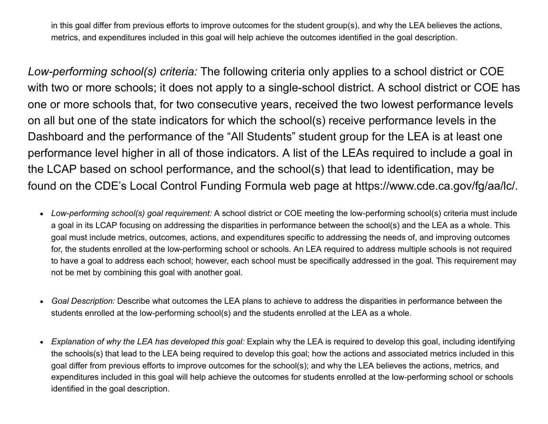in this goal differ from previous efforts to improve outcomes for the student group(s), and why the LEA believes the actions, metrics, and expenditures included in this goal will help achieve the outcomes identified in the goal description.

*Low-performing school(s) criteria:* The following criteria only applies to a school district or COE with two or more schools; it does not apply to a single-school district. A school district or COE has one or more schools that, for two consecutive years, received the two lowest performance levels on all but one of the state indicators for which the school(s) receive performance levels in the Dashboard and the performance of the "All Students" student group for the LEA is at least one performance level higher in all of those indicators. A list of the LEAs required to include a goal in the LCAP based on school performance, and the school(s) that lead to identification, may be found on the CDE's Local Control Funding Formula web page at https://www.cde.ca.gov/fg/aa/lc/.

- *Low-performing school(s) goal requirement:* A school district or COE meeting the low-performing school(s) criteria must include a goal in its LCAP focusing on addressing the disparities in performance between the school(s) and the LEA as a whole. This goal must include metrics, outcomes, actions, and expenditures specific to addressing the needs of, and improving outcomes for, the students enrolled at the low-performing school or schools. An LEA required to address multiple schools is not required to have a goal to address each school; however, each school must be specifically addressed in the goal. This requirement may not be met by combining this goal with another goal.
- *Goal Description:* Describe what outcomes the LEA plans to achieve to address the disparities in performance between the  $\bullet$ students enrolled at the low-performing school(s) and the students enrolled at the LEA as a whole.
- *Explanation of why the LEA has developed this goal:* Explain why the LEA is required to develop this goal, including identifying the schools(s) that lead to the LEA being required to develop this goal; how the actions and associated metrics included in this goal differ from previous efforts to improve outcomes for the school(s); and why the LEA believes the actions, metrics, and expenditures included in this goal will help achieve the outcomes for students enrolled at the low-performing school or schools identified in the goal description.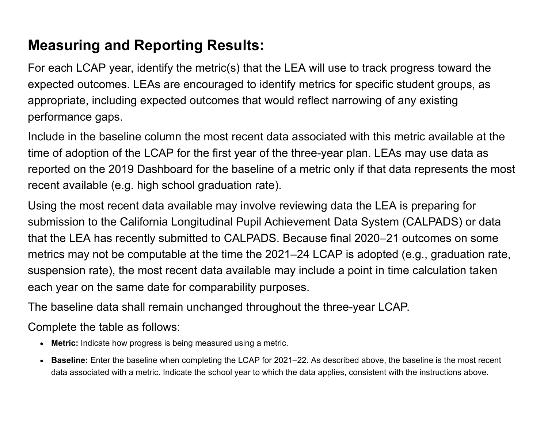# **Measuring and Reporting Results:**

For each LCAP year, identify the metric(s) that the LEA will use to track progress toward the expected outcomes. LEAs are encouraged to identify metrics for specific student groups, as appropriate, including expected outcomes that would reflect narrowing of any existing performance gaps.

Include in the baseline column the most recent data associated with this metric available at the time of adoption of the LCAP for the first year of the three-year plan. LEAs may use data as reported on the 2019 Dashboard for the baseline of a metric only if that data represents the most recent available (e.g. high school graduation rate).

Using the most recent data available may involve reviewing data the LEA is preparing for submission to the California Longitudinal Pupil Achievement Data System (CALPADS) or data that the LEA has recently submitted to CALPADS. Because final 2020–21 outcomes on some metrics may not be computable at the time the 2021–24 LCAP is adopted (e.g., graduation rate, suspension rate), the most recent data available may include a point in time calculation taken each year on the same date for comparability purposes.

The baseline data shall remain unchanged throughout the three-year LCAP.

Complete the table as follows:

- **Metric:** Indicate how progress is being measured using a metric.
- **Baseline:** Enter the baseline when completing the LCAP for 2021–22. As described above, the baseline is the most recent data associated with a metric. Indicate the school year to which the data applies, consistent with the instructions above.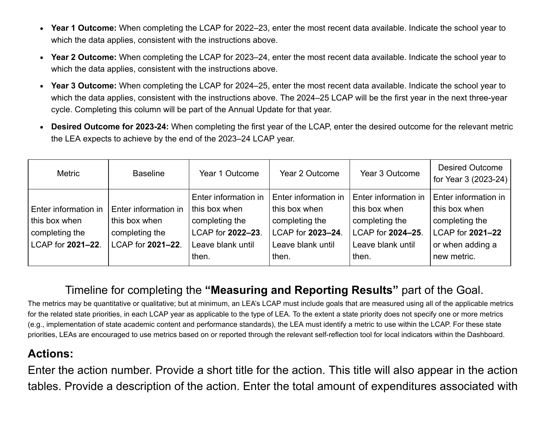- **Year 1 Outcome:** When completing the LCAP for 2022–23, enter the most recent data available. Indicate the school year to which the data applies, consistent with the instructions above.
- **Year 2 Outcome:** When completing the LCAP for 2023–24, enter the most recent data available. Indicate the school year to  $\bullet$ which the data applies, consistent with the instructions above.
- **Year 3 Outcome:** When completing the LCAP for 2024–25, enter the most recent data available. Indicate the school year to  $\bullet$ which the data applies, consistent with the instructions above. The 2024–25 LCAP will be the first year in the next three-year cycle. Completing this column will be part of the Annual Update for that year.
- **Desired Outcome for 2023-24:** When completing the first year of the LCAP, enter the desired outcome for the relevant metric the LEA expects to achieve by the end of the 2023–24 LCAP year.

| Metric                                                                       | <b>Baseline</b>                                                              | Year 1 Outcome                                                                                             | Year 2 Outcome                                                                                             | Year 3 Outcome                                                                                             | <b>Desired Outcome</b><br>for Year 3 (2023-24)                                                                 |
|------------------------------------------------------------------------------|------------------------------------------------------------------------------|------------------------------------------------------------------------------------------------------------|------------------------------------------------------------------------------------------------------------|------------------------------------------------------------------------------------------------------------|----------------------------------------------------------------------------------------------------------------|
| Enter information in<br>this box when<br>completing the<br>LCAP for 2021-22. | Enter information in<br>this box when<br>completing the<br>LCAP for 2021-22. | Enter information in<br>this box when<br>completing the<br>LCAP for 2022-23.<br>Leave blank until<br>then. | Enter information in<br>this box when<br>completing the<br>LCAP for 2023-24.<br>Leave blank until<br>then. | Enter information in<br>this box when<br>completing the<br>LCAP for 2024-25.<br>Leave blank until<br>then. | Enter information in<br>this box when<br>completing the<br>LCAP for 2021-22<br>or when adding a<br>new metric. |

# Timeline for completing the **"Measuring and Reporting Results"** part of the Goal.

The metrics may be quantitative or qualitative; but at minimum, an LEA's LCAP must include goals that are measured using all of the applicable metrics for the related state priorities, in each LCAP year as applicable to the type of LEA. To the extent a state priority does not specify one or more metrics (e.g., implementation of state academic content and performance standards), the LEA must identify a metric to use within the LCAP. For these state priorities, LEAs are encouraged to use metrics based on or reported through the relevant self-reflection tool for local indicators within the Dashboard.

#### **Actions:**

Enter the action number. Provide a short title for the action. This title will also appear in the action tables. Provide a description of the action. Enter the total amount of expenditures associated with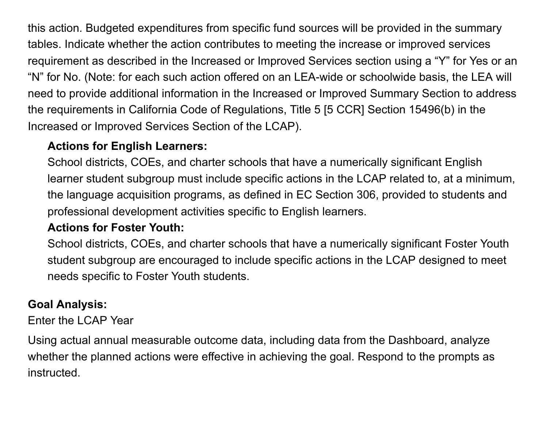this action. Budgeted expenditures from specific fund sources will be provided in the summary tables. Indicate whether the action contributes to meeting the increase or improved services requirement as described in the Increased or Improved Services section using a "Y" for Yes or an "N" for No. (Note: for each such action offered on an LEA-wide or schoolwide basis, the LEA will need to provide additional information in the Increased or Improved Summary Section to address the requirements in California Code of Regulations, Title 5 [5 CCR] Section 15496(b) in the Increased or Improved Services Section of the LCAP).

### **Actions for English Learners:**

School districts, COEs, and charter schools that have a numerically significant English learner student subgroup must include specific actions in the LCAP related to, at a minimum, the language acquisition programs, as defined in EC Section 306, provided to students and professional development activities specific to English learners.

### **Actions for Foster Youth:**

School districts, COEs, and charter schools that have a numerically significant Foster Youth student subgroup are encouraged to include specific actions in the LCAP designed to meet needs specific to Foster Youth students.

## **Goal Analysis:**

Enter the LCAP Year

Using actual annual measurable outcome data, including data from the Dashboard, analyze whether the planned actions were effective in achieving the goal. Respond to the prompts as instructed.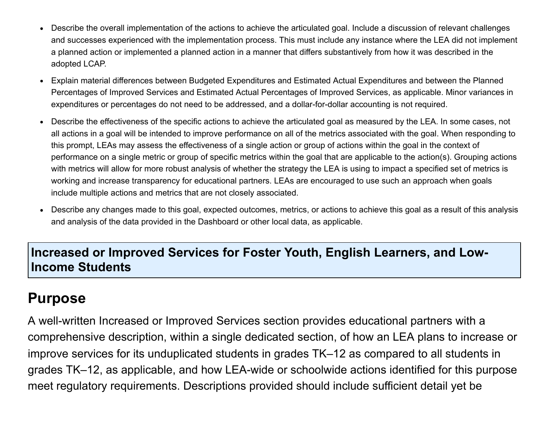- Describe the overall implementation of the actions to achieve the articulated goal. Include a discussion of relevant challenges  $\bullet$ and successes experienced with the implementation process. This must include any instance where the LEA did not implement a planned action or implemented a planned action in a manner that differs substantively from how it was described in the adopted LCAP.
- Explain material differences between Budgeted Expenditures and Estimated Actual Expenditures and between the Planned  $\bullet$ Percentages of Improved Services and Estimated Actual Percentages of Improved Services, as applicable. Minor variances in expenditures or percentages do not need to be addressed, and a dollar-for-dollar accounting is not required.
- Describe the effectiveness of the specific actions to achieve the articulated goal as measured by the LEA. In some cases, not all actions in a goal will be intended to improve performance on all of the metrics associated with the goal. When responding to this prompt, LEAs may assess the effectiveness of a single action or group of actions within the goal in the context of performance on a single metric or group of specific metrics within the goal that are applicable to the action(s). Grouping actions with metrics will allow for more robust analysis of whether the strategy the LEA is using to impact a specified set of metrics is working and increase transparency for educational partners. LEAs are encouraged to use such an approach when goals include multiple actions and metrics that are not closely associated.
- Describe any changes made to this goal, expected outcomes, metrics, or actions to achieve this goal as a result of this analysis  $\bullet$ and analysis of the data provided in the Dashboard or other local data, as applicable.

### **Increased or Improved Services for Foster Youth, English Learners, and Low-Income Students**

# **Purpose**

A well-written Increased or Improved Services section provides educational partners with a comprehensive description, within a single dedicated section, of how an LEA plans to increase or improve services for its unduplicated students in grades TK–12 as compared to all students in grades TK–12, as applicable, and how LEA-wide or schoolwide actions identified for this purpose meet regulatory requirements. Descriptions provided should include sufficient detail yet be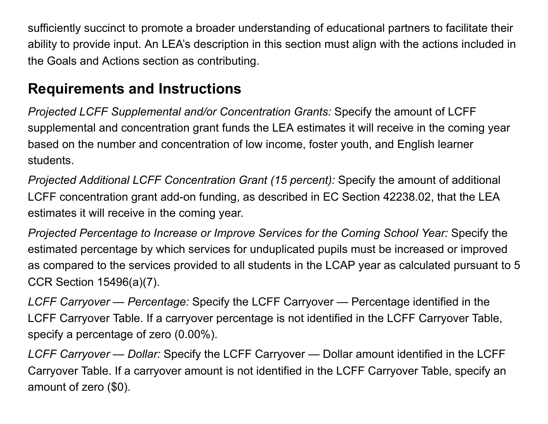sufficiently succinct to promote a broader understanding of educational partners to facilitate their ability to provide input. An LEA's description in this section must align with the actions included in the Goals and Actions section as contributing.

# **Requirements and Instructions**

*Projected LCFF Supplemental and/or Concentration Grants:* Specify the amount of LCFF supplemental and concentration grant funds the LEA estimates it will receive in the coming year based on the number and concentration of low income, foster youth, and English learner students.

*Projected Additional LCFF Concentration Grant (15 percent):* Specify the amount of additional LCFF concentration grant add-on funding, as described in EC Section 42238.02, that the LEA estimates it will receive in the coming year.

*Projected Percentage to Increase or Improve Services for the Coming School Year:* Specify the estimated percentage by which services for unduplicated pupils must be increased or improved as compared to the services provided to all students in the LCAP year as calculated pursuant to 5 CCR Section 15496(a)(7).

*LCFF Carryover — Percentage:* Specify the LCFF Carryover — Percentage identified in the LCFF Carryover Table. If a carryover percentage is not identified in the LCFF Carryover Table, specify a percentage of zero (0.00%).

*LCFF Carryover — Dollar:* Specify the LCFF Carryover — Dollar amount identified in the LCFF Carryover Table. If a carryover amount is not identified in the LCFF Carryover Table, specify an amount of zero (\$0).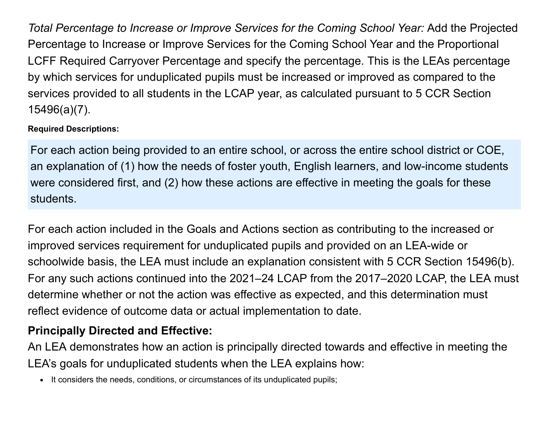*Total Percentage to Increase or Improve Services for the Coming School Year:* Add the Projected Percentage to Increase or Improve Services for the Coming School Year and the Proportional LCFF Required Carryover Percentage and specify the percentage. This is the LEAs percentage by which services for unduplicated pupils must be increased or improved as compared to the services provided to all students in the LCAP year, as calculated pursuant to 5 CCR Section 15496(a)(7).

#### **Required Descriptions:**

For each action being provided to an entire school, or across the entire school district or COE, an explanation of (1) how the needs of foster youth, English learners, and low-income students were considered first, and (2) how these actions are effective in meeting the goals for these students.

For each action included in the Goals and Actions section as contributing to the increased or improved services requirement for unduplicated pupils and provided on an LEA-wide or schoolwide basis, the LEA must include an explanation consistent with 5 CCR Section 15496(b). For any such actions continued into the 2021–24 LCAP from the 2017–2020 LCAP, the LEA must determine whether or not the action was effective as expected, and this determination must reflect evidence of outcome data or actual implementation to date.

## **Principally Directed and Effective:**

An LEA demonstrates how an action is principally directed towards and effective in meeting the LEA's goals for unduplicated students when the LEA explains how:

It considers the needs, conditions, or circumstances of its unduplicated pupils;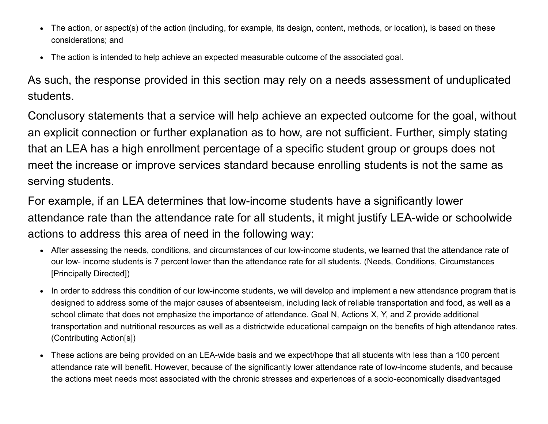- The action, or aspect(s) of the action (including, for example, its design, content, methods, or location), is based on these  $\bullet$ considerations; and
- The action is intended to help achieve an expected measurable outcome of the associated goal.  $\bullet$

As such, the response provided in this section may rely on a needs assessment of unduplicated students.

Conclusory statements that a service will help achieve an expected outcome for the goal, without an explicit connection or further explanation as to how, are not sufficient. Further, simply stating that an LEA has a high enrollment percentage of a specific student group or groups does not meet the increase or improve services standard because enrolling students is not the same as serving students.

For example, if an LEA determines that low-income students have a significantly lower attendance rate than the attendance rate for all students, it might justify LEA-wide or schoolwide actions to address this area of need in the following way:

- After assessing the needs, conditions, and circumstances of our low-income students, we learned that the attendance rate of our low- income students is 7 percent lower than the attendance rate for all students. (Needs, Conditions, Circumstances [Principally Directed])
- In order to address this condition of our low-income students, we will develop and implement a new attendance program that is designed to address some of the major causes of absenteeism, including lack of reliable transportation and food, as well as a school climate that does not emphasize the importance of attendance. Goal N, Actions X, Y, and Z provide additional transportation and nutritional resources as well as a districtwide educational campaign on the benefits of high attendance rates. (Contributing Action[s])
- These actions are being provided on an LEA-wide basis and we expect/hope that all students with less than a 100 percent  $\bullet$ attendance rate will benefit. However, because of the significantly lower attendance rate of low-income students, and because the actions meet needs most associated with the chronic stresses and experiences of a socio-economically disadvantaged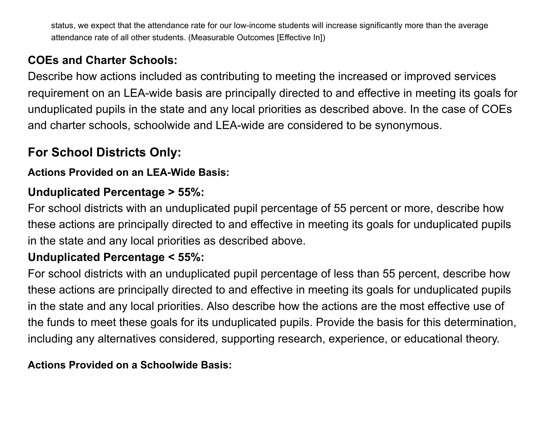status, we expect that the attendance rate for our low-income students will increase significantly more than the average attendance rate of all other students. (Measurable Outcomes [Effective In])

## **COEs and Charter Schools:**

Describe how actions included as contributing to meeting the increased or improved services requirement on an LEA-wide basis are principally directed to and effective in meeting its goals for unduplicated pupils in the state and any local priorities as described above. In the case of COEs and charter schools, schoolwide and LEA-wide are considered to be synonymous.

# **For School Districts Only:**

#### **Actions Provided on an LEA-Wide Basis:**

### **Unduplicated Percentage > 55%:**

For school districts with an unduplicated pupil percentage of 55 percent or more, describe how these actions are principally directed to and effective in meeting its goals for unduplicated pupils in the state and any local priorities as described above.

#### **Unduplicated Percentage < 55%:**

For school districts with an unduplicated pupil percentage of less than 55 percent, describe how these actions are principally directed to and effective in meeting its goals for unduplicated pupils in the state and any local priorities. Also describe how the actions are the most effective use of the funds to meet these goals for its unduplicated pupils. Provide the basis for this determination, including any alternatives considered, supporting research, experience, or educational theory.

#### **Actions Provided on a Schoolwide Basis:**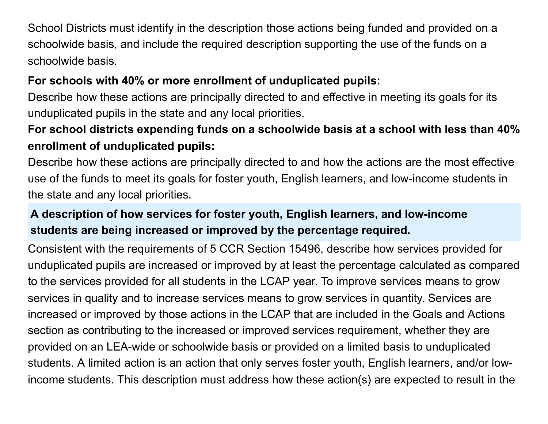School Districts must identify in the description those actions being funded and provided on a schoolwide basis, and include the required description supporting the use of the funds on a schoolwide basis.

## **For schools with 40% or more enrollment of unduplicated pupils:**

Describe how these actions are principally directed to and effective in meeting its goals for its unduplicated pupils in the state and any local priorities.

# **For school districts expending funds on a schoolwide basis at a school with less than 40% enrollment of unduplicated pupils:**

Describe how these actions are principally directed to and how the actions are the most effective use of the funds to meet its goals for foster youth, English learners, and low-income students in the state and any local priorities.

# **A description of how services for foster youth, English learners, and low-income students are being increased or improved by the percentage required.**

Consistent with the requirements of 5 CCR Section 15496, describe how services provided for unduplicated pupils are increased or improved by at least the percentage calculated as compared to the services provided for all students in the LCAP year. To improve services means to grow services in quality and to increase services means to grow services in quantity. Services are increased or improved by those actions in the LCAP that are included in the Goals and Actions section as contributing to the increased or improved services requirement, whether they are provided on an LEA-wide or schoolwide basis or provided on a limited basis to unduplicated students. A limited action is an action that only serves foster youth, English learners, and/or lowincome students. This description must address how these action(s) are expected to result in the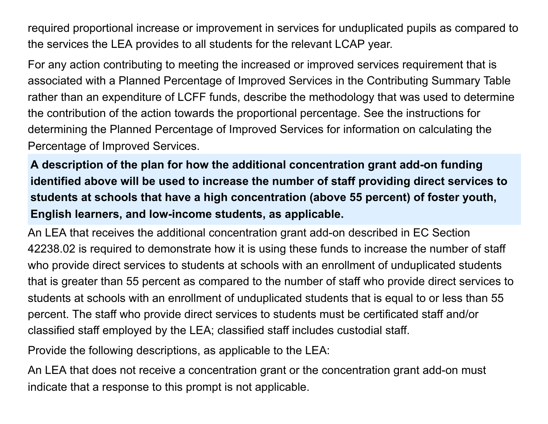required proportional increase or improvement in services for unduplicated pupils as compared to the services the LEA provides to all students for the relevant LCAP year.

For any action contributing to meeting the increased or improved services requirement that is associated with a Planned Percentage of Improved Services in the Contributing Summary Table rather than an expenditure of LCFF funds, describe the methodology that was used to determine the contribution of the action towards the proportional percentage. See the instructions for determining the Planned Percentage of Improved Services for information on calculating the Percentage of Improved Services.

**A description of the plan for how the additional concentration grant add-on funding identified above will be used to increase the number of staff providing direct services to students at schools that have a high concentration (above 55 percent) of foster youth, English learners, and low-income students, as applicable.**

An LEA that receives the additional concentration grant add-on described in EC Section 42238.02 is required to demonstrate how it is using these funds to increase the number of staff who provide direct services to students at schools with an enrollment of unduplicated students that is greater than 55 percent as compared to the number of staff who provide direct services to students at schools with an enrollment of unduplicated students that is equal to or less than 55 percent. The staff who provide direct services to students must be certificated staff and/or classified staff employed by the LEA; classified staff includes custodial staff.

Provide the following descriptions, as applicable to the LEA:

An LEA that does not receive a concentration grant or the concentration grant add-on must indicate that a response to this prompt is not applicable.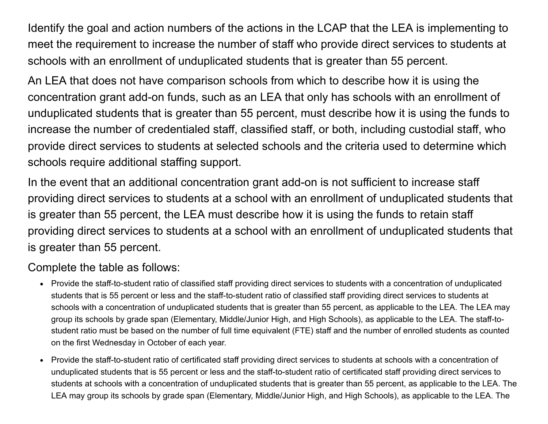Identify the goal and action numbers of the actions in the LCAP that the LEA is implementing to meet the requirement to increase the number of staff who provide direct services to students at schools with an enrollment of unduplicated students that is greater than 55 percent.

An LEA that does not have comparison schools from which to describe how it is using the concentration grant add-on funds, such as an LEA that only has schools with an enrollment of unduplicated students that is greater than 55 percent, must describe how it is using the funds to increase the number of credentialed staff, classified staff, or both, including custodial staff, who provide direct services to students at selected schools and the criteria used to determine which schools require additional staffing support.

In the event that an additional concentration grant add-on is not sufficient to increase staff providing direct services to students at a school with an enrollment of unduplicated students that is greater than 55 percent, the LEA must describe how it is using the funds to retain staff providing direct services to students at a school with an enrollment of unduplicated students that is greater than 55 percent.

#### Complete the table as follows:

- Provide the staff-to-student ratio of classified staff providing direct services to students with a concentration of unduplicated students that is 55 percent or less and the staff-to-student ratio of classified staff providing direct services to students at schools with a concentration of unduplicated students that is greater than 55 percent, as applicable to the LEA. The LEA may group its schools by grade span (Elementary, Middle/Junior High, and High Schools), as applicable to the LEA. The staff-tostudent ratio must be based on the number of full time equivalent (FTE) staff and the number of enrolled students as counted on the first Wednesday in October of each year.
- Provide the staff-to-student ratio of certificated staff providing direct services to students at schools with a concentration of unduplicated students that is 55 percent or less and the staff-to-student ratio of certificated staff providing direct services to students at schools with a concentration of unduplicated students that is greater than 55 percent, as applicable to the LEA. The LEA may group its schools by grade span (Elementary, Middle/Junior High, and High Schools), as applicable to the LEA. The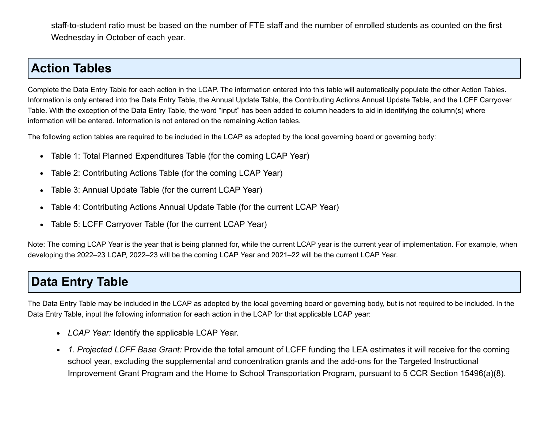staff-to-student ratio must be based on the number of FTE staff and the number of enrolled students as counted on the first Wednesday in October of each year.

### **Action Tables**

Complete the Data Entry Table for each action in the LCAP. The information entered into this table will automatically populate the other Action Tables. Information is only entered into the Data Entry Table, the Annual Update Table, the Contributing Actions Annual Update Table, and the LCFF Carryover Table. With the exception of the Data Entry Table, the word "input" has been added to column headers to aid in identifying the column(s) where information will be entered. Information is not entered on the remaining Action tables.

The following action tables are required to be included in the LCAP as adopted by the local governing board or governing body:

- Table 1: Total Planned Expenditures Table (for the coming LCAP Year)  $\bullet$
- Table 2: Contributing Actions Table (for the coming LCAP Year)  $\bullet$
- Table 3: Annual Update Table (for the current LCAP Year)  $\bullet$
- Table 4: Contributing Actions Annual Update Table (for the current LCAP Year)  $\bullet$
- Table 5: LCFF Carryover Table (for the current LCAP Year)  $\bullet$

Note: The coming LCAP Year is the year that is being planned for, while the current LCAP year is the current year of implementation. For example, when developing the 2022–23 LCAP, 2022–23 will be the coming LCAP Year and 2021–22 will be the current LCAP Year.

# **Data Entry Table**

The Data Entry Table may be included in the LCAP as adopted by the local governing board or governing body, but is not required to be included. In the Data Entry Table, input the following information for each action in the LCAP for that applicable LCAP year:

- *LCAP Year:* Identify the applicable LCAP Year.
- *1. Projected LCFF Base Grant:* Provide the total amount of LCFF funding the LEA estimates it will receive for the coming school year, excluding the supplemental and concentration grants and the add-ons for the Targeted Instructional Improvement Grant Program and the Home to School Transportation Program, pursuant to 5 CCR Section 15496(a)(8).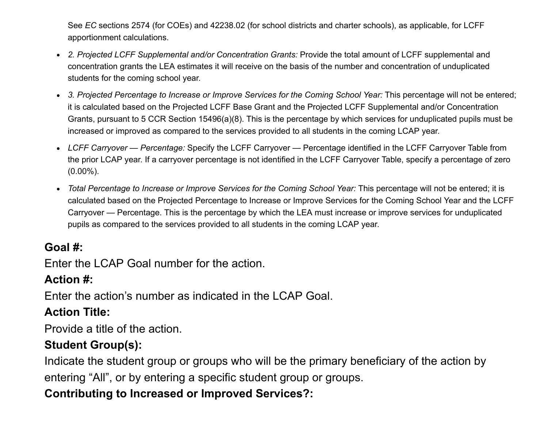See *EC* sections 2574 (for COEs) and 42238.02 (for school districts and charter schools), as applicable, for LCFF apportionment calculations.

- *2. Projected LCFF Supplemental and/or Concentration Grants:* Provide the total amount of LCFF supplemental and concentration grants the LEA estimates it will receive on the basis of the number and concentration of unduplicated students for the coming school year.
- *3. Projected Percentage to Increase or Improve Services for the Coming School Year:* This percentage will not be entered; it is calculated based on the Projected LCFF Base Grant and the Projected LCFF Supplemental and/or Concentration Grants, pursuant to 5 CCR Section 15496(a)(8). This is the percentage by which services for unduplicated pupils must be increased or improved as compared to the services provided to all students in the coming LCAP year.
- *LCFF Carryover Percentage:* Specify the LCFF Carryover Percentage identified in the LCFF Carryover Table from the prior LCAP year. If a carryover percentage is not identified in the LCFF Carryover Table, specify a percentage of zero (0.00%).
- *Total Percentage to Increase or Improve Services for the Coming School Year:* This percentage will not be entered; it is calculated based on the Projected Percentage to Increase or Improve Services for the Coming School Year and the LCFF Carryover — Percentage. This is the percentage by which the LEA must increase or improve services for unduplicated pupils as compared to the services provided to all students in the coming LCAP year.

#### **Goal #:**

Enter the LCAP Goal number for the action.

#### **Action #:**

Enter the action's number as indicated in the LCAP Goal.

### **Action Title:**

Provide a title of the action.

### **Student Group(s):**

Indicate the student group or groups who will be the primary beneficiary of the action by entering "All", or by entering a specific student group or groups.

## **Contributing to Increased or Improved Services?:**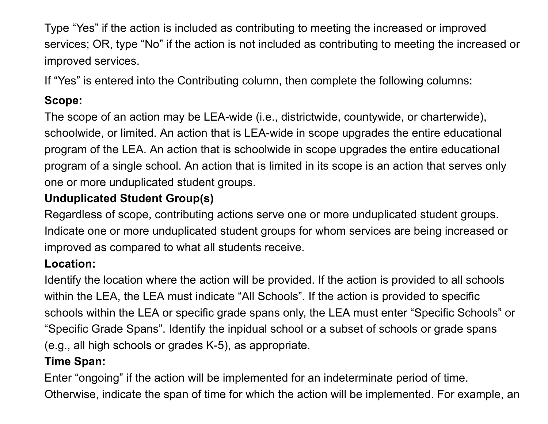Type "Yes" if the action is included as contributing to meeting the increased or improved services; OR, type "No" if the action is not included as contributing to meeting the increased or improved services.

If "Yes" is entered into the Contributing column, then complete the following columns:

# **Scope:**

The scope of an action may be LEA-wide (i.e., districtwide, countywide, or charterwide), schoolwide, or limited. An action that is LEA-wide in scope upgrades the entire educational program of the LEA. An action that is schoolwide in scope upgrades the entire educational program of a single school. An action that is limited in its scope is an action that serves only one or more unduplicated student groups.

# **Unduplicated Student Group(s)**

Regardless of scope, contributing actions serve one or more unduplicated student groups. Indicate one or more unduplicated student groups for whom services are being increased or improved as compared to what all students receive.

## **Location:**

Identify the location where the action will be provided. If the action is provided to all schools within the LEA, the LEA must indicate "All Schools". If the action is provided to specific schools within the LEA or specific grade spans only, the LEA must enter "Specific Schools" or "Specific Grade Spans". Identify the inpidual school or a subset of schools or grade spans (e.g., all high schools or grades K-5), as appropriate.

### **Time Span:**

Enter "ongoing" if the action will be implemented for an indeterminate period of time. Otherwise, indicate the span of time for which the action will be implemented. For example, an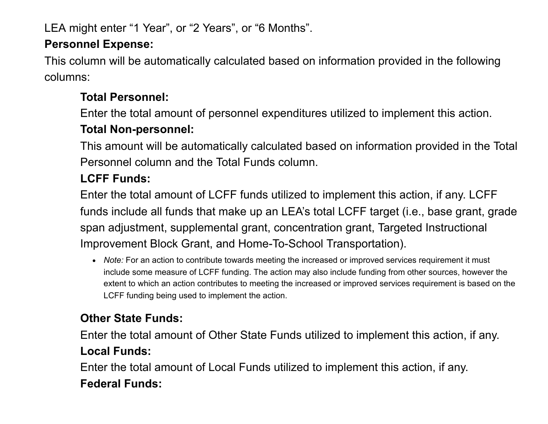LEA might enter "1 Year", or "2 Years", or "6 Months".

### **Personnel Expense:**

This column will be automatically calculated based on information provided in the following columns:

# **Total Personnel:**

Enter the total amount of personnel expenditures utilized to implement this action.

# **Total Non-personnel:**

This amount will be automatically calculated based on information provided in the Total Personnel column and the Total Funds column.

# **LCFF Funds:**

Enter the total amount of LCFF funds utilized to implement this action, if any. LCFF funds include all funds that make up an LEA's total LCFF target (i.e., base grant, grade span adjustment, supplemental grant, concentration grant, Targeted Instructional Improvement Block Grant, and Home-To-School Transportation).

*Note:* For an action to contribute towards meeting the increased or improved services requirement it must include some measure of LCFF funding. The action may also include funding from other sources, however the extent to which an action contributes to meeting the increased or improved services requirement is based on the LCFF funding being used to implement the action.

# **Other State Funds:**

Enter the total amount of Other State Funds utilized to implement this action, if any. **Local Funds:**

Enter the total amount of Local Funds utilized to implement this action, if any. **Federal Funds:**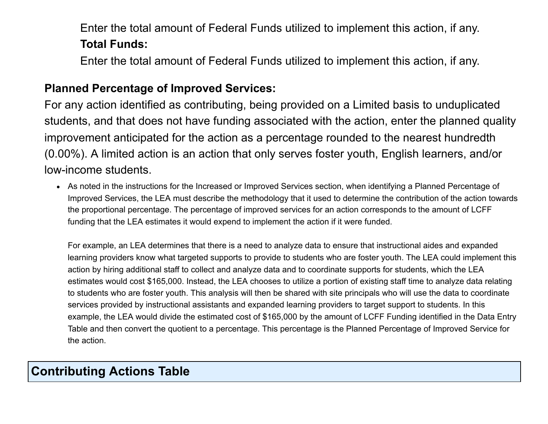Enter the total amount of Federal Funds utilized to implement this action, if any. **Total Funds:**

Enter the total amount of Federal Funds utilized to implement this action, if any.

#### **Planned Percentage of Improved Services:**

For any action identified as contributing, being provided on a Limited basis to unduplicated students, and that does not have funding associated with the action, enter the planned quality improvement anticipated for the action as a percentage rounded to the nearest hundredth (0.00%). A limited action is an action that only serves foster youth, English learners, and/or low-income students.

As noted in the instructions for the Increased or Improved Services section, when identifying a Planned Percentage of Improved Services, the LEA must describe the methodology that it used to determine the contribution of the action towards the proportional percentage. The percentage of improved services for an action corresponds to the amount of LCFF funding that the LEA estimates it would expend to implement the action if it were funded.

For example, an LEA determines that there is a need to analyze data to ensure that instructional aides and expanded learning providers know what targeted supports to provide to students who are foster youth. The LEA could implement this action by hiring additional staff to collect and analyze data and to coordinate supports for students, which the LEA estimates would cost \$165,000. Instead, the LEA chooses to utilize a portion of existing staff time to analyze data relating to students who are foster youth. This analysis will then be shared with site principals who will use the data to coordinate services provided by instructional assistants and expanded learning providers to target support to students. In this example, the LEA would divide the estimated cost of \$165,000 by the amount of LCFF Funding identified in the Data Entry Table and then convert the quotient to a percentage. This percentage is the Planned Percentage of Improved Service for the action.

# **Contributing Actions Table**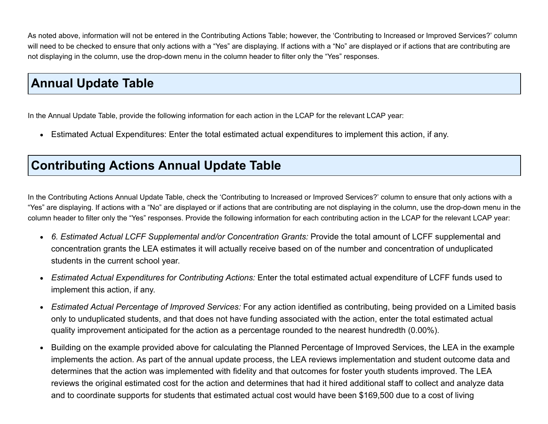As noted above, information will not be entered in the Contributing Actions Table; however, the 'Contributing to Increased or Improved Services?' column will need to be checked to ensure that only actions with a "Yes" are displaying. If actions with a "No" are displayed or if actions that are contributing are not displaying in the column, use the drop-down menu in the column header to filter only the "Yes" responses.

# **Annual Update Table**

In the Annual Update Table, provide the following information for each action in the LCAP for the relevant LCAP year:

Estimated Actual Expenditures: Enter the total estimated actual expenditures to implement this action, if any.

# **Contributing Actions Annual Update Table**

In the Contributing Actions Annual Update Table, check the 'Contributing to Increased or Improved Services?' column to ensure that only actions with a "Yes" are displaying. If actions with a "No" are displayed or if actions that are contributing are not displaying in the column, use the drop-down menu in the column header to filter only the "Yes" responses. Provide the following information for each contributing action in the LCAP for the relevant LCAP year:

- *6. Estimated Actual LCFF Supplemental and/or Concentration Grants:* Provide the total amount of LCFF supplemental and concentration grants the LEA estimates it will actually receive based on of the number and concentration of unduplicated students in the current school year.
- *Estimated Actual Expenditures for Contributing Actions:* Enter the total estimated actual expenditure of LCFF funds used to  $\bullet$ implement this action, if any.
- *Estimated Actual Percentage of Improved Services:* For any action identified as contributing, being provided on a Limited basis  $\bullet$ only to unduplicated students, and that does not have funding associated with the action, enter the total estimated actual quality improvement anticipated for the action as a percentage rounded to the nearest hundredth (0.00%).
- Building on the example provided above for calculating the Planned Percentage of Improved Services, the LEA in the example  $\bullet$ implements the action. As part of the annual update process, the LEA reviews implementation and student outcome data and determines that the action was implemented with fidelity and that outcomes for foster youth students improved. The LEA reviews the original estimated cost for the action and determines that had it hired additional staff to collect and analyze data and to coordinate supports for students that estimated actual cost would have been \$169,500 due to a cost of living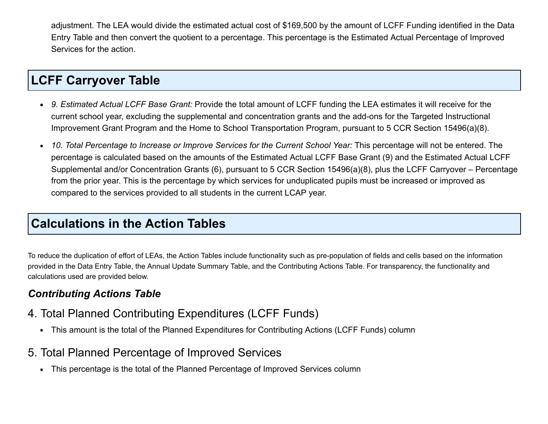adjustment. The LEA would divide the estimated actual cost of \$169,500 by the amount of LCFF Funding identified in the Data Entry Table and then convert the quotient to a percentage. This percentage is the Estimated Actual Percentage of Improved Services for the action.

# **LCFF Carryover Table**

- *9. Estimated Actual LCFF Base Grant:* Provide the total amount of LCFF funding the LEA estimates it will receive for the  $\bullet$ current school year, excluding the supplemental and concentration grants and the add-ons for the Targeted Instructional Improvement Grant Program and the Home to School Transportation Program, pursuant to 5 CCR Section 15496(a)(8).
- *10. Total Percentage to Increase or Improve Services for the Current School Year:* This percentage will not be entered. The  $\bullet$ percentage is calculated based on the amounts of the Estimated Actual LCFF Base Grant (9) and the Estimated Actual LCFF Supplemental and/or Concentration Grants (6), pursuant to 5 CCR Section 15496(a)(8), plus the LCFF Carryover – Percentage from the prior year. This is the percentage by which services for unduplicated pupils must be increased or improved as compared to the services provided to all students in the current LCAP year.

# **Calculations in the Action Tables**

To reduce the duplication of effort of LEAs, the Action Tables include functionality such as pre-population of fields and cells based on the information provided in the Data Entry Table, the Annual Update Summary Table, and the Contributing Actions Table. For transparency, the functionality and calculations used are provided below.

#### *Contributing Actions Table*

- 4. Total Planned Contributing Expenditures (LCFF Funds)
	- This amount is the total of the Planned Expenditures for Contributing Actions (LCFF Funds) column
- 5. Total Planned Percentage of Improved Services
	- This percentage is the total of the Planned Percentage of Improved Services column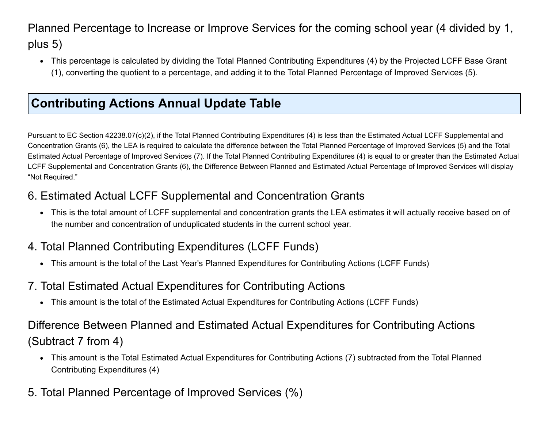Planned Percentage to Increase or Improve Services for the coming school year (4 divided by 1, plus 5)

This percentage is calculated by dividing the Total Planned Contributing Expenditures (4) by the Projected LCFF Base Grant (1), converting the quotient to a percentage, and adding it to the Total Planned Percentage of Improved Services (5).

# **Contributing Actions Annual Update Table**

Pursuant to EC Section 42238.07(c)(2), if the Total Planned Contributing Expenditures (4) is less than the Estimated Actual LCFF Supplemental and Concentration Grants (6), the LEA is required to calculate the difference between the Total Planned Percentage of Improved Services (5) and the Total Estimated Actual Percentage of Improved Services (7). If the Total Planned Contributing Expenditures (4) is equal to or greater than the Estimated Actual LCFF Supplemental and Concentration Grants (6), the Difference Between Planned and Estimated Actual Percentage of Improved Services will display "Not Required."

### 6. Estimated Actual LCFF Supplemental and Concentration Grants

This is the total amount of LCFF supplemental and concentration grants the LEA estimates it will actually receive based on of the number and concentration of unduplicated students in the current school year.

### 4. Total Planned Contributing Expenditures (LCFF Funds)

This amount is the total of the Last Year's Planned Expenditures for Contributing Actions (LCFF Funds)

### 7. Total Estimated Actual Expenditures for Contributing Actions

This amount is the total of the Estimated Actual Expenditures for Contributing Actions (LCFF Funds)

# Difference Between Planned and Estimated Actual Expenditures for Contributing Actions (Subtract 7 from 4)

- This amount is the Total Estimated Actual Expenditures for Contributing Actions (7) subtracted from the Total Planned Contributing Expenditures (4)
- 5. Total Planned Percentage of Improved Services (%)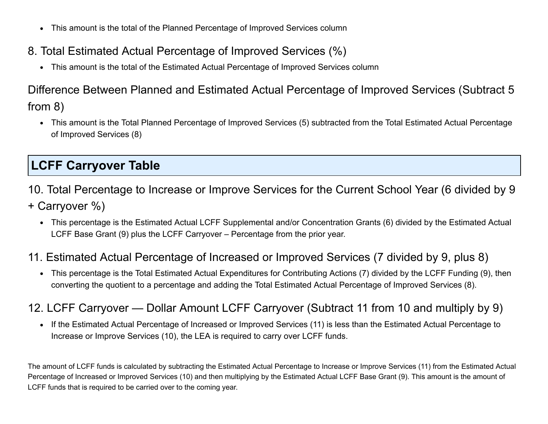- This amount is the total of the Planned Percentage of Improved Services column
- 8. Total Estimated Actual Percentage of Improved Services (%)
	- This amount is the total of the Estimated Actual Percentage of Improved Services column

# Difference Between Planned and Estimated Actual Percentage of Improved Services (Subtract 5 from 8)

This amount is the Total Planned Percentage of Improved Services (5) subtracted from the Total Estimated Actual Percentage of Improved Services (8)

# **LCFF Carryover Table**

- 10. Total Percentage to Increase or Improve Services for the Current School Year (6 divided by 9
- + Carryover %)
	- This percentage is the Estimated Actual LCFF Supplemental and/or Concentration Grants (6) divided by the Estimated Actual LCFF Base Grant (9) plus the LCFF Carryover – Percentage from the prior year.

### 11. Estimated Actual Percentage of Increased or Improved Services (7 divided by 9, plus 8)

This percentage is the Total Estimated Actual Expenditures for Contributing Actions (7) divided by the LCFF Funding (9), then converting the quotient to a percentage and adding the Total Estimated Actual Percentage of Improved Services (8).

## 12. LCFF Carryover — Dollar Amount LCFF Carryover (Subtract 11 from 10 and multiply by 9)

• If the Estimated Actual Percentage of Increased or Improved Services (11) is less than the Estimated Actual Percentage to Increase or Improve Services (10), the LEA is required to carry over LCFF funds.

The amount of LCFF funds is calculated by subtracting the Estimated Actual Percentage to Increase or Improve Services (11) from the Estimated Actual Percentage of Increased or Improved Services (10) and then multiplying by the Estimated Actual LCFF Base Grant (9). This amount is the amount of LCFF funds that is required to be carried over to the coming year.